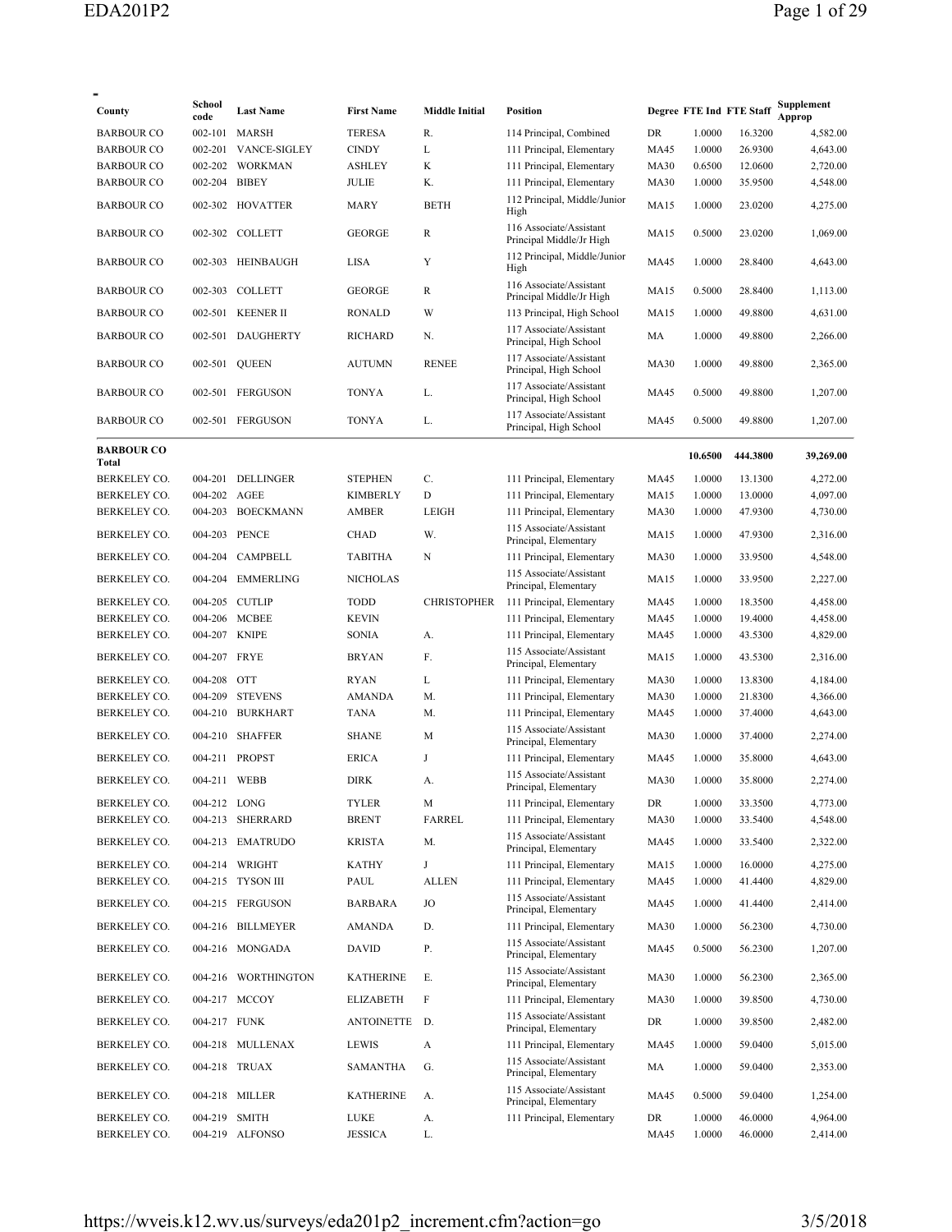| County                       | School<br>code | <b>Last Name</b>                      | <b>First Name</b>            | <b>Middle Initial</b> | <b>Position</b>                                        |              |                  | Degree FTE Ind FTE Staff | ${\Large \bf Supplementary~$<br>Approp |
|------------------------------|----------------|---------------------------------------|------------------------------|-----------------------|--------------------------------------------------------|--------------|------------------|--------------------------|----------------------------------------|
| <b>BARBOUR CO</b>            | 002-101        | MARSH                                 | <b>TERESA</b>                | R.                    | 114 Principal, Combined                                | DR           | 1.0000           | 16.3200                  | 4,582.00                               |
| <b>BARBOUR CO</b>            | 002-201        | <b>VANCE-SIGLEY</b>                   | <b>CINDY</b>                 | L                     | 111 Principal, Elementary                              | <b>MA45</b>  | 1.0000           | 26.9300                  | 4,643.00                               |
| <b>BARBOUR CO</b>            | 002-202        | WORKMAN                               | <b>ASHLEY</b>                | K                     | 111 Principal, Elementary                              | <b>MA30</b>  | 0.6500           | 12.0600                  | 2,720.00                               |
| <b>BARBOUR CO</b>            | 002-204 BIBEY  |                                       | JULIE                        | Κ.                    | 111 Principal, Elementary                              | <b>MA30</b>  | 1.0000           | 35.9500                  | 4,548.00                               |
| <b>BARBOUR CO</b>            |                | 002-302 HOVATTER                      | MARY                         | <b>BETH</b>           | 112 Principal, Middle/Junior<br>High                   | MA15         | 1.0000           | 23.0200                  | 4,275.00                               |
| <b>BARBOUR CO</b>            |                | 002-302 COLLETT                       | <b>GEORGE</b>                | R                     | 116 Associate/Assistant<br>Principal Middle/Jr High    | <b>MA15</b>  | 0.5000           | 23.0200                  | 1,069.00                               |
| <b>BARBOUR CO</b>            | 002-303        | HEINBAUGH                             | LISA                         | Y                     | 112 Principal, Middle/Junior<br>High                   | <b>MA45</b>  | 1.0000           | 28.8400                  | 4,643.00                               |
| <b>BARBOUR CO</b>            | 002-303        | <b>COLLETT</b>                        | <b>GEORGE</b>                | R                     | 116 Associate/Assistant<br>Principal Middle/Jr High    | <b>MA15</b>  | 0.5000           | 28.8400                  | 1,113.00                               |
| <b>BARBOUR CO</b>            | 002-501        | <b>KEENER II</b>                      | <b>RONALD</b>                | W                     | 113 Principal, High School                             | <b>MA15</b>  | 1.0000           | 49.8800                  | 4,631.00                               |
| <b>BARBOUR CO</b>            |                | 002-501 DAUGHERTY                     | <b>RICHARD</b>               | N.                    | 117 Associate/Assistant<br>Principal, High School      | MA           | 1.0000           | 49.8800                  | 2,266.00                               |
| <b>BARBOUR CO</b>            | 002-501        | <b>QUEEN</b>                          | <b>AUTUMN</b>                | <b>RENEE</b>          | 117 Associate/Assistant<br>Principal, High School      | <b>MA30</b>  | 1.0000           | 49.8800                  | 2,365.00                               |
| <b>BARBOUR CO</b>            |                | 002-501 FERGUSON                      | <b>TONYA</b>                 | L.                    | 117 Associate/Assistant<br>Principal, High School      | <b>MA45</b>  | 0.5000           | 49.8800                  | 1,207.00                               |
| <b>BARBOUR CO</b>            |                | 002-501 FERGUSON                      | <b>TONYA</b>                 | L.                    | 117 Associate/Assistant<br>Principal, High School      | <b>MA45</b>  | 0.5000           | 49.8800                  | 1,207.00                               |
| <b>BARBOUR CO</b><br>Total   |                |                                       |                              |                       |                                                        |              | 10.6500          | 444.3800                 | 39,269.00                              |
| BERKELEY CO.                 | 004-201        | DELLINGER                             | <b>STEPHEN</b>               | C.                    | 111 Principal, Elementary                              | MA45         | 1.0000           | 13.1300                  | 4,272.00                               |
| BERKELEY CO.                 | 004-202        | AGEE                                  | <b>KIMBERLY</b>              | D                     | 111 Principal, Elementary                              | <b>MA15</b>  | 1.0000           | 13.0000                  | 4,097.00                               |
| BERKELEY CO.                 |                | 004-203 BOECKMANN                     | <b>AMBER</b>                 | LEIGH                 | 111 Principal, Elementary                              | <b>MA30</b>  | 1.0000           | 47.9300                  | 4,730.00                               |
| <b>BERKELEY CO.</b>          | 004-203        | PENCE                                 | <b>CHAD</b>                  | W.                    | 115 Associate/Assistant<br>Principal, Elementary       | <b>MA15</b>  | 1.0000           | 47.9300                  | 2,316.00                               |
| BERKELEY CO.                 | 004-204        | CAMPBELL                              | <b>TABITHA</b>               | N                     | 111 Principal, Elementary                              | <b>MA30</b>  | 1.0000           | 33.9500                  | 4,548.00                               |
| BERKELEY CO.                 | 004-204        | <b>EMMERLING</b>                      | <b>NICHOLAS</b>              |                       | 115 Associate/Assistant<br>Principal, Elementary       | MA15         | 1.0000           | 33.9500                  | 2,227.00                               |
| BERKELEY CO.                 | 004-205        | <b>CUTLIP</b>                         | TODD                         | <b>CHRISTOPHER</b>    | 111 Principal, Elementary                              | MA45         | 1.0000           | 18.3500                  | 4,458.00                               |
| BERKELEY CO.                 | 004-206        | MCBEE                                 | <b>KEVIN</b>                 |                       | 111 Principal, Elementary                              | MA45         | 1.0000           | 19.4000                  | 4,458.00                               |
| BERKELEY CO.                 | 004-207 KNIPE  |                                       | <b>SONIA</b>                 | А.                    | 111 Principal, Elementary                              | MA45         | 1.0000           | 43.5300                  | 4,829.00                               |
| BERKELEY CO.                 | 004-207        | FRYE                                  | <b>BRYAN</b>                 | F.                    | 115 Associate/Assistant<br>Principal, Elementary       | <b>MA15</b>  | 1.0000           | 43.5300                  | 2,316.00                               |
| BERKELEY CO.                 | 004-208 OTT    |                                       | <b>RYAN</b>                  | L                     | 111 Principal, Elementary                              | <b>MA30</b>  | 1.0000           | 13.8300                  | 4,184.00                               |
| BERKELEY CO.                 | 004-209        | <b>STEVENS</b>                        | <b>AMANDA</b>                | M.                    | 111 Principal, Elementary                              | <b>MA30</b>  | 1.0000           | 21.8300                  | 4,366.00                               |
| BERKELEY CO.                 | 004-210        | <b>BURKHART</b>                       | <b>TANA</b>                  | M.                    | 111 Principal, Elementary                              | MA45         | 1.0000           | 37.4000                  | 4,643.00                               |
| <b>BERKELEY CO.</b>          | 004-210        | <b>SHAFFER</b>                        | <b>SHANE</b>                 | M                     | 115 Associate/Assistant<br>Principal, Elementary       | <b>MA30</b>  | 1.0000           | 37.4000                  | 2,274.00                               |
| BERKELEY CO.                 | 004-211        | <b>PROPST</b>                         | <b>ERICA</b>                 | J                     | 111 Principal, Elementary                              | MA45         | 1.0000           | 35.8000                  | 4,643.00                               |
| BERKELEY CO.                 | 004-211 WEBB   |                                       | DIRK                         | А.                    | 115 Associate/Assistant<br>Principal, Elementary       | <b>MA30</b>  | 1.0000           | 35.8000                  | 2,274.00                               |
| BERKELEY CO.<br>BERKELEY CO. | 004-212 LONG   | 004-213 SHERRARD                      | <b>TYLER</b><br><b>BRENT</b> | M<br>FARREL           | 111 Principal, Elementary<br>111 Principal, Elementary | DR           | 1.0000           | 33.3500                  | 4,773.00<br>4,548.00                   |
|                              |                |                                       |                              |                       | 115 Associate/Assistant                                | <b>MA30</b>  | 1.0000           | 33.5400                  |                                        |
| BERKELEY CO.                 |                | 004-213 EMATRUDO                      | <b>KRISTA</b>                | M.                    | Principal, Elementary                                  | <b>MA45</b>  | 1.0000           | 33.5400                  | 2,322.00                               |
| BERKELEY CO.                 |                | 004-214 WRIGHT                        | <b>KATHY</b>                 | J                     | 111 Principal, Elementary                              | <b>MA15</b>  | 1.0000           | 16.0000                  | 4,275.00                               |
| BERKELEY CO.<br>BERKELEY CO. |                | 004-215 TYSON III<br>004-215 FERGUSON | PAUL<br>BARBARA              | <b>ALLEN</b><br>JO    | 111 Principal, Elementary<br>115 Associate/Assistant   | MA45<br>MA45 | 1.0000<br>1.0000 | 41.4400<br>41.4400       | 4,829.00<br>2,414.00                   |
|                              |                |                                       |                              |                       | Principal, Elementary                                  |              |                  |                          |                                        |
| BERKELEY CO.                 |                | 004-216 BILLMEYER                     | AMANDA                       | D.                    | 111 Principal, Elementary<br>115 Associate/Assistant   | <b>MA30</b>  | 1.0000           | 56.2300                  | 4,730.00                               |
| BERKELEY CO.                 |                | 004-216 MONGADA                       | <b>DAVID</b>                 | Р.                    | Principal, Elementary<br>115 Associate/Assistant       | <b>MA45</b>  | 0.5000           | 56.2300                  | 1,207.00                               |
| BERKELEY CO.                 |                | 004-216 WORTHINGTON                   | <b>KATHERINE</b>             | Е.                    | Principal, Elementary                                  | <b>MA30</b>  | 1.0000           | 56.2300                  | 2,365.00                               |
| BERKELEY CO.                 |                | 004-217 MCCOY                         | <b>ELIZABETH</b>             | F                     | 111 Principal, Elementary                              | <b>MA30</b>  | 1.0000           | 39.8500                  | 4,730.00                               |
| BERKELEY CO.                 | 004-217 FUNK   |                                       | <b>ANTOINETTE</b>            | D.                    | 115 Associate/Assistant<br>Principal, Elementary       | DR           | 1.0000           | 39.8500                  | 2,482.00                               |
| BERKELEY CO.                 |                | 004-218 MULLENAX                      | LEWIS                        | A                     | 111 Principal, Elementary                              | <b>MA45</b>  | 1.0000           | 59.0400                  | 5,015.00                               |
| BERKELEY CO.                 |                | 004-218 TRUAX                         | <b>SAMANTHA</b>              | G.                    | 115 Associate/Assistant<br>Principal, Elementary       | MA           | 1.0000           | 59.0400                  | 2,353.00                               |
| BERKELEY CO.                 |                | 004-218 MILLER                        | <b>KATHERINE</b>             | А.                    | 115 Associate/Assistant<br>Principal, Elementary       | <b>MA45</b>  | 0.5000           | 59.0400                  | 1,254.00                               |
| BERKELEY CO.                 | 004-219 SMITH  |                                       | LUKE                         | А.                    | 111 Principal, Elementary                              | DR           | 1.0000           | 46.0000                  | 4,964.00                               |
| BERKELEY CO.                 |                | 004-219 ALFONSO                       | <b>JESSICA</b>               | L.                    |                                                        | <b>MA45</b>  | 1.0000           | 46.0000                  | 2,414.00                               |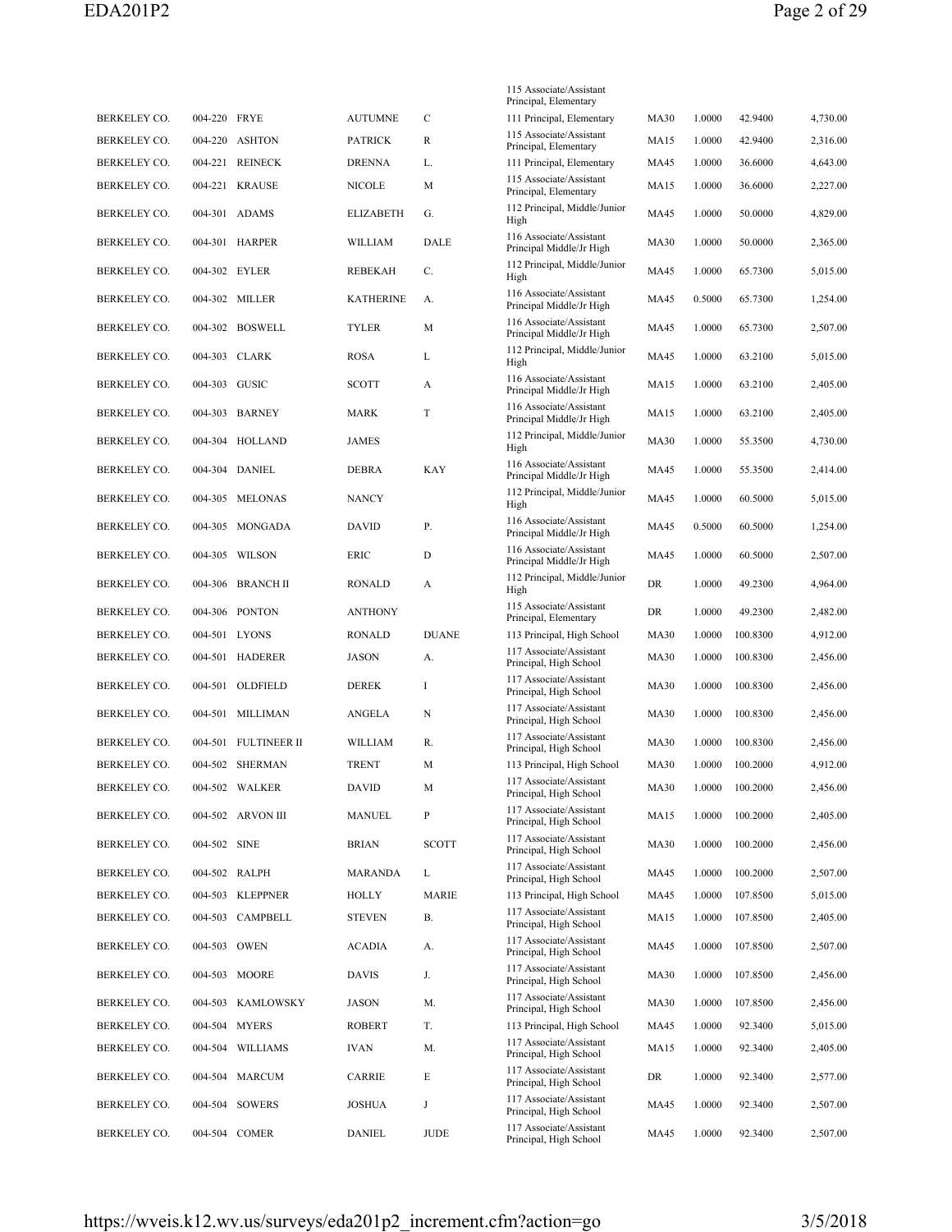|                     |              |                     |                  |              | 115 Associate/Assistant<br>Principal, Elementary    |             |        |          |          |
|---------------------|--------------|---------------------|------------------|--------------|-----------------------------------------------------|-------------|--------|----------|----------|
| BERKELEY CO.        | 004-220 FRYE |                     | <b>AUTUMNE</b>   | $\mathsf{C}$ | 111 Principal, Elementary                           | <b>MA30</b> | 1.0000 | 42.9400  | 4,730.00 |
| <b>BERKELEY CO.</b> | 004-220      | <b>ASHTON</b>       | <b>PATRICK</b>   | R            | 115 Associate/Assistant<br>Principal, Elementary    | <b>MA15</b> | 1.0000 | 42.9400  | 2,316.00 |
| <b>BERKELEY CO.</b> | 004-221      | <b>REINECK</b>      | <b>DRENNA</b>    | L.           | 111 Principal, Elementary                           | <b>MA45</b> | 1.0000 | 36.6000  | 4,643.00 |
| BERKELEY CO.        | 004-221      | <b>KRAUSE</b>       | <b>NICOLE</b>    | M            | 115 Associate/Assistant<br>Principal, Elementary    | <b>MA15</b> | 1.0000 | 36.6000  | 2,227.00 |
| BERKELEY CO.        |              | 004-301 ADAMS       | <b>ELIZABETH</b> | G.           | 112 Principal, Middle/Junior<br>High                | MA45        | 1.0000 | 50.0000  | 4,829.00 |
| BERKELEY CO.        |              | 004-301 HARPER      | WILLIAM          | DALE         | 116 Associate/Assistant<br>Principal Middle/Jr High | <b>MA30</b> | 1.0000 | 50.0000  | 2,365.00 |
| BERKELEY CO.        |              | 004-302 EYLER       | REBEKAH          | C.           | 112 Principal, Middle/Junior<br>High                | MA45        | 1.0000 | 65.7300  | 5,015.00 |
| BERKELEY CO.        |              | 004-302 MILLER      | <b>KATHERINE</b> | А.           | 116 Associate/Assistant<br>Principal Middle/Jr High | <b>MA45</b> | 0.5000 | 65.7300  | 1,254.00 |
| BERKELEY CO.        |              | 004-302 BOSWELL     | <b>TYLER</b>     | M            | 116 Associate/Assistant<br>Principal Middle/Jr High | <b>MA45</b> | 1.0000 | 65.7300  | 2,507.00 |
| BERKELEY CO.        |              | 004-303 CLARK       | ROSA             | L            | 112 Principal, Middle/Junior<br>High                | <b>MA45</b> | 1.0000 | 63.2100  | 5,015.00 |
| BERKELEY CO.        |              | 004-303 GUSIC       | <b>SCOTT</b>     | A            | 116 Associate/Assistant<br>Principal Middle/Jr High | <b>MA15</b> | 1.0000 | 63.2100  | 2,405.00 |
| BERKELEY CO.        |              | 004-303 BARNEY      | MARK             | T            | 116 Associate/Assistant<br>Principal Middle/Jr High | <b>MA15</b> | 1.0000 | 63.2100  | 2,405.00 |
| <b>BERKELEY CO.</b> |              | 004-304 HOLLAND     | <b>JAMES</b>     |              | 112 Principal, Middle/Junior<br>High                | <b>MA30</b> | 1.0000 | 55.3500  | 4,730.00 |
| BERKELEY CO.        |              | 004-304 DANIEL      | DEBRA            | KAY          | 116 Associate/Assistant<br>Principal Middle/Jr High | MA45        | 1.0000 | 55.3500  | 2,414.00 |
| BERKELEY CO.        | 004-305      | <b>MELONAS</b>      | <b>NANCY</b>     |              | 112 Principal, Middle/Junior<br>High                | <b>MA45</b> | 1.0000 | 60.5000  | 5,015.00 |
| BERKELEY CO.        |              | 004-305 MONGADA     | <b>DAVID</b>     | Р.           | 116 Associate/Assistant<br>Principal Middle/Jr High | MA45        | 0.5000 | 60.5000  | 1,254.00 |
| BERKELEY CO.        |              | 004-305 WILSON      | ERIC             | D            | 116 Associate/Assistant<br>Principal Middle/Jr High | MA45        | 1.0000 | 60.5000  | 2,507.00 |
| BERKELEY CO.        |              | 004-306 BRANCH II   | RONALD           | A            | 112 Principal, Middle/Junior<br>High                | DR          | 1.0000 | 49.2300  | 4,964.00 |
| <b>BERKELEY CO.</b> | 004-306      | <b>PONTON</b>       | <b>ANTHONY</b>   |              | 115 Associate/Assistant<br>Principal, Elementary    | DR          | 1.0000 | 49.2300  | 2,482.00 |
| BERKELEY CO.        |              | 004-501 LYONS       | <b>RONALD</b>    | <b>DUANE</b> | 113 Principal, High School                          | <b>MA30</b> | 1.0000 | 100.8300 | 4,912.00 |
| BERKELEY CO.        |              | 004-501 HADERER     | JASON            | А.           | 117 Associate/Assistant<br>Principal, High School   | <b>MA30</b> | 1.0000 | 100.8300 | 2,456.00 |
| BERKELEY CO.        |              | 004-501 OLDFIELD    | <b>DEREK</b>     | I            | 117 Associate/Assistant<br>Principal, High School   | <b>MA30</b> | 1.0000 | 100.8300 | 2,456.00 |
| BERKELEY CO.        |              | 004-501 MILLIMAN    | ANGELA           | N            | 117 Associate/Assistant<br>Principal, High School   | <b>MA30</b> | 1.0000 | 100.8300 | 2,456.00 |
| <b>BERKELEY CO.</b> | 004-501      | <b>FULTINEER II</b> | WILLIAM          | R.           | 117 Associate/Assistant<br>Principal, High School   | <b>MA30</b> | 1.0000 | 100.8300 | 2,456.00 |
| BERKELEY CO.        |              | 004-502 SHERMAN     | <b>TRENT</b>     | M            | 113 Principal, High School                          | <b>MA30</b> | 1.0000 | 100.2000 | 4,912.00 |
| BERKELEY CO.        |              | 004-502 WALKER      | DAVID            | М            | 117 Associate/Assistant<br>Principal, High School   | <b>MA30</b> | 1.0000 | 100.2000 | 2,456.00 |
| BERKELEY CO.        |              | 004-502 ARVON III   | MANUEL           | P            | 117 Associate/Assistant<br>Principal, High School   | <b>MA15</b> | 1.0000 | 100.2000 | 2,405.00 |
| BERKELEY CO.        | 004-502 SINE |                     | <b>BRIAN</b>     | <b>SCOTT</b> | 117 Associate/Assistant<br>Principal, High School   | <b>MA30</b> | 1.0000 | 100.2000 | 2,456.00 |
| BERKELEY CO.        |              | 004-502 RALPH       | MARANDA          | L            | 117 Associate/Assistant<br>Principal, High School   | MA45        | 1.0000 | 100.2000 | 2,507.00 |
| BERKELEY CO.        |              | 004-503 KLEPPNER    | HOLLY            | <b>MARIE</b> | 113 Principal, High School                          | MA45        | 1.0000 | 107.8500 | 5,015.00 |
| BERKELEY CO.        |              | 004-503 CAMPBELL    | <b>STEVEN</b>    | В.           | 117 Associate/Assistant<br>Principal, High School   | MA15        | 1.0000 | 107.8500 | 2,405.00 |
| BERKELEY CO.        |              | 004-503 OWEN        | <b>ACADIA</b>    | А.           | 117 Associate/Assistant<br>Principal, High School   | MA45        | 1.0000 | 107.8500 | 2,507.00 |
| BERKELEY CO.        |              | 004-503 MOORE       | DAVIS            | J.           | 117 Associate/Assistant<br>Principal, High School   | <b>MA30</b> | 1.0000 | 107.8500 | 2,456.00 |
| BERKELEY CO.        |              | 004-503 KAMLOWSKY   | JASON            | М.           | 117 Associate/Assistant<br>Principal, High School   | <b>MA30</b> | 1.0000 | 107.8500 | 2,456.00 |
| BERKELEY CO.        |              | 004-504 MYERS       | <b>ROBERT</b>    | T.           | 113 Principal, High School                          | MA45        | 1.0000 | 92.3400  | 5,015.00 |
| BERKELEY CO.        |              | 004-504 WILLIAMS    | <b>IVAN</b>      | М.           | 117 Associate/Assistant<br>Principal, High School   | MA15        | 1.0000 | 92.3400  | 2,405.00 |
| BERKELEY CO.        |              | 004-504 MARCUM      | CARRIE           | E            | 117 Associate/Assistant<br>Principal, High School   | DR          | 1.0000 | 92.3400  | 2,577.00 |
| BERKELEY CO.        |              | 004-504 SOWERS      | JOSHUA           | J            | 117 Associate/Assistant<br>Principal, High School   | MA45        | 1.0000 | 92.3400  | 2,507.00 |
| BERKELEY CO.        |              | 004-504 COMER       | DANIEL           | JUDE         | 117 Associate/Assistant<br>Principal, High School   | MA45        | 1.0000 | 92.3400  | 2,507.00 |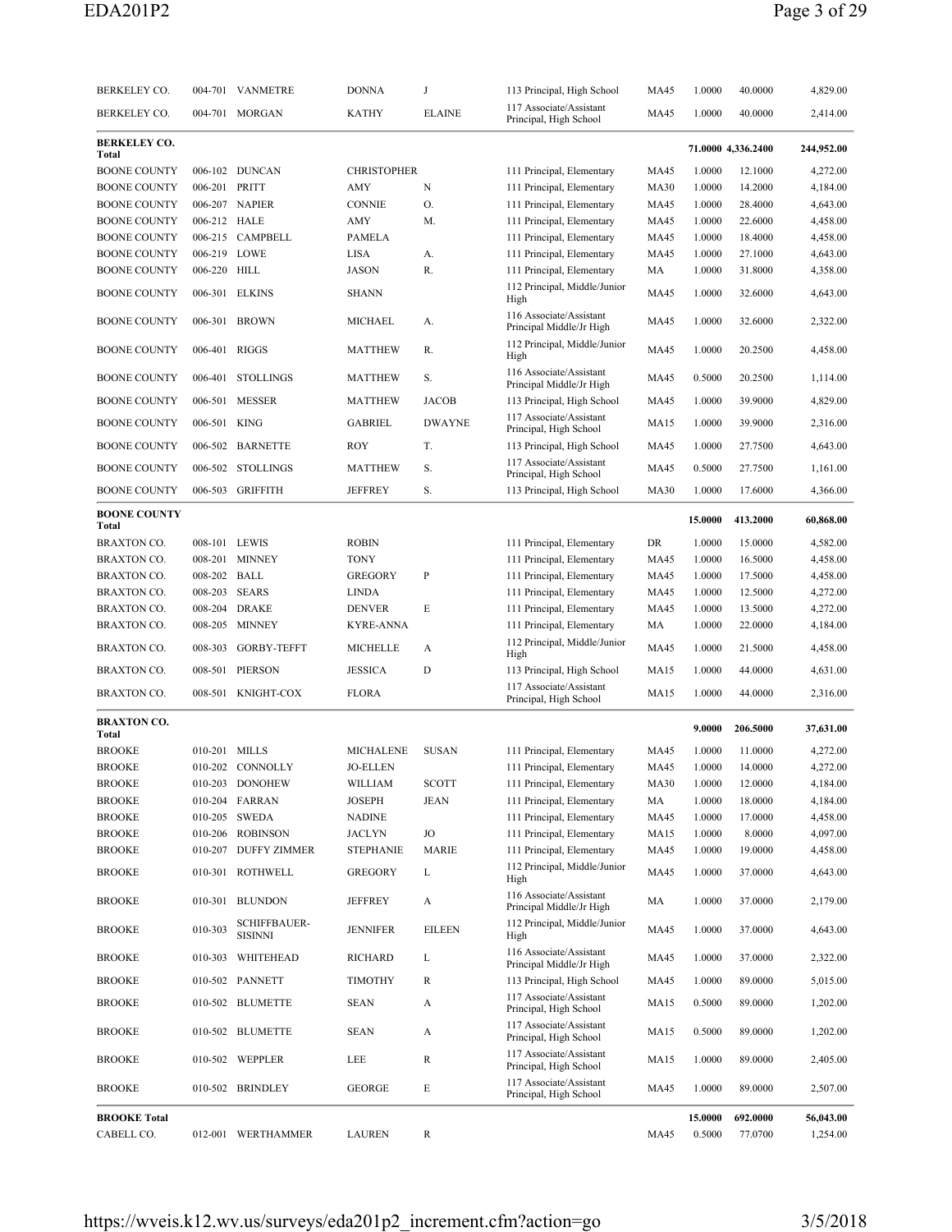| BERKELEY CO.                 |               | 004-701 VANMETRE                      | <b>DONNA</b>       | J             | 113 Principal, High School                          | MA45        | 1.0000  | 40.0000            | 4,829.00   |
|------------------------------|---------------|---------------------------------------|--------------------|---------------|-----------------------------------------------------|-------------|---------|--------------------|------------|
| BERKELEY CO.                 |               | 004-701 MORGAN                        | <b>KATHY</b>       | <b>ELAINE</b> | 117 Associate/Assistant<br>Principal, High School   | MA45        | 1.0000  | 40.0000            | 2,414.00   |
| <b>BERKELEY CO.</b><br>Total |               |                                       |                    |               |                                                     |             |         | 71.0000 4,336.2400 | 244,952.00 |
| <b>BOONE COUNTY</b>          |               | 006-102 DUNCAN                        | <b>CHRISTOPHER</b> |               | 111 Principal, Elementary                           | MA45        | 1.0000  | 12.1000            | 4,272.00   |
| <b>BOONE COUNTY</b>          | 006-201 PRITT |                                       | AMY                | N             | 111 Principal, Elementary                           | <b>MA30</b> | 1.0000  | 14.2000            | 4,184.00   |
| <b>BOONE COUNTY</b>          |               | 006-207 NAPIER                        | <b>CONNIE</b>      | O.            | 111 Principal, Elementary                           | MA45        | 1.0000  | 28.4000            | 4,643.00   |
| <b>BOONE COUNTY</b>          | 006-212 HALE  |                                       | AMY                | M.            | 111 Principal, Elementary                           | MA45        | 1.0000  | 22.6000            | 4,458.00   |
| <b>BOONE COUNTY</b>          |               | 006-215 CAMPBELL                      | <b>PAMELA</b>      |               | 111 Principal, Elementary                           | MA45        | 1.0000  | 18.4000            | 4,458.00   |
| <b>BOONE COUNTY</b>          |               | 006-219 LOWE                          | LISA               | А.            | 111 Principal, Elementary                           | MA45        | 1.0000  | 27.1000            | 4,643.00   |
| <b>BOONE COUNTY</b>          | 006-220 HILL  |                                       | <b>JASON</b>       | R.            | 111 Principal, Elementary                           | МA          | 1.0000  | 31.8000            | 4,358.00   |
| <b>BOONE COUNTY</b>          |               | 006-301 ELKINS                        | <b>SHANN</b>       |               | 112 Principal, Middle/Junior<br>High                | MA45        | 1.0000  | 32.6000            | 4,643.00   |
| <b>BOONE COUNTY</b>          |               | 006-301 BROWN                         | <b>MICHAEL</b>     | А.            | 116 Associate/Assistant<br>Principal Middle/Jr High | MA45        | 1.0000  | 32.6000            | 2,322.00   |
| <b>BOONE COUNTY</b>          |               | 006-401 RIGGS                         | <b>MATTHEW</b>     | R.            | 112 Principal, Middle/Junior<br>High                | <b>MA45</b> | 1.0000  | 20.2500            | 4,458.00   |
| <b>BOONE COUNTY</b>          | 006-401       | <b>STOLLINGS</b>                      | <b>MATTHEW</b>     | S.            | 116 Associate/Assistant<br>Principal Middle/Jr High | <b>MA45</b> | 0.5000  | 20.2500            | 1,114.00   |
| <b>BOONE COUNTY</b>          | 006-501       | MESSER                                | <b>MATTHEW</b>     | <b>JACOB</b>  | 113 Principal, High School                          | MA45        | 1.0000  | 39.9000            | 4,829.00   |
| <b>BOONE COUNTY</b>          | 006-501 KING  |                                       | <b>GABRIEL</b>     | <b>DWAYNE</b> | 117 Associate/Assistant<br>Principal, High School   | <b>MA15</b> | 1.0000  | 39.9000            | 2,316.00   |
| <b>BOONE COUNTY</b>          |               | 006-502 BARNETTE                      | <b>ROY</b>         | T.            | 113 Principal, High School                          | MA45        | 1.0000  | 27.7500            | 4,643.00   |
| <b>BOONE COUNTY</b>          |               | 006-502 STOLLINGS                     | <b>MATTHEW</b>     | S.            | 117 Associate/Assistant<br>Principal, High School   | MA45        | 0.5000  | 27.7500            | 1,161.00   |
| <b>BOONE COUNTY</b>          |               | 006-503 GRIFFITH                      | <b>JEFFREY</b>     | S.            | 113 Principal, High School                          | <b>MA30</b> | 1.0000  | 17.6000            | 4,366.00   |
| <b>BOONE COUNTY</b><br>Total |               |                                       |                    |               |                                                     |             | 15.0000 | 413.2000           | 60,868.00  |
| BRAXTON CO.                  |               | 008-101 LEWIS                         | <b>ROBIN</b>       |               | 111 Principal, Elementary                           | DR          | 1.0000  | 15.0000            | 4,582.00   |
| <b>BRAXTON CO.</b>           |               | 008-201 MINNEY                        | <b>TONY</b>        |               | 111 Principal, Elementary                           | MA45        | 1.0000  | 16.5000            | 4,458.00   |
| <b>BRAXTON CO.</b>           | 008-202 BALL  |                                       | <b>GREGORY</b>     | P             | 111 Principal, Elementary                           | MA45        | 1.0000  | 17.5000            | 4,458.00   |
| <b>BRAXTON CO.</b>           |               | 008-203 SEARS                         | <b>LINDA</b>       |               | 111 Principal, Elementary                           | MA45        | 1.0000  | 12.5000            | 4,272.00   |
| <b>BRAXTON CO.</b>           |               | 008-204 DRAKE                         | <b>DENVER</b>      | E             | 111 Principal, Elementary                           | MA45        | 1.0000  | 13.5000            | 4,272.00   |
| <b>BRAXTON CO.</b>           | 008-205       | MINNEY                                | <b>KYRE-ANNA</b>   |               | 111 Principal, Elementary                           | МA          | 1.0000  | 22.0000            | 4,184.00   |
| <b>BRAXTON CO.</b>           |               | 008-303 GORBY-TEFFT                   | <b>MICHELLE</b>    | A             | 112 Principal, Middle/Junior<br>High                | MA45        | 1.0000  | 21.5000            | 4,458.00   |
| <b>BRAXTON CO.</b>           |               | 008-501 PIERSON                       | <b>JESSICA</b>     | D             | 113 Principal, High School                          | MA15        | 1.0000  | 44.0000            | 4,631.00   |
| <b>BRAXTON CO.</b>           |               | 008-501 KNIGHT-COX                    | <b>FLORA</b>       |               | 117 Associate/Assistant<br>Principal, High School   | <b>MA15</b> | 1.0000  | 44.0000            | 2,316.00   |
| <b>BRAXTON CO.</b><br>Total  |               |                                       |                    |               |                                                     |             | 9.0000  | 206.5000           | 37,631.00  |
| <b>BROOKE</b>                |               | 010-201 MILLS                         | <b>MICHALENE</b>   | <b>SUSAN</b>  | 111 Principal, Elementary                           | MA45        | 1.0000  | 11.0000            | 4,272.00   |
| <b>BROOKE</b>                |               | 010-202 CONNOLLY                      | <b>JO-ELLEN</b>    |               | 111 Principal, Elementary                           | MA45        | 1.0000  | 14.0000            | 4,272.00   |
| <b>BROOKE</b>                |               | 010-203 DONOHEW                       | WILLIAM            | <b>SCOTT</b>  | 111 Principal, Elementary                           | <b>MA30</b> | 1.0000  | 12.0000            | 4,184.00   |
| <b>BROOKE</b>                |               | 010-204 FARRAN                        | <b>JOSEPH</b>      | <b>JEAN</b>   | 111 Principal, Elementary                           | MA          | 1.0000  | 18.0000            | 4,184.00   |
| <b>BROOKE</b>                |               | 010-205 SWEDA                         | <b>NADINE</b>      |               | 111 Principal, Elementary                           | MA45        | 1.0000  | 17.0000            | 4,458.00   |
| <b>BROOKE</b>                |               | 010-206 ROBINSON                      | <b>JACLYN</b>      | JO            | 111 Principal, Elementary                           | MA15        | 1.0000  | 8.0000             | 4,097.00   |
| <b>BROOKE</b>                |               | 010-207 DUFFY ZIMMER                  | <b>STEPHANIE</b>   | <b>MARIE</b>  | 111 Principal, Elementary                           | MA45        | 1.0000  | 19.0000            | 4,458.00   |
| <b>BROOKE</b>                |               | 010-301 ROTHWELL                      | <b>GREGORY</b>     | L             | 112 Principal, Middle/Junior<br>High                | MA45        | 1.0000  | 37.0000            | 4,643.00   |
| <b>BROOKE</b>                |               | 010-301 BLUNDON                       | <b>JEFFREY</b>     | A             | 116 Associate/Assistant<br>Principal Middle/Jr High | MA          | 1.0000  | 37.0000            | 2,179.00   |
| <b>BROOKE</b>                | 010-303       | <b>SCHIFFBAUER-</b><br><b>SISINNI</b> | <b>JENNIFER</b>    | <b>EILEEN</b> | 112 Principal, Middle/Junior<br>High                | MA45        | 1.0000  | 37.0000            | 4,643.00   |
| <b>BROOKE</b>                |               | 010-303 WHITEHEAD                     | RICHARD            | L             | 116 Associate/Assistant<br>Principal Middle/Jr High | MA45        | 1.0000  | 37.0000            | 2,322.00   |
| <b>BROOKE</b>                |               | 010-502 PANNETT                       | <b>TIMOTHY</b>     | R             | 113 Principal, High School                          | MA45        | 1.0000  | 89.0000            | 5,015.00   |
| <b>BROOKE</b>                |               | 010-502 BLUMETTE                      | <b>SEAN</b>        | A             | 117 Associate/Assistant<br>Principal, High School   | <b>MA15</b> | 0.5000  | 89.0000            | 1,202.00   |
| <b>BROOKE</b>                |               | 010-502 BLUMETTE                      | <b>SEAN</b>        | A             | 117 Associate/Assistant<br>Principal, High School   | <b>MA15</b> | 0.5000  | 89.0000            | 1,202.00   |
| <b>BROOKE</b>                |               | 010-502 WEPPLER                       | LEE                | R             | 117 Associate/Assistant<br>Principal, High School   | MA15        | 1.0000  | 89.0000            | 2,405.00   |
| <b>BROOKE</b>                |               | 010-502 BRINDLEY                      | <b>GEORGE</b>      | E             | 117 Associate/Assistant<br>Principal, High School   | MA45        | 1.0000  | 89.0000            | 2,507.00   |
| <b>BROOKE Total</b>          |               |                                       |                    |               |                                                     |             | 15.0000 | 692.0000           | 56,043.00  |
| CABELL CO.                   |               | 012-001 WERTHAMMER                    | <b>LAUREN</b>      | R             |                                                     | MA45        | 0.5000  | 77.0700            | 1,254.00   |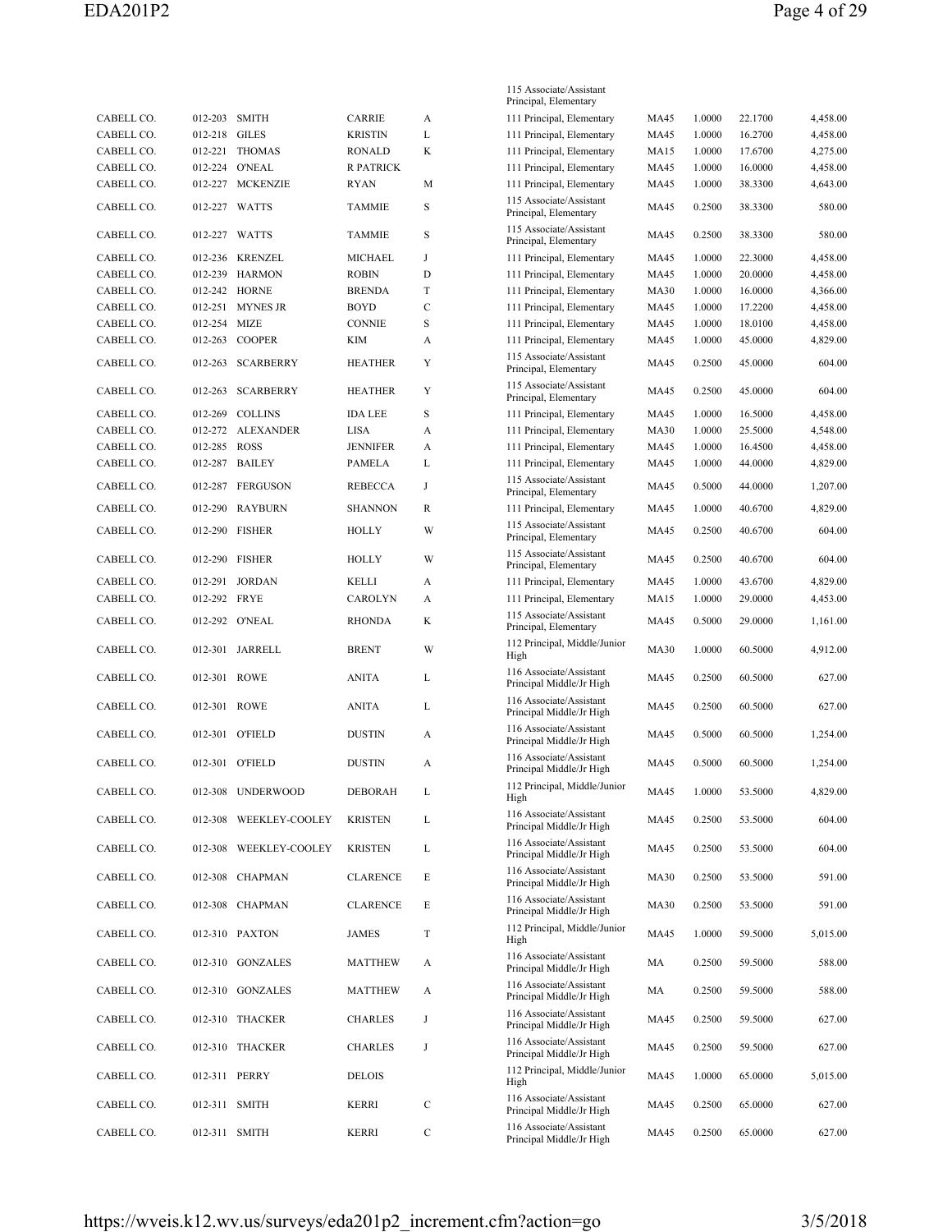|            |               |                        |                  |             | 115 Associate/Assistant                                                        |             |        |         |          |
|------------|---------------|------------------------|------------------|-------------|--------------------------------------------------------------------------------|-------------|--------|---------|----------|
| CABELL CO. | 012-203 SMITH |                        | <b>CARRIE</b>    | A           | Principal, Elementary<br>111 Principal, Elementary                             | <b>MA45</b> | 1.0000 | 22.1700 | 4,458.00 |
| CABELL CO. | 012-218       | <b>GILES</b>           | <b>KRISTIN</b>   | L           | 111 Principal, Elementary                                                      | MA45        | 1.0000 | 16.2700 | 4,458.00 |
| CABELL CO. | 012-221       | <b>THOMAS</b>          | <b>RONALD</b>    | K           | 111 Principal, Elementary                                                      | <b>MA15</b> | 1.0000 | 17.6700 | 4,275.00 |
| CABELL CO. | 012-224       | <b>O'NEAL</b>          | <b>R PATRICK</b> |             | 111 Principal, Elementary                                                      | <b>MA45</b> | 1.0000 | 16.0000 | 4,458.00 |
| CABELL CO. |               | 012-227 MCKENZIE       | RYAN             | M           | 111 Principal, Elementary                                                      | <b>MA45</b> | 1.0000 | 38.3300 | 4,643.00 |
| CABELL CO. |               | 012-227 WATTS          | <b>TAMMIE</b>    | S           | 115 Associate/Assistant<br>Principal, Elementary                               | MA45        | 0.2500 | 38.3300 | 580.00   |
| CABELL CO. | 012-227       | WATTS                  | <b>TAMMIE</b>    | S           | 115 Associate/Assistant<br>Principal, Elementary                               | MA45        | 0.2500 | 38.3300 | 580.00   |
| CABELL CO. |               | 012-236 KRENZEL        | MICHAEL          | J           | 111 Principal, Elementary                                                      | <b>MA45</b> | 1.0000 | 22.3000 | 4,458.00 |
| CABELL CO. |               | 012-239 HARMON         | <b>ROBIN</b>     | D           | 111 Principal, Elementary                                                      | <b>MA45</b> | 1.0000 | 20.0000 | 4,458.00 |
| CABELL CO. |               | 012-242 HORNE          | <b>BRENDA</b>    | T           | 111 Principal, Elementary                                                      | <b>MA30</b> | 1.0000 | 16.0000 | 4,366.00 |
| CABELL CO. |               | 012-251 MYNES JR       | <b>BOYD</b>      | $\mathbf C$ | 111 Principal, Elementary                                                      | <b>MA45</b> | 1.0000 | 17.2200 | 4,458.00 |
| CABELL CO. | 012-254       | <b>MIZE</b>            | <b>CONNIE</b>    | S           | 111 Principal, Elementary                                                      | MA45        | 1.0000 | 18.0100 | 4,458.00 |
| CABELL CO. | 012-263       | <b>COOPER</b>          | KIM              | A           | 111 Principal, Elementary                                                      | MA45        | 1.0000 | 45.0000 | 4,829.00 |
| CABELL CO. | 012-263       | <b>SCARBERRY</b>       | <b>HEATHER</b>   | Y           | 115 Associate/Assistant<br>Principal, Elementary                               | MA45        | 0.2500 | 45.0000 | 604.00   |
| CABELL CO. | 012-263       | <b>SCARBERRY</b>       | <b>HEATHER</b>   | Y           | 115 Associate/Assistant<br>Principal, Elementary                               | MA45        | 0.2500 | 45.0000 | 604.00   |
| CABELL CO. | 012-269       | <b>COLLINS</b>         | <b>IDA LEE</b>   | S           | 111 Principal, Elementary                                                      | MA45        | 1.0000 | 16.5000 | 4,458.00 |
| CABELL CO. |               | 012-272 ALEXANDER      | LISA             | A           | 111 Principal, Elementary                                                      | <b>MA30</b> | 1.0000 | 25.5000 | 4,548.00 |
| CABELL CO. | 012-285 ROSS  |                        | <b>JENNIFER</b>  | A           | 111 Principal, Elementary                                                      | MA45        | 1.0000 | 16.4500 | 4,458.00 |
| CABELL CO. |               | 012-287 BAILEY         | PAMELA           | L           | 111 Principal, Elementary                                                      | MA45        | 1.0000 | 44.0000 | 4,829.00 |
| CABELL CO. | 012-287       | <b>FERGUSON</b>        | <b>REBECCA</b>   | J           | 115 Associate/Assistant<br>Principal, Elementary                               | MA45        | 0.5000 | 44.0000 | 1,207.00 |
| CABELL CO. | 012-290       | <b>RAYBURN</b>         | <b>SHANNON</b>   | R           | 111 Principal, Elementary                                                      | MA45        | 1.0000 | 40.6700 | 4,829.00 |
| CABELL CO. | 012-290       | <b>FISHER</b>          | HOLLY            | W           | 115 Associate/Assistant<br>Principal, Elementary                               | MA45        | 0.2500 | 40.6700 | 604.00   |
| CABELL CO. | 012-290       | <b>FISHER</b>          | HOLLY            | W           | 115 Associate/Assistant<br>Principal, Elementary                               | MA45        | 0.2500 | 40.6700 | 604.00   |
| CABELL CO. | 012-291       | <b>JORDAN</b>          | KELLI            | A           | 111 Principal, Elementary                                                      | <b>MA45</b> | 1.0000 | 43.6700 | 4,829.00 |
| CABELL CO. | 012-292 FRYE  |                        | CAROLYN          | A           | 111 Principal, Elementary                                                      | MA15        | 1.0000 | 29.0000 | 4,453.00 |
| CABELL CO. |               | 012-292 O'NEAL         | <b>RHONDA</b>    | K           | 115 Associate/Assistant<br>Principal, Elementary                               | MA45        | 0.5000 | 29.0000 | 1,161.00 |
| CABELL CO. |               | 012-301 JARRELL        | <b>BRENT</b>     | W           | 112 Principal, Middle/Junior<br>High                                           | <b>MA30</b> | 1.0000 | 60.5000 | 4,912.00 |
| CABELL CO. | 012-301 ROWE  |                        | <b>ANITA</b>     | L           | 116 Associate/Assistant<br>Principal Middle/Jr High                            | MA45        | 0.2500 | 60.5000 | 627.00   |
| CABELL CO. | 012-301 ROWE  |                        | <b>ANITA</b>     | L           | 116 Associate/Assistant<br>Principal Middle/Jr High                            | MA45        | 0.2500 | 60.5000 | 627.00   |
| CABELL CO. | 012-301       | <b>O'FIELD</b>         | <b>DUSTIN</b>    | A           | 116 Associate/Assistant<br>Principal Middle/Jr High                            | MA45        | 0.5000 | 60.5000 | 1,254.00 |
| CABELL CO. |               | 012-301 O'FIELD        | <b>DUSTIN</b>    | A           | 116 Associate/Assistant<br>Principal Middle/Jr High                            | MA45        | 0.5000 | 60.5000 | 1,254.00 |
| CABELL CO. |               | 012-308 UNDERWOOD      | DEBORAH          | L           | 112 Principal, Middle/Junior<br>High                                           | MA45        | 1.0000 | 53.5000 | 4,829.00 |
| CABELL CO. |               | 012-308 WEEKLEY-COOLEY | <b>KRISTEN</b>   | L           | 116 Associate/Assistant<br>Principal Middle/Jr High                            | MA45        | 0.2500 | 53.5000 | 604.00   |
| CABELL CO. |               | 012-308 WEEKLEY-COOLEY | <b>KRISTEN</b>   | L           | 116 Associate/Assistant<br>Principal Middle/Jr High                            | MA45        | 0.2500 | 53.5000 | 604.00   |
| CABELL CO. |               | 012-308 CHAPMAN        | <b>CLARENCE</b>  | Е           | 116 Associate/Assistant<br>Principal Middle/Jr High<br>116 Associate/Assistant | <b>MA30</b> | 0.2500 | 53.5000 | 591.00   |
| CABELL CO. |               | 012-308 CHAPMAN        | <b>CLARENCE</b>  | Е           | Principal Middle/Jr High<br>112 Principal, Middle/Junior                       | MA30        | 0.2500 | 53.5000 | 591.00   |
| CABELL CO. |               | 012-310 PAXTON         | <b>JAMES</b>     | $\mathbf T$ | High<br>116 Associate/Assistant                                                | MA45        | 1.0000 | 59.5000 | 5,015.00 |
| CABELL CO. |               | 012-310 GONZALES       | <b>MATTHEW</b>   | A           | Principal Middle/Jr High<br>116 Associate/Assistant                            | MA          | 0.2500 | 59.5000 | 588.00   |
| CABELL CO. |               | 012-310 GONZALES       | <b>MATTHEW</b>   | A           | Principal Middle/Jr High<br>116 Associate/Assistant                            | MA          | 0.2500 | 59.5000 | 588.00   |
| CABELL CO. |               | 012-310 THACKER        | <b>CHARLES</b>   | J           | Principal Middle/Jr High<br>116 Associate/Assistant                            | MA45        | 0.2500 | 59.5000 | 627.00   |
| CABELL CO. |               | 012-310 THACKER        | <b>CHARLES</b>   | $_{\rm J}$  | Principal Middle/Jr High<br>112 Principal, Middle/Junior                       | MA45        | 0.2500 | 59.5000 | 627.00   |
| CABELL CO. | 012-311 PERRY |                        | <b>DELOIS</b>    |             | High<br>116 Associate/Assistant                                                | MA45        | 1.0000 | 65.0000 | 5,015.00 |
| CABELL CO. | 012-311 SMITH |                        | KERRI            | $\mathbf C$ | Principal Middle/Jr High<br>116 Associate/Assistant                            | MA45        | 0.2500 | 65.0000 | 627.00   |
| CABELL CO. | 012-311 SMITH |                        | <b>KERRI</b>     | $\mathbf C$ | Principal Middle/Jr High                                                       | MA45        | 0.2500 | 65.0000 | 627.00   |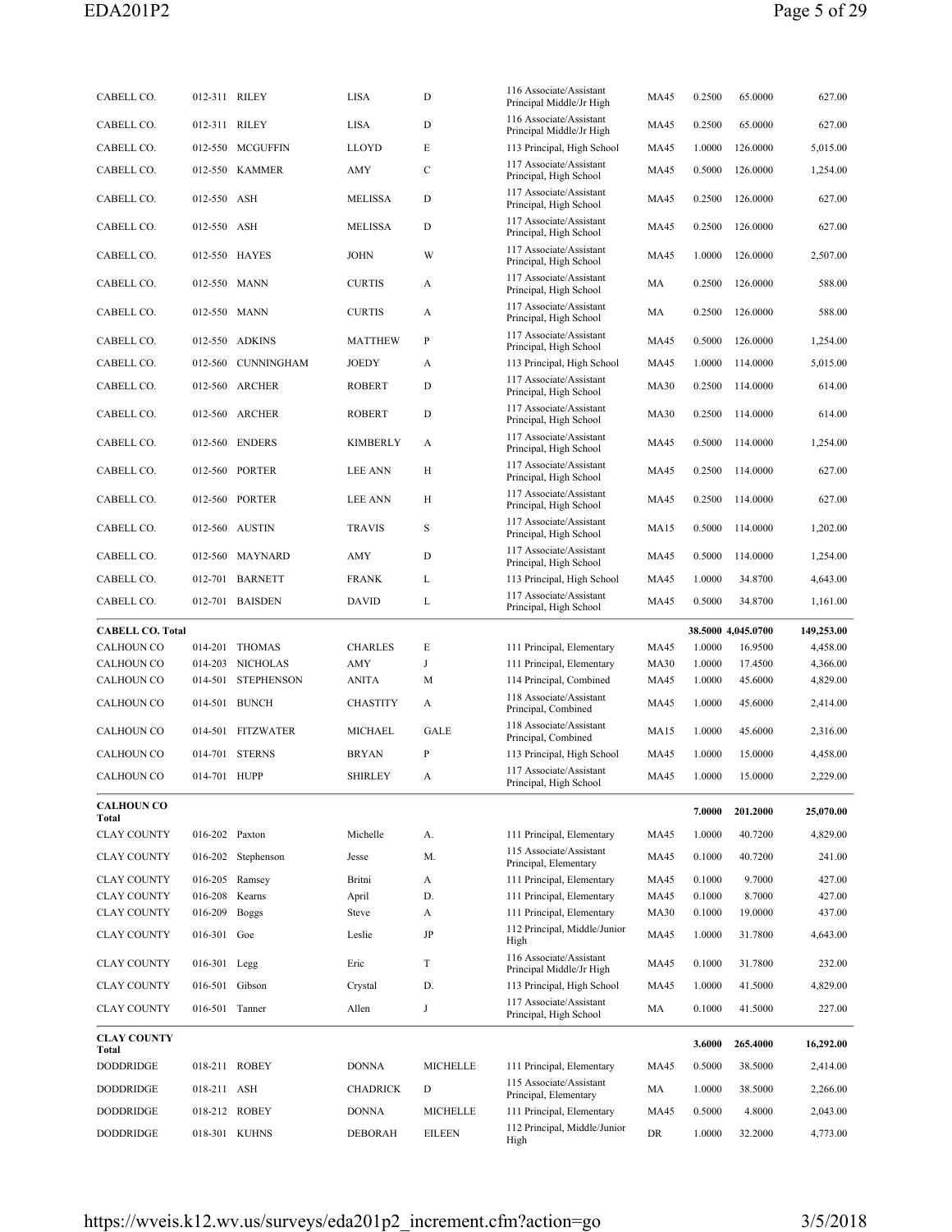| CABELL CO.                                   | 012-311 RILEY  |                    | <b>LISA</b>     | D        | 116 Associate/Assistant<br>Principal Middle/Jr High       | MA45         | 0.2500           | 65.0000                       | 627.00                 |
|----------------------------------------------|----------------|--------------------|-----------------|----------|-----------------------------------------------------------|--------------|------------------|-------------------------------|------------------------|
| CABELL CO.                                   | 012-311 RILEY  |                    | LISA            | D        | 116 Associate/Assistant<br>Principal Middle/Jr High       | MA45         | 0.2500           | 65.0000                       | 627.00                 |
| CABELL CO.                                   |                | 012-550 MCGUFFIN   | <b>LLOYD</b>    | E        | 113 Principal, High School                                | <b>MA45</b>  | 1.0000           | 126.0000                      | 5,015.00               |
| CABELL CO.                                   | 012-550        | <b>KAMMER</b>      | AMY             | C        | 117 Associate/Assistant<br>Principal, High School         | MA45         | 0.5000           | 126.0000                      | 1,254.00               |
| CABELL CO.                                   | 012-550 ASH    |                    | MELISSA         | D        | 117 Associate/Assistant<br>Principal, High School         | MA45         | 0.2500           | 126.0000                      | 627.00                 |
| CABELL CO.                                   | 012-550 ASH    |                    | MELISSA         | D        | 117 Associate/Assistant<br>Principal, High School         | MA45         | 0.2500           | 126.0000                      | 627.00                 |
| CABELL CO.                                   |                | 012-550 HAYES      | JOHN            | W        | 117 Associate/Assistant<br>Principal, High School         | MA45         | 1.0000           | 126.0000                      | 2,507.00               |
| CABELL CO.                                   | 012-550 MANN   |                    | <b>CURTIS</b>   | А        | 117 Associate/Assistant<br>Principal, High School         | MA           | 0.2500           | 126.0000                      | 588.00                 |
| CABELL CO.                                   | 012-550 MANN   |                    | <b>CURTIS</b>   | А        | 117 Associate/Assistant<br>Principal, High School         | MA           | 0.2500           | 126.0000                      | 588.00                 |
| CABELL CO.                                   |                | 012-550 ADKINS     | <b>MATTHEW</b>  | P        | 117 Associate/Assistant<br>Principal, High School         | MA45         | 0.5000           | 126.0000                      | 1,254.00               |
| CABELL CO.                                   | 012-560        | <b>CUNNINGHAM</b>  | JOEDY           | А        | 113 Principal, High School                                | MA45         | 1.0000           | 114.0000                      | 5,015.00               |
| CABELL CO.                                   |                | 012-560 ARCHER     | <b>ROBERT</b>   | D        | 117 Associate/Assistant<br>Principal, High School         | <b>MA30</b>  | 0.2500           | 114.0000                      | 614.00                 |
| CABELL CO.                                   | 012-560        | <b>ARCHER</b>      | <b>ROBERT</b>   | D        | 117 Associate/Assistant<br>Principal, High School         | <b>MA30</b>  | 0.2500           | 114.0000                      | 614.00                 |
| CABELL CO.                                   |                | 012-560 ENDERS     | KIMBERLY        | А        | 117 Associate/Assistant<br>Principal, High School         | MA45         | 0.5000           | 114.0000                      | 1,254.00               |
| CABELL CO.                                   |                | 012-560 PORTER     | <b>LEE ANN</b>  | Н        | 117 Associate/Assistant<br>Principal, High School         | MA45         | 0.2500           | 114.0000                      | 627.00                 |
| CABELL CO.                                   |                | 012-560 PORTER     | LEE ANN         | Н        | 117 Associate/Assistant<br>Principal, High School         | MA45         | 0.2500           | 114.0000                      | 627.00                 |
| CABELL CO.                                   |                | 012-560 AUSTIN     | <b>TRAVIS</b>   | S        | 117 Associate/Assistant<br>Principal, High School         | MA15         | 0.5000           | 114.0000                      | 1,202.00               |
| CABELL CO.                                   |                | 012-560 MAYNARD    | AMY             | D        | 117 Associate/Assistant<br>Principal, High School         | <b>MA45</b>  | 0.5000           | 114.0000                      | 1,254.00               |
| CABELL CO.                                   |                | 012-701 BARNETT    | <b>FRANK</b>    | L        | 113 Principal, High School                                | MA45         | 1.0000           | 34.8700                       | 4,643.00               |
| CABELL CO.                                   |                | 012-701 BAISDEN    | DAVID           | L        | 117 Associate/Assistant<br>Principal, High School         | MA45         | 0.5000           | 34.8700                       | 1,161.00               |
|                                              |                |                    |                 |          |                                                           |              |                  |                               |                        |
|                                              |                |                    |                 |          |                                                           |              |                  |                               |                        |
| <b>CABELL CO. Total</b><br><b>CALHOUN CO</b> |                | 014-201 THOMAS     | <b>CHARLES</b>  | Е        | 111 Principal, Elementary                                 | <b>MA45</b>  | 1.0000           | 38.5000 4,045.0700<br>16.9500 | 149,253.00<br>4,458.00 |
| CALHOUN CO                                   |                | 014-203 NICHOLAS   | AMY             | J        | 111 Principal, Elementary                                 | <b>MA30</b>  | 1.0000           | 17.4500                       | 4,366.00               |
| <b>CALHOUN CO</b>                            | 014-501        | <b>STEPHENSON</b>  | <b>ANITA</b>    | М        | 114 Principal, Combined                                   | <b>MA45</b>  | 1.0000           | 45.6000                       | 4,829.00               |
| <b>CALHOUN CO</b>                            |                | 014-501 BUNCH      | <b>CHASTITY</b> | A        | 118 Associate/Assistant<br>Principal, Combined            | MA45         | 1.0000           | 45.6000                       | 2,414.00               |
| <b>CALHOUN CO</b>                            |                | 014-501 FITZWATER  | MICHAEL         | GALE     | 118 Associate/Assistant<br>Principal, Combined            | <b>MA15</b>  | 1.0000           | 45.6000                       | 2,316.00               |
| <b>CALHOUN CO</b>                            |                | 014-701 STERNS     | <b>BRYAN</b>    | P        | 113 Principal, High School                                | MA45         | 1.0000           | 15.0000                       | 4,458.00               |
| CALHOUN CO                                   | 014-701 HUPP   |                    | <b>SHIRLEY</b>  | A        | 117 Associate/Assistant<br>Principal, High School         | MA45         | 1.0000           | 15.0000                       | 2,229.00               |
| <b>CALHOUN CO</b><br>Total                   |                |                    |                 |          |                                                           |              | 7.0000           | 201.2000                      | 25,070.00              |
| <b>CLAY COUNTY</b>                           | 016-202 Paxton |                    | Michelle        | А.       | 111 Principal, Elementary                                 | MA45         | 1.0000           | 40.7200                       | 4,829.00               |
| <b>CLAY COUNTY</b>                           |                | 016-202 Stephenson | Jesse           | М.       | 115 Associate/Assistant<br>Principal, Elementary          | MA45         | 0.1000           | 40.7200                       | 241.00                 |
| <b>CLAY COUNTY</b>                           |                | 016-205 Ramsey     | Britni          | A        | 111 Principal, Elementary                                 | MA45         | 0.1000           | 9.7000                        | 427.00                 |
| <b>CLAY COUNTY</b>                           | 016-208        | Kearns             | April           | D.       | 111 Principal, Elementary                                 | MA45         | 0.1000           | 8.7000                        | 427.00                 |
| <b>CLAY COUNTY</b>                           | 016-209        | <b>Boggs</b>       | Steve<br>Leslie | A<br>JP  | 111 Principal, Elementary<br>112 Principal, Middle/Junior | <b>MA30</b>  | 0.1000           | 19.0000                       | 437.00                 |
| <b>CLAY COUNTY</b><br><b>CLAY COUNTY</b>     | 016-301 Goe    |                    | Eric            | T        | High<br>116 Associate/Assistant                           | MA45<br>MA45 | 1.0000<br>0.1000 | 31.7800<br>31.7800            | 4,643.00<br>232.00     |
|                                              | 016-301 Legg   |                    |                 |          | Principal Middle/Jr High                                  |              |                  |                               |                        |
| <b>CLAY COUNTY</b>                           | 016-501 Gibson |                    | Crystal         | D.       | 113 Principal, High School<br>117 Associate/Assistant     | MA45         | 1.0000           | 41.5000                       | 4,829.00               |
| <b>CLAY COUNTY</b>                           | 016-501 Tanner |                    | Allen           | J        | Principal, High School                                    | MA           | 0.1000           | 41.5000                       | 227.00                 |
| <b>CLAY COUNTY</b><br>Total                  |                |                    |                 |          |                                                           |              | 3.6000           | 265.4000                      | 16,292.00              |
| <b>DODDRIDGE</b>                             |                | 018-211 ROBEY      | <b>DONNA</b>    | MICHELLE | 111 Principal, Elementary                                 | <b>MA45</b>  | 0.5000           | 38.5000                       | 2,414.00               |
| <b>DODDRIDGE</b>                             | 018-211 ASH    |                    | CHADRICK        | D        | 115 Associate/Assistant<br>Principal, Elementary          | MA           | 1.0000           | 38.5000                       | 2,266.00               |
| <b>DODDRIDGE</b>                             |                | 018-212 ROBEY      | <b>DONNA</b>    | MICHELLE | 111 Principal, Elementary                                 | MA45         | 0.5000           | 4.8000                        | 2,043.00               |
| <b>DODDRIDGE</b>                             |                | 018-301 KUHNS      | DEBORAH         | EILEEN   | 112 Principal, Middle/Junior<br>High                      | DR           | 1.0000           | 32.2000                       | 4,773.00               |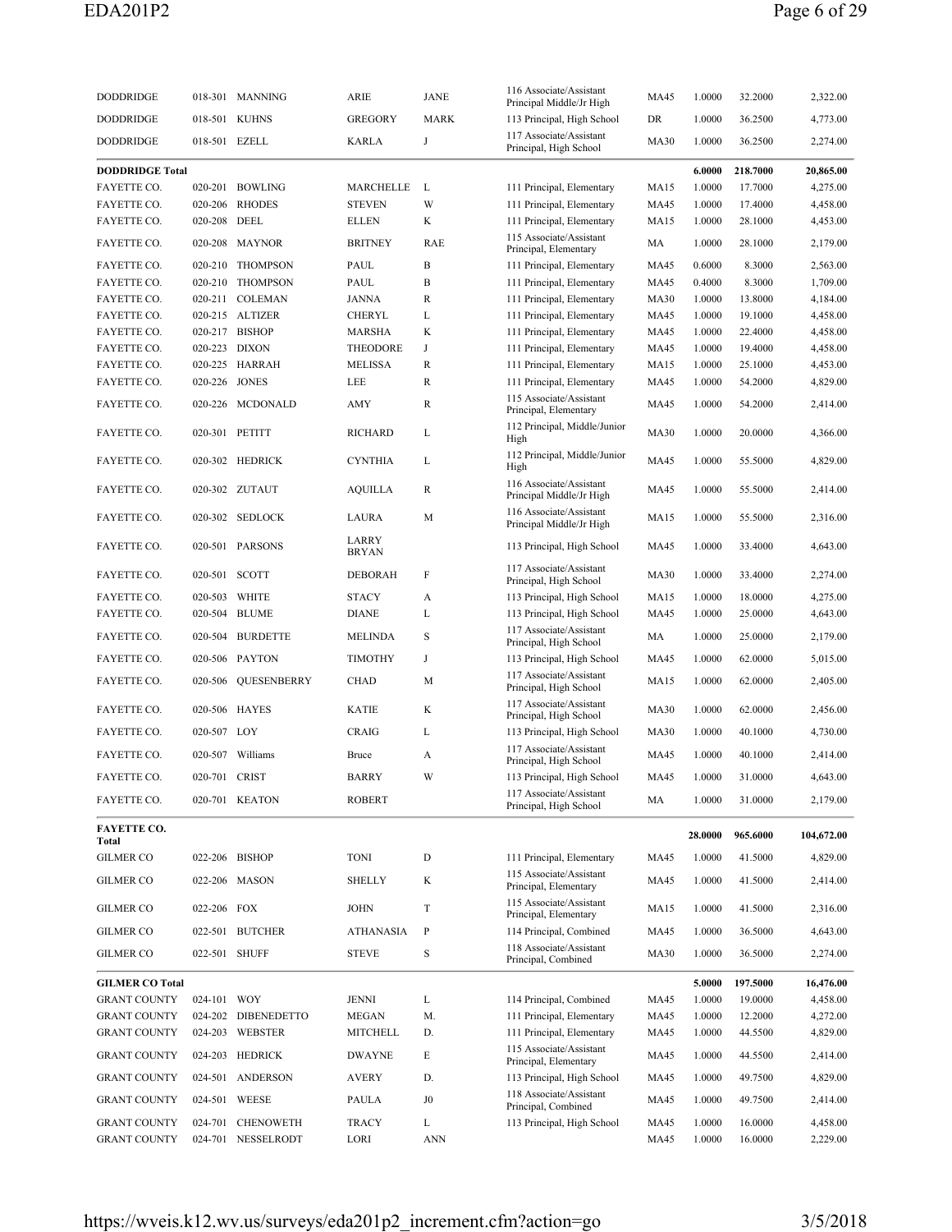| <b>DODDRIDGE</b>            |               | 018-301 MANNING     | ARIE                  | JANE        | 116 Associate/Assistant<br>Principal Middle/Jr High  | MA45        | 1.0000  | 32.2000  | 2,322.00   |
|-----------------------------|---------------|---------------------|-----------------------|-------------|------------------------------------------------------|-------------|---------|----------|------------|
| <b>DODDRIDGE</b>            |               | 018-501 KUHNS       | <b>GREGORY</b>        | <b>MARK</b> | 113 Principal, High School                           | DR          | 1.0000  | 36.2500  | 4,773.00   |
| DODDRIDGE                   | 018-501 EZELL |                     | <b>KARLA</b>          | J           | 117 Associate/Assistant<br>Principal, High School    | <b>MA30</b> | 1.0000  | 36.2500  | 2,274.00   |
| <b>DODDRIDGE Total</b>      |               |                     |                       |             |                                                      |             | 6.0000  | 218.7000 | 20,865.00  |
| FAYETTE CO.                 |               | 020-201 BOWLING     | MARCHELLE             | L           | 111 Principal, Elementary                            | <b>MA15</b> | 1.0000  | 17.7000  | 4,275.00   |
|                             |               |                     |                       |             |                                                      |             |         |          |            |
| FAYETTE CO.                 | 020-206       | <b>RHODES</b>       | <b>STEVEN</b>         | W           | 111 Principal, Elementary                            | MA45        | 1.0000  | 17.4000  | 4,458.00   |
| FAYETTE CO.                 | 020-208 DEEL  |                     | <b>ELLEN</b>          | K           | 111 Principal, Elementary                            | MA15        | 1.0000  | 28.1000  | 4,453.00   |
| FAYETTE CO.                 |               | 020-208 MAYNOR      | <b>BRITNEY</b>        | RAE         | 115 Associate/Assistant<br>Principal, Elementary     | MA          | 1.0000  | 28.1000  | 2,179.00   |
| FAYETTE CO.                 | 020-210       | <b>THOMPSON</b>     | PAUL                  | B           | 111 Principal, Elementary                            | MA45        | 0.6000  | 8.3000   | 2,563.00   |
| FAYETTE CO.                 | 020-210       | <b>THOMPSON</b>     | PAUL                  | B           | 111 Principal, Elementary                            | MA45        | 0.4000  | 8.3000   | 1,709.00   |
| FAYETTE CO.                 |               | 020-211 COLEMAN     | <b>JANNA</b>          | R           | 111 Principal, Elementary                            | <b>MA30</b> | 1.0000  | 13.8000  | 4,184.00   |
| FAYETTE CO.                 |               | 020-215 ALTIZER     | CHERYL                | L           | 111 Principal, Elementary                            | MA45        | 1.0000  | 19.1000  | 4,458.00   |
| FAYETTE CO.                 |               | 020-217 BISHOP      | MARSHA                | K           | 111 Principal, Elementary                            | MA45        | 1.0000  | 22.4000  | 4,458.00   |
|                             |               |                     |                       |             |                                                      |             |         |          |            |
| FAYETTE CO.                 |               | 020-223 DIXON       | <b>THEODORE</b>       | J           | 111 Principal, Elementary                            | MA45        | 1.0000  | 19.4000  | 4,458.00   |
| FAYETTE CO.                 |               | 020-225 HARRAH      | <b>MELISSA</b>        | R           | 111 Principal, Elementary                            | MA15        | 1.0000  | 25.1000  | 4,453.00   |
| FAYETTE CO.                 | 020-226       | <b>JONES</b>        | LEE                   | R           | 111 Principal, Elementary                            | <b>MA45</b> | 1.0000  | 54.2000  | 4,829.00   |
| FAYETTE CO.                 |               | 020-226 MCDONALD    | AMY                   | R           | 115 Associate/Assistant<br>Principal, Elementary     | MA45        | 1.0000  | 54.2000  | 2,414.00   |
| FAYETTE CO.                 |               | 020-301 PETITT      | <b>RICHARD</b>        | L           | 112 Principal, Middle/Junior<br>High                 | <b>MA30</b> | 1.0000  | 20.0000  | 4,366.00   |
| FAYETTE CO.                 |               | 020-302 HEDRICK     | <b>CYNTHIA</b>        | L           | 112 Principal, Middle/Junior<br>High                 | MA45        | 1.0000  | 55.5000  | 4,829.00   |
| FAYETTE CO.                 |               | 020-302 ZUTAUT      | <b>AQUILLA</b>        | R           | 116 Associate/Assistant<br>Principal Middle/Jr High  | <b>MA45</b> | 1.0000  | 55.5000  | 2,414.00   |
| FAYETTE CO.                 |               | 020-302 SEDLOCK     | LAURA                 | М           | 116 Associate/Assistant<br>Principal Middle/Jr High  | <b>MA15</b> | 1.0000  | 55.5000  | 2,316.00   |
| FAYETTE CO.                 |               | 020-501 PARSONS     | LARRY<br><b>BRYAN</b> |             | 113 Principal, High School                           | MA45        | 1.0000  | 33.4000  | 4,643.00   |
| FAYETTE CO.                 |               | 020-501 SCOTT       | <b>DEBORAH</b>        | F           | 117 Associate/Assistant<br>Principal, High School    | <b>MA30</b> | 1.0000  | 33.4000  | 2,274.00   |
| FAYETTE CO.                 | 020-503       | WHITE               | STACY                 | A           | 113 Principal, High School                           | MA15        | 1.0000  | 18.0000  | 4,275.00   |
| FAYETTE CO.                 |               | 020-504 BLUME       | <b>DIANE</b>          | L           | 113 Principal, High School                           | <b>MA45</b> | 1.0000  | 25.0000  | 4,643.00   |
| FAYETTE CO.                 |               | 020-504 BURDETTE    | <b>MELINDA</b>        | S           | 117 Associate/Assistant<br>Principal, High School    | MA          | 1.0000  | 25.0000  | 2,179.00   |
| FAYETTE CO.                 |               | 020-506 PAYTON      | <b>TIMOTHY</b>        | J           | 113 Principal, High School                           | MA45        | 1.0000  | 62.0000  | 5,015.00   |
| FAYETTE CO.                 | 020-506       | QUESENBERRY         | CHAD                  | М           | 117 Associate/Assistant<br>Principal, High School    | MA15        | 1.0000  | 62.0000  | 2,405.00   |
| FAYETTE CO.                 |               | 020-506 HAYES       | <b>KATIE</b>          | K           | 117 Associate/Assistant                              | <b>MA30</b> | 1.0000  | 62.0000  | 2,456.00   |
| <b>FAYETTE CO.</b>          | 020-507 LOY   |                     | <b>CRAIG</b>          | L           | Principal, High School<br>113 Principal, High School | <b>MA30</b> | 1.0000  | 40.1000  | 4,730.00   |
|                             |               |                     |                       |             | 117 Associate/Assistant                              |             |         |          |            |
| FAYETTE CO.                 |               | 020-507 Williams    | Bruce                 | A           | Principal, High School                               | <b>MA45</b> | 1.0000  | 40.1000  | 2,414.00   |
| FAYETTE CO.                 | 020-701 CRIST |                     | BARRY                 |             | 113 Principal, High School                           | MA45        | 1.0000  | 31.0000  | 4,643.00   |
| FAYETTE CO.                 |               | 020-701 KEATON      | <b>ROBERT</b>         |             | 117 Associate/Assistant<br>Principal, High School    | MA          | 1.0000  | 31.0000  | 2,179.00   |
| <b>FAYETTE CO.</b><br>Total |               |                     |                       |             |                                                      |             | 28.0000 | 965.6000 | 104,672.00 |
| <b>GILMER CO</b>            |               | 022-206 BISHOP      | <b>TONI</b>           | D           | 111 Principal, Elementary                            | MA45        | 1.0000  | 41.5000  | 4,829.00   |
| <b>GILMER CO</b>            |               | 022-206 MASON       | <b>SHELLY</b>         | K           | 115 Associate/Assistant<br>Principal, Elementary     | MA45        | 1.0000  | 41.5000  | 2,414.00   |
| <b>GILMER CO</b>            | 022-206 FOX   |                     | <b>JOHN</b>           | T           | 115 Associate/Assistant<br>Principal, Elementary     | MA15        | 1.0000  | 41.5000  | 2,316.00   |
| <b>GILMER CO</b>            |               | 022-501 BUTCHER     | <b>ATHANASIA</b>      | P           | 114 Principal, Combined                              | MA45        | 1.0000  | 36.5000  | 4,643.00   |
| <b>GILMER CO</b>            |               | 022-501 SHUFF       | <b>STEVE</b>          | $\rm S$     | 118 Associate/Assistant<br>Principal, Combined       | <b>MA30</b> | 1.0000  | 36.5000  | 2,274.00   |
| <b>GILMER CO Total</b>      |               |                     |                       |             |                                                      |             | 5.0000  | 197.5000 | 16,476.00  |
|                             |               |                     |                       |             |                                                      |             |         |          |            |
| <b>GRANT COUNTY</b>         | 024-101 WOY   |                     | JENNI                 | L           | 114 Principal, Combined                              | MA45        | 1.0000  | 19.0000  | 4,458.00   |
| <b>GRANT COUNTY</b>         |               | 024-202 DIBENEDETTO | <b>MEGAN</b>          | M.          | 111 Principal, Elementary                            | MA45        | 1.0000  | 12.2000  | 4,272.00   |
| <b>GRANT COUNTY</b>         |               | 024-203 WEBSTER     | <b>MITCHELL</b>       | D.          | 111 Principal, Elementary                            | MA45        | 1.0000  | 44.5500  | 4,829.00   |
| <b>GRANT COUNTY</b>         |               | 024-203 HEDRICK     | <b>DWAYNE</b>         | Е           | 115 Associate/Assistant<br>Principal, Elementary     | MA45        | 1.0000  | 44.5500  | 2,414.00   |
| <b>GRANT COUNTY</b>         |               | 024-501 ANDERSON    | <b>AVERY</b>          | D.          | 113 Principal, High School                           | MA45        | 1.0000  | 49.7500  | 4,829.00   |
| <b>GRANT COUNTY</b>         |               | 024-501 WEESE       | PAULA                 | J0          | 118 Associate/Assistant<br>Principal, Combined       | MA45        | 1.0000  | 49.7500  | 2,414.00   |
| <b>GRANT COUNTY</b>         |               | 024-701 CHENOWETH   | <b>TRACY</b>          | L           | 113 Principal, High School                           | MA45        | 1.0000  | 16.0000  | 4,458.00   |
| <b>GRANT COUNTY</b>         |               | 024-701 NESSELRODT  | LORI                  | ANN         |                                                      | MA45        | 1.0000  | 16.0000  | 2,229.00   |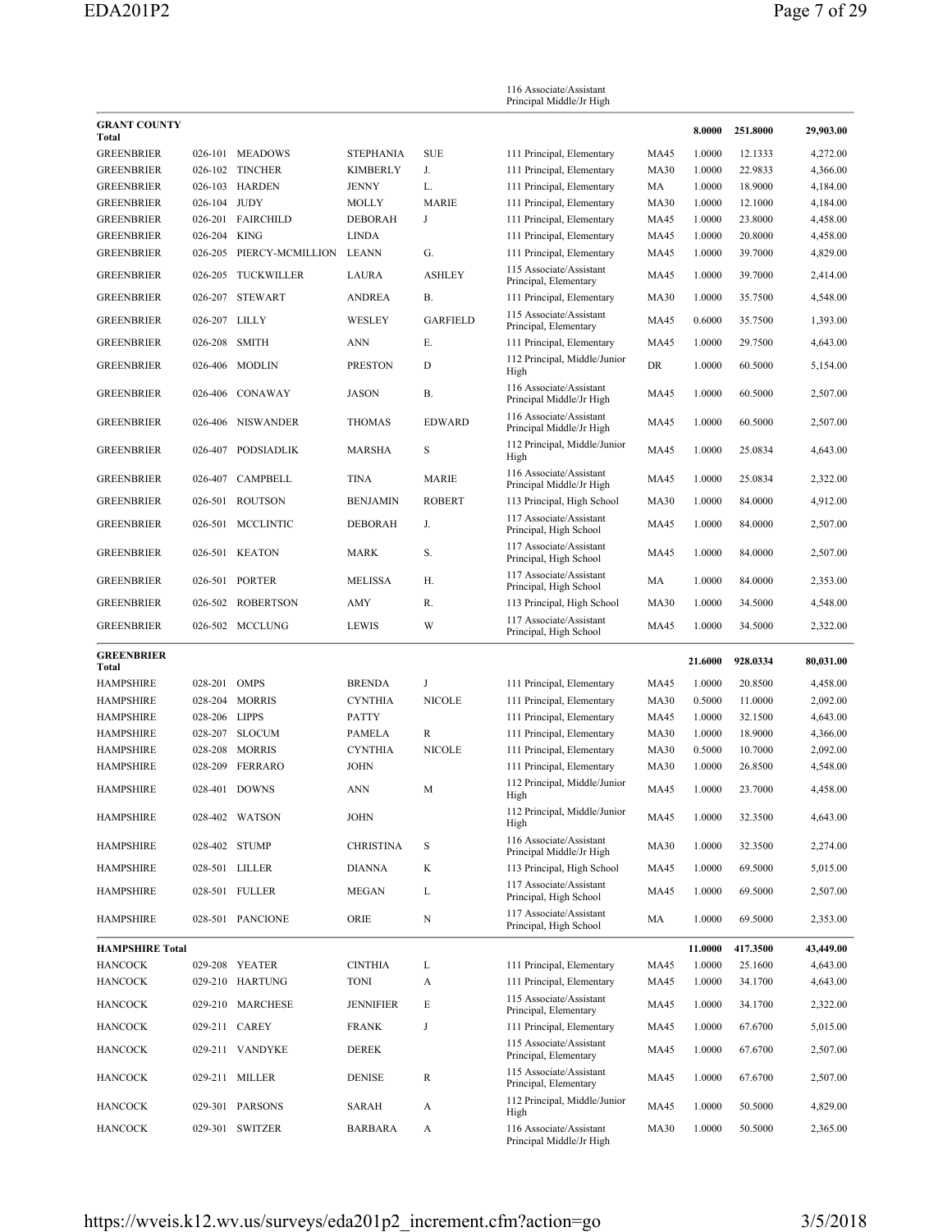|                                        |               |                               |                        |                     | 116 Associate/Assistant<br>Principal Middle/Jr High       |                            |                  |                    |                      |
|----------------------------------------|---------------|-------------------------------|------------------------|---------------------|-----------------------------------------------------------|----------------------------|------------------|--------------------|----------------------|
| <b>GRANT COUNTY</b><br>Total           |               |                               |                        |                     |                                                           |                            | 8.0000           | 251.8000           | 29,903.00            |
| <b>GREENBRIER</b>                      | 026-101       | <b>MEADOWS</b>                | <b>STEPHANIA</b>       | <b>SUE</b>          | 111 Principal, Elementary                                 | <b>MA45</b>                | 1.0000           | 12.1333            | 4,272.00             |
| <b>GREENBRIER</b>                      |               | 026-102 TINCHER               | <b>KIMBERLY</b>        | J.                  | 111 Principal, Elementary                                 | <b>MA30</b>                | 1.0000           | 22.9833            | 4,366.00             |
| <b>GREENBRIER</b>                      |               | 026-103 HARDEN                | <b>JENNY</b>           | L.                  | 111 Principal, Elementary                                 | МA                         | 1.0000           | 18.9000            | 4,184.00             |
| GREENBRIER                             | 026-104 JUDY  |                               | <b>MOLLY</b>           | <b>MARIE</b>        | 111 Principal, Elementary                                 | <b>MA30</b>                | 1.0000           | 12.1000            | 4,184.00             |
| <b>GREENBRIER</b>                      |               | 026-201 FAIRCHILD             | <b>DEBORAH</b>         | J                   | 111 Principal, Elementary                                 | MA45                       | 1.0000           | 23.8000            | 4,458.00             |
| <b>GREENBRIER</b>                      | 026-204       | <b>KING</b>                   | <b>LINDA</b>           |                     | 111 Principal, Elementary                                 | MA45                       | 1.0000           | 20.8000            | 4,458.00             |
| GREENBRIER                             | 026-205       | PIERCY-MCMILLION              | LEANN                  | G.                  | 111 Principal, Elementary<br>115 Associate/Assistant      | MA45                       | 1.0000           | 39.7000            | 4,829.00             |
| <b>GREENBRIER</b><br><b>GREENBRIER</b> | 026-205       | TUCKWILLER<br>026-207 STEWART | LAURA<br><b>ANDREA</b> | <b>ASHLEY</b><br>В. | Principal, Elementary<br>111 Principal, Elementary        | <b>MA45</b><br><b>MA30</b> | 1.0000<br>1.0000 | 39.7000<br>35.7500 | 2,414.00<br>4,548.00 |
|                                        |               |                               |                        |                     | 115 Associate/Assistant                                   |                            |                  |                    |                      |
| <b>GREENBRIER</b>                      | 026-207 LILLY |                               | WESLEY                 | <b>GARFIELD</b>     | Principal, Elementary                                     | MA45                       | 0.6000           | 35.7500            | 1,393.00             |
| <b>GREENBRIER</b>                      | 026-208       | <b>SMITH</b>                  | <b>ANN</b>             | Е.                  | 111 Principal, Elementary<br>112 Principal, Middle/Junior | MA45                       | 1.0000           | 29.7500            | 4,643.00             |
| <b>GREENBRIER</b>                      | 026-406       | MODLIN                        | <b>PRESTON</b>         | D                   | High                                                      | <b>DR</b>                  | 1.0000           | 60.5000            | 5,154.00             |
| <b>GREENBRIER</b>                      | 026-406       | CONAWAY                       | <b>JASON</b>           | В.                  | 116 Associate/Assistant<br>Principal Middle/Jr High       | <b>MA45</b>                | 1.0000           | 60.5000            | 2,507.00             |
| <b>GREENBRIER</b>                      | 026-406       | <b>NISWANDER</b>              | <b>THOMAS</b>          | <b>EDWARD</b>       | 116 Associate/Assistant<br>Principal Middle/Jr High       | MA45                       | 1.0000           | 60.5000            | 2,507.00             |
| <b>GREENBRIER</b>                      | 026-407       | <b>PODSIADLIK</b>             | <b>MARSHA</b>          | S                   | 112 Principal, Middle/Junior<br>High                      | MA45                       | 1.0000           | 25.0834            | 4,643.00             |
| <b>GREENBRIER</b>                      | 026-407       | <b>CAMPBELL</b>               | <b>TINA</b>            | <b>MARIE</b>        | 116 Associate/Assistant<br>Principal Middle/Jr High       | MA45                       | 1.0000           | 25.0834            | 2,322.00             |
| <b>GREENBRIER</b>                      |               | 026-501 ROUTSON               | <b>BENJAMIN</b>        | <b>ROBERT</b>       | 113 Principal, High School                                | <b>MA30</b>                | 1.0000           | 84.0000            | 4,912.00             |
| GREENBRIER                             | 026-501       | <b>MCCLINTIC</b>              | <b>DEBORAH</b>         | J.                  | 117 Associate/Assistant<br>Principal, High School         | MA45                       | 1.0000           | 84.0000            | 2,507.00             |
| <b>GREENBRIER</b>                      | 026-501       | KEATON                        | <b>MARK</b>            | S.                  | 117 Associate/Assistant<br>Principal, High School         | MA45                       | 1.0000           | 84.0000            | 2,507.00             |
| <b>GREENBRIER</b>                      | 026-501       | <b>PORTER</b>                 | <b>MELISSA</b>         | Н.                  | 117 Associate/Assistant<br>Principal, High School         | MA                         | 1.0000           | 84.0000            | 2,353.00             |
| GREENBRIER                             | 026-502       | ROBERTSON                     | AMY                    | R.                  | 113 Principal, High School                                | <b>MA30</b>                | 1.0000           | 34.5000            | 4,548.00             |
| <b>GREENBRIER</b>                      |               | 026-502 MCCLUNG               | <b>LEWIS</b>           | W                   | 117 Associate/Assistant<br>Principal, High School         | <b>MA45</b>                | 1.0000           | 34.5000            | 2,322.00             |
| <b>GREENBRIER</b><br>Total             |               |                               |                        |                     |                                                           |                            | 21.6000          | 928.0334           | 80,031.00            |
| <b>HAMPSHIRE</b>                       | 028-201       | <b>OMPS</b>                   | <b>BRENDA</b>          | J                   | 111 Principal, Elementary                                 | <b>MA45</b>                | 1.0000           | 20.8500            | 4,458.00             |
| <b>HAMPSHIRE</b>                       |               | 028-204 MORRIS                | <b>CYNTHIA</b>         | <b>NICOLE</b>       | 111 Principal, Elementary                                 | <b>MA30</b>                | 0.5000           | 11.0000            | 2,092.00             |
| <b>HAMPSHIRE</b>                       | 028-206 LIPPS |                               | <b>PATTY</b>           |                     | 111 Principal, Elementary                                 | MA45                       | 1.0000           | 32.1500            | 4,643.00             |
| <b>HAMPSHIRE</b>                       |               | 028-207 SLOCUM                | <b>PAMELA</b>          | R                   | 111 Principal, Elementary                                 | <b>MA30</b>                | 1.0000           | 18.9000            | 4,366.00             |
| HAMPSHIRE                              | 028-208       | <b>MORRIS</b>                 | <b>CYNTHIA</b>         | <b>NICOLE</b>       | 111 Principal, Elementary                                 | <b>MA30</b>                | 0.5000           | 10.7000            | 2,092.00             |
| <b>HAMPSHIRE</b>                       |               | 028-209 FERRARO               | <b>JOHN</b>            |                     | 111 Principal, Elementary                                 | <b>MA30</b>                | 1.0000           | 26.8500            | 4,548.00             |
| <b>HAMPSHIRE</b>                       |               | 028-401 DOWNS                 | <b>ANN</b>             | М                   | 112 Principal, Middle/Junior<br>High                      | MA45                       | 1.0000           | 23.7000            | 4,458.00             |
| <b>HAMPSHIRE</b>                       |               | 028-402 WATSON                | <b>JOHN</b>            |                     | 112 Principal, Middle/Junior<br>High                      | MA45                       | 1.0000           | 32.3500            | 4,643.00             |
| HAMPSHIRE                              |               | 028-402 STUMP                 | <b>CHRISTINA</b>       | S                   | 116 Associate/Assistant<br>Principal Middle/Jr High       | <b>MA30</b>                | 1.0000           | 32.3500            | 2,274.00             |
| <b>HAMPSHIRE</b>                       |               | 028-501 LILLER                | <b>DIANNA</b>          | K                   | 113 Principal, High School                                | MA45                       | 1.0000           | 69.5000            | 5,015.00             |
| <b>HAMPSHIRE</b>                       |               | 028-501 FULLER                | <b>MEGAN</b>           | L                   | 117 Associate/Assistant<br>Principal, High School         | MA45                       | 1.0000           | 69.5000            | 2,507.00             |
| <b>HAMPSHIRE</b>                       |               | 028-501 PANCIONE              | ORIE                   | N                   | 117 Associate/Assistant<br>Principal, High School         | MA                         | 1.0000           | 69.5000            | 2,353.00             |
| <b>HAMPSHIRE Total</b>                 |               |                               |                        |                     |                                                           |                            | 11.0000          | 417.3500           | 43,449.00            |
| <b>HANCOCK</b>                         |               | 029-208 YEATER                | <b>CINTHIA</b>         | L                   | 111 Principal, Elementary                                 | <b>MA45</b>                | 1.0000           | 25.1600            | 4,643.00             |
| <b>HANCOCK</b>                         |               | 029-210 HARTUNG               | <b>TONI</b>            | A                   | 111 Principal, Elementary                                 | <b>MA45</b>                | 1.0000           | 34.1700            | 4,643.00             |
| <b>HANCOCK</b>                         |               | 029-210 MARCHESE              | <b>JENNIFIER</b>       | E                   | 115 Associate/Assistant<br>Principal, Elementary          | MA45                       | 1.0000           | 34.1700            | 2,322.00             |
| <b>HANCOCK</b>                         |               | 029-211 CAREY                 | <b>FRANK</b>           | J                   | 111 Principal, Elementary                                 | MA45                       | 1.0000           | 67.6700            | 5,015.00             |
| <b>HANCOCK</b>                         |               | 029-211 VANDYKE               | <b>DEREK</b>           |                     | 115 Associate/Assistant<br>Principal, Elementary          | MA45                       | 1.0000           | 67.6700            | 2,507.00             |
| <b>HANCOCK</b>                         |               | 029-211 MILLER                | <b>DENISE</b>          | R                   | 115 Associate/Assistant<br>Principal, Elementary          | MA45                       | 1.0000           | 67.6700            | 2,507.00             |
| <b>HANCOCK</b>                         |               | 029-301 PARSONS               | SARAH                  | A                   | 112 Principal, Middle/Junior<br>High                      | MA45                       | 1.0000           | 50.5000            | 4,829.00             |
| <b>HANCOCK</b>                         |               | 029-301 SWITZER               | BARBARA                | A                   | 116 Associate/Assistant<br>Principal Middle/Jr High       | <b>MA30</b>                | 1.0000           | 50.5000            | 2,365.00             |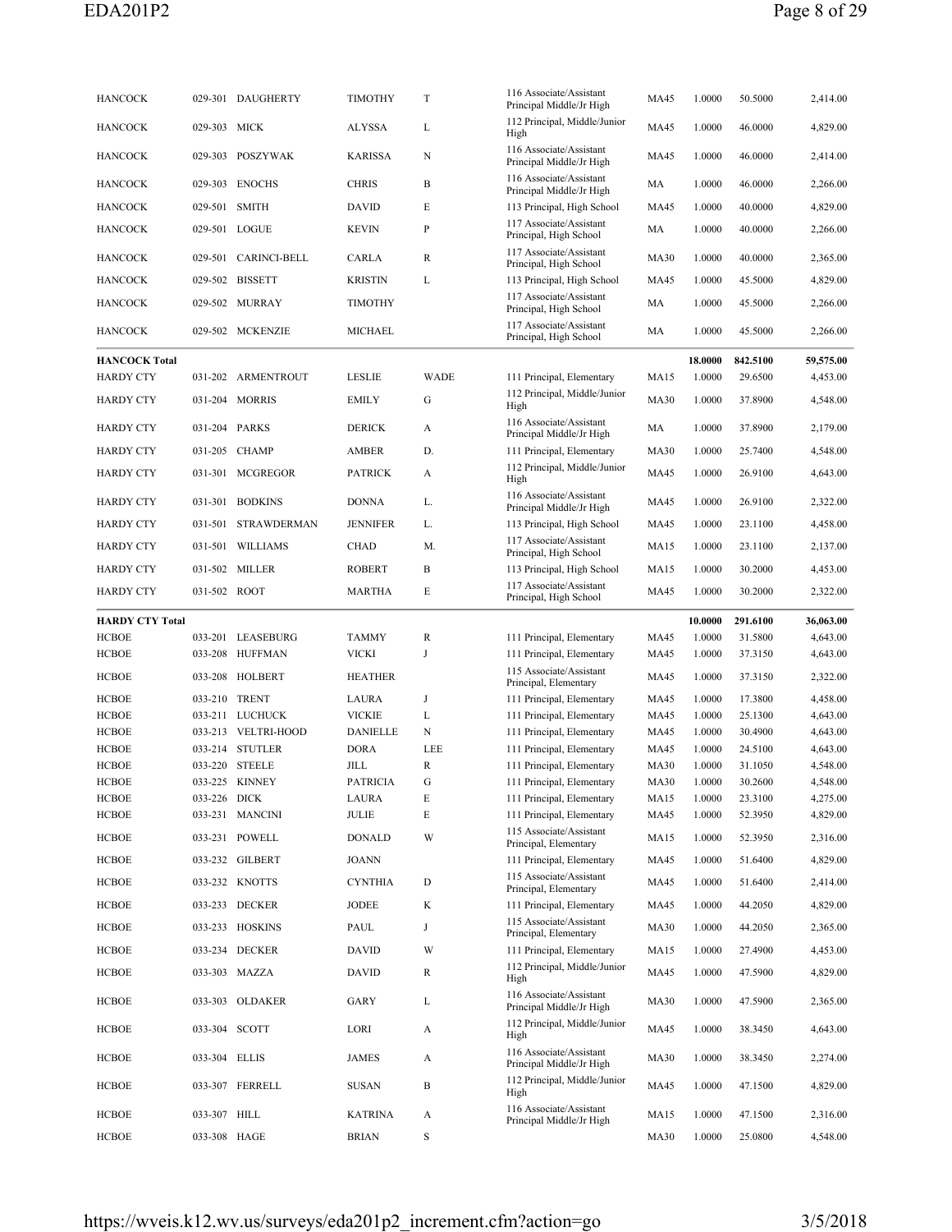| <b>HANCOCK</b>                         |               | 029-301 DAUGHERTY   | <b>TIMOTHY</b>  | T           | 116 Associate/Assistant<br>Principal Middle/Jr High | MA45        | 1.0000            | 50.5000             | 2,414.00              |
|----------------------------------------|---------------|---------------------|-----------------|-------------|-----------------------------------------------------|-------------|-------------------|---------------------|-----------------------|
| <b>HANCOCK</b>                         | 029-303 MICK  |                     | <b>ALYSSA</b>   | L           | 112 Principal, Middle/Junior<br>High                | <b>MA45</b> | 1.0000            | 46.0000             | 4,829.00              |
| <b>HANCOCK</b>                         |               | 029-303 POSZYWAK    | <b>KARISSA</b>  | N           | 116 Associate/Assistant<br>Principal Middle/Jr High | <b>MA45</b> | 1.0000            | 46.0000             | 2,414.00              |
| <b>HANCOCK</b>                         |               | 029-303 ENOCHS      | <b>CHRIS</b>    | B           | 116 Associate/Assistant<br>Principal Middle/Jr High | MA          | 1.0000            | 46.0000             | 2,266.00              |
| <b>HANCOCK</b>                         | 029-501 SMITH |                     | <b>DAVID</b>    | Е           | 113 Principal, High School                          | <b>MA45</b> | 1.0000            | 40.0000             | 4,829.00              |
| <b>HANCOCK</b>                         |               | 029-501 LOGUE       | KEVIN           | P           | 117 Associate/Assistant<br>Principal, High School   | MA          | 1.0000            | 40.0000             | 2,266.00              |
| <b>HANCOCK</b>                         | 029-501       | <b>CARINCI-BELL</b> | <b>CARLA</b>    | R           | 117 Associate/Assistant<br>Principal, High School   | <b>MA30</b> | 1.0000            | 40.0000             | 2,365.00              |
| <b>HANCOCK</b>                         |               | 029-502 BISSETT     | <b>KRISTIN</b>  | L           | 113 Principal, High School                          | MA45        | 1.0000            | 45.5000             | 4,829.00              |
| <b>HANCOCK</b>                         |               | 029-502 MURRAY      | <b>TIMOTHY</b>  |             | 117 Associate/Assistant<br>Principal, High School   | MA          | 1.0000            | 45.5000             | 2,266.00              |
| <b>HANCOCK</b>                         |               | 029-502 MCKENZIE    | MICHAEL         |             | 117 Associate/Assistant<br>Principal, High School   | MA          | 1.0000            | 45.5000             | 2,266.00              |
| <b>HANCOCK Total</b>                   |               |                     |                 |             |                                                     |             | 18.0000           | 842.5100            | 59,575.00             |
| <b>HARDY CTY</b>                       |               | 031-202 ARMENTROUT  | <b>LESLIE</b>   | <b>WADE</b> | 111 Principal, Elementary                           | <b>MA15</b> | 1.0000            | 29.6500             | 4,453.00              |
| <b>HARDY CTY</b>                       |               | 031-204 MORRIS      | EMILY           | G           | 112 Principal, Middle/Junior<br>High                | <b>MA30</b> | 1.0000            | 37.8900             | 4,548.00              |
| <b>HARDY CTY</b>                       |               | 031-204 PARKS       | <b>DERICK</b>   | А           | 116 Associate/Assistant<br>Principal Middle/Jr High | MA          | 1.0000            | 37.8900             | 2,179.00              |
| <b>HARDY CTY</b>                       | 031-205       | <b>CHAMP</b>        | AMBER           | D.          | 111 Principal, Elementary                           | <b>MA30</b> | 1.0000            | 25.7400             | 4,548.00              |
| <b>HARDY CTY</b>                       |               | 031-301 MCGREGOR    | <b>PATRICK</b>  | A           | 112 Principal, Middle/Junior<br>High                | <b>MA45</b> | 1.0000            | 26.9100             | 4,643.00              |
| <b>HARDY CTY</b>                       |               | 031-301 BODKINS     | <b>DONNA</b>    | L.          | 116 Associate/Assistant<br>Principal Middle/Jr High | MA45        | 1.0000            | 26.9100             | 2,322.00              |
| <b>HARDY CTY</b>                       | 031-501       | <b>STRAWDERMAN</b>  | <b>JENNIFER</b> | L.          | 113 Principal, High School                          | <b>MA45</b> | 1.0000            | 23.1100             | 4,458.00              |
| <b>HARDY CTY</b>                       | 031-501       | <b>WILLIAMS</b>     | CHAD            | М.          | 117 Associate/Assistant<br>Principal, High School   | MA15        | 1.0000            | 23.1100             | 2,137.00              |
| <b>HARDY CTY</b>                       |               | 031-502 MILLER      | ROBERT          | В           | 113 Principal, High School                          | MA15        | 1.0000            | 30.2000             | 4,453.00              |
| <b>HARDY CTY</b>                       | 031-502 ROOT  |                     | MARTHA          | E           | 117 Associate/Assistant<br>Principal, High School   | MA45        | 1.0000            | 30.2000             | 2,322.00              |
|                                        |               |                     |                 |             |                                                     |             |                   |                     |                       |
|                                        |               |                     |                 |             |                                                     |             |                   |                     |                       |
| <b>HARDY CTY Total</b><br><b>HCBOE</b> |               | 033-201 LEASEBURG   | <b>TAMMY</b>    | R           | 111 Principal, Elementary                           | MA45        | 10.0000<br>1.0000 | 291.6100<br>31.5800 | 36,063.00<br>4,643.00 |
| <b>HCBOE</b>                           |               | 033-208 HUFFMAN     | VICKI           | J           | 111 Principal, Elementary                           | <b>MA45</b> | 1.0000            | 37.3150             | 4,643.00              |
| <b>HCBOE</b>                           |               | 033-208 HOLBERT     | <b>HEATHER</b>  |             | 115 Associate/Assistant<br>Principal, Elementary    | MA45        | 1.0000            | 37.3150             | 2,322.00              |
| <b>HCBOE</b>                           | 033-210 TRENT |                     | LAURA           | J           | 111 Principal, Elementary                           | <b>MA45</b> | 1.0000            | 17.3800             | 4,458.00              |
| <b>HCBOE</b>                           |               | 033-211 LUCHUCK     | <b>VICKIE</b>   | L           | 111 Principal, Elementary                           | <b>MA45</b> | 1.0000            | 25.1300             | 4,643.00              |
| <b>HCBOE</b>                           |               | 033-213 VELTRI-HOOD | <b>DANIELLE</b> | N           | 111 Principal, Elementary                           | <b>MA45</b> | 1.0000            | 30.4900             | 4,643.00              |
| <b>HCBOE</b>                           |               | 033-214 STUTLER     | <b>DORA</b>     | LEE         | 111 Principal, Elementary                           | <b>MA45</b> | 1.0000            | 24.5100             | 4,643.00              |
| <b>HCBOE</b>                           |               | 033-220 STEELE      | JILL            | R           | 111 Principal, Elementary                           | <b>MA30</b> | 1.0000            | 31.1050             | 4,548.00              |
| HCBOE                                  | 033-225       | KINNEY              | PATRICIA        | G           | 111 Principal, Elementary                           | <b>MA30</b> | 1.0000            | 30.2600             | 4,548.00              |
| <b>HCBOE</b>                           | 033-226 DICK  |                     | <b>LAURA</b>    | E           | 111 Principal, Elementary                           | <b>MA15</b> | 1.0000            | 23.3100             | 4,275.00              |
| <b>HCBOE</b>                           |               | 033-231 MANCINI     | JULIE           | E           | 111 Principal, Elementary                           | <b>MA45</b> | 1.0000            | 52.3950             | 4,829.00              |
| <b>HCBOE</b>                           |               | 033-231 POWELL      | <b>DONALD</b>   | W           | 115 Associate/Assistant<br>Principal, Elementary    | MA15        | 1.0000            | 52.3950             | 2,316.00              |
| HCBOE                                  |               | 033-232 GILBERT     | <b>JOANN</b>    |             | 111 Principal, Elementary                           | MA45        | 1.0000            | 51.6400             | 4,829.00              |
| <b>HCBOE</b>                           |               | 033-232 KNOTTS      | <b>CYNTHIA</b>  | D           | 115 Associate/Assistant<br>Principal, Elementary    | MA45        | 1.0000            | 51.6400             | 2,414.00              |
| <b>HCBOE</b>                           |               | 033-233 DECKER      | JODEE           | K           | 111 Principal, Elementary                           | MA45        | 1.0000            | 44.2050             | 4,829.00              |
| <b>HCBOE</b>                           |               | 033-233 HOSKINS     | PAUL            | J           | 115 Associate/Assistant<br>Principal, Elementary    | <b>MA30</b> | 1.0000            | 44.2050             | 2,365.00              |
| <b>HCBOE</b>                           |               | 033-234 DECKER      | DAVID           | W           | 111 Principal, Elementary                           | MA15        | 1.0000            | 27.4900             | 4,453.00              |
| <b>HCBOE</b>                           |               | 033-303 MAZZA       | <b>DAVID</b>    | R           | 112 Principal, Middle/Junior<br>High                | <b>MA45</b> | 1.0000            | 47.5900             | 4,829.00              |
| <b>HCBOE</b>                           |               | 033-303 OLDAKER     | GARY            | L           | 116 Associate/Assistant<br>Principal Middle/Jr High | <b>MA30</b> | 1.0000            | 47.5900             | 2,365.00              |
| <b>HCBOE</b>                           | 033-304 SCOTT |                     | LORI            | A           | 112 Principal, Middle/Junior<br>High                | MA45        | 1.0000            | 38.3450             | 4,643.00              |
| HCBOE                                  | 033-304 ELLIS |                     | <b>JAMES</b>    | A           | 116 Associate/Assistant<br>Principal Middle/Jr High | <b>MA30</b> | 1.0000            | 38.3450             | 2,274.00              |
| <b>HCBOE</b>                           |               | 033-307 FERRELL     | <b>SUSAN</b>    | B           | 112 Principal, Middle/Junior<br>High                | MA45        | 1.0000            | 47.1500             | 4,829.00              |
| <b>HCBOE</b>                           | 033-307 HILL  |                     | KATRINA         | A           | 116 Associate/Assistant                             | MA15        | 1.0000            | 47.1500             | 2,316.00              |
| <b>HCBOE</b>                           | 033-308 HAGE  |                     | BRIAN           | S           | Principal Middle/Jr High                            | <b>MA30</b> | 1.0000            | 25.0800             | 4,548.00              |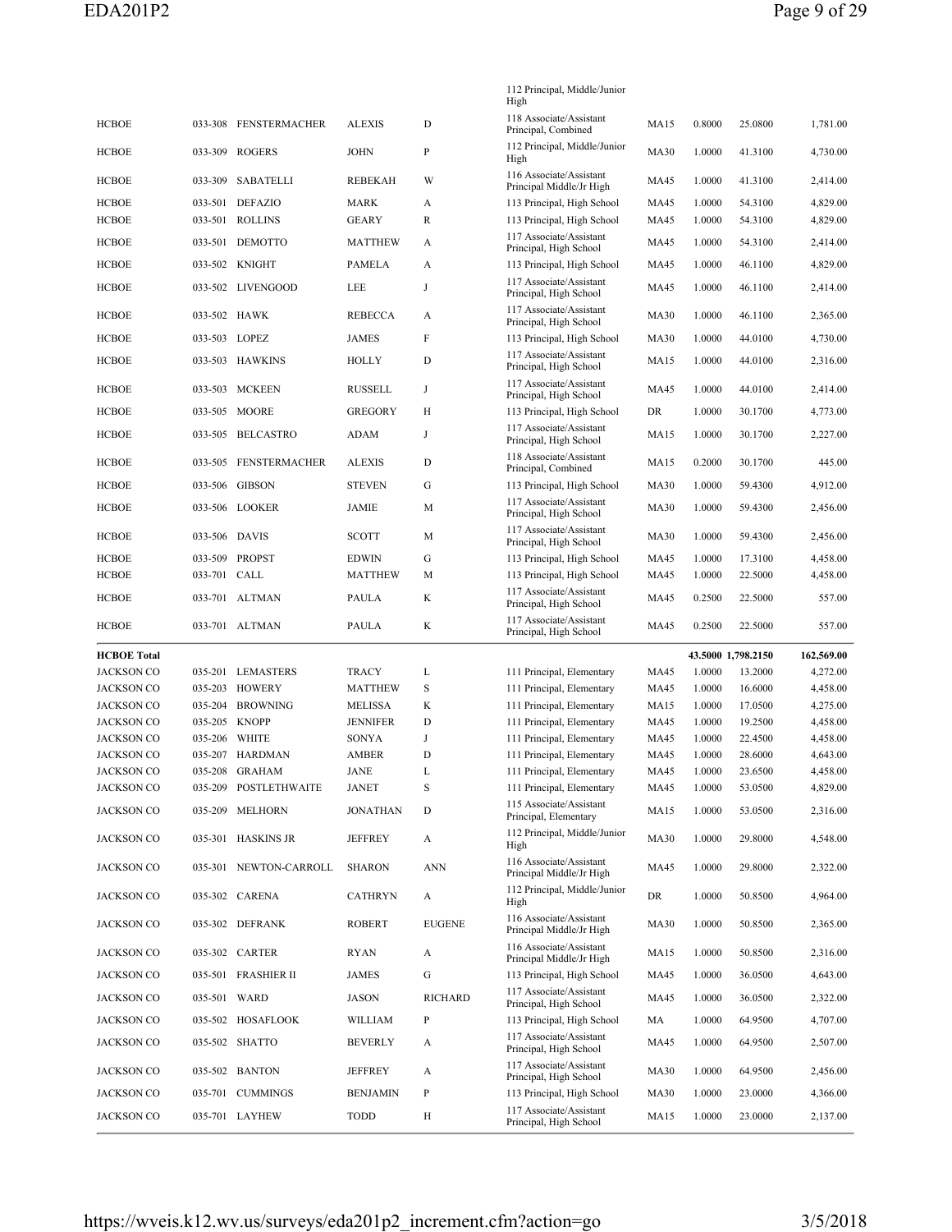|                                 |               |                                         |                          |                | 112 Principal, Middle/Junior<br>High                     |                     |                  |                    |                      |
|---------------------------------|---------------|-----------------------------------------|--------------------------|----------------|----------------------------------------------------------|---------------------|------------------|--------------------|----------------------|
| <b>HCBOE</b>                    | 033-308       | FENSTERMACHER                           | <b>ALEXIS</b>            | D              | 118 Associate/Assistant<br>Principal, Combined           | <b>MA15</b>         | 0.8000           | 25.0800            | 1,781.00             |
| <b>HCBOE</b>                    |               | 033-309 ROGERS                          | <b>JOHN</b>              | $\mathbf{P}$   | 112 Principal, Middle/Junior<br>High                     | <b>MA30</b>         | 1.0000           | 41.3100            | 4,730.00             |
| <b>HCBOE</b>                    | 033-309       | SABATELLI                               | <b>REBEKAH</b>           | W              | 116 Associate/Assistant<br>Principal Middle/Jr High      | <b>MA45</b>         | 1.0000           | 41.3100            | 2,414.00             |
| <b>HCBOE</b>                    | 033-501       | DEFAZIO                                 | <b>MARK</b>              | A              | 113 Principal, High School                               | MA45                | 1.0000           | 54.3100            | 4,829.00             |
| <b>HCBOE</b>                    |               | 033-501 ROLLINS                         | <b>GEARY</b>             | R              | 113 Principal, High School                               | MA45                | 1.0000           | 54.3100            | 4,829.00             |
| <b>HCBOE</b>                    | 033-501       | <b>DEMOTTO</b>                          | <b>MATTHEW</b>           | A              | 117 Associate/Assistant<br>Principal, High School        | MA45                | 1.0000           | 54.3100            | 2,414.00             |
| <b>HCBOE</b>                    |               | 033-502 KNIGHT                          | <b>PAMELA</b>            | A              | 113 Principal, High School                               | MA45                | 1.0000           | 46.1100            | 4,829.00             |
| <b>HCBOE</b>                    |               | 033-502 LIVENGOOD                       | LEE                      | J              | 117 Associate/Assistant<br>Principal, High School        | MA45                | 1.0000           | 46.1100            | 2,414.00             |
| <b>HCBOE</b>                    | 033-502       | HAWK                                    | <b>REBECCA</b>           | A              | 117 Associate/Assistant<br>Principal, High School        | <b>MA30</b>         | 1.0000           | 46.1100            | 2,365.00             |
| <b>HCBOE</b>                    | 033-503 LOPEZ |                                         | <b>JAMES</b>             | F              | 113 Principal, High School                               | <b>MA30</b>         | 1.0000           | 44.0100            | 4,730.00             |
| <b>HCBOE</b>                    |               | 033-503 HAWKINS                         | <b>HOLLY</b>             | D              | 117 Associate/Assistant<br>Principal, High School        | <b>MA15</b>         | 1.0000           | 44.0100            | 2,316.00             |
| <b>HCBOE</b>                    | 033-503       | MCKEEN                                  | <b>RUSSELL</b>           | J              | 117 Associate/Assistant<br>Principal, High School        | <b>MA45</b>         | 1.0000           | 44.0100            | 2,414.00             |
| <b>HCBOE</b>                    | 033-505       | MOORE                                   | <b>GREGORY</b>           | Н              | 113 Principal, High School                               | DR                  | 1.0000           | 30.1700            | 4,773.00             |
| <b>HCBOE</b>                    |               | 033-505 BELCASTRO                       | ADAM                     | J              | 117 Associate/Assistant<br>Principal, High School        | <b>MA15</b>         | 1.0000           | 30.1700            | 2,227.00             |
| <b>HCBOE</b>                    | 033-505       | <b>FENSTERMACHER</b>                    | <b>ALEXIS</b>            | D              | 118 Associate/Assistant<br>Principal, Combined           | <b>MA15</b>         | 0.2000           | 30.1700            | 445.00               |
| <b>HCBOE</b>                    | 033-506       | <b>GIBSON</b>                           | <b>STEVEN</b>            | G              | 113 Principal, High School                               | <b>MA30</b>         | 1.0000           | 59.4300            | 4,912.00             |
| <b>HCBOE</b>                    |               | 033-506 LOOKER                          | JAMIE                    | M              | 117 Associate/Assistant<br>Principal, High School        | <b>MA30</b>         | 1.0000           | 59.4300            | 2,456.00             |
| <b>HCBOE</b>                    | 033-506 DAVIS |                                         | <b>SCOTT</b>             | M              | 117 Associate/Assistant<br>Principal, High School        | <b>MA30</b>         | 1.0000           | 59.4300            | 2,456.00             |
| <b>HCBOE</b>                    | 033-509       | PROPST                                  | <b>EDWIN</b>             | G              | 113 Principal, High School                               | MA45                | 1.0000           | 17.3100            | 4,458.00             |
| <b>HCBOE</b>                    | 033-701 CALL  |                                         | <b>MATTHEW</b>           | М              | 113 Principal, High School                               | <b>MA45</b>         | 1.0000           | 22.5000            | 4,458.00             |
| <b>HCBOE</b>                    |               | 033-701 ALTMAN                          | PAULA                    | K              | 117 Associate/Assistant<br>Principal, High School        | MA45                | 0.2500           | 22.5000            | 557.00               |
| <b>HCBOE</b>                    |               | 033-701 ALTMAN                          | <b>PAULA</b>             | K              | 117 Associate/Assistant<br>Principal, High School        | <b>MA45</b>         | 0.2500           | 22.5000            | 557.00               |
| <b>HCBOE Total</b>              |               |                                         |                          |                |                                                          |                     |                  | 43.5000 1,798.2150 | 162,569.00           |
| <b>JACKSON CO</b>               | 035-201       | LEMASTERS                               | <b>TRACY</b>             | L              | 111 Principal, Elementary                                | <b>MA45</b>         | 1.0000           | 13.2000            | 4,272.00             |
| <b>JACKSON CO</b>               | 035-203       | HOWERY                                  | <b>MATTHEW</b>           | S              | 111 Principal, Elementary                                | MA45                | 1.0000           | 16.6000            | 4,458.00             |
| <b>JACKSON CO</b>               | 035-204       | <b>BROWNING</b>                         | <b>MELISSA</b>           | K              | 111 Principal, Elementary                                | MA15                | 1.0000           | 17.0500            | 4,275.00             |
| <b>JACKSON CO</b>               |               | 035-205 KNOPP                           | <b>JENNIFER</b>          | D              | 111 Principal, Elementary                                |                     |                  |                    |                      |
| <b>JACKSON CO</b>               |               |                                         |                          |                |                                                          | <b>MA45</b>         | 1.0000           | 19.2500            | 4,458.00             |
|                                 | 035-206       | WHITE                                   | SONYA                    | $_{\rm J}$     | 111 Principal, Elementary                                | <b>MA45</b>         | 1.0000           | 22.4500            | 4,458.00             |
| JACKSON CO                      | 035-207       | HARDMAN                                 | AMBER                    | D              | 111 Principal, Elementary                                | <b>MA45</b>         | 1.0000           | 28.6000            | 4,643.00             |
| <b>JACKSON CO</b>               |               | 035-208 GRAHAM                          | JANE                     | L              | 111 Principal, Elementary                                | <b>MA45</b>         | 1.0000           | 23.6500            | 4,458.00             |
| JACKSON CO<br><b>JACKSON CO</b> | 035-209       | 035-209 POSTLETHWAITE<br><b>MELHORN</b> | JANET<br><b>JONATHAN</b> | S<br>D         | 111 Principal, Elementary<br>115 Associate/Assistant     | MA45<br><b>MA15</b> | 1.0000<br>1.0000 | 53.0500<br>53.0500 | 4,829.00<br>2,316.00 |
|                                 |               |                                         |                          |                | Principal, Elementary<br>112 Principal, Middle/Junior    |                     |                  |                    |                      |
| JACKSON CO                      |               | 035-301 HASKINS JR                      | <b>JEFFREY</b>           | A              | High<br>116 Associate/Assistant                          | <b>MA30</b>         | 1.0000           | 29.8000            | 4,548.00<br>2,322.00 |
| <b>JACKSON CO</b>               |               | 035-301 NEWTON-CARROLL                  | <b>SHARON</b>            | <b>ANN</b>     | Principal Middle/Jr High<br>112 Principal, Middle/Junior | MA45                | 1.0000           | 29.8000            |                      |
| <b>JACKSON CO</b>               |               | 035-302 CARENA                          | <b>CATHRYN</b>           | A              | High<br>116 Associate/Assistant                          | DR                  | 1.0000           | 50.8500            | 4,964.00             |
| <b>JACKSON CO</b>               |               | 035-302 DEFRANK                         | ROBERT                   | <b>EUGENE</b>  | Principal Middle/Jr High<br>116 Associate/Assistant      | <b>MA30</b>         | 1.0000           | 50.8500            | 2,365.00             |
| <b>JACKSON CO</b>               |               | 035-302 CARTER                          | <b>RYAN</b>              | A              | Principal Middle/Jr High                                 | <b>MA15</b>         | 1.0000           | 50.8500            | 2,316.00             |
| <b>JACKSON CO</b>               |               | 035-501 FRASHIER II                     | <b>JAMES</b>             | G              | 113 Principal, High School                               | MA45                | 1.0000           | 36.0500            | 4,643.00             |
| <b>JACKSON CO</b>               | 035-501 WARD  |                                         | JASON                    | <b>RICHARD</b> | 117 Associate/Assistant<br>Principal, High School        | MA45                | 1.0000           | 36.0500            | 2,322.00             |
| <b>JACKSON CO</b>               |               | 035-502 HOSAFLOOK                       | WILLIAM                  | P              | 113 Principal, High School                               | MA                  | 1.0000           | 64.9500            | 4,707.00             |
| <b>JACKSON CO</b>               |               | 035-502 SHATTO                          | <b>BEVERLY</b>           | A              | 117 Associate/Assistant<br>Principal, High School        | MA45                | 1.0000           | 64.9500            | 2,507.00             |
| <b>JACKSON CO</b>               |               | 035-502 BANTON                          | <b>JEFFREY</b>           | A              | 117 Associate/Assistant<br>Principal, High School        | <b>MA30</b>         | 1.0000           | 64.9500            | 2,456.00             |
| <b>JACKSON CO</b>               |               | 035-701 CUMMINGS                        | <b>BENJAMIN</b>          | P              | 113 Principal, High School                               | <b>MA30</b>         | 1.0000           | 23.0000            | 4,366.00             |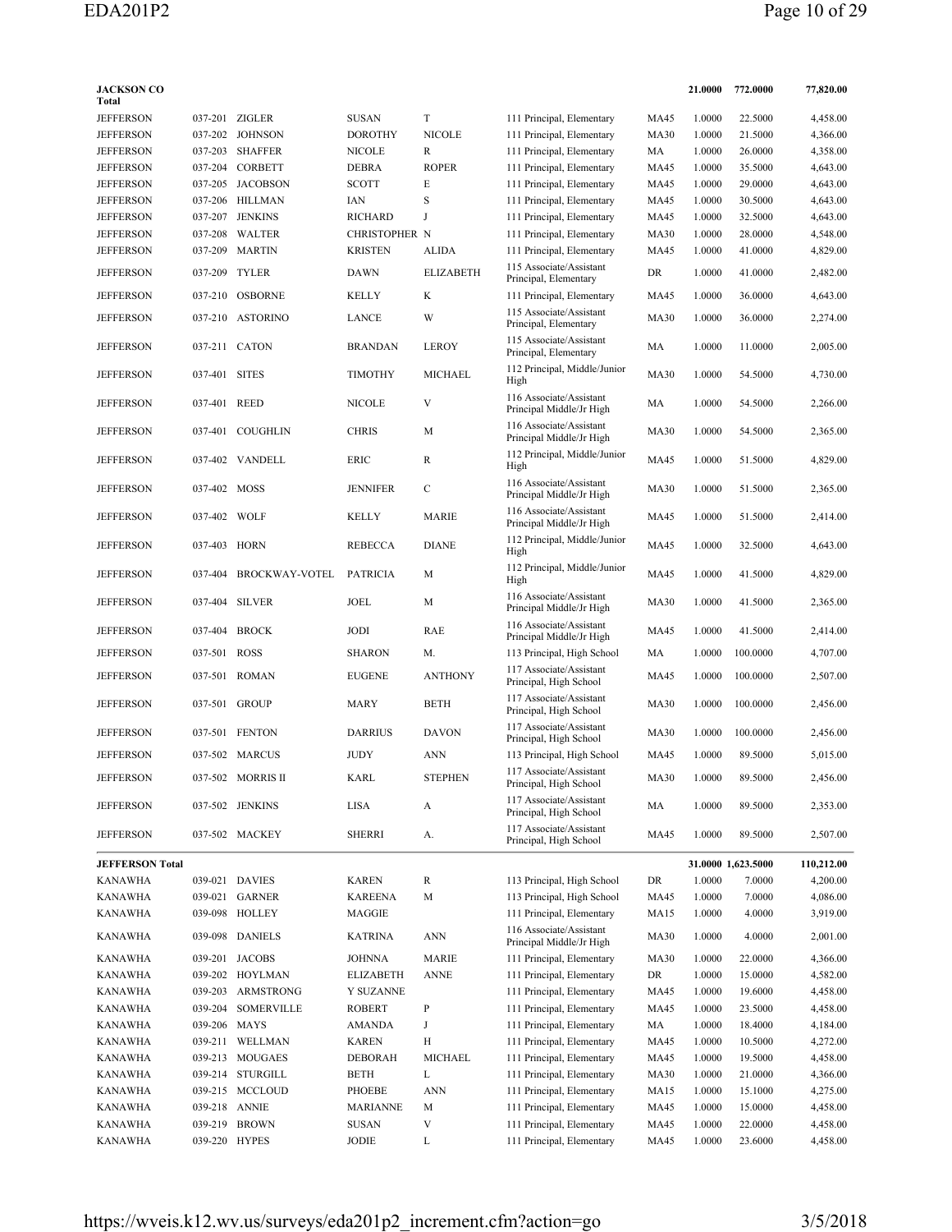| <b>JACKSON CO</b><br>Total |               |                       |                  |                  |                                                     |             | 21.0000 | 772.0000           | 77,820.00  |
|----------------------------|---------------|-----------------------|------------------|------------------|-----------------------------------------------------|-------------|---------|--------------------|------------|
| <b>JEFFERSON</b>           |               | 037-201 ZIGLER        | <b>SUSAN</b>     | T                | 111 Principal, Elementary                           | MA45        | 1.0000  | 22.5000            | 4,458.00   |
| <b>JEFFERSON</b>           |               | 037-202 JOHNSON       | <b>DOROTHY</b>   | <b>NICOLE</b>    | 111 Principal, Elementary                           | <b>MA30</b> | 1.0000  | 21.5000            | 4,366.00   |
| <b>JEFFERSON</b>           | 037-203       | SHAFFER               | <b>NICOLE</b>    | R                | 111 Principal, Elementary                           | МA          | 1.0000  | 26.0000            | 4,358.00   |
| <b>JEFFERSON</b>           | 037-204       | <b>CORBETT</b>        | <b>DEBRA</b>     | <b>ROPER</b>     | 111 Principal, Elementary                           | MA45        | 1.0000  | 35.5000            | 4,643.00   |
| <b>JEFFERSON</b>           |               | 037-205 JACOBSON      | <b>SCOTT</b>     | Е                | 111 Principal, Elementary                           | MA45        | 1.0000  | 29.0000            | 4,643.00   |
| <b>JEFFERSON</b>           |               | 037-206 HILLMAN       | IAN              | S                | 111 Principal, Elementary                           | MA45        | 1.0000  | 30.5000            | 4,643.00   |
| <b>JEFFERSON</b>           | 037-207       | JENKINS               | <b>RICHARD</b>   | J                | 111 Principal, Elementary                           | <b>MA45</b> | 1.0000  | 32.5000            | 4,643.00   |
| <b>JEFFERSON</b>           | 037-208       | WALTER                | CHRISTOPHER N    |                  | 111 Principal, Elementary                           | <b>MA30</b> | 1.0000  | 28.0000            | 4,548.00   |
| <b>JEFFERSON</b>           |               | 037-209 MARTIN        | <b>KRISTEN</b>   | <b>ALIDA</b>     | 111 Principal, Elementary                           | <b>MA45</b> | 1.0000  | 41.0000            | 4,829.00   |
| <b>JEFFERSON</b>           | 037-209       | <b>TYLER</b>          | <b>DAWN</b>      | <b>ELIZABETH</b> | 115 Associate/Assistant<br>Principal, Elementary    | DR          | 1.0000  | 41.0000            | 2,482.00   |
| <b>JEFFERSON</b>           |               | 037-210 OSBORNE       | <b>KELLY</b>     | K                | 111 Principal, Elementary                           | MA45        | 1.0000  | 36.0000            | 4,643.00   |
| <b>JEFFERSON</b>           |               | 037-210 ASTORINO      | <b>LANCE</b>     | W                | 115 Associate/Assistant<br>Principal, Elementary    | <b>MA30</b> | 1.0000  | 36.0000            | 2,274.00   |
| <b>JEFFERSON</b>           |               | 037-211 CATON         | <b>BRANDAN</b>   | <b>LEROY</b>     | 115 Associate/Assistant<br>Principal, Elementary    | MA          | 1.0000  | 11.0000            | 2,005.00   |
| <b>JEFFERSON</b>           | 037-401       | <b>SITES</b>          | <b>TIMOTHY</b>   | <b>MICHAEL</b>   | 112 Principal, Middle/Junior<br>High                | <b>MA30</b> | 1.0000  | 54.5000            | 4,730.00   |
| <b>JEFFERSON</b>           | 037-401       | REED                  | <b>NICOLE</b>    | V                | 116 Associate/Assistant<br>Principal Middle/Jr High | MA          | 1.0000  | 54.5000            | 2,266.00   |
| <b>JEFFERSON</b>           | 037-401       | COUGHLIN              | <b>CHRIS</b>     | M                | 116 Associate/Assistant<br>Principal Middle/Jr High | <b>MA30</b> | 1.0000  | 54.5000            | 2,365.00   |
| <b>JEFFERSON</b>           |               | 037-402 VANDELL       | ERIC             | R                | 112 Principal, Middle/Junior<br>High                | MA45        | 1.0000  | 51.5000            | 4,829.00   |
| <b>JEFFERSON</b>           | 037-402 MOSS  |                       | <b>JENNIFER</b>  | $\mathbf C$      | 116 Associate/Assistant<br>Principal Middle/Jr High | <b>MA30</b> | 1.0000  | 51.5000            | 2,365.00   |
| <b>JEFFERSON</b>           | 037-402 WOLF  |                       | <b>KELLY</b>     | <b>MARIE</b>     | 116 Associate/Assistant<br>Principal Middle/Jr High | <b>MA45</b> | 1.0000  | 51.5000            | 2,414.00   |
| <b>JEFFERSON</b>           | 037-403       | <b>HORN</b>           | <b>REBECCA</b>   | <b>DIANE</b>     | 112 Principal, Middle/Junior<br>High                | <b>MA45</b> | 1.0000  | 32.5000            | 4,643.00   |
| <b>JEFFERSON</b>           | 037-404       | <b>BROCKWAY-VOTEL</b> | <b>PATRICIA</b>  | M                | 112 Principal, Middle/Junior                        | <b>MA45</b> | 1.0000  | 41.5000            | 4,829.00   |
| <b>JEFFERSON</b>           |               | 037-404 SILVER        | JOEL             | M                | High<br>116 Associate/Assistant                     | <b>MA30</b> | 1.0000  | 41.5000            | 2,365.00   |
| <b>JEFFERSON</b>           |               | 037-404 BROCK         | JODI             | RAE              | Principal Middle/Jr High<br>116 Associate/Assistant | <b>MA45</b> | 1.0000  | 41.5000            | 2,414.00   |
|                            |               |                       |                  |                  | Principal Middle/Jr High                            |             |         |                    |            |
| <b>JEFFERSON</b>           | 037-501 ROSS  |                       | <b>SHARON</b>    | M.               | 113 Principal, High School                          | MA          | 1.0000  | 100.0000           | 4,707.00   |
| <b>JEFFERSON</b>           | 037-501       | <b>ROMAN</b>          | <b>EUGENE</b>    | <b>ANTHONY</b>   | 117 Associate/Assistant<br>Principal, High School   | <b>MA45</b> | 1.0000  | 100.0000           | 2,507.00   |
| <b>JEFFERSON</b>           |               | 037-501 GROUP         | <b>MARY</b>      | BETH             | 117 Associate/Assistant<br>Principal, High School   | <b>MA30</b> | 1.0000  | 100.0000           | 2,456.00   |
| <b>JEFFERSON</b>           |               | 037-501 FENTON        | <b>DARRIUS</b>   | <b>DAVON</b>     | 117 Associate/Assistant<br>Principal, High School   | <b>MA30</b> | 1.0000  | 100.0000           | 2,456.00   |
| <b>JEFFERSON</b>           |               | 037-502 MARCUS        | <b>JUDY</b>      | <b>ANN</b>       | 113 Principal, High School                          | <b>MA45</b> | 1.0000  | 89.5000            | 5.015.00   |
| <b>JEFFERSON</b>           |               | 037-502 MORRIS II     | <b>KARL</b>      | <b>STEPHEN</b>   | 117 Associate/Assistant<br>Principal, High School   | MA30        | 1.0000  | 89.5000            | 2,456.00   |
| <b>JEFFERSON</b>           |               | 037-502 JENKINS       | LISA             | A                | 117 Associate/Assistant<br>Principal, High School   | MA          | 1.0000  | 89.5000            | 2,353.00   |
| <b>JEFFERSON</b>           |               | 037-502 MACKEY        | <b>SHERRI</b>    | А.               | 117 Associate/Assistant<br>Principal, High School   | MA45        | 1.0000  | 89.5000            | 2,507.00   |
| <b>JEFFERSON Total</b>     |               |                       |                  |                  |                                                     |             |         | 31.0000 1,623.5000 | 110,212.00 |
| <b>KANAWHA</b>             |               | 039-021 DAVIES        | <b>KAREN</b>     | R                | 113 Principal, High School                          | DR          | 1.0000  | 7.0000             | 4,200.00   |
| <b>KANAWHA</b>             |               | 039-021 GARNER        | <b>KAREENA</b>   | M                | 113 Principal, High School                          | <b>MA45</b> | 1.0000  | 7.0000             | 4,086.00   |
| <b>KANAWHA</b>             |               | 039-098 HOLLEY        | MAGGIE           |                  | 111 Principal, Elementary                           | <b>MA15</b> | 1.0000  | 4.0000             | 3,919.00   |
| <b>KANAWHA</b>             |               | 039-098 DANIELS       | <b>KATRINA</b>   | ANN              | 116 Associate/Assistant<br>Principal Middle/Jr High | <b>MA30</b> | 1.0000  | 4.0000             | 2,001.00   |
| <b>KANAWHA</b>             |               | 039-201 JACOBS        | <b>JOHNNA</b>    | <b>MARIE</b>     | 111 Principal, Elementary                           | <b>MA30</b> | 1.0000  | 22.0000            | 4,366.00   |
| <b>KANAWHA</b>             |               | 039-202 HOYLMAN       | <b>ELIZABETH</b> | <b>ANNE</b>      | 111 Principal, Elementary                           | DR          | 1.0000  | 15.0000            | 4,582.00   |
| <b>KANAWHA</b>             |               | 039-203 ARMSTRONG     | Y SUZANNE        |                  | 111 Principal, Elementary                           | <b>MA45</b> | 1.0000  | 19.6000            | 4,458.00   |
| <b>KANAWHA</b>             |               | 039-204 SOMERVILLE    | <b>ROBERT</b>    | $\, {\bf p}$     | 111 Principal, Elementary                           | <b>MA45</b> | 1.0000  | 23.5000            | 4,458.00   |
| <b>KANAWHA</b>             | 039-206 MAYS  |                       | AMANDA           | J                | 111 Principal, Elementary                           | MA          | 1.0000  | 18.4000            | 4,184.00   |
| <b>KANAWHA</b>             |               | 039-211 WELLMAN       | <b>KAREN</b>     | Н                | 111 Principal, Elementary                           | <b>MA45</b> | 1.0000  | 10.5000            | 4,272.00   |
| <b>KANAWHA</b>             |               | 039-213 MOUGAES       | <b>DEBORAH</b>   | <b>MICHAEL</b>   | 111 Principal, Elementary                           | <b>MA45</b> | 1.0000  | 19.5000            | 4,458.00   |
| <b>KANAWHA</b>             |               | 039-214 STURGILL      | <b>BETH</b>      | L                | 111 Principal, Elementary                           | <b>MA30</b> | 1.0000  | 21.0000            | 4,366.00   |
| <b>KANAWHA</b>             |               | 039-215 MCCLOUD       | PHOEBE           | <b>ANN</b>       | 111 Principal, Elementary                           | <b>MA15</b> | 1.0000  | 15.1000            | 4,275.00   |
| <b>KANAWHA</b>             | 039-218 ANNIE |                       | <b>MARIANNE</b>  | M                | 111 Principal, Elementary                           | <b>MA45</b> | 1.0000  | 15.0000            | 4,458.00   |
| <b>KANAWHA</b>             |               | 039-219 BROWN         | SUSAN            | V                | 111 Principal, Elementary                           | MA45        | 1.0000  | 22.0000            | 4,458.00   |
| <b>KANAWHA</b>             | 039-220 HYPES |                       | JODIE            | L                | 111 Principal, Elementary                           | MA45        | 1.0000  | 23.6000            | 4,458.00   |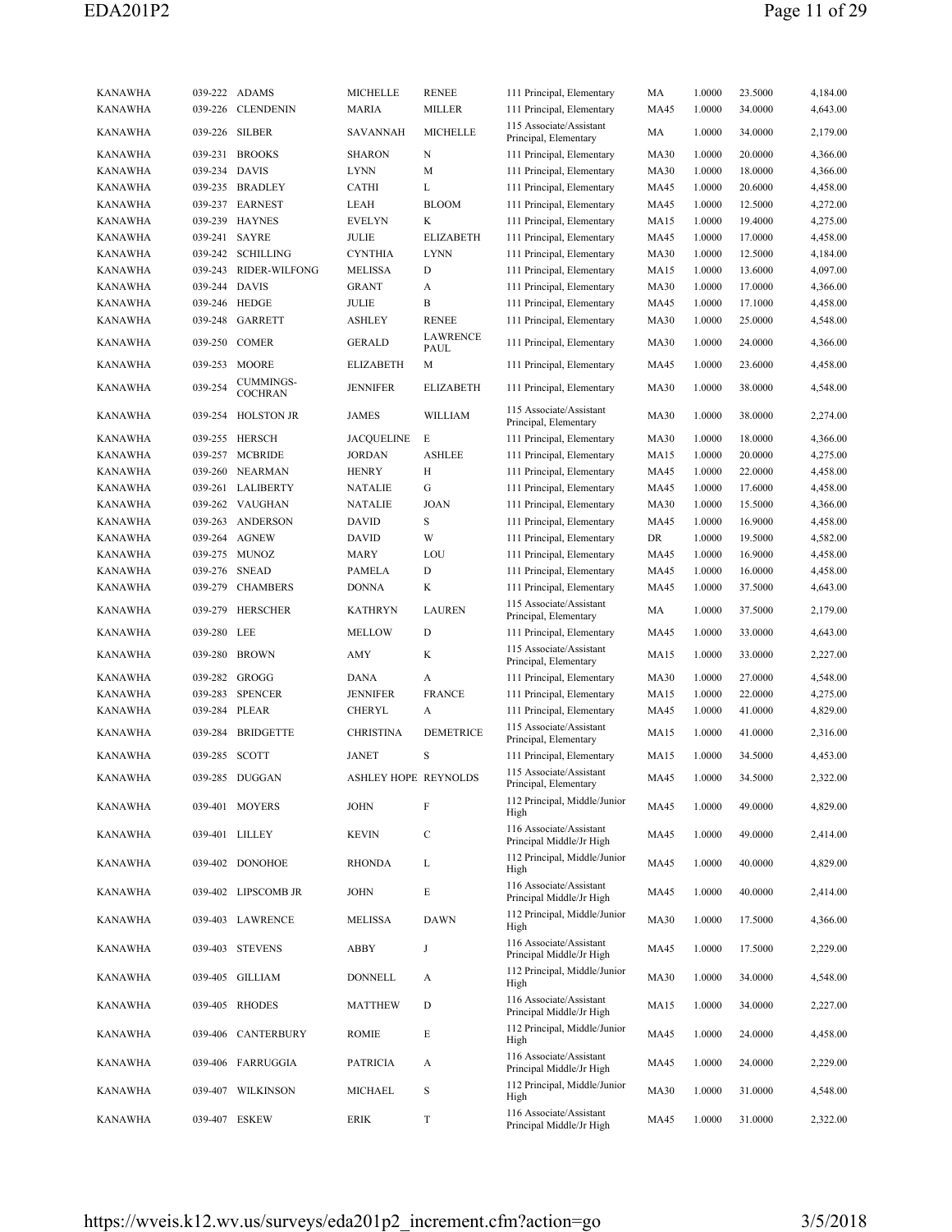| <b>KANAWHA</b><br><b>KANAWHA</b> | 039-226            | 039-222 ADAMS<br><b>CLENDENIN</b>  | <b>MICHELLE</b><br><b>MARIA</b> | <b>RENEE</b><br><b>MILLER</b> | 111 Principal, Elementary<br>111 Principal, Elementary | MA<br>MA45  | 1.0000<br>1.0000 | 23.5000<br>34.0000 | 4,184.00<br>4,643.00 |
|----------------------------------|--------------------|------------------------------------|---------------------------------|-------------------------------|--------------------------------------------------------|-------------|------------------|--------------------|----------------------|
| <b>KANAWHA</b>                   | 039-226            | <b>SILBER</b>                      | SAVANNAH                        | <b>MICHELLE</b>               | 115 Associate/Assistant<br>Principal, Elementary       | MA          | 1.0000           | 34.0000            | 2,179.00             |
| <b>KANAWHA</b>                   |                    | 039-231 BROOKS                     | <b>SHARON</b>                   | N                             | 111 Principal, Elementary                              | <b>MA30</b> | 1.0000           | 20.0000            | 4,366.00             |
| KANAWHA                          | 039-234 DAVIS      |                                    | <b>LYNN</b>                     | М                             | 111 Principal, Elementary                              | <b>MA30</b> | 1.0000           | 18.0000            | 4,366.00             |
| <b>KANAWHA</b>                   |                    | 039-235 BRADLEY                    | <b>CATHI</b>                    | L                             | 111 Principal, Elementary                              | MA45        | 1.0000           | 20.6000            | 4,458.00             |
| <b>KANAWHA</b>                   | 039-237            | <b>EARNEST</b>                     | LEAH                            | <b>BLOOM</b>                  | 111 Principal, Elementary                              | MA45        | 1.0000           | 12.5000            | 4,272.00             |
| <b>KANAWHA</b>                   |                    | 039-239 HAYNES                     | <b>EVELYN</b>                   | K                             |                                                        | <b>MA15</b> | 1.0000           | 19.4000            |                      |
|                                  |                    |                                    |                                 |                               | 111 Principal, Elementary                              |             |                  |                    | 4,275.00             |
| <b>KANAWHA</b>                   | 039-241            | SAYRE                              | JULIE                           | <b>ELIZABETH</b>              | 111 Principal, Elementary                              | MA45        | 1.0000           | 17.0000            | 4,458.00             |
| <b>KANAWHA</b>                   | 039-242            | SCHILLING                          | <b>CYNTHIA</b>                  | <b>LYNN</b>                   | 111 Principal, Elementary                              | <b>MA30</b> | 1.0000           | 12.5000            | 4,184.00             |
| <b>KANAWHA</b>                   | 039-243            | RIDER-WILFONG                      | <b>MELISSA</b>                  | D                             | 111 Principal, Elementary                              | <b>MA15</b> | 1.0000           | 13.6000            | 4,097.00             |
| <b>KANAWHA</b>                   | 039-244 DAVIS      |                                    | <b>GRANT</b>                    | A                             | 111 Principal, Elementary                              | <b>MA30</b> | 1.0000           | 17.0000            | 4,366.00             |
| <b>KANAWHA</b>                   | 039-246            | HEDGE                              | JULIE                           | B                             | 111 Principal, Elementary                              | <b>MA45</b> | 1.0000           | 17.1000            | 4,458.00             |
| <b>KANAWHA</b>                   | 039-248            | GARRETT                            | <b>ASHLEY</b>                   | <b>RENEE</b>                  | 111 Principal, Elementary                              | <b>MA30</b> | 1.0000           | 25.0000            | 4,548.00             |
| <b>KANAWHA</b>                   | 039-250            | <b>COMER</b>                       | <b>GERALD</b>                   | LAWRENCE<br>PAUL              | 111 Principal, Elementary                              | <b>MA30</b> | 1.0000           | 24.0000            | 4,366.00             |
| <b>KANAWHA</b>                   | 039-253            | MOORE                              | <b>ELIZABETH</b>                | М                             | 111 Principal, Elementary                              | MA45        | 1.0000           | 23.6000            | 4,458.00             |
| <b>KANAWHA</b>                   | 039-254            | <b>CUMMINGS-</b><br><b>COCHRAN</b> | <b>JENNIFER</b>                 | <b>ELIZABETH</b>              | 111 Principal, Elementary                              | <b>MA30</b> | 1.0000           | 38.0000            | 4,548.00             |
| <b>KANAWHA</b>                   |                    | 039-254 HOLSTON JR                 | JAMES                           | WILLIAM                       | 115 Associate/Assistant<br>Principal, Elementary       | <b>MA30</b> | 1.0000           | 38.0000            | 2,274.00             |
| <b>KANAWHA</b>                   |                    | 039-255 HERSCH                     | JACQUELINE                      | Е                             | 111 Principal, Elementary                              | <b>MA30</b> | 1.0000           | 18.0000            | 4,366.00             |
| <b>KANAWHA</b>                   |                    | 039-257 MCBRIDE                    | <b>JORDAN</b>                   | <b>ASHLEE</b>                 | 111 Principal, Elementary                              | MA15        | 1.0000           | 20.0000            | 4,275.00             |
| <b>KANAWHA</b>                   | 039-260            | <b>NEARMAN</b>                     | <b>HENRY</b>                    | Н                             | 111 Principal, Elementary                              | <b>MA45</b> | 1.0000           | 22.0000            | 4,458.00             |
| <b>KANAWHA</b>                   |                    | 039-261 LALIBERTY                  | NATALIE                         | G                             | 111 Principal, Elementary                              | <b>MA45</b> | 1.0000           | 17.6000            | 4,458.00             |
| <b>KANAWHA</b>                   |                    | 039-262 VAUGHAN                    | <b>NATALIE</b>                  | <b>JOAN</b>                   | 111 Principal, Elementary                              | <b>MA30</b> | 1.0000           | 15.5000            | 4,366.00             |
| <b>KANAWHA</b>                   | 039-263            | <b>ANDERSON</b>                    | <b>DAVID</b>                    | S                             | 111 Principal, Elementary                              | MA45        | 1.0000           | 16.9000            | 4,458.00             |
| <b>KANAWHA</b>                   |                    | 039-264 AGNEW                      | <b>DAVID</b>                    | W                             | 111 Principal, Elementary                              | DR          | 1.0000           | 19.5000            | 4,582.00             |
| <b>KANAWHA</b>                   |                    | 039-275 MUNOZ                      | MARY                            | LOU                           | 111 Principal, Elementary                              | MA45        | 1.0000           | 16.9000            | 4,458.00             |
| <b>KANAWHA</b>                   | 039-276            | <b>SNEAD</b>                       | PAMELA                          | D                             | 111 Principal, Elementary                              | MA45        | 1.0000           | 16.0000            | 4,458.00             |
| <b>KANAWHA</b>                   | 039-279            | <b>CHAMBERS</b>                    | <b>DONNA</b>                    | K                             | 111 Principal, Elementary                              | MA45        | 1.0000           | 37.5000            | 4,643.00             |
|                                  |                    |                                    |                                 |                               | 115 Associate/Assistant                                |             |                  |                    |                      |
| <b>KANAWHA</b><br><b>KANAWHA</b> | 039-279<br>039-280 | <b>HERSCHER</b><br>LEE             | <b>KATHRYN</b><br><b>MELLOW</b> | <b>LAUREN</b><br>D            | Principal, Elementary<br>111 Principal, Elementary     | MA<br>MA45  | 1.0000<br>1.0000 | 37.5000<br>33.0000 | 2,179.00<br>4,643.00 |
|                                  |                    |                                    |                                 |                               | 115 Associate/Assistant                                |             |                  |                    |                      |
| <b>KANAWHA</b>                   | 039-280            | BROWN                              | AMY                             | K                             | Principal, Elementary                                  | <b>MA15</b> | 1.0000           | 33.0000            | 2,227.00             |
| KANAWHA                          | 039-282            | GROGG                              | DANA                            | A                             | 111 Principal, Elementary                              | <b>MA30</b> | 1.0000           | 27.0000            | 4,548.00             |
| <b>KANAWHA</b>                   | 039-283            | <b>SPENCER</b>                     | <b>JENNIFER</b>                 | <b>FRANCE</b>                 | 111 Principal, Elementary                              | MA15        | 1.0000           | 22.0000            | 4,275.00             |
| <b>KANAWHA</b>                   | 039-284            | PLEAR                              | <b>CHERYL</b>                   | А                             | 111 Principal, Elementary                              | MA45        | 1.0000           | 41.0000            | 4,829.00             |
| <b>KANAWHA</b>                   | 039-284            | <b>BRIDGETTE</b>                   | <b>CHRISTINA</b>                | <b>DEMETRICE</b>              | 115 Associate/Assistant<br>Principal, Elementary       | <b>MA15</b> | 1.0000           | 41.0000            | 2,316.00             |
| <b>KANAWHA</b>                   | 039-285 SCOTT      |                                    | <b>JANET</b>                    | S                             | 111 Principal, Elementary                              | MA15        | 1.0000           | 34.5000            | 4,453.00             |
| <b>KANAWHA</b>                   |                    | 039-285 DUGGAN                     | ASHLEY HOPE REYNOLDS            |                               | 115 Associate/Assistant<br>Principal, Elementary       | MA45        | 1.0000           | 34.5000            | 2,322.00             |
| <b>KANAWHA</b>                   |                    | 039-401 MOYERS                     | <b>JOHN</b>                     | F                             | 112 Principal, Middle/Junior<br>High                   | <b>MA45</b> | 1.0000           | 49.0000            | 4,829.00             |
| KANAWHA                          |                    | 039-401 LILLEY                     | <b>KEVIN</b>                    | $\mathbf C$                   | 116 Associate/Assistant<br>Principal Middle/Jr High    | MA45        | 1.0000           | 49.0000            | 2,414.00             |
| KANAWHA                          |                    | 039-402 DONOHOE                    | <b>RHONDA</b>                   | L                             | 112 Principal, Middle/Junior<br>High                   | MA45        | 1.0000           | 40.0000            | 4,829.00             |
| <b>KANAWHA</b>                   |                    | 039-402 LIPSCOMB JR                | <b>JOHN</b>                     | Е                             | 116 Associate/Assistant<br>Principal Middle/Jr High    | MA45        | 1.0000           | 40.0000            | 2,414.00             |
| KANAWHA                          |                    | 039-403 LAWRENCE                   | <b>MELISSA</b>                  | <b>DAWN</b>                   | 112 Principal, Middle/Junior<br>High                   | <b>MA30</b> | 1.0000           | 17.5000            | 4,366.00             |
| KANAWHA                          |                    | 039-403 STEVENS                    | ABBY                            | J                             | 116 Associate/Assistant<br>Principal Middle/Jr High    | MA45        | 1.0000           | 17.5000            | 2,229.00             |
| <b>KANAWHA</b>                   |                    | 039-405 GILLIAM                    | <b>DONNELL</b>                  | A                             | 112 Principal, Middle/Junior<br>High                   | <b>MA30</b> | 1.0000           | 34.0000            | 4,548.00             |
| KANAWHA                          |                    | 039-405 RHODES                     | <b>MATTHEW</b>                  | D                             | 116 Associate/Assistant<br>Principal Middle/Jr High    | MA15        | 1.0000           | 34.0000            | 2,227.00             |
| KANAWHA                          |                    | 039-406 CANTERBURY                 | ROMIE                           | Е                             | 112 Principal, Middle/Junior<br>High                   | MA45        | 1.0000           | 24.0000            | 4,458.00             |
| KANAWHA                          |                    | 039-406 FARRUGGIA                  | <b>PATRICIA</b>                 | A                             | 116 Associate/Assistant<br>Principal Middle/Jr High    | MA45        | 1.0000           | 24.0000            | 2,229.00             |
| KANAWHA                          |                    | 039-407 WILKINSON                  | MICHAEL                         | S                             | 112 Principal, Middle/Junior<br>High                   | <b>MA30</b> | 1.0000           | 31.0000            | 4,548.00             |
| KANAWHA                          |                    | 039-407 ESKEW                      | <b>ERIK</b>                     | T                             | 116 Associate/Assistant<br>Principal Middle/Jr High    | MA45        | 1.0000           | 31.0000            | 2,322.00             |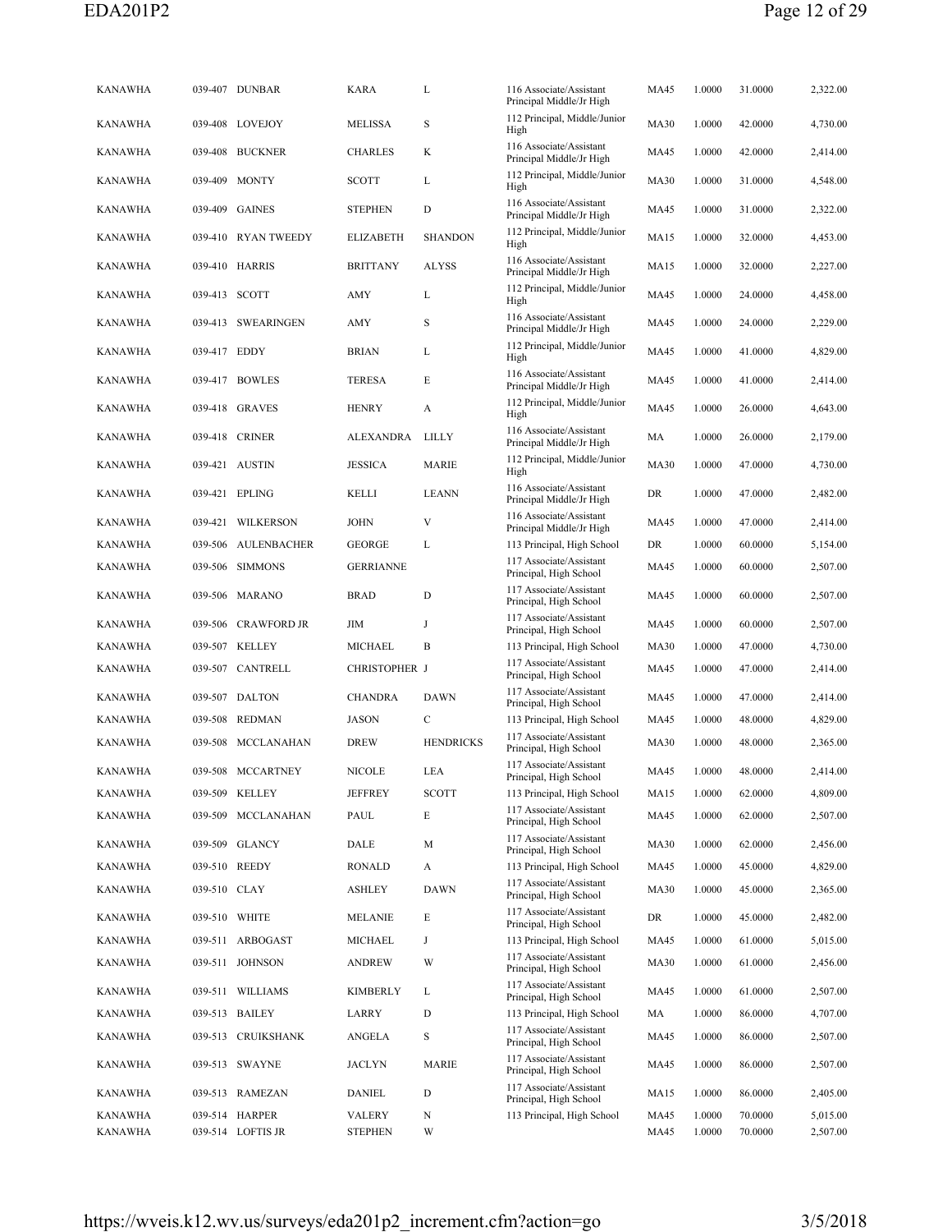| <b>KANAWHA</b> |               | 039-407 DUNBAR      | <b>KARA</b>      | L                | 116 Associate/Assistant<br>Principal Middle/Jr High | MA45        | 1.0000 | 31.0000 | 2,322.00 |
|----------------|---------------|---------------------|------------------|------------------|-----------------------------------------------------|-------------|--------|---------|----------|
| <b>KANAWHA</b> |               | 039-408 LOVEJOY     | MELISSA          | S                | 112 Principal, Middle/Junior<br>High                | <b>MA30</b> | 1.0000 | 42.0000 | 4,730.00 |
| <b>KANAWHA</b> | 039-408       | <b>BUCKNER</b>      | CHARLES          | K                | 116 Associate/Assistant<br>Principal Middle/Jr High | MA45        | 1.0000 | 42.0000 | 2,414.00 |
| KANAWHA        | 039-409       | <b>MONTY</b>        | <b>SCOTT</b>     | L                | 112 Principal, Middle/Junior<br>High                | <b>MA30</b> | 1.0000 | 31.0000 | 4,548.00 |
| <b>KANAWHA</b> | 039-409       | <b>GAINES</b>       | <b>STEPHEN</b>   | D                | 116 Associate/Assistant<br>Principal Middle/Jr High | MA45        | 1.0000 | 31.0000 | 2,322.00 |
| <b>KANAWHA</b> |               | 039-410 RYAN TWEEDY | <b>ELIZABETH</b> | <b>SHANDON</b>   | 112 Principal, Middle/Junior<br>High                | MA15        | 1.0000 | 32.0000 | 4,453.00 |
| <b>KANAWHA</b> |               | 039-410 HARRIS      | <b>BRITTANY</b>  | <b>ALYSS</b>     | 116 Associate/Assistant<br>Principal Middle/Jr High | MA15        | 1.0000 | 32.0000 | 2,227.00 |
| <b>KANAWHA</b> | 039-413 SCOTT |                     | AMY              | L                | 112 Principal, Middle/Junior<br>High                | <b>MA45</b> | 1.0000 | 24.0000 | 4,458.00 |
| <b>KANAWHA</b> |               | 039-413 SWEARINGEN  | AMY              | S                | 116 Associate/Assistant<br>Principal Middle/Jr High | MA45        | 1.0000 | 24.0000 | 2,229.00 |
| KANAWHA        | 039-417 EDDY  |                     | BRIAN            | L                | 112 Principal, Middle/Junior<br>High                | MA45        | 1.0000 | 41.0000 | 4,829.00 |
| KANAWHA        |               | 039-417 BOWLES      | TERESA           | E                | 116 Associate/Assistant<br>Principal Middle/Jr High | MA45        | 1.0000 | 41.0000 | 2,414.00 |
| <b>KANAWHA</b> |               | 039-418 GRAVES      | <b>HENRY</b>     | A                | 112 Principal, Middle/Junior<br>High                | MA45        | 1.0000 | 26.0000 | 4,643.00 |
| <b>KANAWHA</b> |               | 039-418 CRINER      | ALEXANDRA        | <b>LILLY</b>     | 116 Associate/Assistant<br>Principal Middle/Jr High | MA          | 1.0000 | 26.0000 | 2,179.00 |
| KANAWHA        |               | 039-421 AUSTIN      | <b>JESSICA</b>   | <b>MARIE</b>     | 112 Principal, Middle/Junior<br>High                | <b>MA30</b> | 1.0000 | 47.0000 | 4,730.00 |
| <b>KANAWHA</b> |               | 039-421 EPLING      | KELLI            | <b>LEANN</b>     | 116 Associate/Assistant<br>Principal Middle/Jr High | DR          | 1.0000 | 47.0000 | 2,482.00 |
| <b>KANAWHA</b> |               | 039-421 WILKERSON   | JOHN             | V                | 116 Associate/Assistant<br>Principal Middle/Jr High | MA45        | 1.0000 | 47.0000 | 2,414.00 |
| <b>KANAWHA</b> | 039-506       | AULENBACHER         | GEORGE           | L                | 113 Principal, High School                          | DR          | 1.0000 | 60.0000 | 5,154.00 |
| <b>KANAWHA</b> |               | 039-506 SIMMONS     | <b>GERRIANNE</b> |                  | 117 Associate/Assistant<br>Principal, High School   | MA45        | 1.0000 | 60.0000 | 2,507.00 |
| <b>KANAWHA</b> |               | 039-506 MARANO      | <b>BRAD</b>      | D                | 117 Associate/Assistant<br>Principal, High School   | <b>MA45</b> | 1.0000 | 60.0000 | 2,507.00 |
| <b>KANAWHA</b> |               | 039-506 CRAWFORD JR | JIM              | J                | 117 Associate/Assistant<br>Principal, High School   | <b>MA45</b> | 1.0000 | 60.0000 | 2,507.00 |
| <b>KANAWHA</b> |               | 039-507 KELLEY      | MICHAEL          | В                | 113 Principal, High School                          | <b>MA30</b> | 1.0000 | 47.0000 | 4,730.00 |
| <b>KANAWHA</b> |               | 039-507 CANTRELL    | CHRISTOPHER J    |                  | 117 Associate/Assistant<br>Principal, High School   | MA45        | 1.0000 | 47.0000 | 2,414.00 |
| <b>KANAWHA</b> |               | 039-507 DALTON      | <b>CHANDRA</b>   | <b>DAWN</b>      | 117 Associate/Assistant<br>Principal, High School   | MA45        | 1.0000 | 47.0000 | 2,414.00 |
| <b>KANAWHA</b> |               | 039-508 REDMAN      | JASON            | $\mathsf{C}$     | 113 Principal, High School                          | MA45        | 1.0000 | 48.0000 | 4,829.00 |
| KANAWHA        |               | 039-508 MCCLANAHAN  | <b>DREW</b>      | <b>HENDRICKS</b> | 117 Associate/Assistant<br>Principal, High School   | <b>MA30</b> | 1.0000 | 48.0000 | 2,365.00 |
| KANAWHA        |               | 039-508 MCCARTNEY   | <b>NICOLE</b>    | LEA              | 117 Associate/Assistant<br>Principal, High School   | <b>MA45</b> | 1.0000 | 48.0000 | 2,414.00 |
| <b>KANAWHA</b> |               | 039-509 KELLEY      | <b>JEFFREY</b>   | <b>SCOTT</b>     | 113 Principal, High School                          | MA15        | 1.0000 | 62.0000 | 4,809.00 |
| <b>KANAWHA</b> |               | 039-509 MCCLANAHAN  | PAUL             | Е                | 117 Associate/Assistant<br>Principal, High School   | MA45        | 1.0000 | 62.0000 | 2,507.00 |
| <b>KANAWHA</b> |               | 039-509 GLANCY      | DALE             | М                | 117 Associate/Assistant<br>Principal, High School   | <b>MA30</b> | 1.0000 | 62.0000 | 2,456.00 |
| KANAWHA        |               | 039-510 REEDY       | <b>RONALD</b>    | A                | 113 Principal, High School                          | MA45        | 1.0000 | 45.0000 | 4,829.00 |
| <b>KANAWHA</b> | 039-510 CLAY  |                     | ASHLEY           | DAWN             | 117 Associate/Assistant<br>Principal, High School   | <b>MA30</b> | 1.0000 | 45.0000 | 2,365.00 |
| <b>KANAWHA</b> | 039-510 WHITE |                     | MELANIE          | E                | 117 Associate/Assistant<br>Principal, High School   | DR          | 1.0000 | 45.0000 | 2,482.00 |
| <b>KANAWHA</b> |               | 039-511 ARBOGAST    | MICHAEL          | J                | 113 Principal, High School                          | MA45        | 1.0000 | 61.0000 | 5,015.00 |
| KANAWHA        |               | 039-511 JOHNSON     | ANDREW           | W                | 117 Associate/Assistant<br>Principal, High School   | <b>MA30</b> | 1.0000 | 61.0000 | 2,456.00 |
| <b>KANAWHA</b> |               | 039-511 WILLIAMS    | <b>KIMBERLY</b>  | L                | 117 Associate/Assistant<br>Principal, High School   | MA45        | 1.0000 | 61.0000 | 2,507.00 |
| <b>KANAWHA</b> |               | 039-513 BAILEY      | LARRY            | D                | 113 Principal, High School                          | MA          | 1.0000 | 86.0000 | 4,707.00 |
| KANAWHA        |               | 039-513 CRUIKSHANK  | ANGELA           | S                | 117 Associate/Assistant<br>Principal, High School   | MA45        | 1.0000 | 86.0000 | 2,507.00 |
| KANAWHA        |               | 039-513 SWAYNE      | JACLYN           | MARIE            | 117 Associate/Assistant<br>Principal, High School   | MA45        | 1.0000 | 86.0000 | 2,507.00 |
| KANAWHA        |               | 039-513 RAMEZAN     | <b>DANIEL</b>    | D                | 117 Associate/Assistant<br>Principal, High School   | MA15        | 1.0000 | 86.0000 | 2,405.00 |
| <b>KANAWHA</b> |               | 039-514 HARPER      | VALERY           | N                | 113 Principal, High School                          | MA45        | 1.0000 | 70.0000 | 5,015.00 |
| <b>KANAWHA</b> |               | 039-514 LOFTIS JR   | <b>STEPHEN</b>   | W                |                                                     | MA45        | 1.0000 | 70.0000 | 2,507.00 |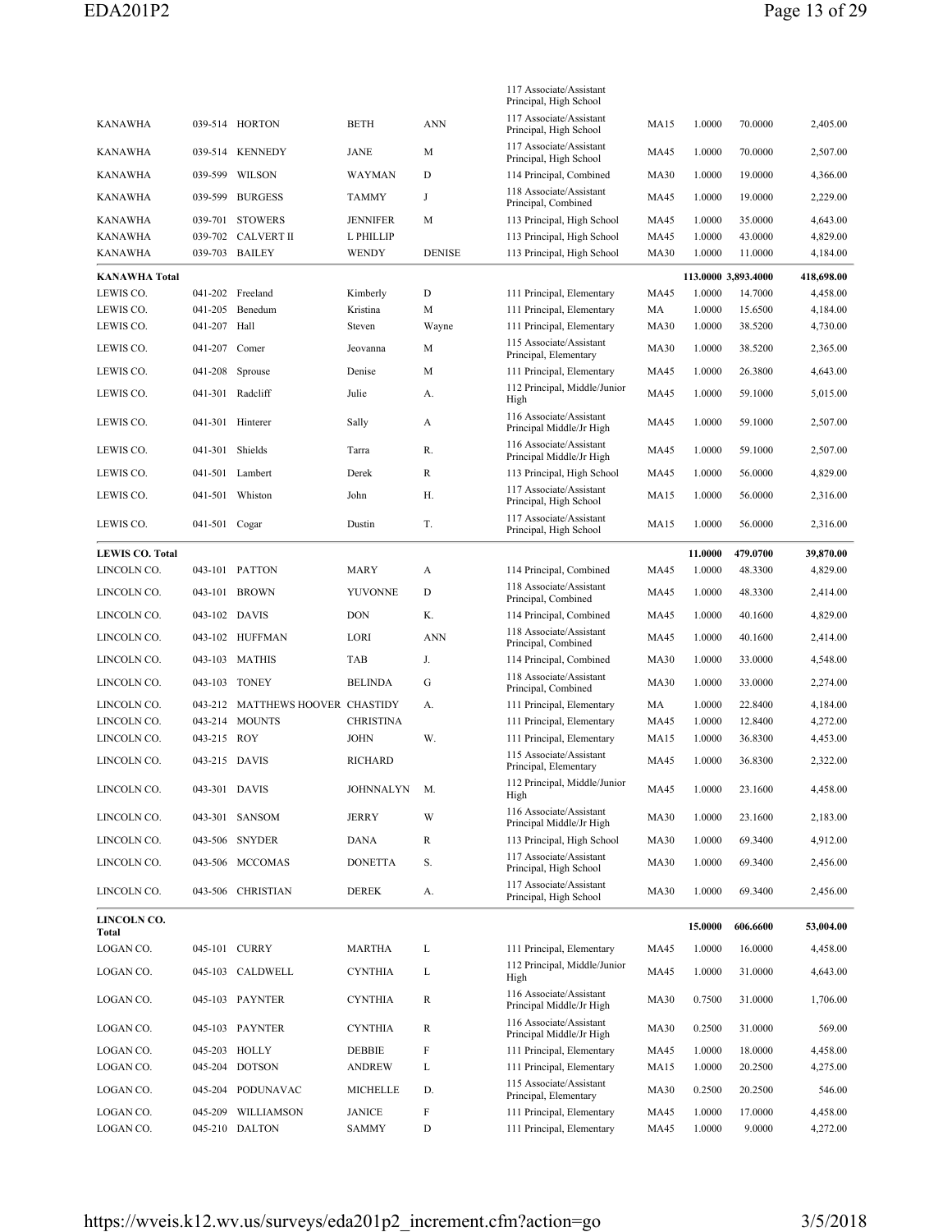|                        |               |                                  |                |               | 117 Associate/Assistant<br>Principal, High School      |             |                     |          |            |
|------------------------|---------------|----------------------------------|----------------|---------------|--------------------------------------------------------|-------------|---------------------|----------|------------|
| KANAWHA                |               | 039-514 HORTON                   | <b>BETH</b>    | <b>ANN</b>    | 117 Associate/Assistant<br>Principal, High School      | MA15        | 1.0000              | 70.0000  | 2,405.00   |
| KANAWHA                |               | 039-514 KENNEDY                  | JANE           | М             | 117 Associate/Assistant<br>Principal, High School      | MA45        | 1.0000              | 70.0000  | 2,507.00   |
| <b>KANAWHA</b>         |               | 039-599 WILSON                   | WAYMAN         | D             | 114 Principal, Combined                                | <b>MA30</b> | 1.0000              | 19.0000  | 4,366.00   |
| <b>KANAWHA</b>         |               | 039-599 BURGESS                  | <b>TAMMY</b>   | J             | 118 Associate/Assistant<br>Principal, Combined         | <b>MA45</b> | 1.0000              | 19.0000  | 2,229.00   |
| KANAWHA                |               | 039-701 STOWERS                  | JENNIFER       | М             | 113 Principal, High School                             | MA45        | 1.0000              | 35.0000  | 4,643.00   |
| <b>KANAWHA</b>         |               | 039-702 CALVERT II               | L PHILLIP      |               | 113 Principal, High School                             | <b>MA45</b> | 1.0000              | 43.0000  | 4,829.00   |
| <b>KANAWHA</b>         |               | 039-703 BAILEY                   | <b>WENDY</b>   | <b>DENISE</b> | 113 Principal, High School                             | <b>MA30</b> | 1.0000              | 11.0000  | 4,184.00   |
| <b>KANAWHA Total</b>   |               |                                  |                |               |                                                        |             | 113.0000 3,893.4000 |          | 418,698.00 |
| LEWIS CO.              |               | 041-202 Freeland                 | Kimberly       | D             | 111 Principal, Elementary                              | <b>MA45</b> | 1.0000              | 14.7000  | 4,458.00   |
| LEWIS CO.              | 041-205       | Benedum                          | Kristina       | М             | 111 Principal, Elementary                              | MA          | 1.0000              | 15.6500  | 4,184.00   |
| LEWIS CO.              | 041-207 Hall  |                                  | Steven         | Wayne         | 111 Principal, Elementary                              | <b>MA30</b> | 1.0000              | 38.5200  | 4,730.00   |
| LEWIS CO.              | 041-207 Comer |                                  | Jeovanna       | М             | 115 Associate/Assistant<br>Principal, Elementary       | <b>MA30</b> | 1.0000              | 38.5200  | 2,365.00   |
| LEWIS CO.              | 041-208       | Sprouse                          | Denise         | М             | 111 Principal, Elementary                              | MA45        | 1.0000              | 26.3800  | 4,643.00   |
| LEWIS CO.              |               | 041-301 Radcliff                 | Julie          |               | 112 Principal, Middle/Junior                           | <b>MA45</b> | 1.0000              | 59.1000  | 5,015.00   |
|                        |               |                                  |                | А.            | High                                                   |             |                     |          |            |
| LEWIS CO.              | 041-301       | Hinterer                         | Sally          | А             | 116 Associate/Assistant<br>Principal Middle/Jr High    | <b>MA45</b> | 1.0000              | 59.1000  | 2,507.00   |
| LEWIS CO.              | 041-301       | Shields                          | Tarra          | R.            | 116 Associate/Assistant<br>Principal Middle/Jr High    | <b>MA45</b> | 1.0000              | 59.1000  | 2,507.00   |
| LEWIS CO.              |               | 041-501 Lambert                  | Derek          | R             | 113 Principal, High School                             | <b>MA45</b> | 1.0000              | 56.0000  | 4,829.00   |
| LEWIS CO.              | 041-501       | Whiston                          | John           | Н.            | 117 Associate/Assistant<br>Principal, High School      | <b>MA15</b> | 1.0000              | 56.0000  | 2,316.00   |
| LEWIS CO.              | 041-501 Cogar |                                  | Dustin         | T.            | 117 Associate/Assistant<br>Principal, High School      | <b>MA15</b> | 1.0000              | 56.0000  | 2,316.00   |
| <b>LEWIS CO. Total</b> |               |                                  |                |               |                                                        |             | 11.0000             | 479.0700 | 39,870.00  |
| LINCOLN CO.            |               | 043-101 PATTON                   | MARY           | A             | 114 Principal, Combined                                | MA45        | 1.0000              | 48.3300  | 4,829.00   |
| LINCOLN CO.            |               | 043-101 BROWN                    | YUVONNE        | D             | 118 Associate/Assistant<br>Principal, Combined         | <b>MA45</b> | 1.0000              | 48.3300  | 2,414.00   |
| LINCOLN CO.            | 043-102 DAVIS |                                  | <b>DON</b>     | Κ.            | 114 Principal, Combined                                | <b>MA45</b> | 1.0000              | 40.1600  | 4,829.00   |
| LINCOLN CO.            |               | 043-102 HUFFMAN                  | LORI           | <b>ANN</b>    | 118 Associate/Assistant<br>Principal, Combined         | MA45        | 1.0000              | 40.1600  | 2,414.00   |
| LINCOLN CO.            |               | 043-103 MATHIS                   | TAB            | J.            | 114 Principal, Combined                                | <b>MA30</b> | 1.0000              | 33.0000  | 4,548.00   |
| LINCOLN CO.            | 043-103       | <b>TONEY</b>                     | <b>BELINDA</b> | G             | 118 Associate/Assistant                                | <b>MA30</b> | 1.0000              | 33.0000  | 2,274.00   |
| LINCOLN CO.            |               | 043-212 MATTHEWS HOOVER CHASTIDY |                | А.            | Principal, Combined                                    | MA          | 1.0000              | 22.8400  | 4,184.00   |
| LINCOLN CO.            | 043-214       | <b>MOUNTS</b>                    | CHRISTINA      |               | 111 Principal, Elementary<br>111 Principal, Elementary | MA45        | 1.0000              | 12.8400  | 4,272.00   |
| LINCOLN CO.            | 043-215 ROY   |                                  | JOHN           | W.            | 111 Principal, Elementary                              | <b>MA15</b> | 1.0000              | 36.8300  | 4,453.00   |
| LINCOLN CO.            | 043-215 DAVIS |                                  |                |               | 115 Associate/Assistant                                |             |                     | 36.8300  |            |
|                        |               |                                  | <b>RICHARD</b> |               | Principal, Elementary<br>112 Principal, Middle/Junior  | <b>MA45</b> | 1.0000              |          | 2,322.00   |
| LINCOLN CO.            | 043-301 DAVIS |                                  | JOHNNALYN      | M.            | High                                                   | MA45        | 1.0000              | 23.1600  | 4,458.00   |
| LINCOLN CO.            |               | 043-301 SANSOM                   | JERRY          | W             | 116 Associate/Assistant<br>Principal Middle/Jr High    | <b>MA30</b> | 1.0000              | 23.1600  | 2,183.00   |
| LINCOLN CO.            |               | 043-506 SNYDER                   | <b>DANA</b>    | R             | 113 Principal, High School                             | <b>MA30</b> | 1.0000              | 69.3400  | 4,912.00   |
| LINCOLN CO.            |               | 043-506 MCCOMAS                  | <b>DONETTA</b> | S.            | 117 Associate/Assistant<br>Principal, High School      | <b>MA30</b> | 1.0000              | 69.3400  | 2,456.00   |
| LINCOLN CO.            |               | 043-506 CHRISTIAN                | DEREK          | А.            | 117 Associate/Assistant<br>Principal, High School      | <b>MA30</b> | 1.0000              | 69.3400  | 2,456.00   |
| LINCOLN CO.<br>Total   |               |                                  |                |               |                                                        |             | 15.0000             | 606.6600 | 53,004.00  |
| LOGAN CO.              |               | 045-101 CURRY                    | MARTHA         | L             | 111 Principal, Elementary                              | <b>MA45</b> | 1.0000              | 16.0000  | 4,458.00   |
|                        |               |                                  |                |               | 112 Principal, Middle/Junior                           |             |                     |          |            |
| LOGAN CO.              |               | 045-103 CALDWELL                 | CYNTHIA        | L             | High<br>116 Associate/Assistant                        | MA45        | 1.0000              | 31.0000  | 4,643.00   |
| LOGAN CO.              |               | 045-103 PAYNTER                  | CYNTHIA        | R             | Principal Middle/Jr High                               | <b>MA30</b> | 0.7500              | 31.0000  | 1,706.00   |
| LOGAN CO.              |               | 045-103 PAYNTER                  | CYNTHIA        | R             | 116 Associate/Assistant<br>Principal Middle/Jr High    | <b>MA30</b> | 0.2500              | 31.0000  | 569.00     |
| LOGAN CO.              |               | 045-203 HOLLY                    | DEBBIE         | F             | 111 Principal, Elementary                              | MA45        | 1.0000              | 18.0000  | 4,458.00   |
| LOGAN CO.              |               | 045-204 DOTSON                   | ANDREW         | L             | 111 Principal, Elementary                              | MA15        | 1.0000              | 20.2500  | 4,275.00   |
| LOGAN CO.              |               | 045-204 PODUNAVAC                | MICHELLE       | D.            | 115 Associate/Assistant<br>Principal, Elementary       | <b>MA30</b> | 0.2500              | 20.2500  | 546.00     |
| LOGAN CO.              |               | 045-209 WILLIAMSON               | JANICE         | F             | 111 Principal, Elementary                              | MA45        | 1.0000              | 17.0000  | 4,458.00   |
| LOGAN CO.              |               | 045-210 DALTON                   | SAMMY          | D             | 111 Principal, Elementary                              | MA45        | 1.0000              | 9.0000   | 4,272.00   |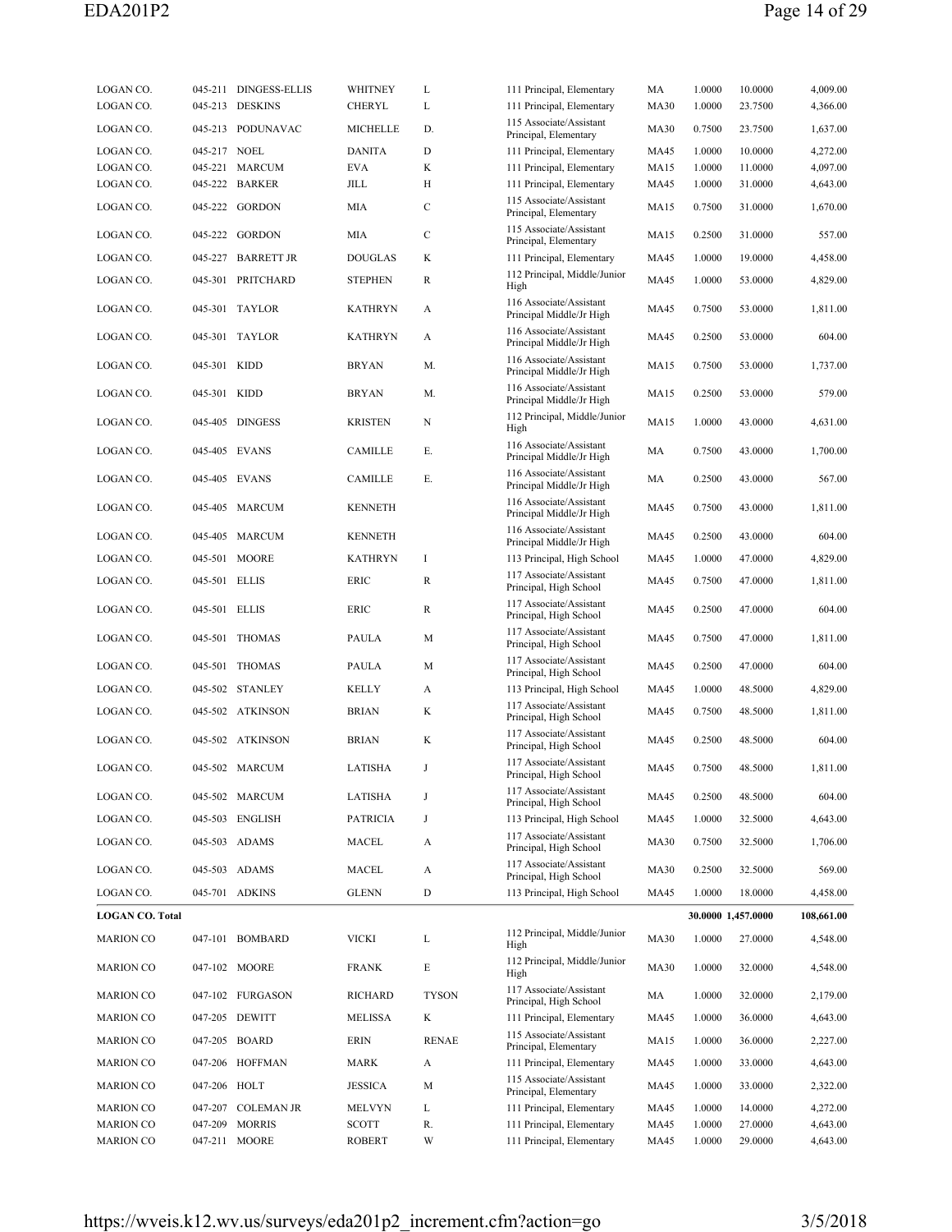| LOGAN CO.<br>045-213 DESKINS<br>CHERYL<br>L<br>111 Principal, Elementary<br><b>MA30</b><br>1.0000<br>4,366.00<br>23.7500<br>115 Associate/Assistant<br>LOGAN CO.<br>045-213 PODUNAVAC<br><b>MICHELLE</b><br>D.<br><b>MA30</b><br>0.7500<br>1,637.00<br>23.7500<br>Principal, Elementary<br>LOGAN CO.<br>045-217 NOEL<br><b>DANITA</b><br>D<br>111 Principal, Elementary<br>1.0000<br>10.0000<br>4,272.00<br>MA45<br>K<br>4,097.00<br>045-221 MARCUM<br><b>EVA</b><br>1.0000<br>11.0000<br>LOGAN CO.<br>111 Principal, Elementary<br><b>MA15</b><br>045-222 BARKER<br>JILL<br>Н<br>4,643.00<br>LOGAN CO.<br>111 Principal, Elementary<br>MA45<br>1.0000<br>31.0000<br>115 Associate/Assistant<br>C<br>LOGAN CO.<br>045-222 GORDON<br>MIA<br><b>MA15</b><br>0.7500<br>31.0000<br>1,670.00<br>Principal, Elementary<br>115 Associate/Assistant<br>$\mathbf C$<br>045-222 GORDON<br>MIA<br>0.2500<br>557.00<br>LOGAN CO.<br>MA15<br>31.0000<br>Principal, Elementary<br>LOGAN CO.<br>045-227 BARRETT JR<br><b>DOUGLAS</b><br>K<br><b>MA45</b><br>1.0000<br>19.0000<br>4,458.00<br>111 Principal, Elementary<br>112 Principal, Middle/Junior<br>LOGAN CO.<br>045-301 PRITCHARD<br>R<br>1.0000<br>4,829.00<br><b>STEPHEN</b><br>MA45<br>53.0000<br>High<br>116 Associate/Assistant<br>LOGAN CO.<br>045-301 TAYLOR<br><b>KATHRYN</b><br>0.7500<br>53.0000<br>1,811.00<br>A<br>MA45<br>Principal Middle/Jr High<br>116 Associate/Assistant<br>LOGAN CO.<br>045-301 TAYLOR<br><b>KATHRYN</b><br>MA45<br>0.2500<br>53.0000<br>604.00<br>A<br>Principal Middle/Jr High<br>116 Associate/Assistant<br>045-301 KIDD<br><b>BRYAN</b><br>M.<br>0.7500<br>1,737.00<br>LOGAN CO.<br>MA15<br>53.0000<br>Principal Middle/Jr High<br>116 Associate/Assistant<br>LOGAN CO.<br>045-301 KIDD<br><b>BRYAN</b><br>M.<br><b>MA15</b><br>0.2500<br>579.00<br>53.0000<br>Principal Middle/Jr High<br>112 Principal, Middle/Junior<br>045-405 DINGESS<br>N<br>1.0000<br>43.0000<br>4,631.00<br>LOGAN CO.<br><b>KRISTEN</b><br>MA15<br>High<br>116 Associate/Assistant<br>LOGAN CO.<br>045-405 EVANS<br>CAMILLE<br>Е.<br>MA<br>0.7500<br>43.0000<br>1,700.00<br>Principal Middle/Jr High<br>116 Associate/Assistant<br>LOGAN CO.<br>045-405 EVANS<br>CAMILLE<br>Е.<br>MA<br>0.2500<br>43.0000<br>567.00<br>Principal Middle/Jr High<br>116 Associate/Assistant<br>LOGAN CO.<br>045-405 MARCUM<br><b>KENNETH</b><br>MA45<br>0.7500<br>43.0000<br>1,811.00<br>Principal Middle/Jr High<br>116 Associate/Assistant<br>LOGAN CO.<br>045-405 MARCUM<br><b>KENNETH</b><br>MA45<br>0.2500<br>604.00<br>43.0000<br>Principal Middle/Jr High<br>LOGAN CO.<br>045-501 MOORE<br>-1<br>113 Principal, High School<br>1.0000<br>47.0000<br>4,829.00<br><b>KATHRYN</b><br>MA45<br>117 Associate/Assistant<br>LOGAN CO.<br>045-501 ELLIS<br>ERIC<br>R<br>1,811.00<br>MA45<br>0.7500<br>47.0000<br>Principal, High School<br>117 Associate/Assistant<br>LOGAN CO.<br>045-501 ELLIS<br>ERIC<br>R<br>MA45<br>0.2500<br>47.0000<br>604.00<br>Principal, High School<br>117 Associate/Assistant<br>LOGAN CO.<br>045-501 THOMAS<br>PAULA<br>M<br>MA45<br>0.7500<br>47.0000<br>1,811.00<br>Principal, High School<br>117 Associate/Assistant<br>LOGAN CO.<br>045-501 THOMAS<br>M<br>MA45<br>0.2500<br>47.0000<br>604.00<br>PAULA<br>Principal, High School<br>LOGAN CO.<br>045-502 STANLEY<br>113 Principal, High School<br>1.0000<br>48.5000<br>4,829.00<br>KELLY<br>A<br>MA45<br>117 Associate/Assistant<br>LOGAN CO.<br>045-502 ATKINSON<br><b>BRIAN</b><br>K<br>1,811.00<br>MA45<br>0.7500<br>48.5000<br>Principal, High School<br>117 Associate/Assistant<br>LOGAN CO.<br>045-502 ATKINSON<br><b>BRIAN</b><br>K<br>MA45<br>0.2500<br>48.5000<br>604.00<br>Principal, High School<br>117 Associate/Assistant<br>LOGAN CO.<br>045-502 MARCUM<br>LATISHA<br>J<br><b>MA45</b><br>0.7500<br>48.5000<br>1,811.00<br>Principal, High School<br>117 Associate/Assistant<br>LOGAN CO.<br>045-502 MARCUM<br>LATISHA<br>J<br>MA45<br>0.2500<br>48.5000<br>604.00<br>Principal, High School<br>LOGAN CO.<br>045-503 ENGLISH<br><b>PATRICIA</b><br>J<br>113 Principal, High School<br><b>MA45</b><br>1.0000<br>32.5000<br>4,643.00<br>117 Associate/Assistant<br>045-503 ADAMS<br>LOGAN CO.<br>MACEL<br><b>MA30</b><br>0.7500<br>1,706.00<br>A<br>32.5000<br>Principal, High School<br>117 Associate/Assistant<br>LOGAN CO.<br>045-503 ADAMS<br>MACEL<br>0.2500<br>569.00<br>A<br><b>MA30</b><br>32.5000<br>Principal, High School<br>045-701 ADKINS<br>D<br>113 Principal, High School<br>LOGAN CO.<br><b>GLENN</b><br><b>MA45</b><br>1.0000<br>18.0000<br>4,458.00<br><b>LOGAN CO. Total</b><br>30.0000 1,457.0000<br>108,661.00<br>112 Principal, Middle/Junior<br><b>VICKI</b><br><b>MA30</b><br><b>MARION CO</b><br>047-101 BOMBARD<br>L<br>1.0000<br>27.0000<br>4,548.00<br>High<br>112 Principal, Middle/Junior<br>Е<br><b>MA30</b><br><b>MARION CO</b><br>047-102 MOORE<br><b>FRANK</b><br>1.0000<br>32.0000<br>4,548.00<br>High<br>117 Associate/Assistant<br>047-102 FURGASON<br><b>TYSON</b><br><b>MARION CO</b><br><b>RICHARD</b><br>MA<br>1.0000<br>32.0000<br>2,179.00<br>Principal, High School<br>111 Principal, Elementary<br><b>MARION CO</b><br>047-205 DEWITT<br>MELISSA<br>K<br>1.0000<br>36.0000<br>4,643.00<br>MA45<br>115 Associate/Assistant<br><b>RENAE</b><br><b>MARION CO</b><br>047-205 BOARD<br>ERIN<br><b>MA15</b><br>1.0000<br>2,227.00<br>36.0000<br>Principal, Elementary<br><b>MARION CO</b><br>047-206 HOFFMAN<br><b>MARK</b><br>A<br>111 Principal, Elementary<br>1.0000<br>4,643.00<br>MA45<br>33.0000<br>115 Associate/Assistant<br><b>MARION CO</b><br>047-206 HOLT<br><b>JESSICA</b><br>M<br>MA45<br>1.0000<br>33.0000<br>2,322.00<br>Principal, Elementary<br><b>MARION CO</b><br>047-207<br><b>COLEMAN JR</b><br>MELVYN<br>111 Principal, Elementary<br>1.0000<br>14.0000<br>4,272.00<br>L<br>MA45<br><b>MORRIS</b><br>4,643.00<br><b>MARION CO</b><br>047-209<br><b>SCOTT</b><br>R.<br>111 Principal, Elementary<br><b>MA45</b><br>1.0000<br>27.0000<br><b>MARION CO</b><br>047-211 MOORE<br><b>ROBERT</b><br>W<br>111 Principal, Elementary<br><b>MA45</b><br>1.0000<br>29.0000<br>4,643.00 | LOGAN CO. | 045-211 DINGESS-ELLIS | WHITNEY | L | 111 Principal, Elementary | MA | 1.0000 | 10.0000 | 4,009.00 |
|-------------------------------------------------------------------------------------------------------------------------------------------------------------------------------------------------------------------------------------------------------------------------------------------------------------------------------------------------------------------------------------------------------------------------------------------------------------------------------------------------------------------------------------------------------------------------------------------------------------------------------------------------------------------------------------------------------------------------------------------------------------------------------------------------------------------------------------------------------------------------------------------------------------------------------------------------------------------------------------------------------------------------------------------------------------------------------------------------------------------------------------------------------------------------------------------------------------------------------------------------------------------------------------------------------------------------------------------------------------------------------------------------------------------------------------------------------------------------------------------------------------------------------------------------------------------------------------------------------------------------------------------------------------------------------------------------------------------------------------------------------------------------------------------------------------------------------------------------------------------------------------------------------------------------------------------------------------------------------------------------------------------------------------------------------------------------------------------------------------------------------------------------------------------------------------------------------------------------------------------------------------------------------------------------------------------------------------------------------------------------------------------------------------------------------------------------------------------------------------------------------------------------------------------------------------------------------------------------------------------------------------------------------------------------------------------------------------------------------------------------------------------------------------------------------------------------------------------------------------------------------------------------------------------------------------------------------------------------------------------------------------------------------------------------------------------------------------------------------------------------------------------------------------------------------------------------------------------------------------------------------------------------------------------------------------------------------------------------------------------------------------------------------------------------------------------------------------------------------------------------------------------------------------------------------------------------------------------------------------------------------------------------------------------------------------------------------------------------------------------------------------------------------------------------------------------------------------------------------------------------------------------------------------------------------------------------------------------------------------------------------------------------------------------------------------------------------------------------------------------------------------------------------------------------------------------------------------------------------------------------------------------------------------------------------------------------------------------------------------------------------------------------------------------------------------------------------------------------------------------------------------------------------------------------------------------------------------------------------------------------------------------------------------------------------------------------------------------------------------------------------------------------------------------------------------------------------------------------------------------------------------------------------------------------------------------------------------------------------------------------------------------------------------------------------------------------------------------------------------------------------------------------------------------------------------------------------------------------------------------------------------------------------------------------------------------------------------------------------------------------------------------------------------------------------------------------------------------------------------------------------------------------------------------------------------------------------------------------------------------------------------------------------------------------------------------------------------------------------------------------------------------------------------------------------------------------------------------------------------------------------------------------------------------------------------------------------------------------------------------------------------------------------------------------------------------------------------------------------------------------------------------------------------------------------|-----------|-----------------------|---------|---|---------------------------|----|--------|---------|----------|
|                                                                                                                                                                                                                                                                                                                                                                                                                                                                                                                                                                                                                                                                                                                                                                                                                                                                                                                                                                                                                                                                                                                                                                                                                                                                                                                                                                                                                                                                                                                                                                                                                                                                                                                                                                                                                                                                                                                                                                                                                                                                                                                                                                                                                                                                                                                                                                                                                                                                                                                                                                                                                                                                                                                                                                                                                                                                                                                                                                                                                                                                                                                                                                                                                                                                                                                                                                                                                                                                                                                                                                                                                                                                                                                                                                                                                                                                                                                                                                                                                                                                                                                                                                                                                                                                                                                                                                                                                                                                                                                                                                                                                                                                                                                                                                                                                                                                                                                                                                                                                                                                                                                                                                                                                                                                                                                                                                                                                                                                                                                                                                                                                                                                                                                                                                                                                                                                                                                                                                                                                                                                                                                                                                               |           |                       |         |   |                           |    |        |         |          |
|                                                                                                                                                                                                                                                                                                                                                                                                                                                                                                                                                                                                                                                                                                                                                                                                                                                                                                                                                                                                                                                                                                                                                                                                                                                                                                                                                                                                                                                                                                                                                                                                                                                                                                                                                                                                                                                                                                                                                                                                                                                                                                                                                                                                                                                                                                                                                                                                                                                                                                                                                                                                                                                                                                                                                                                                                                                                                                                                                                                                                                                                                                                                                                                                                                                                                                                                                                                                                                                                                                                                                                                                                                                                                                                                                                                                                                                                                                                                                                                                                                                                                                                                                                                                                                                                                                                                                                                                                                                                                                                                                                                                                                                                                                                                                                                                                                                                                                                                                                                                                                                                                                                                                                                                                                                                                                                                                                                                                                                                                                                                                                                                                                                                                                                                                                                                                                                                                                                                                                                                                                                                                                                                                                               |           |                       |         |   |                           |    |        |         |          |
|                                                                                                                                                                                                                                                                                                                                                                                                                                                                                                                                                                                                                                                                                                                                                                                                                                                                                                                                                                                                                                                                                                                                                                                                                                                                                                                                                                                                                                                                                                                                                                                                                                                                                                                                                                                                                                                                                                                                                                                                                                                                                                                                                                                                                                                                                                                                                                                                                                                                                                                                                                                                                                                                                                                                                                                                                                                                                                                                                                                                                                                                                                                                                                                                                                                                                                                                                                                                                                                                                                                                                                                                                                                                                                                                                                                                                                                                                                                                                                                                                                                                                                                                                                                                                                                                                                                                                                                                                                                                                                                                                                                                                                                                                                                                                                                                                                                                                                                                                                                                                                                                                                                                                                                                                                                                                                                                                                                                                                                                                                                                                                                                                                                                                                                                                                                                                                                                                                                                                                                                                                                                                                                                                                               |           |                       |         |   |                           |    |        |         |          |
|                                                                                                                                                                                                                                                                                                                                                                                                                                                                                                                                                                                                                                                                                                                                                                                                                                                                                                                                                                                                                                                                                                                                                                                                                                                                                                                                                                                                                                                                                                                                                                                                                                                                                                                                                                                                                                                                                                                                                                                                                                                                                                                                                                                                                                                                                                                                                                                                                                                                                                                                                                                                                                                                                                                                                                                                                                                                                                                                                                                                                                                                                                                                                                                                                                                                                                                                                                                                                                                                                                                                                                                                                                                                                                                                                                                                                                                                                                                                                                                                                                                                                                                                                                                                                                                                                                                                                                                                                                                                                                                                                                                                                                                                                                                                                                                                                                                                                                                                                                                                                                                                                                                                                                                                                                                                                                                                                                                                                                                                                                                                                                                                                                                                                                                                                                                                                                                                                                                                                                                                                                                                                                                                                                               |           |                       |         |   |                           |    |        |         |          |
|                                                                                                                                                                                                                                                                                                                                                                                                                                                                                                                                                                                                                                                                                                                                                                                                                                                                                                                                                                                                                                                                                                                                                                                                                                                                                                                                                                                                                                                                                                                                                                                                                                                                                                                                                                                                                                                                                                                                                                                                                                                                                                                                                                                                                                                                                                                                                                                                                                                                                                                                                                                                                                                                                                                                                                                                                                                                                                                                                                                                                                                                                                                                                                                                                                                                                                                                                                                                                                                                                                                                                                                                                                                                                                                                                                                                                                                                                                                                                                                                                                                                                                                                                                                                                                                                                                                                                                                                                                                                                                                                                                                                                                                                                                                                                                                                                                                                                                                                                                                                                                                                                                                                                                                                                                                                                                                                                                                                                                                                                                                                                                                                                                                                                                                                                                                                                                                                                                                                                                                                                                                                                                                                                                               |           |                       |         |   |                           |    |        |         |          |
|                                                                                                                                                                                                                                                                                                                                                                                                                                                                                                                                                                                                                                                                                                                                                                                                                                                                                                                                                                                                                                                                                                                                                                                                                                                                                                                                                                                                                                                                                                                                                                                                                                                                                                                                                                                                                                                                                                                                                                                                                                                                                                                                                                                                                                                                                                                                                                                                                                                                                                                                                                                                                                                                                                                                                                                                                                                                                                                                                                                                                                                                                                                                                                                                                                                                                                                                                                                                                                                                                                                                                                                                                                                                                                                                                                                                                                                                                                                                                                                                                                                                                                                                                                                                                                                                                                                                                                                                                                                                                                                                                                                                                                                                                                                                                                                                                                                                                                                                                                                                                                                                                                                                                                                                                                                                                                                                                                                                                                                                                                                                                                                                                                                                                                                                                                                                                                                                                                                                                                                                                                                                                                                                                                               |           |                       |         |   |                           |    |        |         |          |
|                                                                                                                                                                                                                                                                                                                                                                                                                                                                                                                                                                                                                                                                                                                                                                                                                                                                                                                                                                                                                                                                                                                                                                                                                                                                                                                                                                                                                                                                                                                                                                                                                                                                                                                                                                                                                                                                                                                                                                                                                                                                                                                                                                                                                                                                                                                                                                                                                                                                                                                                                                                                                                                                                                                                                                                                                                                                                                                                                                                                                                                                                                                                                                                                                                                                                                                                                                                                                                                                                                                                                                                                                                                                                                                                                                                                                                                                                                                                                                                                                                                                                                                                                                                                                                                                                                                                                                                                                                                                                                                                                                                                                                                                                                                                                                                                                                                                                                                                                                                                                                                                                                                                                                                                                                                                                                                                                                                                                                                                                                                                                                                                                                                                                                                                                                                                                                                                                                                                                                                                                                                                                                                                                                               |           |                       |         |   |                           |    |        |         |          |
|                                                                                                                                                                                                                                                                                                                                                                                                                                                                                                                                                                                                                                                                                                                                                                                                                                                                                                                                                                                                                                                                                                                                                                                                                                                                                                                                                                                                                                                                                                                                                                                                                                                                                                                                                                                                                                                                                                                                                                                                                                                                                                                                                                                                                                                                                                                                                                                                                                                                                                                                                                                                                                                                                                                                                                                                                                                                                                                                                                                                                                                                                                                                                                                                                                                                                                                                                                                                                                                                                                                                                                                                                                                                                                                                                                                                                                                                                                                                                                                                                                                                                                                                                                                                                                                                                                                                                                                                                                                                                                                                                                                                                                                                                                                                                                                                                                                                                                                                                                                                                                                                                                                                                                                                                                                                                                                                                                                                                                                                                                                                                                                                                                                                                                                                                                                                                                                                                                                                                                                                                                                                                                                                                                               |           |                       |         |   |                           |    |        |         |          |
|                                                                                                                                                                                                                                                                                                                                                                                                                                                                                                                                                                                                                                                                                                                                                                                                                                                                                                                                                                                                                                                                                                                                                                                                                                                                                                                                                                                                                                                                                                                                                                                                                                                                                                                                                                                                                                                                                                                                                                                                                                                                                                                                                                                                                                                                                                                                                                                                                                                                                                                                                                                                                                                                                                                                                                                                                                                                                                                                                                                                                                                                                                                                                                                                                                                                                                                                                                                                                                                                                                                                                                                                                                                                                                                                                                                                                                                                                                                                                                                                                                                                                                                                                                                                                                                                                                                                                                                                                                                                                                                                                                                                                                                                                                                                                                                                                                                                                                                                                                                                                                                                                                                                                                                                                                                                                                                                                                                                                                                                                                                                                                                                                                                                                                                                                                                                                                                                                                                                                                                                                                                                                                                                                                               |           |                       |         |   |                           |    |        |         |          |
|                                                                                                                                                                                                                                                                                                                                                                                                                                                                                                                                                                                                                                                                                                                                                                                                                                                                                                                                                                                                                                                                                                                                                                                                                                                                                                                                                                                                                                                                                                                                                                                                                                                                                                                                                                                                                                                                                                                                                                                                                                                                                                                                                                                                                                                                                                                                                                                                                                                                                                                                                                                                                                                                                                                                                                                                                                                                                                                                                                                                                                                                                                                                                                                                                                                                                                                                                                                                                                                                                                                                                                                                                                                                                                                                                                                                                                                                                                                                                                                                                                                                                                                                                                                                                                                                                                                                                                                                                                                                                                                                                                                                                                                                                                                                                                                                                                                                                                                                                                                                                                                                                                                                                                                                                                                                                                                                                                                                                                                                                                                                                                                                                                                                                                                                                                                                                                                                                                                                                                                                                                                                                                                                                                               |           |                       |         |   |                           |    |        |         |          |
|                                                                                                                                                                                                                                                                                                                                                                                                                                                                                                                                                                                                                                                                                                                                                                                                                                                                                                                                                                                                                                                                                                                                                                                                                                                                                                                                                                                                                                                                                                                                                                                                                                                                                                                                                                                                                                                                                                                                                                                                                                                                                                                                                                                                                                                                                                                                                                                                                                                                                                                                                                                                                                                                                                                                                                                                                                                                                                                                                                                                                                                                                                                                                                                                                                                                                                                                                                                                                                                                                                                                                                                                                                                                                                                                                                                                                                                                                                                                                                                                                                                                                                                                                                                                                                                                                                                                                                                                                                                                                                                                                                                                                                                                                                                                                                                                                                                                                                                                                                                                                                                                                                                                                                                                                                                                                                                                                                                                                                                                                                                                                                                                                                                                                                                                                                                                                                                                                                                                                                                                                                                                                                                                                                               |           |                       |         |   |                           |    |        |         |          |
|                                                                                                                                                                                                                                                                                                                                                                                                                                                                                                                                                                                                                                                                                                                                                                                                                                                                                                                                                                                                                                                                                                                                                                                                                                                                                                                                                                                                                                                                                                                                                                                                                                                                                                                                                                                                                                                                                                                                                                                                                                                                                                                                                                                                                                                                                                                                                                                                                                                                                                                                                                                                                                                                                                                                                                                                                                                                                                                                                                                                                                                                                                                                                                                                                                                                                                                                                                                                                                                                                                                                                                                                                                                                                                                                                                                                                                                                                                                                                                                                                                                                                                                                                                                                                                                                                                                                                                                                                                                                                                                                                                                                                                                                                                                                                                                                                                                                                                                                                                                                                                                                                                                                                                                                                                                                                                                                                                                                                                                                                                                                                                                                                                                                                                                                                                                                                                                                                                                                                                                                                                                                                                                                                                               |           |                       |         |   |                           |    |        |         |          |
|                                                                                                                                                                                                                                                                                                                                                                                                                                                                                                                                                                                                                                                                                                                                                                                                                                                                                                                                                                                                                                                                                                                                                                                                                                                                                                                                                                                                                                                                                                                                                                                                                                                                                                                                                                                                                                                                                                                                                                                                                                                                                                                                                                                                                                                                                                                                                                                                                                                                                                                                                                                                                                                                                                                                                                                                                                                                                                                                                                                                                                                                                                                                                                                                                                                                                                                                                                                                                                                                                                                                                                                                                                                                                                                                                                                                                                                                                                                                                                                                                                                                                                                                                                                                                                                                                                                                                                                                                                                                                                                                                                                                                                                                                                                                                                                                                                                                                                                                                                                                                                                                                                                                                                                                                                                                                                                                                                                                                                                                                                                                                                                                                                                                                                                                                                                                                                                                                                                                                                                                                                                                                                                                                                               |           |                       |         |   |                           |    |        |         |          |
|                                                                                                                                                                                                                                                                                                                                                                                                                                                                                                                                                                                                                                                                                                                                                                                                                                                                                                                                                                                                                                                                                                                                                                                                                                                                                                                                                                                                                                                                                                                                                                                                                                                                                                                                                                                                                                                                                                                                                                                                                                                                                                                                                                                                                                                                                                                                                                                                                                                                                                                                                                                                                                                                                                                                                                                                                                                                                                                                                                                                                                                                                                                                                                                                                                                                                                                                                                                                                                                                                                                                                                                                                                                                                                                                                                                                                                                                                                                                                                                                                                                                                                                                                                                                                                                                                                                                                                                                                                                                                                                                                                                                                                                                                                                                                                                                                                                                                                                                                                                                                                                                                                                                                                                                                                                                                                                                                                                                                                                                                                                                                                                                                                                                                                                                                                                                                                                                                                                                                                                                                                                                                                                                                                               |           |                       |         |   |                           |    |        |         |          |
|                                                                                                                                                                                                                                                                                                                                                                                                                                                                                                                                                                                                                                                                                                                                                                                                                                                                                                                                                                                                                                                                                                                                                                                                                                                                                                                                                                                                                                                                                                                                                                                                                                                                                                                                                                                                                                                                                                                                                                                                                                                                                                                                                                                                                                                                                                                                                                                                                                                                                                                                                                                                                                                                                                                                                                                                                                                                                                                                                                                                                                                                                                                                                                                                                                                                                                                                                                                                                                                                                                                                                                                                                                                                                                                                                                                                                                                                                                                                                                                                                                                                                                                                                                                                                                                                                                                                                                                                                                                                                                                                                                                                                                                                                                                                                                                                                                                                                                                                                                                                                                                                                                                                                                                                                                                                                                                                                                                                                                                                                                                                                                                                                                                                                                                                                                                                                                                                                                                                                                                                                                                                                                                                                                               |           |                       |         |   |                           |    |        |         |          |
|                                                                                                                                                                                                                                                                                                                                                                                                                                                                                                                                                                                                                                                                                                                                                                                                                                                                                                                                                                                                                                                                                                                                                                                                                                                                                                                                                                                                                                                                                                                                                                                                                                                                                                                                                                                                                                                                                                                                                                                                                                                                                                                                                                                                                                                                                                                                                                                                                                                                                                                                                                                                                                                                                                                                                                                                                                                                                                                                                                                                                                                                                                                                                                                                                                                                                                                                                                                                                                                                                                                                                                                                                                                                                                                                                                                                                                                                                                                                                                                                                                                                                                                                                                                                                                                                                                                                                                                                                                                                                                                                                                                                                                                                                                                                                                                                                                                                                                                                                                                                                                                                                                                                                                                                                                                                                                                                                                                                                                                                                                                                                                                                                                                                                                                                                                                                                                                                                                                                                                                                                                                                                                                                                                               |           |                       |         |   |                           |    |        |         |          |
|                                                                                                                                                                                                                                                                                                                                                                                                                                                                                                                                                                                                                                                                                                                                                                                                                                                                                                                                                                                                                                                                                                                                                                                                                                                                                                                                                                                                                                                                                                                                                                                                                                                                                                                                                                                                                                                                                                                                                                                                                                                                                                                                                                                                                                                                                                                                                                                                                                                                                                                                                                                                                                                                                                                                                                                                                                                                                                                                                                                                                                                                                                                                                                                                                                                                                                                                                                                                                                                                                                                                                                                                                                                                                                                                                                                                                                                                                                                                                                                                                                                                                                                                                                                                                                                                                                                                                                                                                                                                                                                                                                                                                                                                                                                                                                                                                                                                                                                                                                                                                                                                                                                                                                                                                                                                                                                                                                                                                                                                                                                                                                                                                                                                                                                                                                                                                                                                                                                                                                                                                                                                                                                                                                               |           |                       |         |   |                           |    |        |         |          |
|                                                                                                                                                                                                                                                                                                                                                                                                                                                                                                                                                                                                                                                                                                                                                                                                                                                                                                                                                                                                                                                                                                                                                                                                                                                                                                                                                                                                                                                                                                                                                                                                                                                                                                                                                                                                                                                                                                                                                                                                                                                                                                                                                                                                                                                                                                                                                                                                                                                                                                                                                                                                                                                                                                                                                                                                                                                                                                                                                                                                                                                                                                                                                                                                                                                                                                                                                                                                                                                                                                                                                                                                                                                                                                                                                                                                                                                                                                                                                                                                                                                                                                                                                                                                                                                                                                                                                                                                                                                                                                                                                                                                                                                                                                                                                                                                                                                                                                                                                                                                                                                                                                                                                                                                                                                                                                                                                                                                                                                                                                                                                                                                                                                                                                                                                                                                                                                                                                                                                                                                                                                                                                                                                                               |           |                       |         |   |                           |    |        |         |          |
|                                                                                                                                                                                                                                                                                                                                                                                                                                                                                                                                                                                                                                                                                                                                                                                                                                                                                                                                                                                                                                                                                                                                                                                                                                                                                                                                                                                                                                                                                                                                                                                                                                                                                                                                                                                                                                                                                                                                                                                                                                                                                                                                                                                                                                                                                                                                                                                                                                                                                                                                                                                                                                                                                                                                                                                                                                                                                                                                                                                                                                                                                                                                                                                                                                                                                                                                                                                                                                                                                                                                                                                                                                                                                                                                                                                                                                                                                                                                                                                                                                                                                                                                                                                                                                                                                                                                                                                                                                                                                                                                                                                                                                                                                                                                                                                                                                                                                                                                                                                                                                                                                                                                                                                                                                                                                                                                                                                                                                                                                                                                                                                                                                                                                                                                                                                                                                                                                                                                                                                                                                                                                                                                                                               |           |                       |         |   |                           |    |        |         |          |
|                                                                                                                                                                                                                                                                                                                                                                                                                                                                                                                                                                                                                                                                                                                                                                                                                                                                                                                                                                                                                                                                                                                                                                                                                                                                                                                                                                                                                                                                                                                                                                                                                                                                                                                                                                                                                                                                                                                                                                                                                                                                                                                                                                                                                                                                                                                                                                                                                                                                                                                                                                                                                                                                                                                                                                                                                                                                                                                                                                                                                                                                                                                                                                                                                                                                                                                                                                                                                                                                                                                                                                                                                                                                                                                                                                                                                                                                                                                                                                                                                                                                                                                                                                                                                                                                                                                                                                                                                                                                                                                                                                                                                                                                                                                                                                                                                                                                                                                                                                                                                                                                                                                                                                                                                                                                                                                                                                                                                                                                                                                                                                                                                                                                                                                                                                                                                                                                                                                                                                                                                                                                                                                                                                               |           |                       |         |   |                           |    |        |         |          |
|                                                                                                                                                                                                                                                                                                                                                                                                                                                                                                                                                                                                                                                                                                                                                                                                                                                                                                                                                                                                                                                                                                                                                                                                                                                                                                                                                                                                                                                                                                                                                                                                                                                                                                                                                                                                                                                                                                                                                                                                                                                                                                                                                                                                                                                                                                                                                                                                                                                                                                                                                                                                                                                                                                                                                                                                                                                                                                                                                                                                                                                                                                                                                                                                                                                                                                                                                                                                                                                                                                                                                                                                                                                                                                                                                                                                                                                                                                                                                                                                                                                                                                                                                                                                                                                                                                                                                                                                                                                                                                                                                                                                                                                                                                                                                                                                                                                                                                                                                                                                                                                                                                                                                                                                                                                                                                                                                                                                                                                                                                                                                                                                                                                                                                                                                                                                                                                                                                                                                                                                                                                                                                                                                                               |           |                       |         |   |                           |    |        |         |          |
|                                                                                                                                                                                                                                                                                                                                                                                                                                                                                                                                                                                                                                                                                                                                                                                                                                                                                                                                                                                                                                                                                                                                                                                                                                                                                                                                                                                                                                                                                                                                                                                                                                                                                                                                                                                                                                                                                                                                                                                                                                                                                                                                                                                                                                                                                                                                                                                                                                                                                                                                                                                                                                                                                                                                                                                                                                                                                                                                                                                                                                                                                                                                                                                                                                                                                                                                                                                                                                                                                                                                                                                                                                                                                                                                                                                                                                                                                                                                                                                                                                                                                                                                                                                                                                                                                                                                                                                                                                                                                                                                                                                                                                                                                                                                                                                                                                                                                                                                                                                                                                                                                                                                                                                                                                                                                                                                                                                                                                                                                                                                                                                                                                                                                                                                                                                                                                                                                                                                                                                                                                                                                                                                                                               |           |                       |         |   |                           |    |        |         |          |
|                                                                                                                                                                                                                                                                                                                                                                                                                                                                                                                                                                                                                                                                                                                                                                                                                                                                                                                                                                                                                                                                                                                                                                                                                                                                                                                                                                                                                                                                                                                                                                                                                                                                                                                                                                                                                                                                                                                                                                                                                                                                                                                                                                                                                                                                                                                                                                                                                                                                                                                                                                                                                                                                                                                                                                                                                                                                                                                                                                                                                                                                                                                                                                                                                                                                                                                                                                                                                                                                                                                                                                                                                                                                                                                                                                                                                                                                                                                                                                                                                                                                                                                                                                                                                                                                                                                                                                                                                                                                                                                                                                                                                                                                                                                                                                                                                                                                                                                                                                                                                                                                                                                                                                                                                                                                                                                                                                                                                                                                                                                                                                                                                                                                                                                                                                                                                                                                                                                                                                                                                                                                                                                                                                               |           |                       |         |   |                           |    |        |         |          |
|                                                                                                                                                                                                                                                                                                                                                                                                                                                                                                                                                                                                                                                                                                                                                                                                                                                                                                                                                                                                                                                                                                                                                                                                                                                                                                                                                                                                                                                                                                                                                                                                                                                                                                                                                                                                                                                                                                                                                                                                                                                                                                                                                                                                                                                                                                                                                                                                                                                                                                                                                                                                                                                                                                                                                                                                                                                                                                                                                                                                                                                                                                                                                                                                                                                                                                                                                                                                                                                                                                                                                                                                                                                                                                                                                                                                                                                                                                                                                                                                                                                                                                                                                                                                                                                                                                                                                                                                                                                                                                                                                                                                                                                                                                                                                                                                                                                                                                                                                                                                                                                                                                                                                                                                                                                                                                                                                                                                                                                                                                                                                                                                                                                                                                                                                                                                                                                                                                                                                                                                                                                                                                                                                                               |           |                       |         |   |                           |    |        |         |          |
|                                                                                                                                                                                                                                                                                                                                                                                                                                                                                                                                                                                                                                                                                                                                                                                                                                                                                                                                                                                                                                                                                                                                                                                                                                                                                                                                                                                                                                                                                                                                                                                                                                                                                                                                                                                                                                                                                                                                                                                                                                                                                                                                                                                                                                                                                                                                                                                                                                                                                                                                                                                                                                                                                                                                                                                                                                                                                                                                                                                                                                                                                                                                                                                                                                                                                                                                                                                                                                                                                                                                                                                                                                                                                                                                                                                                                                                                                                                                                                                                                                                                                                                                                                                                                                                                                                                                                                                                                                                                                                                                                                                                                                                                                                                                                                                                                                                                                                                                                                                                                                                                                                                                                                                                                                                                                                                                                                                                                                                                                                                                                                                                                                                                                                                                                                                                                                                                                                                                                                                                                                                                                                                                                                               |           |                       |         |   |                           |    |        |         |          |
|                                                                                                                                                                                                                                                                                                                                                                                                                                                                                                                                                                                                                                                                                                                                                                                                                                                                                                                                                                                                                                                                                                                                                                                                                                                                                                                                                                                                                                                                                                                                                                                                                                                                                                                                                                                                                                                                                                                                                                                                                                                                                                                                                                                                                                                                                                                                                                                                                                                                                                                                                                                                                                                                                                                                                                                                                                                                                                                                                                                                                                                                                                                                                                                                                                                                                                                                                                                                                                                                                                                                                                                                                                                                                                                                                                                                                                                                                                                                                                                                                                                                                                                                                                                                                                                                                                                                                                                                                                                                                                                                                                                                                                                                                                                                                                                                                                                                                                                                                                                                                                                                                                                                                                                                                                                                                                                                                                                                                                                                                                                                                                                                                                                                                                                                                                                                                                                                                                                                                                                                                                                                                                                                                                               |           |                       |         |   |                           |    |        |         |          |
|                                                                                                                                                                                                                                                                                                                                                                                                                                                                                                                                                                                                                                                                                                                                                                                                                                                                                                                                                                                                                                                                                                                                                                                                                                                                                                                                                                                                                                                                                                                                                                                                                                                                                                                                                                                                                                                                                                                                                                                                                                                                                                                                                                                                                                                                                                                                                                                                                                                                                                                                                                                                                                                                                                                                                                                                                                                                                                                                                                                                                                                                                                                                                                                                                                                                                                                                                                                                                                                                                                                                                                                                                                                                                                                                                                                                                                                                                                                                                                                                                                                                                                                                                                                                                                                                                                                                                                                                                                                                                                                                                                                                                                                                                                                                                                                                                                                                                                                                                                                                                                                                                                                                                                                                                                                                                                                                                                                                                                                                                                                                                                                                                                                                                                                                                                                                                                                                                                                                                                                                                                                                                                                                                                               |           |                       |         |   |                           |    |        |         |          |
|                                                                                                                                                                                                                                                                                                                                                                                                                                                                                                                                                                                                                                                                                                                                                                                                                                                                                                                                                                                                                                                                                                                                                                                                                                                                                                                                                                                                                                                                                                                                                                                                                                                                                                                                                                                                                                                                                                                                                                                                                                                                                                                                                                                                                                                                                                                                                                                                                                                                                                                                                                                                                                                                                                                                                                                                                                                                                                                                                                                                                                                                                                                                                                                                                                                                                                                                                                                                                                                                                                                                                                                                                                                                                                                                                                                                                                                                                                                                                                                                                                                                                                                                                                                                                                                                                                                                                                                                                                                                                                                                                                                                                                                                                                                                                                                                                                                                                                                                                                                                                                                                                                                                                                                                                                                                                                                                                                                                                                                                                                                                                                                                                                                                                                                                                                                                                                                                                                                                                                                                                                                                                                                                                                               |           |                       |         |   |                           |    |        |         |          |
|                                                                                                                                                                                                                                                                                                                                                                                                                                                                                                                                                                                                                                                                                                                                                                                                                                                                                                                                                                                                                                                                                                                                                                                                                                                                                                                                                                                                                                                                                                                                                                                                                                                                                                                                                                                                                                                                                                                                                                                                                                                                                                                                                                                                                                                                                                                                                                                                                                                                                                                                                                                                                                                                                                                                                                                                                                                                                                                                                                                                                                                                                                                                                                                                                                                                                                                                                                                                                                                                                                                                                                                                                                                                                                                                                                                                                                                                                                                                                                                                                                                                                                                                                                                                                                                                                                                                                                                                                                                                                                                                                                                                                                                                                                                                                                                                                                                                                                                                                                                                                                                                                                                                                                                                                                                                                                                                                                                                                                                                                                                                                                                                                                                                                                                                                                                                                                                                                                                                                                                                                                                                                                                                                                               |           |                       |         |   |                           |    |        |         |          |
|                                                                                                                                                                                                                                                                                                                                                                                                                                                                                                                                                                                                                                                                                                                                                                                                                                                                                                                                                                                                                                                                                                                                                                                                                                                                                                                                                                                                                                                                                                                                                                                                                                                                                                                                                                                                                                                                                                                                                                                                                                                                                                                                                                                                                                                                                                                                                                                                                                                                                                                                                                                                                                                                                                                                                                                                                                                                                                                                                                                                                                                                                                                                                                                                                                                                                                                                                                                                                                                                                                                                                                                                                                                                                                                                                                                                                                                                                                                                                                                                                                                                                                                                                                                                                                                                                                                                                                                                                                                                                                                                                                                                                                                                                                                                                                                                                                                                                                                                                                                                                                                                                                                                                                                                                                                                                                                                                                                                                                                                                                                                                                                                                                                                                                                                                                                                                                                                                                                                                                                                                                                                                                                                                                               |           |                       |         |   |                           |    |        |         |          |
|                                                                                                                                                                                                                                                                                                                                                                                                                                                                                                                                                                                                                                                                                                                                                                                                                                                                                                                                                                                                                                                                                                                                                                                                                                                                                                                                                                                                                                                                                                                                                                                                                                                                                                                                                                                                                                                                                                                                                                                                                                                                                                                                                                                                                                                                                                                                                                                                                                                                                                                                                                                                                                                                                                                                                                                                                                                                                                                                                                                                                                                                                                                                                                                                                                                                                                                                                                                                                                                                                                                                                                                                                                                                                                                                                                                                                                                                                                                                                                                                                                                                                                                                                                                                                                                                                                                                                                                                                                                                                                                                                                                                                                                                                                                                                                                                                                                                                                                                                                                                                                                                                                                                                                                                                                                                                                                                                                                                                                                                                                                                                                                                                                                                                                                                                                                                                                                                                                                                                                                                                                                                                                                                                                               |           |                       |         |   |                           |    |        |         |          |
|                                                                                                                                                                                                                                                                                                                                                                                                                                                                                                                                                                                                                                                                                                                                                                                                                                                                                                                                                                                                                                                                                                                                                                                                                                                                                                                                                                                                                                                                                                                                                                                                                                                                                                                                                                                                                                                                                                                                                                                                                                                                                                                                                                                                                                                                                                                                                                                                                                                                                                                                                                                                                                                                                                                                                                                                                                                                                                                                                                                                                                                                                                                                                                                                                                                                                                                                                                                                                                                                                                                                                                                                                                                                                                                                                                                                                                                                                                                                                                                                                                                                                                                                                                                                                                                                                                                                                                                                                                                                                                                                                                                                                                                                                                                                                                                                                                                                                                                                                                                                                                                                                                                                                                                                                                                                                                                                                                                                                                                                                                                                                                                                                                                                                                                                                                                                                                                                                                                                                                                                                                                                                                                                                                               |           |                       |         |   |                           |    |        |         |          |
|                                                                                                                                                                                                                                                                                                                                                                                                                                                                                                                                                                                                                                                                                                                                                                                                                                                                                                                                                                                                                                                                                                                                                                                                                                                                                                                                                                                                                                                                                                                                                                                                                                                                                                                                                                                                                                                                                                                                                                                                                                                                                                                                                                                                                                                                                                                                                                                                                                                                                                                                                                                                                                                                                                                                                                                                                                                                                                                                                                                                                                                                                                                                                                                                                                                                                                                                                                                                                                                                                                                                                                                                                                                                                                                                                                                                                                                                                                                                                                                                                                                                                                                                                                                                                                                                                                                                                                                                                                                                                                                                                                                                                                                                                                                                                                                                                                                                                                                                                                                                                                                                                                                                                                                                                                                                                                                                                                                                                                                                                                                                                                                                                                                                                                                                                                                                                                                                                                                                                                                                                                                                                                                                                                               |           |                       |         |   |                           |    |        |         |          |
|                                                                                                                                                                                                                                                                                                                                                                                                                                                                                                                                                                                                                                                                                                                                                                                                                                                                                                                                                                                                                                                                                                                                                                                                                                                                                                                                                                                                                                                                                                                                                                                                                                                                                                                                                                                                                                                                                                                                                                                                                                                                                                                                                                                                                                                                                                                                                                                                                                                                                                                                                                                                                                                                                                                                                                                                                                                                                                                                                                                                                                                                                                                                                                                                                                                                                                                                                                                                                                                                                                                                                                                                                                                                                                                                                                                                                                                                                                                                                                                                                                                                                                                                                                                                                                                                                                                                                                                                                                                                                                                                                                                                                                                                                                                                                                                                                                                                                                                                                                                                                                                                                                                                                                                                                                                                                                                                                                                                                                                                                                                                                                                                                                                                                                                                                                                                                                                                                                                                                                                                                                                                                                                                                                               |           |                       |         |   |                           |    |        |         |          |
|                                                                                                                                                                                                                                                                                                                                                                                                                                                                                                                                                                                                                                                                                                                                                                                                                                                                                                                                                                                                                                                                                                                                                                                                                                                                                                                                                                                                                                                                                                                                                                                                                                                                                                                                                                                                                                                                                                                                                                                                                                                                                                                                                                                                                                                                                                                                                                                                                                                                                                                                                                                                                                                                                                                                                                                                                                                                                                                                                                                                                                                                                                                                                                                                                                                                                                                                                                                                                                                                                                                                                                                                                                                                                                                                                                                                                                                                                                                                                                                                                                                                                                                                                                                                                                                                                                                                                                                                                                                                                                                                                                                                                                                                                                                                                                                                                                                                                                                                                                                                                                                                                                                                                                                                                                                                                                                                                                                                                                                                                                                                                                                                                                                                                                                                                                                                                                                                                                                                                                                                                                                                                                                                                                               |           |                       |         |   |                           |    |        |         |          |
|                                                                                                                                                                                                                                                                                                                                                                                                                                                                                                                                                                                                                                                                                                                                                                                                                                                                                                                                                                                                                                                                                                                                                                                                                                                                                                                                                                                                                                                                                                                                                                                                                                                                                                                                                                                                                                                                                                                                                                                                                                                                                                                                                                                                                                                                                                                                                                                                                                                                                                                                                                                                                                                                                                                                                                                                                                                                                                                                                                                                                                                                                                                                                                                                                                                                                                                                                                                                                                                                                                                                                                                                                                                                                                                                                                                                                                                                                                                                                                                                                                                                                                                                                                                                                                                                                                                                                                                                                                                                                                                                                                                                                                                                                                                                                                                                                                                                                                                                                                                                                                                                                                                                                                                                                                                                                                                                                                                                                                                                                                                                                                                                                                                                                                                                                                                                                                                                                                                                                                                                                                                                                                                                                                               |           |                       |         |   |                           |    |        |         |          |
|                                                                                                                                                                                                                                                                                                                                                                                                                                                                                                                                                                                                                                                                                                                                                                                                                                                                                                                                                                                                                                                                                                                                                                                                                                                                                                                                                                                                                                                                                                                                                                                                                                                                                                                                                                                                                                                                                                                                                                                                                                                                                                                                                                                                                                                                                                                                                                                                                                                                                                                                                                                                                                                                                                                                                                                                                                                                                                                                                                                                                                                                                                                                                                                                                                                                                                                                                                                                                                                                                                                                                                                                                                                                                                                                                                                                                                                                                                                                                                                                                                                                                                                                                                                                                                                                                                                                                                                                                                                                                                                                                                                                                                                                                                                                                                                                                                                                                                                                                                                                                                                                                                                                                                                                                                                                                                                                                                                                                                                                                                                                                                                                                                                                                                                                                                                                                                                                                                                                                                                                                                                                                                                                                                               |           |                       |         |   |                           |    |        |         |          |
|                                                                                                                                                                                                                                                                                                                                                                                                                                                                                                                                                                                                                                                                                                                                                                                                                                                                                                                                                                                                                                                                                                                                                                                                                                                                                                                                                                                                                                                                                                                                                                                                                                                                                                                                                                                                                                                                                                                                                                                                                                                                                                                                                                                                                                                                                                                                                                                                                                                                                                                                                                                                                                                                                                                                                                                                                                                                                                                                                                                                                                                                                                                                                                                                                                                                                                                                                                                                                                                                                                                                                                                                                                                                                                                                                                                                                                                                                                                                                                                                                                                                                                                                                                                                                                                                                                                                                                                                                                                                                                                                                                                                                                                                                                                                                                                                                                                                                                                                                                                                                                                                                                                                                                                                                                                                                                                                                                                                                                                                                                                                                                                                                                                                                                                                                                                                                                                                                                                                                                                                                                                                                                                                                                               |           |                       |         |   |                           |    |        |         |          |
|                                                                                                                                                                                                                                                                                                                                                                                                                                                                                                                                                                                                                                                                                                                                                                                                                                                                                                                                                                                                                                                                                                                                                                                                                                                                                                                                                                                                                                                                                                                                                                                                                                                                                                                                                                                                                                                                                                                                                                                                                                                                                                                                                                                                                                                                                                                                                                                                                                                                                                                                                                                                                                                                                                                                                                                                                                                                                                                                                                                                                                                                                                                                                                                                                                                                                                                                                                                                                                                                                                                                                                                                                                                                                                                                                                                                                                                                                                                                                                                                                                                                                                                                                                                                                                                                                                                                                                                                                                                                                                                                                                                                                                                                                                                                                                                                                                                                                                                                                                                                                                                                                                                                                                                                                                                                                                                                                                                                                                                                                                                                                                                                                                                                                                                                                                                                                                                                                                                                                                                                                                                                                                                                                                               |           |                       |         |   |                           |    |        |         |          |
|                                                                                                                                                                                                                                                                                                                                                                                                                                                                                                                                                                                                                                                                                                                                                                                                                                                                                                                                                                                                                                                                                                                                                                                                                                                                                                                                                                                                                                                                                                                                                                                                                                                                                                                                                                                                                                                                                                                                                                                                                                                                                                                                                                                                                                                                                                                                                                                                                                                                                                                                                                                                                                                                                                                                                                                                                                                                                                                                                                                                                                                                                                                                                                                                                                                                                                                                                                                                                                                                                                                                                                                                                                                                                                                                                                                                                                                                                                                                                                                                                                                                                                                                                                                                                                                                                                                                                                                                                                                                                                                                                                                                                                                                                                                                                                                                                                                                                                                                                                                                                                                                                                                                                                                                                                                                                                                                                                                                                                                                                                                                                                                                                                                                                                                                                                                                                                                                                                                                                                                                                                                                                                                                                                               |           |                       |         |   |                           |    |        |         |          |
|                                                                                                                                                                                                                                                                                                                                                                                                                                                                                                                                                                                                                                                                                                                                                                                                                                                                                                                                                                                                                                                                                                                                                                                                                                                                                                                                                                                                                                                                                                                                                                                                                                                                                                                                                                                                                                                                                                                                                                                                                                                                                                                                                                                                                                                                                                                                                                                                                                                                                                                                                                                                                                                                                                                                                                                                                                                                                                                                                                                                                                                                                                                                                                                                                                                                                                                                                                                                                                                                                                                                                                                                                                                                                                                                                                                                                                                                                                                                                                                                                                                                                                                                                                                                                                                                                                                                                                                                                                                                                                                                                                                                                                                                                                                                                                                                                                                                                                                                                                                                                                                                                                                                                                                                                                                                                                                                                                                                                                                                                                                                                                                                                                                                                                                                                                                                                                                                                                                                                                                                                                                                                                                                                                               |           |                       |         |   |                           |    |        |         |          |
|                                                                                                                                                                                                                                                                                                                                                                                                                                                                                                                                                                                                                                                                                                                                                                                                                                                                                                                                                                                                                                                                                                                                                                                                                                                                                                                                                                                                                                                                                                                                                                                                                                                                                                                                                                                                                                                                                                                                                                                                                                                                                                                                                                                                                                                                                                                                                                                                                                                                                                                                                                                                                                                                                                                                                                                                                                                                                                                                                                                                                                                                                                                                                                                                                                                                                                                                                                                                                                                                                                                                                                                                                                                                                                                                                                                                                                                                                                                                                                                                                                                                                                                                                                                                                                                                                                                                                                                                                                                                                                                                                                                                                                                                                                                                                                                                                                                                                                                                                                                                                                                                                                                                                                                                                                                                                                                                                                                                                                                                                                                                                                                                                                                                                                                                                                                                                                                                                                                                                                                                                                                                                                                                                                               |           |                       |         |   |                           |    |        |         |          |
|                                                                                                                                                                                                                                                                                                                                                                                                                                                                                                                                                                                                                                                                                                                                                                                                                                                                                                                                                                                                                                                                                                                                                                                                                                                                                                                                                                                                                                                                                                                                                                                                                                                                                                                                                                                                                                                                                                                                                                                                                                                                                                                                                                                                                                                                                                                                                                                                                                                                                                                                                                                                                                                                                                                                                                                                                                                                                                                                                                                                                                                                                                                                                                                                                                                                                                                                                                                                                                                                                                                                                                                                                                                                                                                                                                                                                                                                                                                                                                                                                                                                                                                                                                                                                                                                                                                                                                                                                                                                                                                                                                                                                                                                                                                                                                                                                                                                                                                                                                                                                                                                                                                                                                                                                                                                                                                                                                                                                                                                                                                                                                                                                                                                                                                                                                                                                                                                                                                                                                                                                                                                                                                                                                               |           |                       |         |   |                           |    |        |         |          |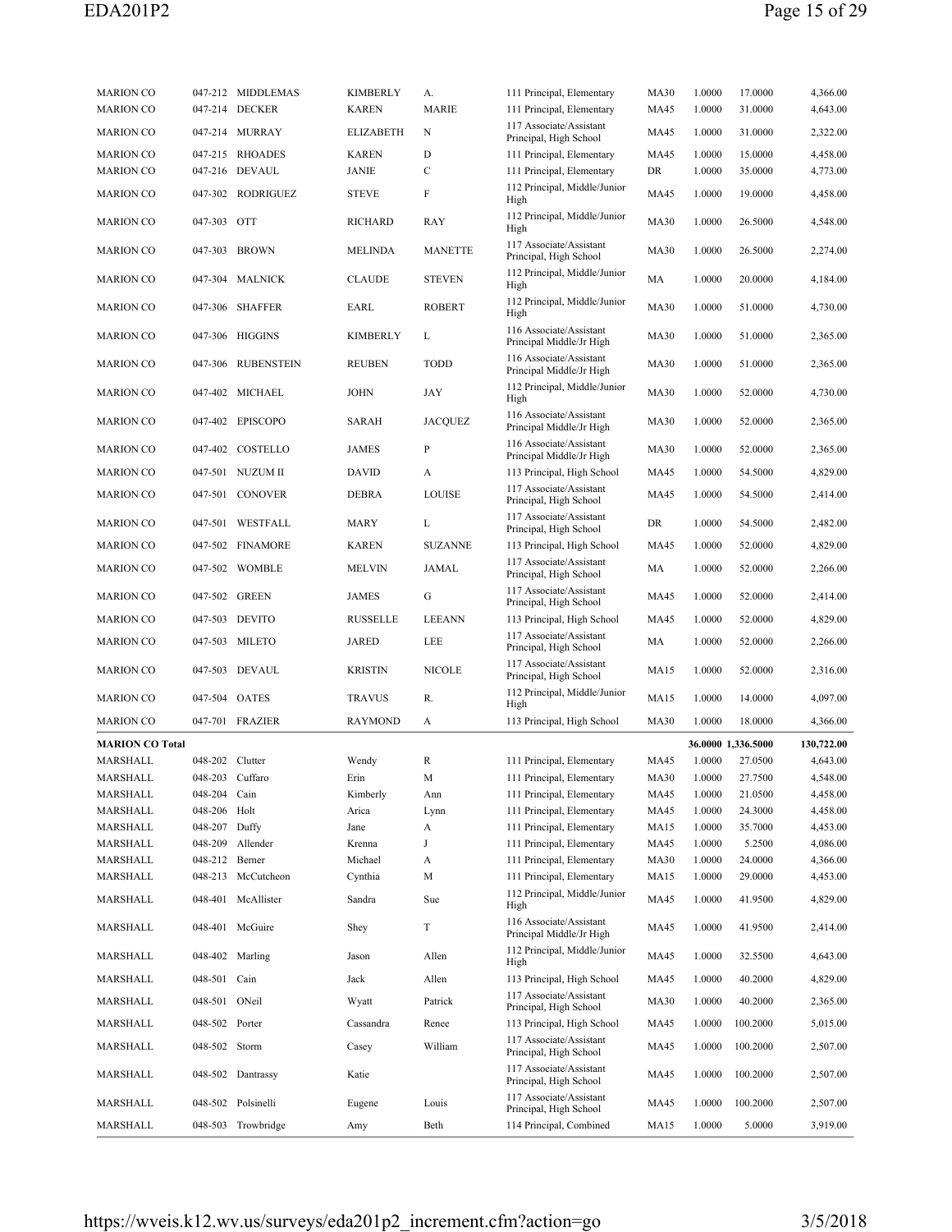| <b>MARION CO</b>       |                 | 047-212 MIDDLEMAS  | KIMBERLY          | А.             | 111 Principal, Elementary                              | <b>MA30</b>  | 1.0000           | 17.0000            | 4,366.00             |
|------------------------|-----------------|--------------------|-------------------|----------------|--------------------------------------------------------|--------------|------------------|--------------------|----------------------|
| <b>MARION CO</b>       |                 | 047-214 DECKER     | <b>KAREN</b>      | <b>MARIE</b>   | 111 Principal, Elementary<br>117 Associate/Assistant   | MA45         | 1.0000           | 31.0000            | 4,643.00             |
| <b>MARION CO</b>       |                 | 047-214 MURRAY     | ELIZABETH         | N              | Principal, High School                                 | MA45         | 1.0000           | 31.0000            | 2,322.00             |
| <b>MARION CO</b>       |                 | 047-215 RHOADES    | <b>KAREN</b>      | D              | 111 Principal, Elementary                              | MA45         | 1.0000           | 15.0000            | 4,458.00             |
| <b>MARION CO</b>       |                 | 047-216 DEVAUL     | JANIE             | C              | 111 Principal, Elementary                              | DR           | 1.0000           | 35.0000            | 4,773.00             |
| <b>MARION CO</b>       |                 | 047-302 RODRIGUEZ  | <b>STEVE</b>      | F              | 112 Principal, Middle/Junior<br>High                   | MA45         | 1.0000           | 19.0000            | 4,458.00             |
| <b>MARION CO</b>       | 047-303 OTT     |                    | RICHARD           | RAY            | 112 Principal, Middle/Junior<br>High                   | <b>MA30</b>  | 1.0000           | 26.5000            | 4,548.00             |
| <b>MARION CO</b>       |                 | 047-303 BROWN      | MELINDA           | <b>MANETTE</b> | 117 Associate/Assistant<br>Principal, High School      | <b>MA30</b>  | 1.0000           | 26.5000            | 2,274.00             |
| <b>MARION CO</b>       |                 | 047-304 MALNICK    | <b>CLAUDE</b>     | <b>STEVEN</b>  | 112 Principal, Middle/Junior<br>High                   | MA           | 1.0000           | 20.0000            | 4,184.00             |
| <b>MARION CO</b>       |                 | 047-306 SHAFFER    | EARL              | <b>ROBERT</b>  | 112 Principal, Middle/Junior<br>High                   | <b>MA30</b>  | 1.0000           | 51.0000            | 4,730.00             |
| <b>MARION CO</b>       |                 | 047-306 HIGGINS    | <b>KIMBERLY</b>   | L              | 116 Associate/Assistant<br>Principal Middle/Jr High    | <b>MA30</b>  | 1.0000           | 51.0000            | 2,365.00             |
| <b>MARION CO</b>       |                 | 047-306 RUBENSTEIN | <b>REUBEN</b>     | TODD           | 116 Associate/Assistant<br>Principal Middle/Jr High    | <b>MA30</b>  | 1.0000           | 51.0000            | 2,365.00             |
| <b>MARION CO</b>       |                 | 047-402 MICHAEL    | JOHN              | JAY            | 112 Principal, Middle/Junior<br>High                   | <b>MA30</b>  | 1.0000           | 52.0000            | 4,730.00             |
| <b>MARION CO</b>       |                 | 047-402 EPISCOPO   | <b>SARAH</b>      | <b>JACOUEZ</b> | 116 Associate/Assistant<br>Principal Middle/Jr High    | <b>MA30</b>  | 1.0000           | 52.0000            | 2,365.00             |
| <b>MARION CO</b>       |                 | 047-402 COSTELLO   | <b>JAMES</b>      | P              | 116 Associate/Assistant<br>Principal Middle/Jr High    | <b>MA30</b>  | 1.0000           | 52.0000            | 2,365.00             |
| <b>MARION CO</b>       |                 | 047-501 NUZUM II   | <b>DAVID</b>      | А              | 113 Principal, High School                             | MA45         | 1.0000           | 54.5000            | 4,829.00             |
| <b>MARION CO</b>       |                 | 047-501 CONOVER    | DEBRA             | <b>LOUISE</b>  | 117 Associate/Assistant<br>Principal, High School      | MA45         | 1.0000           | 54.5000            | 2,414.00             |
| <b>MARION CO</b>       |                 | 047-501 WESTFALL   | MARY              | L              | 117 Associate/Assistant<br>Principal, High School      | DR           | 1.0000           | 54.5000            | 2,482.00             |
| <b>MARION CO</b>       |                 | 047-502 FINAMORE   | <b>KAREN</b>      | <b>SUZANNE</b> | 113 Principal, High School                             | MA45         | 1.0000           | 52.0000            | 4,829.00             |
| <b>MARION CO</b>       |                 | 047-502 WOMBLE     | MELVIN            | JAMAL          | 117 Associate/Assistant<br>Principal, High School      | MA           | 1.0000           | 52.0000            | 2,266.00             |
| <b>MARION CO</b>       |                 | 047-502 GREEN      | <b>JAMES</b>      | G              | 117 Associate/Assistant<br>Principal, High School      | MA45         | 1.0000           | 52.0000            | 2,414.00             |
| <b>MARION CO</b>       |                 | 047-503 DEVITO     | <b>RUSSELLE</b>   | <b>LEEANN</b>  | 113 Principal, High School                             | MA45         | 1.0000           | 52.0000            | 4,829.00             |
| <b>MARION CO</b>       |                 | 047-503 MILETO     | JARED             | LEE            | 117 Associate/Assistant<br>Principal, High School      | MA           | 1.0000           | 52.0000            | 2,266.00             |
| <b>MARION CO</b>       |                 | 047-503 DEVAUL     | <b>KRISTIN</b>    | <b>NICOLE</b>  | 117 Associate/Assistant<br>Principal, High School      | MA15         | 1.0000           | 52.0000            | 2,316.00             |
| <b>MARION CO</b>       |                 | 047-504 OATES      | <b>TRAVUS</b>     | R.             | 112 Principal, Middle/Junior<br>High                   | <b>MA15</b>  | 1.0000           | 14.0000            | 4,097.00             |
| <b>MARION CO</b>       |                 | 047-701 FRAZIER    | <b>RAYMOND</b>    | A              | 113 Principal, High School                             | <b>MA30</b>  | 1.0000           | 18.0000            | 4,366.00             |
| <b>MARION CO Total</b> |                 |                    |                   |                |                                                        |              |                  | 36.0000 1,336.5000 | 130,722.00           |
| MARSHALL               | 048-202 Clutter |                    | Wendy             | R              | 111 Principal, Elementary                              | <b>MA45</b>  | 1.0000           | 27.0500            | 4,643.00             |
| MARSHALL               |                 | 048-203 Cuffaro    | Erin              | M              | 111 Principal, Elementary                              | MA30         | 1.0000           | 27.7500            | 4,548.00             |
| MARSHALL               | 048-204 Cain    |                    | Kimberly          | Ann            | 111 Principal, Elementary                              | MA45         | 1.0000           | 21.0500            | 4,458.00             |
| MARSHALL               | 048-206 Holt    |                    | Arica             | Lynn           | 111 Principal, Elementary<br>111 Principal, Elementary | MA45         | 1.0000           | 24.3000            | 4,458.00             |
| MARSHALL<br>MARSHALL   | 048-207 Duffy   |                    | Jane              | A<br>J         |                                                        | MA15<br>MA45 | 1.0000           | 35.7000            | 4,453.00<br>4,086.00 |
| MARSHALL               | 048-212 Berner  | 048-209 Allender   | Krenna<br>Michael | A              | 111 Principal, Elementary<br>111 Principal, Elementary | <b>MA30</b>  | 1.0000<br>1.0000 | 5.2500<br>24.0000  | 4,366.00             |
| MARSHALL               |                 | 048-213 McCutcheon | Cynthia           | М              | 111 Principal, Elementary                              | MA15         | 1.0000           | 29.0000            | 4,453.00             |
| MARSHALL               |                 | 048-401 McAllister | Sandra            | Sue            | 112 Principal, Middle/Junior<br>High                   | MA45         | 1.0000           | 41.9500            | 4,829.00             |
| MARSHALL               |                 | 048-401 McGuire    | Shey              | T              | 116 Associate/Assistant<br>Principal Middle/Jr High    | MA45         | 1.0000           | 41.9500            | 2,414.00             |
| MARSHALL               |                 | 048-402 Marling    | Jason             | Allen          | 112 Principal, Middle/Junior<br>High                   | MA45         | 1.0000           | 32.5500            | 4,643.00             |
| MARSHALL               | 048-501 Cain    |                    | Jack              | Allen          | 113 Principal, High School                             | MA45         | 1.0000           | 40.2000            | 4,829.00             |
| MARSHALL               | 048-501 ONeil   |                    | Wyatt             | Patrick        | 117 Associate/Assistant<br>Principal, High School      | <b>MA30</b>  | 1.0000           | 40.2000            | 2,365.00             |
| MARSHALL               | 048-502 Porter  |                    | Cassandra         | Renee          | 113 Principal, High School                             | MA45         | 1.0000           | 100.2000           | 5,015.00             |
| MARSHALL               | 048-502 Storm   |                    | Casey             | William        | 117 Associate/Assistant<br>Principal, High School      | MA45         | 1.0000           | 100.2000           | 2,507.00             |
| MARSHALL               |                 | 048-502 Dantrassy  | Katie             |                | 117 Associate/Assistant<br>Principal, High School      | MA45         | 1.0000           | 100.2000           | 2,507.00             |
| MARSHALL               |                 | 048-502 Polsinelli | Eugene            | Louis          | 117 Associate/Assistant<br>Principal, High School      | MA45         | 1.0000           | 100.2000           | 2,507.00             |
| MARSHALL               |                 | 048-503 Trowbridge | Amy               | Beth           | 114 Principal, Combined                                | MA15         | 1.0000           | 5.0000             | 3,919.00             |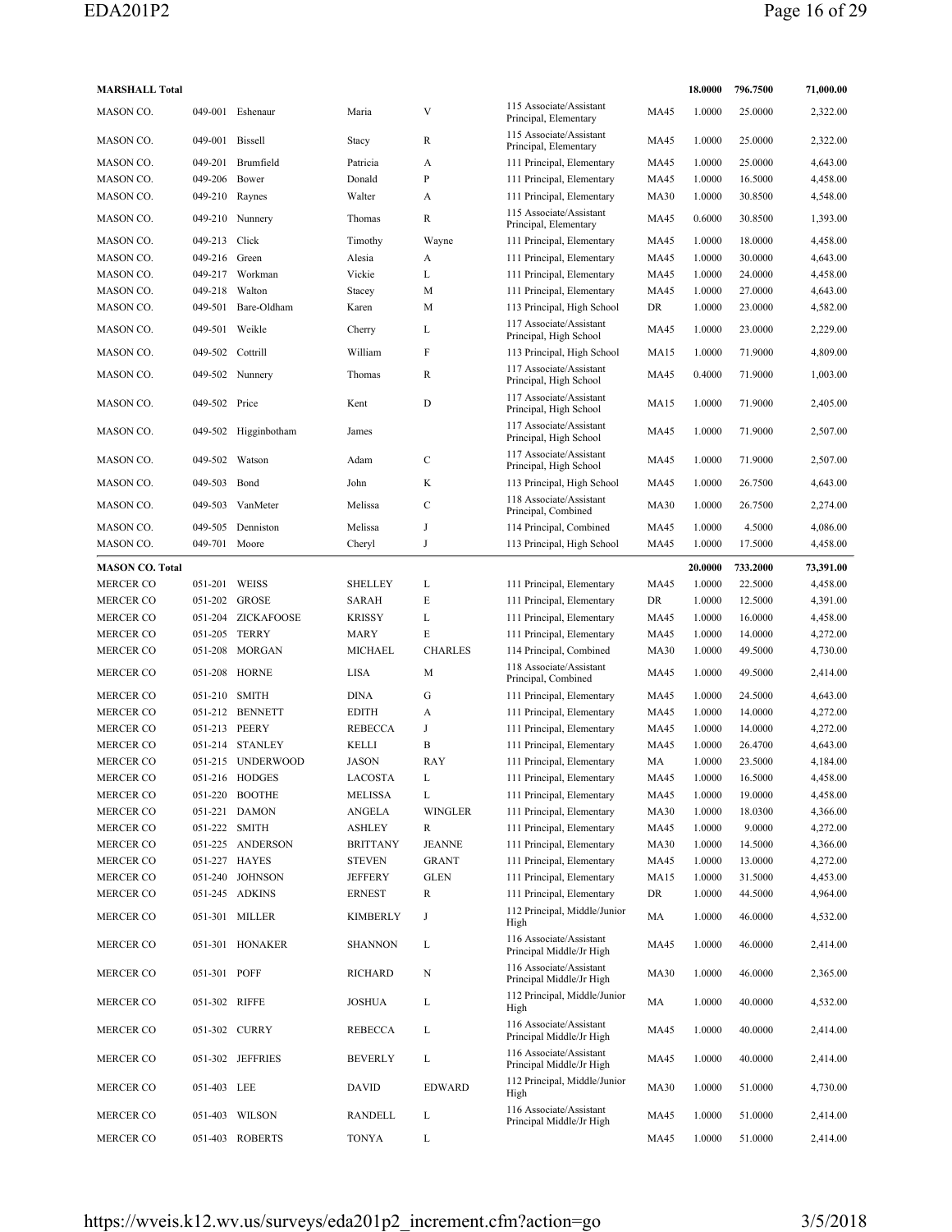| <b>MARSHALL Total</b>  |                |                      |                           |                |                                                           |             | 18.0000          | 796.7500 | 71,000.00 |
|------------------------|----------------|----------------------|---------------------------|----------------|-----------------------------------------------------------|-------------|------------------|----------|-----------|
| MASON CO.              | 049-001        | Eshenaur             | Maria                     | V              | 115 Associate/Assistant<br>Principal, Elementary          | <b>MA45</b> | 1.0000           | 25.0000  | 2,322.00  |
| MASON CO.              | 049-001        | Bissell              | Stacy                     | R              | 115 Associate/Assistant<br>Principal, Elementary          | <b>MA45</b> | 1.0000           | 25.0000  | 2,322.00  |
| MASON CO.              | 049-201        | Brumfield            | Patricia                  | A              | 111 Principal, Elementary                                 | MA45        | 1.0000           | 25.0000  | 4,643.00  |
| MASON CO.              | 049-206        | Bower                | Donald                    | P              | 111 Principal, Elementary                                 | MA45        | 1.0000           | 16.5000  | 4,458.00  |
| MASON CO.              | 049-210        | Raynes               | Walter                    | A              | 111 Principal, Elementary                                 | <b>MA30</b> | 1.0000           | 30.8500  | 4,548.00  |
| MASON CO.              |                | 049-210 Nunnery      | Thomas                    | R              | 115 Associate/Assistant<br>Principal, Elementary          | <b>MA45</b> | 0.6000           | 30.8500  | 1,393.00  |
| MASON CO.              | 049-213        | Click                | Timothy                   | Wayne          | 111 Principal, Elementary                                 | MA45        | 1.0000           | 18.0000  | 4,458.00  |
| MASON CO.              | 049-216 Green  |                      | Alesia                    | A              | 111 Principal, Elementary                                 | <b>MA45</b> | 1.0000           | 30.0000  | 4,643.00  |
| MASON CO.              |                | 049-217 Workman      | Vickie                    | L              | 111 Principal, Elementary                                 | MA45        | 1.0000           | 24.0000  | 4,458.00  |
| MASON CO.              | 049-218        | Walton               | Stacey                    | M              | 111 Principal, Elementary                                 | MA45        | 1.0000           | 27.0000  | 4,643.00  |
| MASON CO.              | 049-501        | Bare-Oldham          | Karen                     | M              | 113 Principal, High School                                | DR          | 1.0000           | 23.0000  | 4,582.00  |
| MASON CO.              | 049-501 Weikle |                      | Cherry                    | L              | 117 Associate/Assistant<br>Principal, High School         | <b>MA45</b> | 1.0000           | 23.0000  | 2,229.00  |
| MASON CO.              | 049-502        | Cottrill             | William                   | F              | 113 Principal, High School                                | MA15        | 1.0000           | 71.9000  | 4,809.00  |
| MASON CO.              |                | 049-502 Nunnery      | Thomas                    | R              | 117 Associate/Assistant<br>Principal, High School         | MA45        | 0.4000           | 71.9000  | 1,003.00  |
| MASON CO.              | 049-502 Price  |                      | Kent                      | D              | 117 Associate/Assistant<br>Principal, High School         | <b>MA15</b> | 1.0000           | 71.9000  | 2,405.00  |
| MASON CO.              |                | 049-502 Higginbotham | James                     |                | 117 Associate/Assistant                                   | MA45        | 1.0000           | 71.9000  | 2,507.00  |
| MASON CO.              | 049-502        | Watson               | Adam                      | C              | Principal, High School<br>117 Associate/Assistant         | <b>MA45</b> | 1.0000           | 71.9000  | 2,507.00  |
|                        |                |                      |                           |                | Principal, High School                                    |             |                  |          |           |
| MASON CO.              | 049-503        | Bond                 | John                      | K              | 113 Principal, High School<br>118 Associate/Assistant     | MA45        | 1.0000           | 26.7500  | 4,643.00  |
| MASON CO.              | 049-503        | VanMeter             | Melissa                   | $\mathbf C$    | Principal, Combined                                       | <b>MA30</b> | 1.0000           | 26.7500  | 2,274.00  |
| MASON CO.              |                | 049-505 Denniston    | Melissa                   | J              | 114 Principal, Combined                                   | <b>MA45</b> | 1.0000           | 4.5000   | 4,086.00  |
| MASON CO.              | 049-701 Moore  |                      | Cheryl                    | J              | 113 Principal, High School                                | <b>MA45</b> | 1.0000           | 17.5000  | 4,458.00  |
| <b>MASON CO. Total</b> |                |                      |                           |                |                                                           |             | 20.0000          | 733.2000 | 73,391.00 |
| <b>MERCER CO</b>       | 051-201 WEISS  |                      | <b>SHELLEY</b>            | L              | 111 Principal, Elementary                                 | <b>MA45</b> | 1.0000           | 22.5000  | 4,458.00  |
| <b>MERCER CO</b>       | 051-202        | GROSE                | SARAH                     | E              | 111 Principal, Elementary                                 | DR          | 1.0000           | 12.5000  | 4,391.00  |
| <b>MERCER CO</b>       | 051-204        | <b>ZICKAFOOSE</b>    | <b>KRISSY</b>             | L              | 111 Principal, Elementary                                 | <b>MA45</b> | 1.0000           | 16.0000  | 4,458.00  |
| <b>MERCER CO</b>       | 051-205        | <b>TERRY</b>         | <b>MARY</b>               | Е              | 111 Principal, Elementary                                 | <b>MA45</b> | 1.0000           | 14.0000  | 4,272.00  |
| <b>MERCER CO</b>       | 051-208        | MORGAN               | MICHAEL                   | <b>CHARLES</b> | 114 Principal, Combined                                   | <b>MA30</b> | 1.0000           | 49.5000  | 4,730.00  |
| <b>MERCER CO</b>       |                | 051-208 HORNE        | LISA                      | M              | 118 Associate/Assistant<br>Principal, Combined            | <b>MA45</b> | 1.0000           | 49.5000  | 2,414.00  |
| <b>MERCER CO</b>       | 051-210 SMITH  |                      | <b>DINA</b>               | G              | 111 Principal, Elementary                                 | MA45        | 1.0000           | 24.5000  | 4,643.00  |
| <b>MERCER CO</b>       |                | 051-212 BENNETT      | <b>EDITH</b>              | A              | 111 Principal, Elementary                                 | <b>MA45</b> | 1.0000           | 14.0000  | 4,272.00  |
| <b>MERCER CO</b>       | 051-213 PEERY  |                      | <b>REBECCA</b>            | $_{\rm J}$     | 111 Principal, Elementary                                 | <b>MA45</b> | 1.0000           | 14.0000  | 4,272.00  |
| <b>MERCER CO</b>       |                | 051-214 STANLEY      | KELLI                     | B              | 111 Principal, Elementary                                 | <b>MA45</b> | 1.0000           | 26.4700  | 4,643.00  |
| <b>MERCER CO</b>       |                | 051-215 UNDERWOOD    | JASON                     | RAY            | 111 Principal, Elementary                                 | MA          | 1.0000           | 23.5000  | 4,184.00  |
| <b>MERCER CO</b>       |                | 051-216 HODGES       | <b>LACOSTA</b>            | L              | 111 Principal, Elementary                                 | <b>MA45</b> | 1.0000           | 16.5000  | 4,458.00  |
| <b>MERCER CO</b>       |                | 051-220 BOOTHE       | <b>MELISSA</b>            | L              | 111 Principal, Elementary                                 | <b>MA45</b> | 1.0000           | 19.0000  | 4,458.00  |
| <b>MERCER CO</b>       | 051-221        | <b>DAMON</b>         | ANGELA                    | <b>WINGLER</b> | 111 Principal, Elementary                                 | <b>MA30</b> | 1.0000           | 18.0300  | 4,366.00  |
| MERCER CO              | 051-222 SMITH  |                      | ASHLEY                    | R              | 111 Principal, Elementary                                 | <b>MA45</b> | 1.0000           | 9.0000   | 4,272.00  |
| MERCER CO              |                | 051-225 ANDERSON     | <b>BRITTANY</b>           | <b>JEANNE</b>  | 111 Principal, Elementary                                 | <b>MA30</b> | 1.0000           | 14.5000  | 4,366.00  |
| MERCER CO              |                | 051-227 HAYES        | <b>STEVEN</b>             | <b>GRANT</b>   | 111 Principal, Elementary                                 | <b>MA45</b> | 1.0000           | 13.0000  | 4,272.00  |
| <b>MERCER CO</b>       |                | 051-240 JOHNSON      | <b>JEFFERY</b>            | <b>GLEN</b>    | 111 Principal, Elementary                                 | <b>MA15</b> | 1.0000           | 31.5000  | 4,453.00  |
| MERCER CO              |                | 051-245 ADKINS       |                           | R              |                                                           | DR          |                  | 44.5000  | 4,964.00  |
| MERCER CO              |                | 051-301 MILLER       | ERNEST<br><b>KIMBERLY</b> | J              | 111 Principal, Elementary<br>112 Principal, Middle/Junior | MA          | 1.0000<br>1.0000 | 46.0000  | 4,532.00  |
| MERCER CO              |                | 051-301 HONAKER      | <b>SHANNON</b>            | L              | High<br>116 Associate/Assistant                           | MA45        | 1.0000           | 46.0000  | 2,414.00  |
| MERCER CO              | 051-301 POFF   |                      | RICHARD                   | Ν              | Principal Middle/Jr High<br>116 Associate/Assistant       | <b>MA30</b> | 1.0000           | 46.0000  | 2,365.00  |
|                        |                |                      |                           |                | Principal Middle/Jr High<br>112 Principal, Middle/Junior  |             |                  |          |           |
| MERCER CO              | 051-302 RIFFE  |                      | JOSHUA                    | L              | High<br>116 Associate/Assistant                           | MA          | 1.0000           | 40.0000  | 4,532.00  |
| MERCER CO              |                | 051-302 CURRY        | REBECCA                   | L              | Principal Middle/Jr High<br>116 Associate/Assistant       | MA45        | 1.0000           | 40.0000  | 2,414.00  |
| <b>MERCER CO</b>       |                | 051-302 JEFFRIES     | <b>BEVERLY</b>            | L              | Principal Middle/Jr High                                  | <b>MA45</b> | 1.0000           | 40.0000  | 2,414.00  |
| MERCER CO              | 051-403 LEE    |                      | DAVID                     | <b>EDWARD</b>  | 112 Principal, Middle/Junior<br>High                      | <b>MA30</b> | 1.0000           | 51.0000  | 4,730.00  |
| MERCER CO              |                | 051-403 WILSON       | RANDELL                   | L              | 116 Associate/Assistant<br>Principal Middle/Jr High       | <b>MA45</b> | 1.0000           | 51.0000  | 2,414.00  |
| <b>MERCER CO</b>       |                | 051-403 ROBERTS      | <b>TONYA</b>              | L              |                                                           | <b>MA45</b> | 1.0000           | 51.0000  | 2,414.00  |
|                        |                |                      |                           |                |                                                           |             |                  |          |           |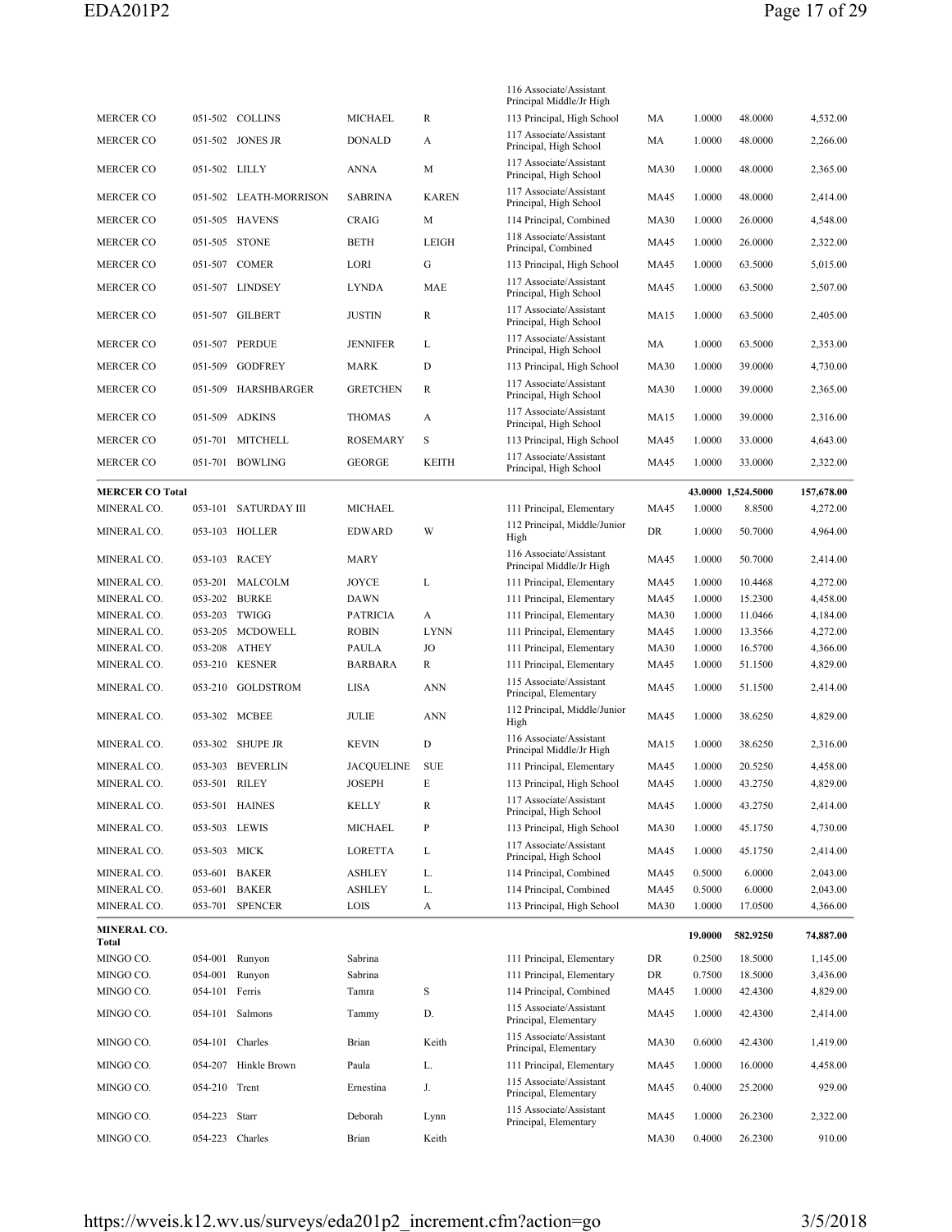|                             |                 |                      |                   |              | 116 Associate/Assistant                                |             |         |                    |            |
|-----------------------------|-----------------|----------------------|-------------------|--------------|--------------------------------------------------------|-------------|---------|--------------------|------------|
| MERCER CO                   |                 | 051-502 COLLINS      | MICHAEL           | R            | Principal Middle/Jr High<br>113 Principal, High School | MA          | 1.0000  | 48.0000            | 4,532.00   |
| <b>MERCER CO</b>            | 051-502         | JONES JR             | <b>DONALD</b>     | A            | 117 Associate/Assistant<br>Principal, High School      | MA          | 1.0000  | 48.0000            | 2,266.00   |
| MERCER CO                   | 051-502 LILLY   |                      | <b>ANNA</b>       | M            | 117 Associate/Assistant<br>Principal, High School      | <b>MA30</b> | 1.0000  | 48.0000            | 2,365.00   |
| <b>MERCER CO</b>            | 051-502         | LEATH-MORRISON       | <b>SABRINA</b>    | <b>KAREN</b> | 117 Associate/Assistant<br>Principal, High School      | MA45        | 1.0000  | 48.0000            | 2,414.00   |
| <b>MERCER CO</b>            |                 | 051-505 HAVENS       | CRAIG             | M            | 114 Principal, Combined                                | <b>MA30</b> | 1.0000  | 26.0000            | 4,548.00   |
| <b>MERCER CO</b>            |                 | 051-505 STONE        | <b>BETH</b>       | LEIGH        | 118 Associate/Assistant<br>Principal, Combined         | <b>MA45</b> | 1.0000  | 26.0000            | 2,322.00   |
| MERCER CO                   |                 | 051-507 COMER        | LORI              | G            | 113 Principal, High School                             | <b>MA45</b> | 1.0000  | 63.5000            | 5,015.00   |
| <b>MERCER CO</b>            |                 | 051-507 LINDSEY      | <b>LYNDA</b>      | MAE          | 117 Associate/Assistant<br>Principal, High School      | <b>MA45</b> | 1.0000  | 63.5000            | 2,507.00   |
| MERCER CO                   |                 | 051-507 GILBERT      | <b>JUSTIN</b>     | R            | 117 Associate/Assistant<br>Principal, High School      | <b>MA15</b> | 1.0000  | 63.5000            | 2,405.00   |
| <b>MERCER CO</b>            |                 | 051-507 PERDUE       | <b>JENNIFER</b>   | L            | 117 Associate/Assistant<br>Principal, High School      | MA          | 1.0000  | 63.5000            | 2,353.00   |
| <b>MERCER CO</b>            | 051-509         | <b>GODFREY</b>       | <b>MARK</b>       | D            | 113 Principal, High School                             | <b>MA30</b> | 1.0000  | 39.0000            | 4,730.00   |
| MERCER CO                   | 051-509         | HARSHBARGER          | <b>GRETCHEN</b>   | R            | 117 Associate/Assistant<br>Principal, High School      | <b>MA30</b> | 1.0000  | 39.0000            | 2,365.00   |
| <b>MERCER CO</b>            | 051-509         | ADKINS               | <b>THOMAS</b>     | A            | 117 Associate/Assistant<br>Principal, High School      | <b>MA15</b> | 1.0000  | 39.0000            | 2,316.00   |
| <b>MERCER CO</b>            | 051-701         | MITCHELL             | <b>ROSEMARY</b>   | S            | 113 Principal, High School                             | MA45        | 1.0000  | 33.0000            | 4,643.00   |
| MERCER CO                   |                 | 051-701 BOWLING      | <b>GEORGE</b>     | <b>KEITH</b> | 117 Associate/Assistant                                | <b>MA45</b> | 1.0000  | 33.0000            | 2,322.00   |
|                             |                 |                      |                   |              | Principal, High School                                 |             |         |                    |            |
| <b>MERCER CO Total</b>      |                 |                      |                   |              |                                                        |             |         | 43.0000 1,524.5000 | 157,678.00 |
| MINERAL CO.                 | 053-101         | <b>SATURDAY III</b>  | <b>MICHAEL</b>    |              | 111 Principal, Elementary                              | <b>MA45</b> | 1.0000  | 8.8500             | 4,272.00   |
| MINERAL CO.                 |                 | 053-103 HOLLER       | <b>EDWARD</b>     | W            | 112 Principal, Middle/Junior<br>High                   | DR          | 1.0000  | 50.7000            | 4,964.00   |
| MINERAL CO.                 |                 | 053-103 RACEY        | <b>MARY</b>       |              | 116 Associate/Assistant<br>Principal Middle/Jr High    | <b>MA45</b> | 1.0000  | 50.7000            | 2,414.00   |
| MINERAL CO.                 |                 | 053-201 MALCOLM      | JOYCE             | L            | 111 Principal, Elementary                              | MA45        | 1.0000  | 10.4468            | 4,272.00   |
| MINERAL CO.                 |                 | 053-202 BURKE        | <b>DAWN</b>       |              | 111 Principal, Elementary                              | <b>MA45</b> | 1.0000  | 15.2300            | 4,458.00   |
| MINERAL CO.                 | 053-203         | TWIGG                | <b>PATRICIA</b>   | A            | 111 Principal, Elementary                              | <b>MA30</b> | 1.0000  | 11.0466            | 4,184.00   |
| MINERAL CO.                 |                 | 053-205 MCDOWELL     | <b>ROBIN</b>      | <b>LYNN</b>  | 111 Principal, Elementary                              | MA45        | 1.0000  | 13.3566            | 4,272.00   |
| MINERAL CO.                 | 053-208         | <b>ATHEY</b>         | <b>PAULA</b>      | JO           | 111 Principal, Elementary                              | <b>MA30</b> | 1.0000  | 16.5700            | 4,366.00   |
| MINERAL CO.                 |                 | 053-210 KESNER       | <b>BARBARA</b>    | R            | 111 Principal, Elementary                              | MA45        | 1.0000  | 51.1500            | 4,829.00   |
| MINERAL CO.                 |                 | 053-210 GOLDSTROM    | LISA              | ANN          | 115 Associate/Assistant<br>Principal, Elementary       | <b>MA45</b> | 1.0000  | 51.1500            | 2,414.00   |
| MINERAL CO.                 |                 | 053-302 MCBEE        | JULIE             | ANN          | 112 Principal, Middle/Junior<br>High                   | <b>MA45</b> | 1.0000  | 38.6250            | 4,829.00   |
| MINERAL CO.                 |                 | 053-302 SHUPE JR     | <b>KEVIN</b>      | D            | 116 Associate/Assistant<br>Principal Middle/Jr High    | <b>MA15</b> | 1.0000  | 38.6250            | 2,316.00   |
| MINERAL CO.                 |                 | 053-303 BEVERLIN     | <b>JACOUELINE</b> | <b>SUE</b>   | 111 Principal, Elementary                              | <b>MA45</b> | 1.0000  | 20.5250            | 4,458.00   |
| MINERAL CO.                 | 053-501 RILEY   |                      | JOSEPH            | Е            | 113 Principal, High School                             | MA45        | 1.0000  | 43.2750            | 4,829.00   |
| MINERAL CO.                 |                 | 053-501 HAINES       | KELLY             | R            | 117 Associate/Assistant<br>Principal, High School      | MA45        | 1.0000  | 43.2750            | 2,414.00   |
| MINERAL CO.                 | 053-503 LEWIS   |                      | MICHAEL           | P            | 113 Principal, High School                             | <b>MA30</b> | 1.0000  | 45.1750            | 4,730.00   |
| MINERAL CO.                 | 053-503 MICK    |                      | LORETTA           | L            | 117 Associate/Assistant<br>Principal, High School      | MA45        | 1.0000  | 45.1750            | 2,414.00   |
| MINERAL CO.                 | 053-601         | BAKER                | <b>ASHLEY</b>     | L.           | 114 Principal, Combined                                | MA45        | 0.5000  | 6.0000             | 2,043.00   |
| MINERAL CO.                 | 053-601         | <b>BAKER</b>         | <b>ASHLEY</b>     | L.           | 114 Principal, Combined                                | <b>MA45</b> | 0.5000  | 6.0000             | 2,043.00   |
| MINERAL CO.                 | 053-701         | <b>SPENCER</b>       | LOIS              | A            | 113 Principal, High School                             | <b>MA30</b> | 1.0000  | 17.0500            | 4,366.00   |
| <b>MINERAL CO.</b><br>Total |                 |                      |                   |              |                                                        |             | 19.0000 | 582.9250           | 74,887.00  |
| MINGO CO.                   | 054-001 Runyon  |                      | Sabrina           |              | 111 Principal, Elementary                              | DR          | 0.2500  | 18.5000            | 1,145.00   |
| MINGO CO.                   | 054-001         | Runyon               | Sabrina           |              | 111 Principal, Elementary                              | DR          | 0.7500  | 18.5000            | 3,436.00   |
| MINGO CO.                   | 054-101 Ferris  |                      | Tamra             | $\mathbf S$  | 114 Principal, Combined                                | MA45        | 1.0000  | 42.4300            | 4,829.00   |
| MINGO CO.                   |                 | 054-101 Salmons      | Tammy             | D.           | 115 Associate/Assistant<br>Principal, Elementary       | MA45        | 1.0000  | 42.4300            | 2,414.00   |
| MINGO CO.                   | 054-101 Charles |                      | Brian             | Keith        | 115 Associate/Assistant<br>Principal, Elementary       | <b>MA30</b> | 0.6000  | 42.4300            | 1,419.00   |
| MINGO CO.                   |                 | 054-207 Hinkle Brown | Paula             | L.           | 111 Principal, Elementary                              | MA45        | 1.0000  | 16.0000            | 4,458.00   |
| MINGO CO.                   | 054-210 Trent   |                      | Ernestina         | J.           | 115 Associate/Assistant<br>Principal, Elementary       | MA45        | 0.4000  | 25.2000            | 929.00     |
| MINGO CO.                   | 054-223         | Starr                | Deborah           | Lynn         | 115 Associate/Assistant<br>Principal, Elementary       | MA45        | 1.0000  | 26.2300            | 2,322.00   |
| MINGO CO.                   | 054-223 Charles |                      | Brian             | Keith        |                                                        | <b>MA30</b> | 0.4000  | 26.2300            | 910.00     |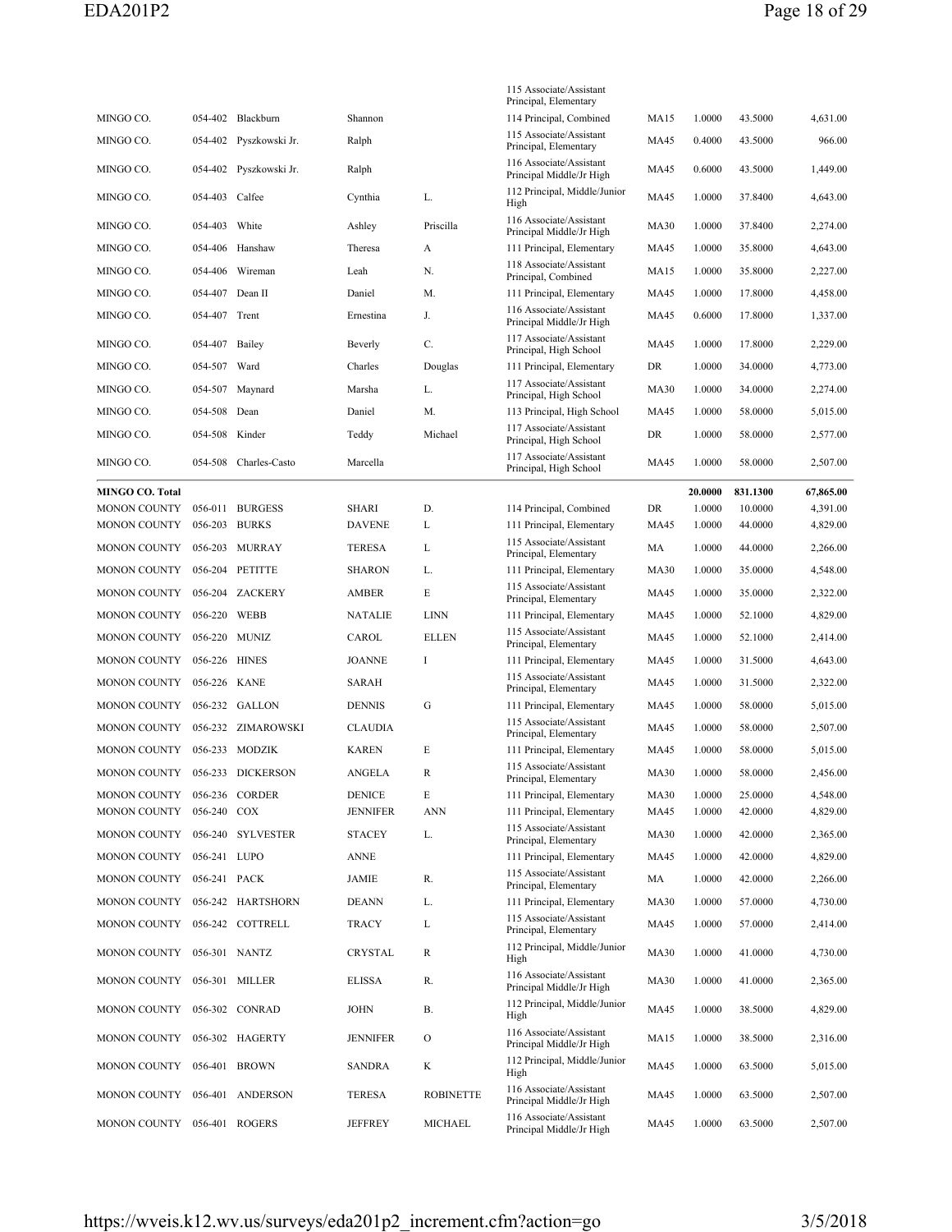|                                            |                    |                                |                        |                  | 115 Associate/Assistant<br>Principal, Elementary     |                   |                  |                    |                      |
|--------------------------------------------|--------------------|--------------------------------|------------------------|------------------|------------------------------------------------------|-------------------|------------------|--------------------|----------------------|
| MINGO CO.                                  |                    | 054-402 Blackburn              | Shannon                |                  | 114 Principal, Combined                              | MA15              | 1.0000           | 43.5000            | 4,631.00             |
| MINGO CO.                                  | 054-402            | Pyszkowski Jr.                 | Ralph                  |                  | 115 Associate/Assistant<br>Principal, Elementary     | <b>MA45</b>       | 0.4000           | 43.5000            | 966.00               |
| MINGO CO.                                  | 054-402            | Pyszkowski Jr.                 | Ralph                  |                  | 116 Associate/Assistant<br>Principal Middle/Jr High  | MA45              | 0.6000           | 43.5000            | 1,449.00             |
| MINGO CO.                                  | 054-403            | Calfee                         | Cynthia                | L.               | 112 Principal, Middle/Junior<br>High                 | MA45              | 1.0000           | 37.8400            | 4,643.00             |
| MINGO CO.                                  | 054-403            | White                          | Ashley                 | Priscilla        | 116 Associate/Assistant<br>Principal Middle/Jr High  | <b>MA30</b>       | 1.0000           | 37.8400            | 2,274.00             |
| MINGO CO.                                  | 054-406            | Hanshaw                        | Theresa                | A                | 111 Principal, Elementary                            | MA45              | 1.0000           | 35.8000            | 4,643.00             |
| MINGO CO.                                  | 054-406            | Wireman                        | Leah                   | N.               | 118 Associate/Assistant<br>Principal, Combined       | <b>MA15</b>       | 1.0000           | 35.8000            | 2,227.00             |
| MINGO CO.                                  | 054-407            | Dean II                        | Daniel                 | M.               | 111 Principal, Elementary                            | <b>MA45</b>       | 1.0000           | 17.8000            | 4,458.00             |
| MINGO CO.                                  | 054-407 Trent      |                                | Ernestina              | J.               | 116 Associate/Assistant<br>Principal Middle/Jr High  | <b>MA45</b>       | 0.6000           | 17.8000            | 1,337.00             |
| MINGO CO.                                  | 054-407            | Bailey                         | Beverly                | C.               | 117 Associate/Assistant<br>Principal, High School    | <b>MA45</b>       | 1.0000           | 17.8000            | 2,229.00             |
| MINGO CO.                                  | 054-507            | Ward                           | Charles                | Douglas          | 111 Principal, Elementary                            | DR                | 1.0000           | 34.0000            | 4,773.00             |
| MINGO CO.                                  |                    | 054-507 Maynard                | Marsha                 | L.               | 117 Associate/Assistant<br>Principal, High School    | <b>MA30</b>       | 1.0000           | 34.0000            | 2,274.00             |
| MINGO CO.                                  | 054-508            | Dean                           | Daniel                 | М.               | 113 Principal, High School                           | MA45              | 1.0000           | 58.0000            | 5,015.00             |
| MINGO CO.                                  | 054-508            | Kinder                         | Teddy                  | Michael          | 117 Associate/Assistant<br>Principal, High School    | DR                | 1.0000           | 58,0000            | 2,577.00             |
| MINGO CO.                                  | 054-508            | Charles-Casto                  | Marcella               |                  | 117 Associate/Assistant                              | <b>MA45</b>       | 1.0000           | 58.0000            | 2,507.00             |
|                                            |                    |                                |                        |                  | Principal, High School                               |                   |                  |                    |                      |
| MINGO CO. Total                            |                    |                                |                        |                  |                                                      |                   | 20.0000          | 831.1300           | 67,865.00            |
| <b>MONON COUNTY</b><br><b>MONON COUNTY</b> | 056-011<br>056-203 | <b>BURGESS</b><br><b>BURKS</b> | SHARI<br><b>DAVENE</b> | D.<br>L          | 114 Principal, Combined<br>111 Principal, Elementary | DR<br><b>MA45</b> | 1.0000<br>1.0000 | 10.0000<br>44.0000 | 4,391.00<br>4,829.00 |
| <b>MONON COUNTY</b>                        |                    | 056-203 MURRAY                 | <b>TERESA</b>          | L                | 115 Associate/Assistant                              | MA                | 1.0000           | 44.0000            | 2,266.00             |
|                                            |                    |                                |                        |                  | Principal, Elementary                                |                   |                  |                    |                      |
| <b>MONON COUNTY</b>                        | 056-204            | <b>PETITTE</b>                 | <b>SHARON</b>          | L.               | 111 Principal, Elementary<br>115 Associate/Assistant | <b>MA30</b>       | 1.0000           | 35.0000            | 4,548.00             |
| <b>MONON COUNTY</b>                        | 056-204            | ZACKERY                        | <b>AMBER</b>           | Е                | Principal, Elementary                                | MA45              | 1.0000           | 35.0000            | 2,322.00             |
| <b>MONON COUNTY</b>                        | 056-220 WEBB       |                                | <b>NATALIE</b>         | <b>LINN</b>      | 111 Principal, Elementary<br>115 Associate/Assistant | MA45              | 1.0000           | 52.1000            | 4,829.00             |
| <b>MONON COUNTY</b>                        | 056-220            | MUNIZ                          | CAROL                  | <b>ELLEN</b>     | Principal, Elementary                                | MA45              | 1.0000           | 52.1000            | 2,414.00             |
| <b>MONON COUNTY</b>                        | 056-226 HINES      |                                | <b>JOANNE</b>          | Ι                | 111 Principal, Elementary                            | MA45              | 1.0000           | 31.5000            | 4,643.00             |
| <b>MONON COUNTY</b>                        | 056-226            | KANE                           | <b>SARAH</b>           |                  | 115 Associate/Assistant<br>Principal, Elementary     | MA45              | 1.0000           | 31.5000            | 2,322.00             |
| <b>MONON COUNTY</b>                        |                    | 056-232 GALLON                 | <b>DENNIS</b>          | G                | 111 Principal, Elementary                            | MA45              | 1.0000           | 58.0000            | 5,015.00             |
| <b>MONON COUNTY</b>                        |                    | 056-232 ZIMAROWSKI             | <b>CLAUDIA</b>         |                  | 115 Associate/Assistant<br>Principal, Elementary     | <b>MA45</b>       | 1.0000           | 58.0000            | 2,507.00             |
| <b>MONON COUNTY</b>                        | 056-233            | <b>MODZIK</b>                  | <b>KAREN</b>           | E                | 111 Principal, Elementary                            | MA45              | 1.0000           | 58.0000            | 5,015.00             |
| MONON COUNTY                               |                    | 056-233 DICKERSON              | ANGELA                 | $\mathbb{R}$     | 115 Associate/Assistant<br>Principal, Elementary     | <b>MA30</b>       | 1.0000           | 58.0000            | 2,456.00             |
| MONON COUNTY                               |                    | 056-236 CORDER                 | <b>DENICE</b>          | Е                | 111 Principal, Elementary                            | <b>MA30</b>       | 1.0000           | 25.0000            | 4,548.00             |
| <b>MONON COUNTY</b>                        | 056-240 COX        |                                | <b>JENNIFER</b>        | <b>ANN</b>       | 111 Principal, Elementary                            | MA45              | 1.0000           | 42.0000            | 4,829.00             |
| MONON COUNTY                               |                    | 056-240 SYLVESTER              | <b>STACEY</b>          | L.               | 115 Associate/Assistant<br>Principal, Elementary     | <b>MA30</b>       | 1.0000           | 42.0000            | 2,365.00             |
| MONON COUNTY 056-241 LUPO                  |                    |                                | <b>ANNE</b>            |                  | 111 Principal, Elementary                            | MA45              | 1.0000           | 42.0000            | 4,829.00             |
| MONON COUNTY                               | 056-241 PACK       |                                | JAMIE                  | R.               | 115 Associate/Assistant<br>Principal, Elementary     | MA                | 1.0000           | 42.0000            | 2,266.00             |
| <b>MONON COUNTY</b>                        |                    | 056-242 HARTSHORN              | <b>DEANN</b>           | L.               | 111 Principal, Elementary                            | <b>MA30</b>       | 1.0000           | 57.0000            | 4,730.00             |
| MONON COUNTY                               |                    | 056-242 COTTRELL               | <b>TRACY</b>           | L                | 115 Associate/Assistant<br>Principal, Elementary     | MA45              | 1.0000           | 57.0000            | 2,414.00             |
| MONON COUNTY 056-301 NANTZ                 |                    |                                | CRYSTAL                | R                | 112 Principal, Middle/Junior<br>High                 | <b>MA30</b>       | 1.0000           | 41.0000            | 4,730.00             |
| MONON COUNTY                               |                    | 056-301 MILLER                 | ELISSA                 | R.               | 116 Associate/Assistant<br>Principal Middle/Jr High  | <b>MA30</b>       | 1.0000           | 41.0000            | 2,365.00             |
| MONON COUNTY                               |                    | 056-302 CONRAD                 | <b>JOHN</b>            | В.               | 112 Principal, Middle/Junior<br>High                 | <b>MA45</b>       | 1.0000           | 38.5000            | 4,829.00             |
| <b>MONON COUNTY</b>                        |                    | 056-302 HAGERTY                | <b>JENNIFER</b>        | O                | 116 Associate/Assistant<br>Principal Middle/Jr High  | MA15              | 1.0000           | 38.5000            | 2,316.00             |
| <b>MONON COUNTY</b>                        |                    | 056-401 BROWN                  | SANDRA                 | K                | 112 Principal, Middle/Junior<br>High                 | <b>MA45</b>       | 1.0000           | 63.5000            | 5,015.00             |
| <b>MONON COUNTY</b>                        |                    | 056-401 ANDERSON               | <b>TERESA</b>          | <b>ROBINETTE</b> | 116 Associate/Assistant<br>Principal Middle/Jr High  | MA45              | 1.0000           | 63.5000            | 2,507.00             |
| MONON COUNTY                               |                    | 056-401 ROGERS                 | <b>JEFFREY</b>         | MICHAEL          | 116 Associate/Assistant<br>Principal Middle/Jr High  | MA45              | 1.0000           | 63.5000            | 2,507.00             |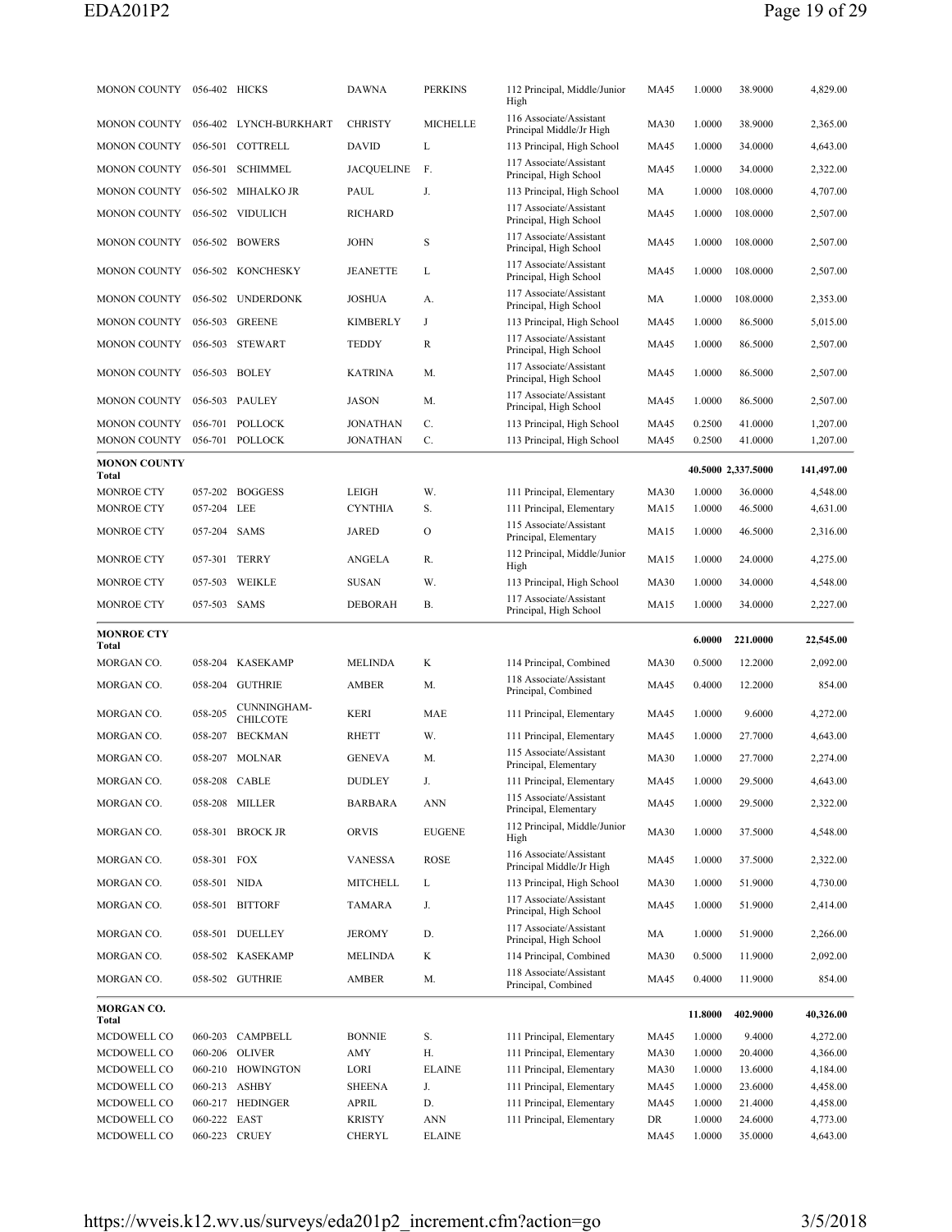|                              | MONON COUNTY 056-402 HICKS |                                | <b>DAWNA</b>            | <b>PERKINS</b>              | 112 Principal, Middle/Junior<br>High                | <b>MA45</b> | 1.0000           | 38.9000            | 4,829.00             |
|------------------------------|----------------------------|--------------------------------|-------------------------|-----------------------------|-----------------------------------------------------|-------------|------------------|--------------------|----------------------|
| <b>MONON COUNTY</b>          |                            | 056-402 LYNCH-BURKHART         | <b>CHRISTY</b>          | <b>MICHELLE</b>             | 116 Associate/Assistant<br>Principal Middle/Jr High | <b>MA30</b> | 1.0000           | 38.9000            | 2,365.00             |
| MONON COUNTY                 |                            | 056-501 COTTRELL               | <b>DAVID</b>            | L                           | 113 Principal, High School                          | <b>MA45</b> | 1.0000           | 34.0000            | 4,643.00             |
| <b>MONON COUNTY</b>          |                            | 056-501 SCHIMMEL               | <b>JACOUELINE</b>       | F.                          | 117 Associate/Assistant<br>Principal, High School   | <b>MA45</b> | 1.0000           | 34.0000            | 2,322.00             |
| <b>MONON COUNTY</b>          |                            | 056-502 MIHALKO JR             | PAUL                    | J.                          | 113 Principal, High School                          | MA          | 1.0000           | 108.0000           | 4,707.00             |
| <b>MONON COUNTY</b>          |                            | 056-502 VIDULICH               | <b>RICHARD</b>          |                             | 117 Associate/Assistant<br>Principal, High School   | <b>MA45</b> | 1.0000           | 108.0000           | 2,507.00             |
| MONON COUNTY 056-502 BOWERS  |                            |                                | JOHN                    | S                           | 117 Associate/Assistant<br>Principal, High School   | <b>MA45</b> | 1.0000           | 108.0000           | 2,507.00             |
| <b>MONON COUNTY</b>          |                            | 056-502 KONCHESKY              | <b>JEANETTE</b>         | L                           | 117 Associate/Assistant<br>Principal, High School   | <b>MA45</b> | 1.0000           | 108,0000           | 2,507.00             |
| <b>MONON COUNTY</b>          |                            | 056-502 UNDERDONK              | <b>JOSHUA</b>           | А.                          | 117 Associate/Assistant<br>Principal, High School   | MA          | 1.0000           | 108.0000           | 2,353.00             |
| <b>MONON COUNTY</b>          | 056-503                    | <b>GREENE</b>                  | <b>KIMBERLY</b>         | J                           | 113 Principal, High School                          | MA45        | 1.0000           | 86.5000            | 5,015.00             |
| MONON COUNTY 056-503 STEWART |                            |                                | TEDDY                   | R                           | 117 Associate/Assistant<br>Principal, High School   | MA45        | 1.0000           | 86.5000            | 2,507.00             |
| MONON COUNTY 056-503 BOLEY   |                            |                                | KATRINA                 | М.                          | 117 Associate/Assistant<br>Principal, High School   | <b>MA45</b> | 1.0000           | 86.5000            | 2,507.00             |
| <b>MONON COUNTY</b>          |                            | 056-503 PAULEY                 | JASON                   | М.                          | 117 Associate/Assistant<br>Principal, High School   | <b>MA45</b> | 1.0000           | 86.5000            | 2,507.00             |
| <b>MONON COUNTY</b>          |                            | 056-701 POLLOCK                | <b>JONATHAN</b>         | C.                          | 113 Principal, High School                          | <b>MA45</b> | 0.2500           | 41.0000            | 1,207.00             |
| <b>MONON COUNTY</b>          |                            | 056-701 POLLOCK                | <b>JONATHAN</b>         | C.                          | 113 Principal, High School                          | MA45        | 0.2500           | 41.0000            | 1,207.00             |
| <b>MONON COUNTY</b><br>Total |                            |                                |                         |                             |                                                     |             |                  | 40.5000 2,337.5000 | 141,497.00           |
| MONROE CTY                   |                            | 057-202 BOGGESS                | <b>LEIGH</b>            | W.                          | 111 Principal, Elementary                           | <b>MA30</b> | 1.0000           | 36.0000            | 4,548.00             |
| <b>MONROE CTY</b>            | 057-204 LEE                |                                | CYNTHIA                 | S.                          | 111 Principal, Elementary                           | MA15        | 1.0000           | 46.5000            | 4,631.00             |
| <b>MONROE CTY</b>            | 057-204 SAMS               |                                | <b>JARED</b>            | $\mathcal{O}$               | 115 Associate/Assistant<br>Principal, Elementary    | <b>MA15</b> | 1.0000           | 46.5000            | 2,316.00             |
| <b>MONROE CTY</b>            |                            | 057-301 TERRY                  | ANGELA                  | R.                          | 112 Principal, Middle/Junior<br>High                | <b>MA15</b> | 1.0000           | 24.0000            | 4,275.00             |
| <b>MONROE CTY</b>            | 057-503                    | <b>WEIKLE</b>                  | <b>SUSAN</b>            | W.                          | 113 Principal, High School                          | <b>MA30</b> | 1.0000           | 34.0000            | 4,548.00             |
| <b>MONROE CTY</b>            | 057-503 SAMS               |                                | <b>DEBORAH</b>          | В.                          | 117 Associate/Assistant<br>Principal, High School   | <b>MA15</b> | 1.0000           | 34.0000            | 2,227.00             |
| <b>MONROE CTY</b>            |                            |                                |                         |                             |                                                     |             |                  |                    |                      |
|                              |                            |                                |                         |                             |                                                     |             | 6.0000           | 221.0000           | 22,545.00            |
| Total<br>MORGAN CO.          |                            | 058-204 KASEKAMP               | <b>MELINDA</b>          | K                           | 114 Principal, Combined                             | <b>MA30</b> | 0.5000           | 12.2000            | 2,092.00             |
| MORGAN CO.                   |                            | 058-204 GUTHRIE                | AMBER                   | М.                          | 118 Associate/Assistant<br>Principal, Combined      | <b>MA45</b> | 0.4000           | 12.2000            | 854.00               |
| MORGAN CO.                   | 058-205                    | CUNNINGHAM-<br><b>CHILCOTE</b> | KERI                    | MAE                         | 111 Principal, Elementary                           | MA45        | 1.0000           | 9.6000             | 4,272.00             |
| MORGAN CO.                   | 058-207                    | BECKMAN                        | RHETT                   | W.                          | 111 Principal, Elementary                           | <b>MA45</b> | 1.0000           | 27.7000            | 4,643.00             |
| MORGAN CO.                   |                            | 058-207 MOLNAR                 | <b>GENEVA</b>           | М.                          | 115 Associate/Assistant<br>Principal, Elementary    | <b>MA30</b> | 1.0000           | 27.7000            | 2,274.00             |
| MORGAN CO.                   | 058-208                    | CABLE                          | DUDLEY                  | J.                          | 111 Principal, Elementary                           | MA45        | 1.0000           | 29.5000            | 4,643.00             |
| MORGAN CO.                   |                            | 058-208 MILLER                 | BARBARA                 | ANN                         | 115 Associate/Assistant<br>Principal, Elementary    | MA45        | 1.0000           | 29.5000            | 2,322.00             |
| MORGAN CO.                   |                            | 058-301 BROCK JR               | <b>ORVIS</b>            | <b>EUGENE</b>               | 112 Principal, Middle/Junior<br>High                | <b>MA30</b> | 1.0000           | 37.5000            | 4,548.00             |
| MORGAN CO.                   | 058-301 FOX                |                                | <b>VANESSA</b>          | ROSE                        | 116 Associate/Assistant<br>Principal Middle/Jr High | MA45        | 1.0000           | 37.5000            | 2,322.00             |
| MORGAN CO.                   | 058-501 NIDA               |                                | MITCHELL                | L                           | 113 Principal, High School                          | <b>MA30</b> | 1.0000           | 51.9000            | 4,730.00             |
| MORGAN CO.                   |                            | 058-501 BITTORF                | TAMARA                  | J.                          | 117 Associate/Assistant<br>Principal, High School   | MA45        | 1.0000           | 51.9000            | 2,414.00             |
| MORGAN CO.                   |                            | 058-501 DUELLEY                | <b>JEROMY</b>           | D.                          | 117 Associate/Assistant<br>Principal, High School   | MA          | 1.0000           | 51.9000            | 2,266.00             |
| MORGAN CO.                   |                            | 058-502 KASEKAMP               | MELINDA                 | K                           | 114 Principal, Combined                             | MA30        | 0.5000           | 11.9000            | 2,092.00             |
| MORGAN CO.                   |                            | 058-502 GUTHRIE                | AMBER                   | М.                          | 118 Associate/Assistant<br>Principal, Combined      | MA45        | 0.4000           | 11.9000            | 854.00               |
| MORGAN CO.<br>Total          |                            |                                |                         |                             |                                                     |             | 11.8000          | 402.9000           | 40,326.00            |
| MCDOWELL CO                  |                            | 060-203 CAMPBELL               | <b>BONNIE</b>           | S.                          | 111 Principal, Elementary                           | <b>MA45</b> | 1.0000           | 9.4000             | 4,272.00             |
| MCDOWELL CO                  |                            | 060-206 OLIVER                 | AMY                     | Н.                          | 111 Principal, Elementary                           | <b>MA30</b> | 1.0000           | 20.4000            | 4,366.00             |
| MCDOWELL CO                  |                            | 060-210 HOWINGTON              | LORI                    | <b>ELAINE</b>               | 111 Principal, Elementary                           | <b>MA30</b> | 1.0000           | 13.6000            | 4,184.00             |
| MCDOWELL CO                  |                            | 060-213 ASHBY                  | <b>SHEENA</b>           | J.                          | 111 Principal, Elementary                           | MA45        | 1.0000           | 23.6000            | 4,458.00             |
| MCDOWELL CO                  |                            | 060-217 HEDINGER               | APRIL                   | D.                          | 111 Principal, Elementary                           | MA45        | 1.0000           | 21.4000            | 4,458.00             |
| MCDOWELL CO<br>MCDOWELL CO   | 060-222 EAST               | 060-223 CRUEY                  | <b>KRISTY</b><br>CHERYL | <b>ANN</b><br><b>ELAINE</b> | 111 Principal, Elementary                           | DR<br>MA45  | 1.0000<br>1.0000 | 24.6000<br>35.0000 | 4,773.00<br>4,643.00 |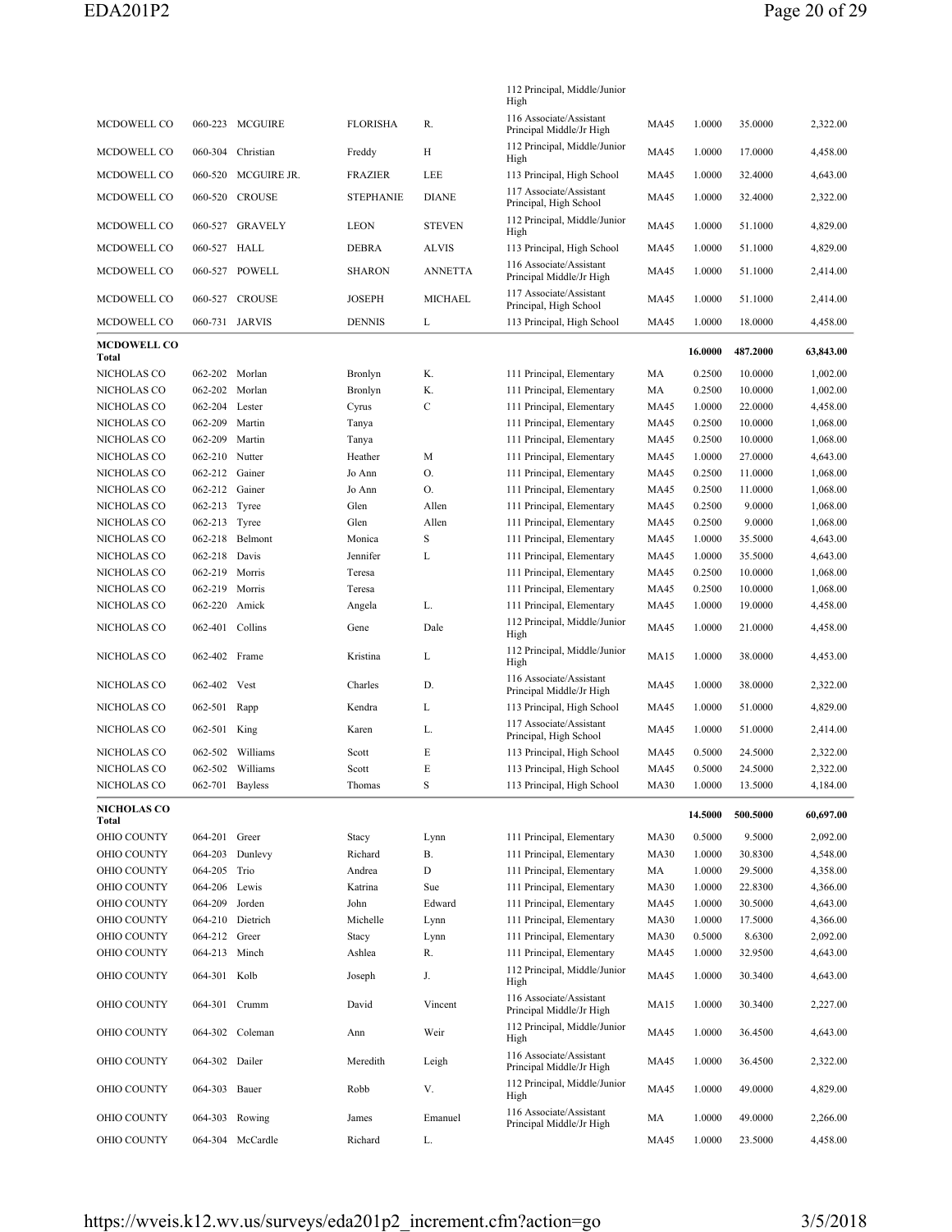|                             |                 |                     |                  |                | 112 Principal, Middle/Junior<br>High                |             |         |          |           |
|-----------------------------|-----------------|---------------------|------------------|----------------|-----------------------------------------------------|-------------|---------|----------|-----------|
| MCDOWELL CO                 |                 | 060-223 MCGUIRE     | <b>FLORISHA</b>  | R.             | 116 Associate/Assistant<br>Principal Middle/Jr High | <b>MA45</b> | 1.0000  | 35.0000  | 2,322.00  |
| MCDOWELL CO                 |                 | 060-304 Christian   | Freddy           | Н              | 112 Principal, Middle/Junior<br>High                | <b>MA45</b> | 1.0000  | 17.0000  | 4,458.00  |
| MCDOWELL CO                 |                 | 060-520 MCGUIRE JR. | <b>FRAZIER</b>   | LEE            | 113 Principal, High School                          | <b>MA45</b> | 1.0000  | 32.4000  | 4,643.00  |
| MCDOWELL CO                 |                 | 060-520 CROUSE      | <b>STEPHANIE</b> | <b>DIANE</b>   | 117 Associate/Assistant<br>Principal, High School   | <b>MA45</b> | 1.0000  | 32.4000  | 2,322.00  |
| MCDOWELL CO                 |                 | 060-527 GRAVELY     | <b>LEON</b>      | <b>STEVEN</b>  | 112 Principal, Middle/Junior<br>High                | <b>MA45</b> | 1.0000  | 51.1000  | 4,829.00  |
| <b>MCDOWELL CO</b>          | 060-527 HALL    |                     | <b>DEBRA</b>     | <b>ALVIS</b>   | 113 Principal, High School                          | MA45        | 1.0000  | 51.1000  | 4,829.00  |
| MCDOWELL CO                 |                 | 060-527 POWELL      | <b>SHARON</b>    | <b>ANNETTA</b> | 116 Associate/Assistant<br>Principal Middle/Jr High | <b>MA45</b> | 1.0000  | 51.1000  | 2,414.00  |
| MCDOWELL CO                 |                 | 060-527 CROUSE      | <b>JOSEPH</b>    | <b>MICHAEL</b> | 117 Associate/Assistant<br>Principal, High School   | MA45        | 1.0000  | 51.1000  | 2,414.00  |
| MCDOWELL CO                 |                 | 060-731 JARVIS      | <b>DENNIS</b>    | L              | 113 Principal, High School                          | <b>MA45</b> | 1.0000  | 18.0000  | 4,458.00  |
| <b>MCDOWELL CO</b><br>Total |                 |                     |                  |                |                                                     |             | 16.0000 | 487.2000 | 63,843.00 |
| NICHOLAS CO                 | 062-202         | Morlan              | Bronlyn          | K.             | 111 Principal, Elementary                           | MA          | 0.2500  | 10.0000  | 1,002.00  |
| NICHOLAS CO                 | 062-202 Morlan  |                     | Bronlyn          | K.             | 111 Principal, Elementary                           | MA          | 0.2500  | 10.0000  | 1,002.00  |
| NICHOLAS CO                 | 062-204         | Lester              | Cyrus            | $\mathbf C$    | 111 Principal, Elementary                           | <b>MA45</b> | 1.0000  | 22.0000  | 4,458.00  |
| NICHOLAS CO                 | 062-209 Martin  |                     | Tanya            |                | 111 Principal, Elementary                           | <b>MA45</b> | 0.2500  | 10.0000  | 1,068.00  |
| NICHOLAS CO                 | 062-209         | Martin              | Tanya            |                | 111 Principal, Elementary                           | <b>MA45</b> | 0.2500  | 10.0000  | 1,068.00  |
| NICHOLAS CO                 | 062-210 Nutter  |                     | Heather          | М              | 111 Principal, Elementary                           | <b>MA45</b> | 1.0000  | 27.0000  | 4,643.00  |
| NICHOLAS CO                 | 062-212 Gainer  |                     | Jo Ann           | 0.             | 111 Principal, Elementary                           | <b>MA45</b> | 0.2500  | 11.0000  | 1,068.00  |
| NICHOLAS CO                 | 062-212 Gainer  |                     | Jo Ann           | О.             | 111 Principal, Elementary                           | <b>MA45</b> | 0.2500  | 11.0000  | 1,068.00  |
| NICHOLAS CO                 | 062-213 Tyree   |                     | Glen             | Allen          | 111 Principal, Elementary                           | <b>MA45</b> | 0.2500  | 9.0000   | 1,068.00  |
| NICHOLAS CO                 | 062-213 Tyree   |                     | Glen             | Allen          | 111 Principal, Elementary                           | <b>MA45</b> | 0.2500  | 9.0000   | 1,068.00  |
| NICHOLAS CO                 | 062-218         | Belmont             | Monica           | S              | 111 Principal, Elementary                           | <b>MA45</b> | 1.0000  | 35.5000  | 4,643.00  |
| NICHOLAS CO                 | 062-218 Davis   |                     | Jennifer         | L              | 111 Principal, Elementary                           | <b>MA45</b> | 1.0000  | 35.5000  | 4,643.00  |
| NICHOLAS CO                 | 062-219 Morris  |                     | Teresa           |                | 111 Principal, Elementary                           | <b>MA45</b> | 0.2500  | 10.0000  | 1,068.00  |
| NICHOLAS CO                 | 062-219         | Morris              | Teresa           |                | 111 Principal, Elementary                           | <b>MA45</b> | 0.2500  | 10.0000  | 1,068.00  |
| NICHOLAS CO                 | 062-220         | Amick               | Angela           | L.             | 111 Principal, Elementary                           | <b>MA45</b> | 1.0000  | 19.0000  | 4,458.00  |
| NICHOLAS CO                 | 062-401 Collins |                     | Gene             | Dale           | 112 Principal, Middle/Junior<br>High                | <b>MA45</b> | 1.0000  | 21.0000  | 4,458.00  |
| NICHOLAS CO                 | 062-402 Frame   |                     | Kristina         | L              | 112 Principal, Middle/Junior<br>High                | <b>MA15</b> | 1.0000  | 38.0000  | 4,453.00  |
| NICHOLAS CO                 | 062-402 Vest    |                     | Charles          | D.             | 116 Associate/Assistant<br>Principal Middle/Jr High | <b>MA45</b> | 1.0000  | 38.0000  | 2,322.00  |
| NICHOLAS CO                 | 062-501         | Rapp                | Kendra           | L              | 113 Principal, High School                          | MA45        | 1.0000  | 51.0000  | 4,829.00  |
| NICHOLAS CO                 | 062-501 King    |                     | Karen            | L.             | 117 Associate/Assistant<br>Principal, High School   | <b>MA45</b> | 1.0000  | 51.0000  | 2,414.00  |
| NICHOLAS CO                 | 062-502         | Williams            | Scott            | E              | 113 Principal, High School                          | MA45        | 0.5000  | 24.5000  | 2,322.00  |
| NICHOLAS CO                 |                 | 062-502 Williams    | Scott            | E              | 113 Principal, High School                          | <b>MA45</b> | 0.5000  | 24.5000  | 2,322.00  |
| NICHOLAS CO                 | 062-701 Bayless |                     | Thomas           | S              | 113 Principal, High School                          | <b>MA30</b> | 1.0000  | 13.5000  | 4,184.00  |
| <b>NICHOLAS CO</b><br>Total |                 |                     |                  |                |                                                     |             | 14.5000 | 500.5000 | 60,697.00 |
| OHIO COUNTY                 | 064-201 Greer   |                     | Stacy            | Lynn           | 111 Principal, Elementary                           | <b>MA30</b> | 0.5000  | 9.5000   | 2,092.00  |
| OHIO COUNTY                 |                 | 064-203 Dunlevy     | Richard          | В.             | 111 Principal, Elementary                           | <b>MA30</b> | 1.0000  | 30.8300  | 4,548.00  |
| OHIO COUNTY                 | 064-205 Trio    |                     | Andrea           | D              | 111 Principal, Elementary                           | MA          | 1.0000  | 29.5000  | 4,358.00  |
| OHIO COUNTY                 | 064-206 Lewis   |                     | Katrina          | Sue            | 111 Principal, Elementary                           | <b>MA30</b> | 1.0000  | 22.8300  | 4,366.00  |
| OHIO COUNTY                 | 064-209         | Jorden              | John             | Edward         | 111 Principal, Elementary                           | MA45        | 1.0000  | 30.5000  | 4,643.00  |
| OHIO COUNTY                 |                 | 064-210 Dietrich    | Michelle         | Lynn           | 111 Principal, Elementary                           | <b>MA30</b> | 1.0000  | 17.5000  | 4,366.00  |
| OHIO COUNTY                 | 064-212 Greer   |                     | Stacy            | Lynn           | 111 Principal, Elementary                           | <b>MA30</b> | 0.5000  | 8.6300   | 2,092.00  |
| OHIO COUNTY                 | 064-213 Minch   |                     | Ashlea           | R.             | 111 Principal, Elementary                           | MA45        | 1.0000  | 32.9500  | 4,643.00  |
| OHIO COUNTY                 | 064-301 Kolb    |                     | Joseph           | J.             | 112 Principal, Middle/Junior<br>High                | MA45        | 1.0000  | 30.3400  | 4,643.00  |
| OHIO COUNTY                 | 064-301 Crumm   |                     | David            | Vincent        | 116 Associate/Assistant<br>Principal Middle/Jr High | MA15        | 1.0000  | 30.3400  | 2,227.00  |
| OHIO COUNTY                 |                 | 064-302 Coleman     | Ann              | Weir           | 112 Principal, Middle/Junior<br>High                | MA45        | 1.0000  | 36.4500  | 4,643.00  |
| OHIO COUNTY                 | 064-302 Dailer  |                     | Meredith         | Leigh          | 116 Associate/Assistant<br>Principal Middle/Jr High | MA45        | 1.0000  | 36.4500  | 2,322.00  |
| OHIO COUNTY                 | 064-303 Bauer   |                     | Robb             | V.             | 112 Principal, Middle/Junior<br>High                | <b>MA45</b> | 1.0000  | 49.0000  | 4,829.00  |
| OHIO COUNTY                 | 064-303         | Rowing              | James            | Emanuel        | 116 Associate/Assistant<br>Principal Middle/Jr High | MA          | 1.0000  | 49.0000  | 2,266.00  |
| OHIO COUNTY                 |                 | 064-304 McCardle    | Richard          | L.             |                                                     | MA45        | 1.0000  | 23.5000  | 4,458.00  |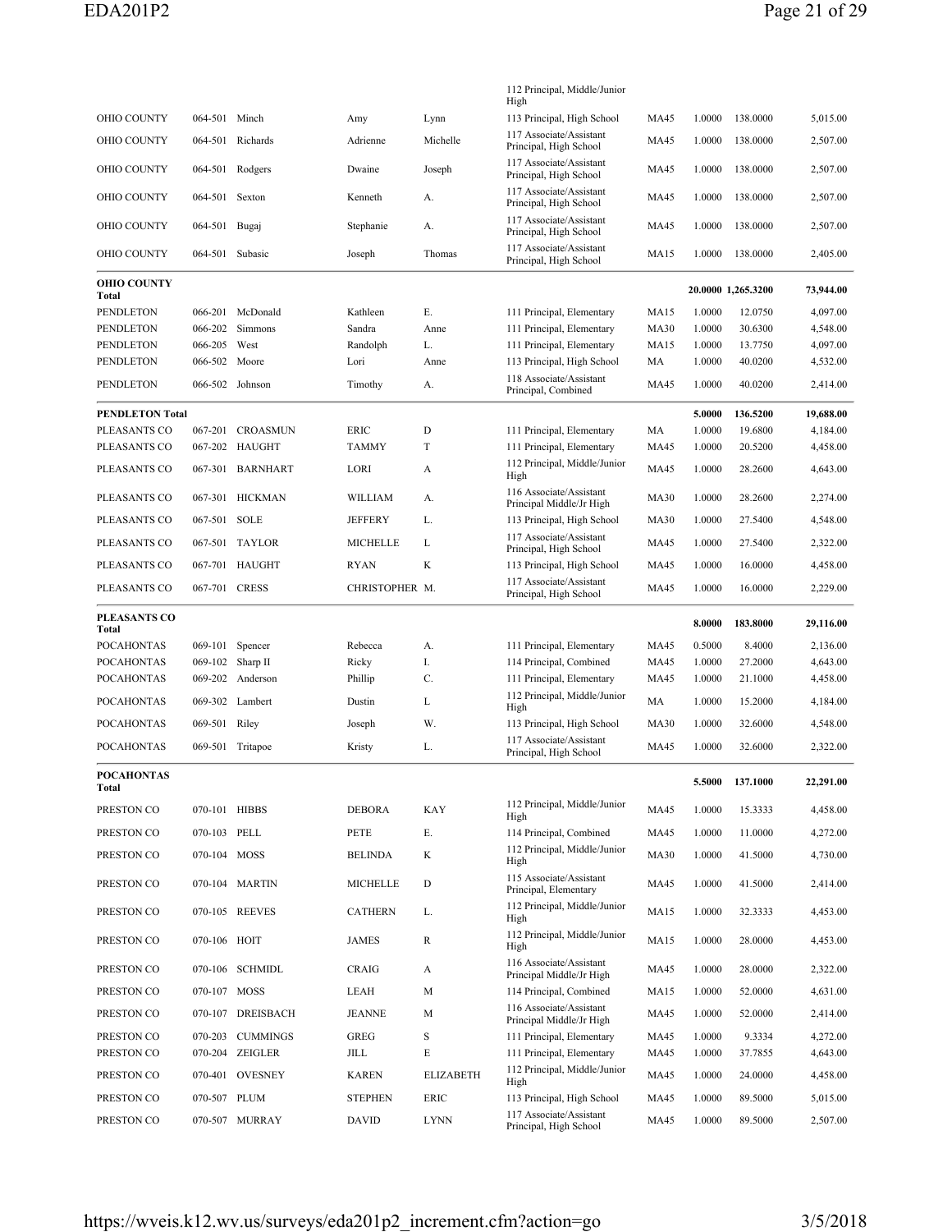|                             |                 |                   |                 |                  | 112 Principal, Middle/Junior<br>High                    |             |        |                    |           |
|-----------------------------|-----------------|-------------------|-----------------|------------------|---------------------------------------------------------|-------------|--------|--------------------|-----------|
| OHIO COUNTY                 | 064-501 Minch   |                   | Amy             | Lynn             | 113 Principal, High School                              | <b>MA45</b> | 1.0000 | 138.0000           | 5,015.00  |
| OHIO COUNTY                 | 064-501         | Richards          | Adrienne        | Michelle         | 117 Associate/Assistant<br>Principal, High School       | <b>MA45</b> | 1.0000 | 138,0000           | 2,507.00  |
| OHIO COUNTY                 |                 | 064-501 Rodgers   | Dwaine          | Joseph           | 117 Associate/Assistant<br>Principal, High School       | MA45        | 1.0000 | 138.0000           | 2,507.00  |
| OHIO COUNTY                 | 064-501         | Sexton            | Kenneth         | А.               | 117 Associate/Assistant<br>Principal, High School       | MA45        | 1.0000 | 138.0000           | 2,507.00  |
| OHIO COUNTY                 | 064-501 Bugaj   |                   | Stephanie       | А.               | 117 Associate/Assistant<br>Principal, High School       | MA45        | 1.0000 | 138.0000           | 2,507.00  |
| OHIO COUNTY                 | 064-501 Subasic |                   | Joseph          | Thomas           | 117 Associate/Assistant<br>Principal, High School       | <b>MA15</b> | 1.0000 | 138.0000           | 2,405.00  |
| <b>OHIO COUNTY</b><br>Total |                 |                   |                 |                  |                                                         |             |        | 20.0000 1,265.3200 | 73,944.00 |
| PENDLETON                   | 066-201         | McDonald          | Kathleen        | Е.               | 111 Principal, Elementary                               | <b>MA15</b> | 1.0000 | 12.0750            | 4,097.00  |
| PENDLETON                   | 066-202         | Simmons           | Sandra          | Anne             | 111 Principal, Elementary                               | <b>MA30</b> | 1.0000 | 30.6300            | 4,548.00  |
| PENDLETON                   | 066-205         | West              | Randolph        | L.               | 111 Principal, Elementary                               | <b>MA15</b> | 1.0000 | 13.7750            | 4,097.00  |
| PENDLETON                   | 066-502         | Moore             | Lori            | Anne             | 113 Principal, High School                              | MA          | 1.0000 | 40.0200            | 4,532.00  |
| PENDLETON                   |                 | 066-502 Johnson   | Timothy         | А.               | 118 Associate/Assistant<br>Principal, Combined          | MA45        | 1.0000 | 40.0200            | 2,414.00  |
| <b>PENDLETON Total</b>      |                 |                   |                 |                  |                                                         |             | 5.0000 | 136.5200           | 19,688.00 |
| PLEASANTS CO                | 067-201         | CROASMUN          | ERIC            | D                | 111 Principal, Elementary                               | MA          | 1.0000 | 19.6800            | 4,184.00  |
| PLEASANTS CO                | 067-202         | HAUGHT            | <b>TAMMY</b>    | T                | 111 Principal, Elementary                               | <b>MA45</b> | 1.0000 | 20.5200            | 4,458.00  |
| PLEASANTS CO                |                 | 067-301 BARNHART  | LORI            | A                | 112 Principal, Middle/Junior<br>High                    | <b>MA45</b> | 1.0000 | 28.2600            | 4,643.00  |
| PLEASANTS CO                |                 | 067-301 HICKMAN   | <b>WILLIAM</b>  | А.               | 116 Associate/Assistant<br>Principal Middle/Jr High     | <b>MA30</b> | 1.0000 | 28.2600            | 2,274.00  |
| PLEASANTS CO                | 067-501 SOLE    |                   | <b>JEFFERY</b>  | L.               | 113 Principal, High School                              | <b>MA30</b> | 1.0000 | 27.5400            | 4,548.00  |
| PLEASANTS CO                |                 | 067-501 TAYLOR    | <b>MICHELLE</b> | L                | 117 Associate/Assistant                                 | MA45        | 1.0000 | 27.5400            | 2,322.00  |
|                             |                 |                   |                 |                  | Principal, High School                                  |             |        |                    |           |
| PLEASANTS CO                |                 | 067-701 HAUGHT    | RYAN            | K                | 113 Principal, High School                              | MA45        | 1.0000 | 16.0000            | 4,458.00  |
| PLEASANTS CO                | 067-701 CRESS   |                   | CHRISTOPHER M.  |                  | 117 Associate/Assistant<br>Principal, High School       | MA45        | 1.0000 | 16.0000            | 2,229.00  |
|                             |                 |                   |                 |                  |                                                         |             |        |                    |           |
| PLEASANTS CO<br>Total       |                 |                   |                 |                  |                                                         |             | 8.0000 | 183.8000           | 29,116.00 |
| <b>POCAHONTAS</b>           | 069-101         | Spencer           | Rebecca         | А.               | 111 Principal, Elementary                               | MA45        | 0.5000 | 8.4000             | 2,136.00  |
| <b>POCAHONTAS</b>           | 069-102         | Sharp II          | Ricky           | I.               | 114 Principal, Combined                                 | MA45        | 1.0000 | 27.2000            | 4,643.00  |
| <b>POCAHONTAS</b>           | 069-202         | Anderson          | Phillip         | C.               | 111 Principal, Elementary                               | MA45        | 1.0000 | 21.1000            | 4,458.00  |
| <b>POCAHONTAS</b>           |                 | 069-302 Lambert   | Dustin          | L                | 112 Principal, Middle/Junior<br>High                    | MA          | 1.0000 | 15.2000            | 4,184.00  |
| <b>POCAHONTAS</b>           | 069-501 Riley   |                   | Joseph          | W.               | 113 Principal, High School                              | <b>MA30</b> | 1.0000 | 32.6000            | 4,548.00  |
| <b>POCAHONTAS</b>           |                 | 069-501 Tritapoe  | Kristy          | L.               | 117 Associate/Assistant<br>Principal, High School       | MA45        | 1.0000 | 32.6000            | 2,322.00  |
| <b>POCAHONTAS</b><br>Total  |                 |                   |                 |                  |                                                         |             |        | 5.5000 137.1000    | 22,291.00 |
| PRESTON CO                  | 070-101 HIBBS   |                   | <b>DEBORA</b>   | KAY              | 112 Principal, Middle/Junior                            | MA45        | 1.0000 | 15.3333            | 4,458.00  |
|                             |                 |                   |                 |                  | High                                                    |             |        |                    |           |
| PRESTON CO                  | 070-103 PELL    |                   | PETE            | Е.               | 114 Principal, Combined<br>112 Principal, Middle/Junior | MA45        | 1.0000 | 11.0000            | 4,272.00  |
| PRESTON CO                  | 070-104 MOSS    |                   | <b>BELINDA</b>  | K                | High<br>115 Associate/Assistant                         | <b>MA30</b> | 1.0000 | 41.5000            | 4,730.00  |
| PRESTON CO                  |                 | 070-104 MARTIN    | <b>MICHELLE</b> | D                | Principal, Elementary<br>112 Principal, Middle/Junior   | MA45        | 1.0000 | 41.5000            | 2,414.00  |
| PRESTON CO                  |                 | 070-105 REEVES    | <b>CATHERN</b>  | L.               | High<br>112 Principal, Middle/Junior                    | <b>MA15</b> | 1.0000 | 32.3333            | 4,453.00  |
| PRESTON CO                  | 070-106 HOIT    |                   | <b>JAMES</b>    | R                | High                                                    | <b>MA15</b> | 1.0000 | 28.0000            | 4,453.00  |
| PRESTON CO                  |                 | 070-106 SCHMIDL   | CRAIG           | A                | 116 Associate/Assistant<br>Principal Middle/Jr High     | MA45        | 1.0000 | 28,0000            | 2,322.00  |
| PRESTON CO                  | 070-107 MOSS    |                   | LEAH            | M                | 114 Principal, Combined                                 | MA15        | 1.0000 | 52.0000            | 4,631.00  |
| PRESTON CO                  |                 | 070-107 DREISBACH | <b>JEANNE</b>   | М                | 116 Associate/Assistant<br>Principal Middle/Jr High     | MA45        | 1.0000 | 52.0000            | 2,414.00  |
| PRESTON CO                  |                 | 070-203 CUMMINGS  | <b>GREG</b>     | $\rm S$          | 111 Principal, Elementary                               | <b>MA45</b> | 1.0000 | 9.3334             | 4,272.00  |
| PRESTON CO                  |                 | 070-204 ZEIGLER   | JILL            | Е                | 111 Principal, Elementary                               | MA45        | 1.0000 | 37.7855            | 4,643.00  |
| PRESTON CO                  |                 | 070-401 OVESNEY   | <b>KAREN</b>    | <b>ELIZABETH</b> | 112 Principal, Middle/Junior<br>High                    | <b>MA45</b> | 1.0000 | 24.0000            | 4,458.00  |
| PRESTON CO                  | 070-507 PLUM    |                   | <b>STEPHEN</b>  | ERIC             | 113 Principal, High School                              | <b>MA45</b> | 1.0000 | 89.5000            | 5,015.00  |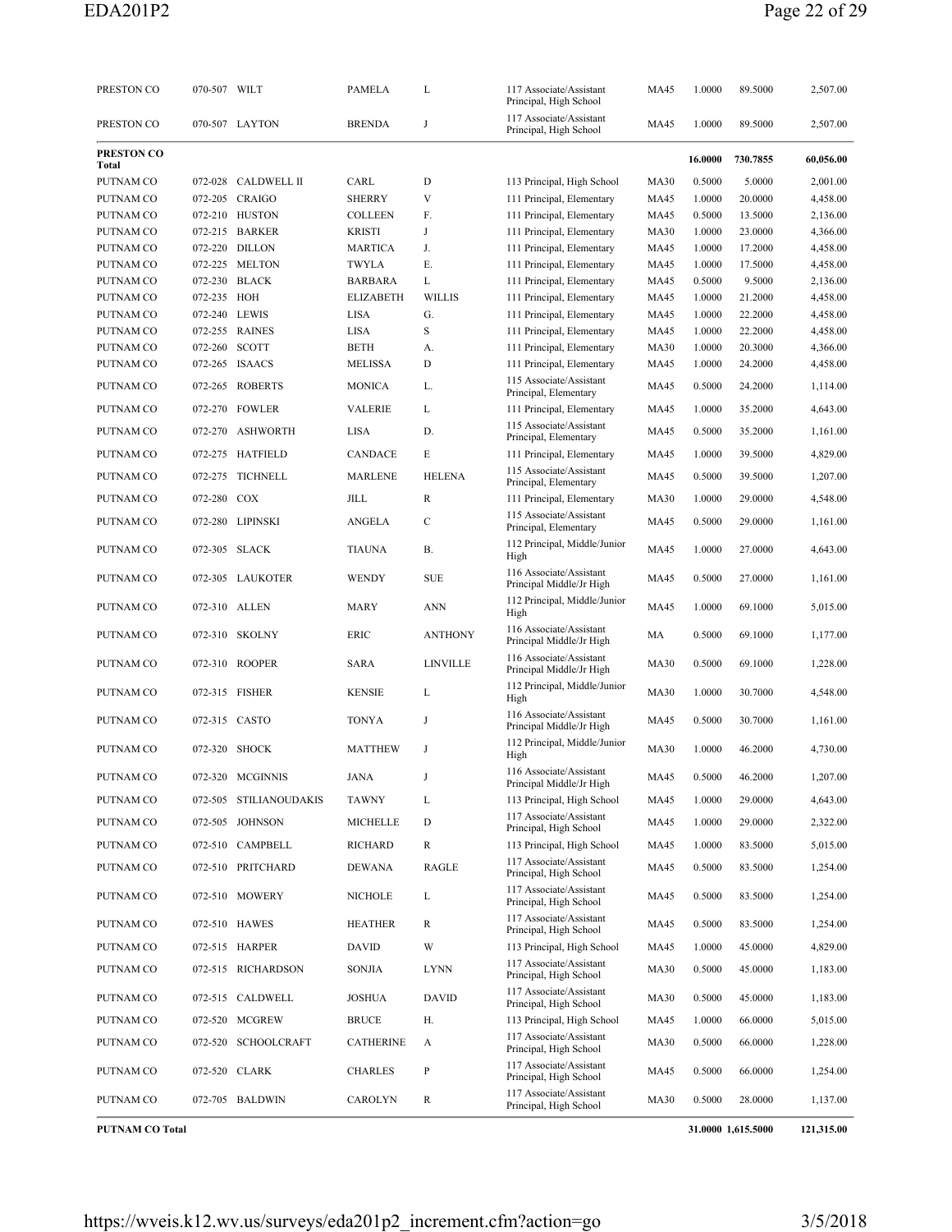| PRESTON CO             | 070-507 WILT  |                        | <b>PAMELA</b>    | L               | 117 Associate/Assistant<br>Principal, High School   | <b>MA45</b> | 1.0000  | 89.5000            | 2,507.00   |
|------------------------|---------------|------------------------|------------------|-----------------|-----------------------------------------------------|-------------|---------|--------------------|------------|
| PRESTON CO             |               | 070-507 LAYTON         | <b>BRENDA</b>    | J               | 117 Associate/Assistant<br>Principal, High School   | MA45        | 1.0000  | 89.5000            | 2,507.00   |
| PRESTON CO<br>Total    |               |                        |                  |                 |                                                     |             | 16.0000 | 730.7855           | 60,056.00  |
| PUTNAM CO              | 072-028       | <b>CALDWELL II</b>     | CARL             | D               | 113 Principal, High School                          | <b>MA30</b> | 0.5000  | 5.0000             | 2,001.00   |
| PUTNAM CO              |               | 072-205 CRAIGO         | <b>SHERRY</b>    | V               | 111 Principal, Elementary                           | MA45        | 1.0000  | 20.0000            | 4,458.00   |
| PUTNAM CO              |               | 072-210 HUSTON         | <b>COLLEEN</b>   | F.              | 111 Principal, Elementary                           | <b>MA45</b> | 0.5000  | 13.5000            | 2,136.00   |
| PUTNAM CO              |               | 072-215 BARKER         | <b>KRISTI</b>    | J               | 111 Principal, Elementary                           | <b>MA30</b> | 1.0000  | 23.0000            | 4,366.00   |
| PUTNAM CO              |               | 072-220 DILLON         | <b>MARTICA</b>   | J.              | 111 Principal, Elementary                           | <b>MA45</b> | 1.0000  | 17.2000            | 4,458.00   |
| PUTNAM CO              |               | 072-225 MELTON         | <b>TWYLA</b>     | Ε.              | 111 Principal, Elementary                           | <b>MA45</b> | 1.0000  | 17.5000            | 4,458.00   |
| PUTNAM CO              |               | 072-230 BLACK          | <b>BARBARA</b>   | L               | 111 Principal, Elementary                           | <b>MA45</b> | 0.5000  | 9.5000             | 2,136.00   |
| PUTNAM CO              | 072-235 HOH   |                        | <b>ELIZABETH</b> | <b>WILLIS</b>   | 111 Principal, Elementary                           | <b>MA45</b> | 1.0000  | 21.2000            | 4,458.00   |
| PUTNAM CO              | 072-240 LEWIS |                        | LISA             | G.              | 111 Principal, Elementary                           | <b>MA45</b> | 1.0000  | 22.2000            | 4,458.00   |
| PUTNAM CO              |               | 072-255 RAINES         | LISA             | S               | 111 Principal, Elementary                           | <b>MA45</b> | 1.0000  | 22.2000            | 4,458.00   |
| PUTNAM CO              | 072-260 SCOTT |                        | <b>BETH</b>      | A.              | 111 Principal, Elementary                           | <b>MA30</b> | 1.0000  | 20.3000            | 4,366.00   |
| PUTNAM CO              |               | 072-265 ISAACS         | <b>MELISSA</b>   | D               | 111 Principal, Elementary                           | <b>MA45</b> | 1.0000  | 24.2000            | 4,458.00   |
| PUTNAM CO              |               | 072-265 ROBERTS        | <b>MONICA</b>    | L.              | 115 Associate/Assistant<br>Principal, Elementary    | <b>MA45</b> | 0.5000  | 24.2000            | 1,114.00   |
| PUTNAM CO              |               | 072-270 FOWLER         | <b>VALERIE</b>   | L               | 111 Principal, Elementary                           | MA45        | 1.0000  | 35.2000            | 4,643.00   |
| PUTNAM CO              | 072-270       | <b>ASHWORTH</b>        | LISA             | D.              | 115 Associate/Assistant                             | <b>MA45</b> | 0.5000  | 35.2000            | 1,161.00   |
|                        |               |                        |                  |                 | Principal, Elementary                               |             |         |                    |            |
| PUTNAM CO              |               | 072-275 HATFIELD       | <b>CANDACE</b>   | E               | 111 Principal, Elementary                           | <b>MA45</b> | 1.0000  | 39.5000            | 4,829.00   |
| PUTNAM CO              | 072-275       | <b>TICHNELL</b>        | <b>MARLENE</b>   | <b>HELENA</b>   | 115 Associate/Assistant<br>Principal, Elementary    | MA45        | 0.5000  | 39.5000            | 1,207.00   |
| PUTNAM CO              | 072-280 COX   |                        | JILL             | R               | 111 Principal, Elementary                           | <b>MA30</b> | 1.0000  | 29.0000            | 4,548.00   |
| PUTNAM CO              |               | 072-280 LIPINSKI       | <b>ANGELA</b>    | C               | 115 Associate/Assistant<br>Principal, Elementary    | <b>MA45</b> | 0.5000  | 29.0000            | 1,161.00   |
| PUTNAM CO              |               | 072-305 SLACK          | <b>TIAUNA</b>    | В.              | 112 Principal, Middle/Junior<br>High                | <b>MA45</b> | 1.0000  | 27.0000            | 4,643.00   |
| PUTNAM CO              |               | 072-305 LAUKOTER       | <b>WENDY</b>     | <b>SUE</b>      | 116 Associate/Assistant<br>Principal Middle/Jr High | <b>MA45</b> | 0.5000  | 27.0000            | 1,161.00   |
| PUTNAM CO              |               | 072-310 ALLEN          | MARY             | <b>ANN</b>      | 112 Principal, Middle/Junior<br>High                | <b>MA45</b> | 1.0000  | 69.1000            | 5,015.00   |
| PUTNAM CO              | 072-310       | <b>SKOLNY</b>          | ERIC             | <b>ANTHONY</b>  | 116 Associate/Assistant<br>Principal Middle/Jr High | MA          | 0.5000  | 69.1000            | 1,177.00   |
| PUTNAM CO              |               | 072-310 ROOPER         | <b>SARA</b>      | <b>LINVILLE</b> | 116 Associate/Assistant<br>Principal Middle/Jr High | <b>MA30</b> | 0.5000  | 69.1000            | 1,228.00   |
| PUTNAM CO              |               | 072-315 FISHER         | <b>KENSIE</b>    | L               | 112 Principal, Middle/Junior<br>High                | <b>MA30</b> | 1.0000  | 30.7000            | 4,548.00   |
| PUTNAM CO              |               | 072-315 CASTO          | <b>TONYA</b>     | J               | 116 Associate/Assistant<br>Principal Middle/Jr High | <b>MA45</b> | 0.5000  | 30.7000            | 1,161.00   |
| PUTNAM CO              | 072-320       | <b>SHOCK</b>           | <b>MATTHEW</b>   | J               | 112 Principal, Middle/Junior<br>High                | <b>MA30</b> | 1.0000  | 46.2000            | 4,730.00   |
| PUTNAM CO              |               | 072-320 MCGINNIS       | JANA             |                 | 116 Associate/Assistant<br>Principal Middle/Jr High | MA45        | 0.5000  | 46.2000            | 1,207.00   |
| PUTNAM CO              |               | 072-505 STILIANOUDAKIS | <b>TAWNY</b>     | L               | 113 Principal, High School                          | <b>MA45</b> | 1.0000  | 29.0000            | 4,643.00   |
| PUTNAM CO              |               | 072-505 JOHNSON        | <b>MICHELLE</b>  | D               | 117 Associate/Assistant<br>Principal, High School   | <b>MA45</b> | 1.0000  | 29.0000            | 2,322.00   |
| PUTNAM CO              |               | 072-510 CAMPBELL       | <b>RICHARD</b>   | R               | 113 Principal, High School                          | MA45        | 1.0000  | 83.5000            | 5,015.00   |
| PUTNAM CO              |               | 072-510 PRITCHARD      | DEWANA           | RAGLE           | 117 Associate/Assistant<br>Principal, High School   | <b>MA45</b> | 0.5000  | 83.5000            | 1,254.00   |
| PUTNAM CO              |               | 072-510 MOWERY         | <b>NICHOLE</b>   | L               | 117 Associate/Assistant<br>Principal, High School   | MA45        | 0.5000  | 83.5000            | 1,254.00   |
| PUTNAM CO              |               | 072-510 HAWES          | <b>HEATHER</b>   | R               | 117 Associate/Assistant<br>Principal, High School   | MA45        | 0.5000  | 83.5000            | 1,254.00   |
| PUTNAM CO              |               | 072-515 HARPER         | <b>DAVID</b>     | W               | 113 Principal, High School                          | MA45        | 1.0000  | 45.0000            | 4,829.00   |
| PUTNAM CO              |               | 072-515 RICHARDSON     | <b>SONJIA</b>    | <b>LYNN</b>     | 117 Associate/Assistant<br>Principal, High School   | <b>MA30</b> | 0.5000  | 45.0000            | 1,183.00   |
| PUTNAM CO              |               | 072-515 CALDWELL       | <b>JOSHUA</b>    | <b>DAVID</b>    | 117 Associate/Assistant<br>Principal, High School   | <b>MA30</b> | 0.5000  | 45.0000            | 1,183.00   |
| PUTNAM CO              |               | 072-520 MCGREW         | <b>BRUCE</b>     | Н.              | 113 Principal, High School                          | MA45        | 1.0000  | 66.0000            | 5,015.00   |
| PUTNAM CO              |               | 072-520 SCHOOLCRAFT    | <b>CATHERINE</b> | A               | 117 Associate/Assistant<br>Principal, High School   | <b>MA30</b> | 0.5000  | 66.0000            | 1,228.00   |
| PUTNAM CO              |               | 072-520 CLARK          | <b>CHARLES</b>   | P               | 117 Associate/Assistant<br>Principal, High School   | MA45        | 0.5000  | 66.0000            | 1,254.00   |
| PUTNAM CO              |               | 072-705 BALDWIN        | CAROLYN          | R               | 117 Associate/Assistant<br>Principal, High School   | <b>MA30</b> | 0.5000  | 28.0000            | 1,137.00   |
| <b>PUTNAM CO Total</b> |               |                        |                  |                 |                                                     |             |         | 31.0000 1,615.5000 | 121,315.00 |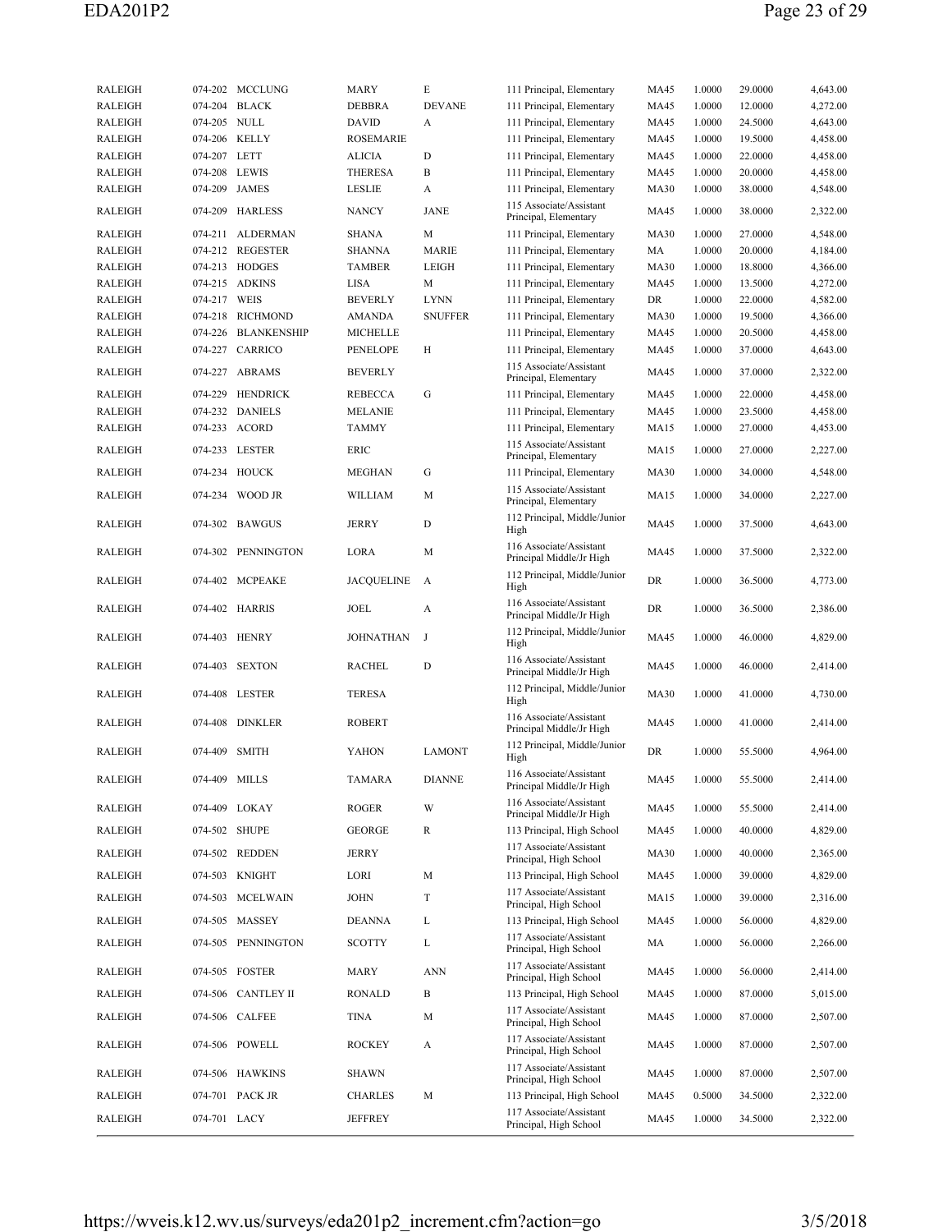| <b>RALEIGH</b> | 074-202       | <b>MCCLUNG</b>     | MARY              | E              | 111 Principal, Elementary                           | <b>MA45</b> | 1.0000 | 29.0000 | 4,643.00 |
|----------------|---------------|--------------------|-------------------|----------------|-----------------------------------------------------|-------------|--------|---------|----------|
| <b>RALEIGH</b> |               | 074-204 BLACK      | <b>DEBBRA</b>     | <b>DEVANE</b>  | 111 Principal, Elementary                           | <b>MA45</b> | 1.0000 | 12.0000 | 4,272.00 |
| <b>RALEIGH</b> | 074-205 NULL  |                    | <b>DAVID</b>      | A              | 111 Principal, Elementary                           | MA45        | 1.0000 | 24.5000 | 4,643.00 |
| <b>RALEIGH</b> |               | 074-206 KELLY      | <b>ROSEMARIE</b>  |                | 111 Principal, Elementary                           | <b>MA45</b> | 1.0000 | 19.5000 | 4,458.00 |
| <b>RALEIGH</b> | 074-207 LETT  |                    | <b>ALICIA</b>     | D              | 111 Principal, Elementary                           | <b>MA45</b> | 1.0000 | 22.0000 | 4,458.00 |
| <b>RALEIGH</b> | 074-208 LEWIS |                    | <b>THERESA</b>    | В              | 111 Principal, Elementary                           | <b>MA45</b> | 1.0000 | 20.0000 | 4,458.00 |
| <b>RALEIGH</b> |               | 074-209 JAMES      | LESLIE            | A              | 111 Principal, Elementary                           | <b>MA30</b> | 1.0000 | 38.0000 | 4,548.00 |
| <b>RALEIGH</b> |               | 074-209 HARLESS    | <b>NANCY</b>      | JANE           | 115 Associate/Assistant<br>Principal, Elementary    | MA45        | 1.0000 | 38.0000 | 2,322.00 |
| <b>RALEIGH</b> | 074-211       | ALDERMAN           | <b>SHANA</b>      | М              | 111 Principal, Elementary                           | <b>MA30</b> | 1.0000 | 27.0000 | 4,548.00 |
| <b>RALEIGH</b> |               | 074-212 REGESTER   | <b>SHANNA</b>     | <b>MARIE</b>   | 111 Principal, Elementary                           | MA          | 1.0000 | 20.0000 | 4,184.00 |
| <b>RALEIGH</b> |               | 074-213 HODGES     | <b>TAMBER</b>     | LEIGH          | 111 Principal, Elementary                           | <b>MA30</b> | 1.0000 | 18.8000 | 4,366.00 |
| <b>RALEIGH</b> |               | 074-215 ADKINS     | LISA              | M              | 111 Principal, Elementary                           | <b>MA45</b> | 1.0000 | 13.5000 | 4,272.00 |
| <b>RALEIGH</b> | 074-217 WEIS  |                    | <b>BEVERLY</b>    | <b>LYNN</b>    | 111 Principal, Elementary                           | DR          | 1.0000 | 22.0000 | 4,582.00 |
| <b>RALEIGH</b> |               | 074-218 RICHMOND   | AMANDA            | <b>SNUFFER</b> | 111 Principal, Elementary                           | <b>MA30</b> | 1.0000 | 19.5000 | 4,366.00 |
| <b>RALEIGH</b> | 074-226       | <b>BLANKENSHIP</b> | <b>MICHELLE</b>   |                | 111 Principal, Elementary                           | <b>MA45</b> | 1.0000 | 20.5000 | 4,458.00 |
| <b>RALEIGH</b> | 074-227       | CARRICO            | PENELOPE          | Н              | 111 Principal, Elementary                           | <b>MA45</b> | 1.0000 | 37.0000 | 4,643.00 |
| <b>RALEIGH</b> |               | 074-227 ABRAMS     | <b>BEVERLY</b>    |                | 115 Associate/Assistant<br>Principal, Elementary    | <b>MA45</b> | 1.0000 | 37.0000 | 2,322.00 |
| <b>RALEIGH</b> |               | 074-229 HENDRICK   | <b>REBECCA</b>    | G              | 111 Principal, Elementary                           | <b>MA45</b> | 1.0000 | 22.0000 | 4,458.00 |
| <b>RALEIGH</b> |               | 074-232 DANIELS    | <b>MELANIE</b>    |                | 111 Principal, Elementary                           | <b>MA45</b> | 1.0000 | 23.5000 | 4,458.00 |
| <b>RALEIGH</b> |               | 074-233 ACORD      | <b>TAMMY</b>      |                | 111 Principal, Elementary                           | <b>MA15</b> | 1.0000 | 27.0000 | 4,453.00 |
| <b>RALEIGH</b> |               | 074-233 LESTER     | <b>ERIC</b>       |                | 115 Associate/Assistant<br>Principal, Elementary    | <b>MA15</b> | 1.0000 | 27.0000 | 2,227.00 |
| <b>RALEIGH</b> | 074-234       | HOUCK              | <b>MEGHAN</b>     | G              | 111 Principal, Elementary                           | <b>MA30</b> | 1.0000 | 34.0000 | 4,548.00 |
| <b>RALEIGH</b> |               | 074-234 WOOD JR    | WILLIAM           | M              | 115 Associate/Assistant<br>Principal, Elementary    | <b>MA15</b> | 1.0000 | 34.0000 | 2,227.00 |
| <b>RALEIGH</b> |               | 074-302 BAWGUS     | JERRY             | D              | 112 Principal, Middle/Junior<br>High                | <b>MA45</b> | 1.0000 | 37.5000 | 4,643.00 |
| <b>RALEIGH</b> |               | 074-302 PENNINGTON | LORA              | M              | 116 Associate/Assistant<br>Principal Middle/Jr High | <b>MA45</b> | 1.0000 | 37.5000 | 2,322.00 |
| <b>RALEIGH</b> |               | 074-402 MCPEAKE    | <b>JACQUELINE</b> | A              | 112 Principal, Middle/Junior<br>High                | DR          | 1.0000 | 36.5000 | 4,773.00 |
| <b>RALEIGH</b> |               | 074-402 HARRIS     | <b>JOEL</b>       | A              | 116 Associate/Assistant<br>Principal Middle/Jr High | DR          | 1.0000 | 36.5000 | 2,386.00 |
| <b>RALEIGH</b> |               | 074-403 HENRY      | <b>JOHNATHAN</b>  | J              | 112 Principal, Middle/Junior<br>High                | MA45        | 1.0000 | 46.0000 | 4,829.00 |
| <b>RALEIGH</b> | 074-403       | <b>SEXTON</b>      | <b>RACHEL</b>     | D              | 116 Associate/Assistant<br>Principal Middle/Jr High | <b>MA45</b> | 1.0000 | 46.0000 | 2,414.00 |
| <b>RALEIGH</b> |               | 074-408 LESTER     | <b>TERESA</b>     |                | 112 Principal, Middle/Junior<br>High                | <b>MA30</b> | 1.0000 | 41.0000 | 4,730.00 |
| <b>RALEIGH</b> |               | 074-408 DINKLER    | <b>ROBERT</b>     |                | 116 Associate/Assistant<br>Principal Middle/Jr High | <b>MA45</b> | 1.0000 | 41.0000 | 2,414.00 |
| <b>RALEIGH</b> | 074-409 SMITH |                    | <b>YAHON</b>      | <b>LAMONT</b>  | 112 Principal, Middle/Junior<br>High                | DR          | 1.0000 | 55.5000 | 4,964.00 |
| <b>RALEIGH</b> | 074-409 MILLS |                    | <b>TAMARA</b>     | <b>DIANNE</b>  | 116 Associate/Assistant<br>Principal Middle/Jr High | MA45        | 1.0000 | 55.5000 | 2,414.00 |
| <b>RALEIGH</b> |               | 074-409 LOKAY      | <b>ROGER</b>      | W              | 116 Associate/Assistant<br>Principal Middle/Jr High | <b>MA45</b> | 1.0000 | 55.5000 | 2,414.00 |
| <b>RALEIGH</b> |               | 074-502 SHUPE      | <b>GEORGE</b>     | R              | 113 Principal, High School                          | <b>MA45</b> | 1.0000 | 40.0000 | 4,829.00 |
|                |               |                    |                   |                | 117 Associate/Assistant                             |             |        |         | 2,365.00 |
| <b>RALEIGH</b> |               | 074-502 REDDEN     | <b>JERRY</b>      |                | Principal, High School                              | <b>MA30</b> | 1.0000 | 40.0000 |          |
| <b>RALEIGH</b> |               | 074-503 KNIGHT     | LORI              | M              | 113 Principal, High School                          | <b>MA45</b> | 1.0000 | 39.0000 | 4,829.00 |
| <b>RALEIGH</b> |               | 074-503 MCELWAIN   | <b>JOHN</b>       | T              | 117 Associate/Assistant<br>Principal, High School   | <b>MA15</b> | 1.0000 | 39.0000 | 2,316.00 |
| <b>RALEIGH</b> |               | 074-505 MASSEY     | <b>DEANNA</b>     | L              | 113 Principal, High School                          | MA45        | 1.0000 | 56.0000 | 4,829.00 |
| <b>RALEIGH</b> |               | 074-505 PENNINGTON | <b>SCOTTY</b>     | L              | 117 Associate/Assistant<br>Principal, High School   | MA          | 1.0000 | 56.0000 | 2,266.00 |
| <b>RALEIGH</b> |               | 074-505 FOSTER     | MARY              | <b>ANN</b>     | 117 Associate/Assistant<br>Principal, High School   | MA45        | 1.0000 | 56.0000 | 2,414.00 |
| <b>RALEIGH</b> |               | 074-506 CANTLEY II | <b>RONALD</b>     | B              | 113 Principal, High School                          | MA45        | 1.0000 | 87.0000 | 5,015.00 |
| RALEIGH        |               | 074-506 CALFEE     | <b>TINA</b>       | М              | 117 Associate/Assistant<br>Principal, High School   | MA45        | 1.0000 | 87.0000 | 2,507.00 |
| RALEIGH        |               | 074-506 POWELL     | <b>ROCKEY</b>     | A              | 117 Associate/Assistant<br>Principal, High School   | MA45        | 1.0000 | 87.0000 | 2,507.00 |
| <b>RALEIGH</b> |               | 074-506 HAWKINS    | <b>SHAWN</b>      |                | 117 Associate/Assistant<br>Principal, High School   | <b>MA45</b> | 1.0000 | 87.0000 | 2,507.00 |
| <b>RALEIGH</b> |               | 074-701 PACK JR    | <b>CHARLES</b>    | М              | 113 Principal, High School                          | MA45        | 0.5000 | 34.5000 | 2,322.00 |
| <b>RALEIGH</b> | 074-701 LACY  |                    | <b>JEFFREY</b>    |                | 117 Associate/Assistant                             | MA45        | 1.0000 | 34.5000 | 2,322.00 |
|                |               |                    |                   |                | Principal, High School                              |             |        |         |          |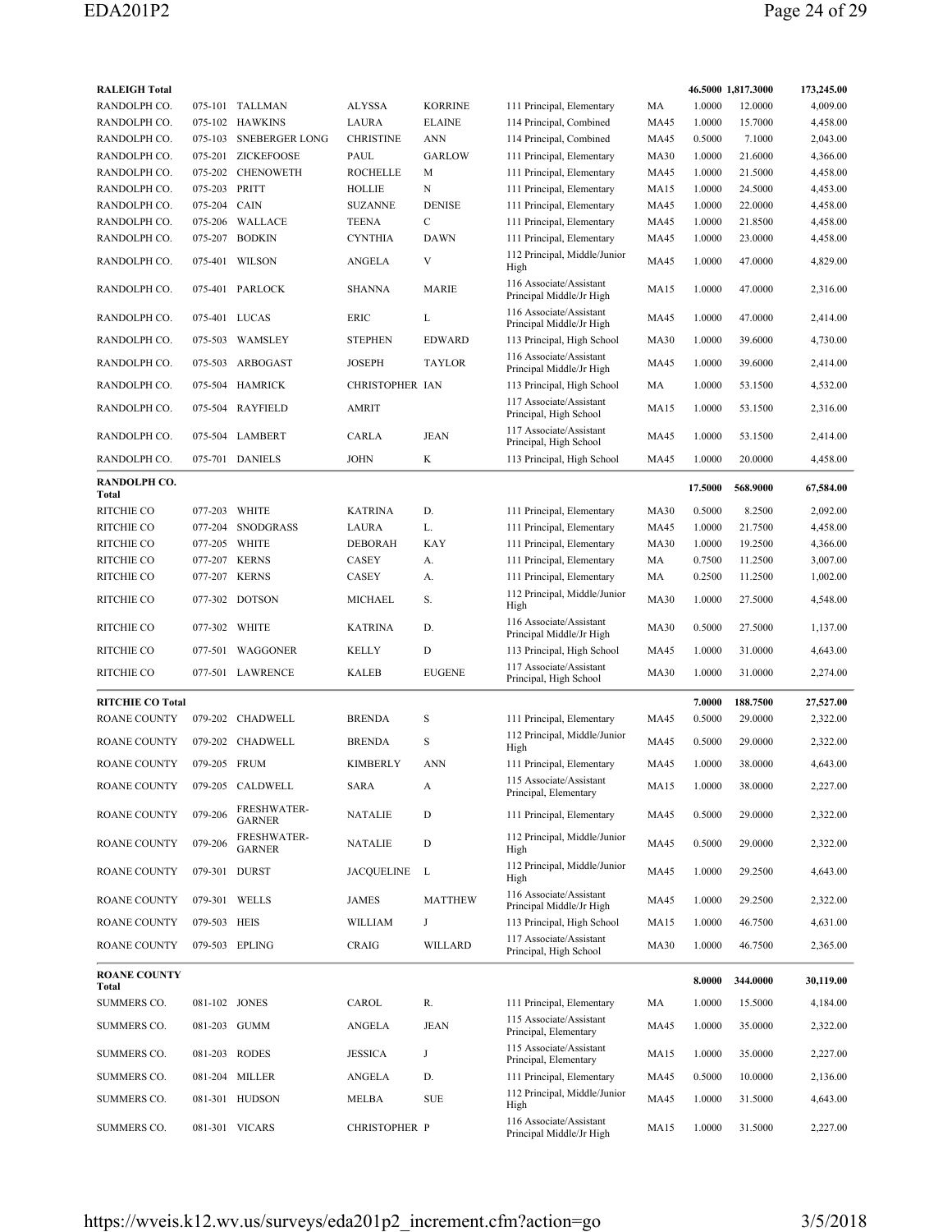| <b>RALEIGH Total</b>         |               |                                     |                      |                |                                                     |             |         | 46.5000 1,817.3000 | 173,245.00 |
|------------------------------|---------------|-------------------------------------|----------------------|----------------|-----------------------------------------------------|-------------|---------|--------------------|------------|
| RANDOLPH CO.                 |               | 075-101 TALLMAN                     | ALYSSA               | <b>KORRINE</b> | 111 Principal, Elementary                           | MA          | 1.0000  | 12.0000            | 4,009.00   |
| RANDOLPH CO.                 |               | 075-102 HAWKINS                     | <b>LAURA</b>         | <b>ELAINE</b>  | 114 Principal, Combined                             | <b>MA45</b> | 1.0000  | 15.7000            | 4,458.00   |
| RANDOLPH CO.                 | 075-103       | <b>SNEBERGER LONG</b>               | <b>CHRISTINE</b>     | <b>ANN</b>     | 114 Principal, Combined                             | <b>MA45</b> | 0.5000  | 7.1000             | 2,043.00   |
| RANDOLPH CO.                 |               | 075-201 ZICKEFOOSE                  | PAUL                 | <b>GARLOW</b>  | 111 Principal, Elementary                           | <b>MA30</b> | 1.0000  | 21.6000            | 4,366.00   |
| RANDOLPH CO.                 | 075-202       | <b>CHENOWETH</b>                    | <b>ROCHELLE</b>      | М              | 111 Principal, Elementary                           | <b>MA45</b> | 1.0000  | 21.5000            | 4,458.00   |
| RANDOLPH CO.                 | 075-203 PRITT |                                     | HOLLIE               | N              | 111 Principal, Elementary                           | <b>MA15</b> | 1.0000  | 24.5000            | 4,453.00   |
| RANDOLPH CO.                 | 075-204       | CAIN                                | <b>SUZANNE</b>       | <b>DENISE</b>  | 111 Principal, Elementary                           | MA45        | 1.0000  | 22.0000            | 4,458.00   |
| RANDOLPH CO.                 | 075-206       | WALLACE                             | <b>TEENA</b>         | $\mathbf C$    | 111 Principal, Elementary                           | <b>MA45</b> | 1.0000  | 21.8500            | 4,458.00   |
| RANDOLPH CO.                 | 075-207       | <b>BODKIN</b>                       | <b>CYNTHIA</b>       | DAWN           | 111 Principal, Elementary                           | <b>MA45</b> | 1.0000  | 23.0000            | 4,458.00   |
| RANDOLPH CO.                 |               | 075-401 WILSON                      | ANGELA               | V              | 112 Principal, Middle/Junior<br>High                | <b>MA45</b> | 1.0000  | 47.0000            | 4,829.00   |
| RANDOLPH CO.                 |               | 075-401 PARLOCK                     | <b>SHANNA</b>        | <b>MARIE</b>   | 116 Associate/Assistant<br>Principal Middle/Jr High | <b>MA15</b> | 1.0000  | 47.0000            | 2,316.00   |
| RANDOLPH CO.                 | 075-401 LUCAS |                                     | ERIC                 | L              | 116 Associate/Assistant<br>Principal Middle/Jr High | <b>MA45</b> | 1.0000  | 47.0000            | 2,414.00   |
| RANDOLPH CO.                 |               | 075-503 WAMSLEY                     | <b>STEPHEN</b>       | <b>EDWARD</b>  | 113 Principal, High School                          | <b>MA30</b> | 1.0000  | 39.6000            | 4,730.00   |
| RANDOLPH CO.                 | 075-503       | ARBOGAST                            | JOSEPH               | <b>TAYLOR</b>  | 116 Associate/Assistant<br>Principal Middle/Jr High | MA45        | 1.0000  | 39.6000            | 2,414.00   |
| RANDOLPH CO.                 |               | 075-504 HAMRICK                     | CHRISTOPHER IAN      |                | 113 Principal, High School                          | MA          | 1.0000  | 53.1500            | 4,532.00   |
| RANDOLPH CO.                 |               | 075-504 RAYFIELD                    | <b>AMRIT</b>         |                | 117 Associate/Assistant<br>Principal, High School   | <b>MA15</b> | 1.0000  | 53.1500            | 2,316.00   |
| RANDOLPH CO.                 |               | 075-504 LAMBERT                     | <b>CARLA</b>         | JEAN           | 117 Associate/Assistant<br>Principal, High School   | MA45        | 1.0000  | 53.1500            | 2,414.00   |
| RANDOLPH CO.                 |               | 075-701 DANIELS                     | JOHN                 | K              | 113 Principal, High School                          | MA45        | 1.0000  | 20.0000            | 4,458.00   |
| RANDOLPH CO.<br>Total        |               |                                     |                      |                |                                                     |             | 17.5000 | 568.9000           | 67,584.00  |
| RITCHIE CO                   | 077-203       | <b>WHITE</b>                        | <b>KATRINA</b>       | D.             | 111 Principal, Elementary                           | <b>MA30</b> | 0.5000  | 8.2500             | 2,092.00   |
| RITCHIE CO                   | 077-204       | <b>SNODGRASS</b>                    | LAURA                | L.             | 111 Principal, Elementary                           | <b>MA45</b> | 1.0000  | 21.7500            | 4,458.00   |
| RITCHIE CO                   | 077-205 WHITE |                                     | <b>DEBORAH</b>       | KAY            | 111 Principal, Elementary                           | <b>MA30</b> | 1.0000  | 19.2500            | 4,366.00   |
| <b>RITCHIE CO</b>            | 077-207 KERNS |                                     | CASEY                | А.             | 111 Principal, Elementary                           | MA          | 0.7500  | 11.2500            | 3,007.00   |
| <b>RITCHIE CO</b>            | 077-207       | <b>KERNS</b>                        | <b>CASEY</b>         | А.             | 111 Principal, Elementary                           | MA          | 0.2500  | 11.2500            | 1,002.00   |
| <b>RITCHIE CO</b>            |               | 077-302 DOTSON                      | MICHAEL              | S.             | 112 Principal, Middle/Junior<br>High                | <b>MA30</b> | 1.0000  | 27.5000            | 4,548.00   |
| <b>RITCHIE CO</b>            | 077-302 WHITE |                                     | <b>KATRINA</b>       | D.             | 116 Associate/Assistant<br>Principal Middle/Jr High | <b>MA30</b> | 0.5000  | 27.5000            | 1,137.00   |
| RITCHIE CO                   |               | 077-501 WAGGONER                    | <b>KELLY</b>         | D              | 113 Principal, High School                          | MA45        | 1.0000  | 31.0000            | 4,643.00   |
| <b>RITCHIE CO</b>            |               | 077-501 LAWRENCE                    | <b>KALEB</b>         | <b>EUGENE</b>  | 117 Associate/Assistant<br>Principal, High School   | <b>MA30</b> | 1.0000  | 31.0000            | 2,274.00   |
| <b>RITCHIE CO Total</b>      |               |                                     |                      |                |                                                     |             | 7.0000  | 188.7500           | 27,527.00  |
| ROANE COUNTY                 | 079-202       | CHADWELL                            | <b>BRENDA</b>        | S              | 111 Principal, Elementary                           | MA45        | 0.5000  | 29.0000            | 2,322.00   |
|                              |               |                                     |                      |                | 112 Principal, Middle/Junior                        |             |         |                    |            |
| <b>ROANE COUNTY</b>          |               | 079-202 CHADWELL                    | <b>BRENDA</b>        | S              | High                                                | <b>MA45</b> | 0.5000  | 29.0000            | 2,322.00   |
| <b>ROANE COUNTY</b>          | 079-205 FRUM  |                                     | <b>KIMBERLY</b>      | <b>ANN</b>     | 111 Principal, Elementary                           | <b>MA45</b> | 1.0000  | 38.0000            | 4,643.00   |
| ROANE COUNTY                 |               | 079-205 CALDWELL                    | SARA                 | A              | 115 Associate/Assistant<br>Principal, Elementary    | MA15        | 1.0000  | 38.0000            | 2,227.00   |
| ROANE COUNTY                 | 079-206       | <b>FRESHWATER-</b><br><b>GARNER</b> | <b>NATALIE</b>       | D              | 111 Principal, Elementary                           | <b>MA45</b> | 0.5000  | 29.0000            | 2,322.00   |
| ROANE COUNTY                 | 079-206       | <b>FRESHWATER-</b><br><b>GARNER</b> | NATALIE              | D              | 112 Principal, Middle/Junior<br>High                | MA45        | 0.5000  | 29.0000            | 2,322.00   |
| ROANE COUNTY                 | 079-301 DURST |                                     | JACQUELINE           | L              | 112 Principal, Middle/Junior<br>High                | MA45        | 1.0000  | 29.2500            | 4,643.00   |
| ROANE COUNTY                 |               | 079-301 WELLS                       | JAMES                | <b>MATTHEW</b> | 116 Associate/Assistant<br>Principal Middle/Jr High | MA45        | 1.0000  | 29.2500            | 2,322.00   |
| ROANE COUNTY                 | 079-503 HEIS  |                                     | WILLIAM              | J              | 113 Principal, High School                          | MA15        | 1.0000  | 46.7500            | 4,631.00   |
| <b>ROANE COUNTY</b>          |               | 079-503 EPLING                      | CRAIG                | WILLARD        | 117 Associate/Assistant<br>Principal, High School   | <b>MA30</b> | 1.0000  | 46.7500            | 2,365.00   |
| <b>ROANE COUNTY</b><br>Total |               |                                     |                      |                |                                                     |             | 8.0000  | 344.0000           | 30,119.00  |
| SUMMERS CO.                  | 081-102 JONES |                                     | CAROL                | R.             | 111 Principal, Elementary                           | MA          | 1.0000  | 15.5000            | 4,184.00   |
| SUMMERS CO.                  | 081-203 GUMM  |                                     | ANGELA               | JEAN           | 115 Associate/Assistant<br>Principal, Elementary    | MA45        | 1.0000  | 35.0000            | 2,322.00   |
| SUMMERS CO.                  | 081-203 RODES |                                     | <b>JESSICA</b>       | J              | 115 Associate/Assistant                             | MA15        | 1.0000  | 35.0000            | 2,227.00   |
| SUMMERS CO.                  |               | 081-204 MILLER                      | ANGELA               | D.             | Principal, Elementary<br>111 Principal, Elementary  | MA45        | 0.5000  | 10.0000            | 2,136.00   |
| SUMMERS CO.                  |               | 081-301 HUDSON                      | MELBA                | ${\rm SUE}$    | 112 Principal, Middle/Junior                        | MA45        | 1.0000  | 31.5000            | 4,643.00   |
|                              |               |                                     |                      |                | High<br>116 Associate/Assistant                     |             |         |                    |            |
| SUMMERS CO.                  |               | 081-301 VICARS                      | <b>CHRISTOPHER P</b> |                | Principal Middle/Jr High                            | MA15        | 1.0000  | 31.5000            | 2,227.00   |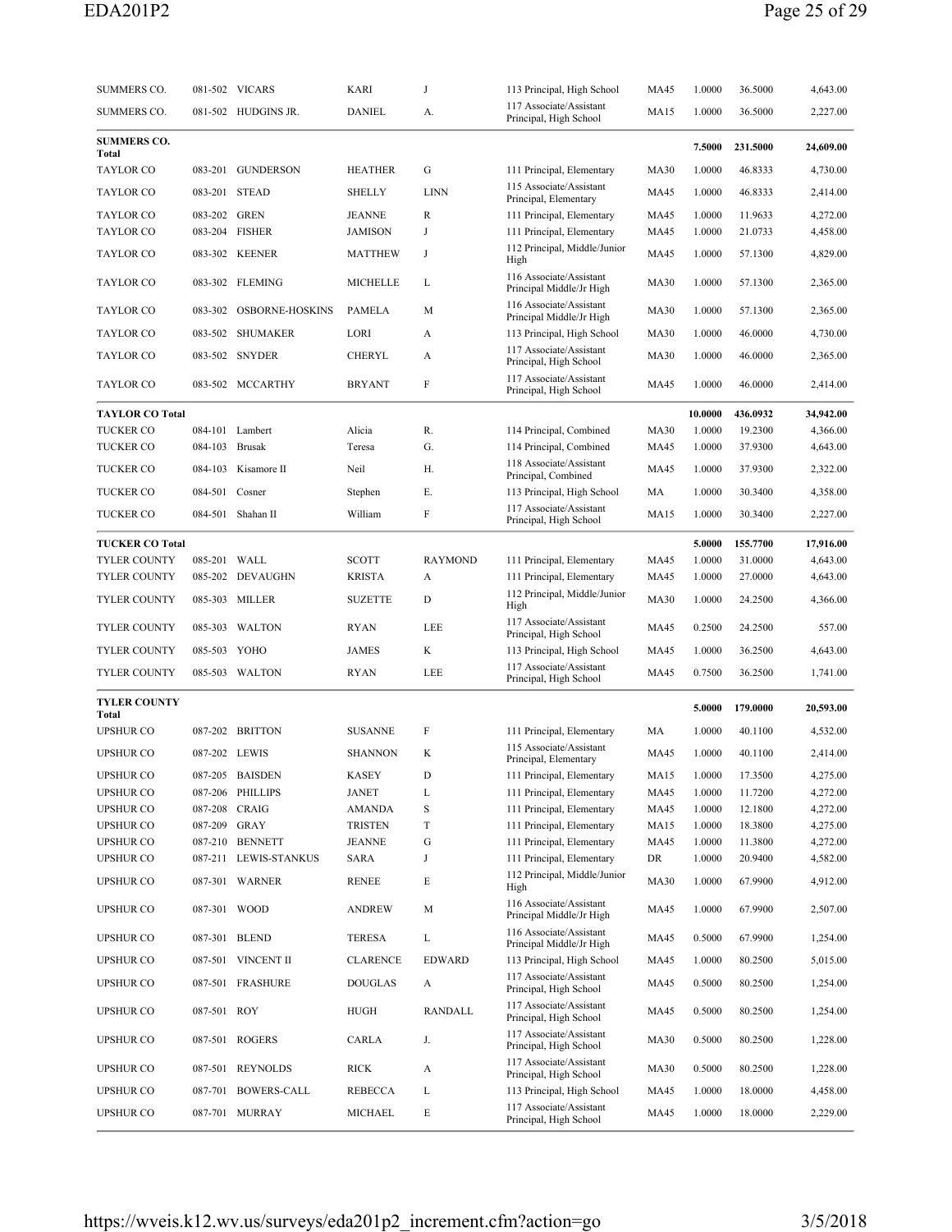| 117 Associate/Assistant<br>SUMMERS CO.<br>081-502 HUDGINS JR.<br>DANIEL<br><b>MA15</b><br>1.0000<br>36.5000<br>А.<br>Principal, High School<br><b>SUMMERS CO.</b><br>7.5000<br>231.5000<br>Total<br><b>TAYLOR CO</b><br>083-201<br><b>GUNDERSON</b><br><b>HEATHER</b><br>G<br>111 Principal, Elementary<br><b>MA30</b><br>1.0000<br>46.8333<br>115 Associate/Assistant<br><b>TAYLOR CO</b><br>083-201 STEAD<br><b>LINN</b><br><b>MA45</b><br>1.0000<br>SHELLY<br>46.8333<br>Principal, Elementary<br>083-202 GREN<br>4,272.00<br><b>TAYLOR CO</b><br><b>JEANNE</b><br>R<br>111 Principal, Elementary<br>MA45<br>1.0000<br>11.9633<br><b>TAYLOR CO</b><br>083-204 FISHER<br><b>JAMISON</b><br>J<br>111 Principal, Elementary<br><b>MA45</b><br>1.0000<br>21.0733<br>112 Principal, Middle/Junior<br><b>TAYLOR CO</b><br>083-302 KEENER<br><b>MATTHEW</b><br>J<br>MA45<br>1.0000<br>57.1300<br>High<br>116 Associate/Assistant<br><b>TAYLOR CO</b><br>083-302 FLEMING<br>MICHELLE<br><b>MA30</b><br>1.0000<br>L<br>57.1300<br>Principal Middle/Jr High<br>116 Associate/Assistant<br><b>TAYLOR CO</b><br>OSBORNE-HOSKINS<br>M<br><b>MA30</b><br>1.0000<br>2,365.00<br>083-302<br>PAMELA<br>57.1300<br>Principal Middle/Jr High<br><b>TAYLOR CO</b><br>083-502 SHUMAKER<br>LORI<br>113 Principal, High School<br><b>MA30</b><br>1.0000<br>46.0000<br>A<br>117 Associate/Assistant<br><b>TAYLOR CO</b><br>083-502 SNYDER<br><b>CHERYL</b><br><b>MA30</b><br>1.0000<br>2,365.00<br>А<br>46.0000<br>Principal, High School<br>117 Associate/Assistant<br>F<br>083-502 MCCARTHY<br><b>MA45</b><br>1.0000<br>TAYLOR CO<br><b>BRYANT</b><br>46.0000<br>Principal, High School<br>10.0000<br><b>TAYLOR CO Total</b><br>436.0932<br>R.<br>1.0000<br><b>TUCKER CO</b><br>084-101 Lambert<br>Alicia<br>114 Principal, Combined<br><b>MA30</b><br>19.2300<br>4,366.00<br>G.<br><b>TUCKER CO</b><br>084-103 Brusak<br>114 Principal, Combined<br>1.0000<br>37.9300<br>Teresa<br>MA45<br>118 Associate/Assistant<br><b>TUCKER CO</b><br>084-103<br>Kisamore II<br>Neil<br>Н.<br>MA45<br>1.0000<br>37.9300<br>Principal, Combined<br><b>TUCKER CO</b><br>084-501<br>Cosner<br>Е.<br>113 Principal, High School<br>MA<br>1.0000<br>4,358.00<br>Stephen<br>30.3400<br>117 Associate/Assistant<br>F<br><b>TUCKER CO</b><br>084-501 Shahan II<br>William<br><b>MA15</b><br>1.0000<br>2,227.00<br>30.3400<br>Principal, High School<br><b>TUCKER CO Total</b><br>5.0000<br>155.7700<br><b>TYLER COUNTY</b><br>085-201 WALL<br>SCOTT<br><b>RAYMOND</b><br>111 Principal, Elementary<br><b>MA45</b><br>1.0000<br>31.0000<br><b>TYLER COUNTY</b><br>085-202 DEVAUGHN<br><b>KRISTA</b><br>111 Principal, Elementary<br><b>MA45</b><br>1.0000<br>27.0000<br>А<br>112 Principal, Middle/Junior<br>TYLER COUNTY<br>085-303 MILLER<br><b>SUZETTE</b><br>D<br><b>MA30</b><br>1.0000<br>24.2500<br>High<br>117 Associate/Assistant<br>TYLER COUNTY<br>085-303<br>WALTON<br><b>RYAN</b><br>LEE<br>MA45<br>0.2500<br>24.2500<br>Principal, High School<br><b>TYLER COUNTY</b><br>085-503 YOHO<br><b>JAMES</b><br>K<br>113 Principal, High School<br>1.0000<br>4,643.00<br>MA45<br>36.2500<br>117 Associate/Assistant<br>TYLER COUNTY<br>085-503 WALTON<br><b>RYAN</b><br>LEE<br><b>MA45</b><br>0.7500<br>1,741.00<br>36.2500<br>Principal, High School<br><b>TYLER COUNTY</b><br>5.0000<br>179.0000<br>Total<br><b>UPSHUR CO</b><br>087-202 BRITTON<br><b>SUSANNE</b><br>F<br>111 Principal, Elementary<br>MA<br>1.0000<br>40.1100<br>115 Associate/Assistant<br><b>UPSHUR CO</b><br>087-202 LEWIS<br><b>SHANNON</b><br>K<br><b>MA45</b><br>1.0000<br>40.1100<br>Principal, Elementary<br><b>UPSHUR CO</b><br>087-205 BAISDEN<br>KASEY<br>111 Principal, Elementary<br>MA15 1.0000<br>17.3500<br>D<br>4,272.00<br><b>UPSHUR CO</b><br>087-206 PHILLIPS<br><b>JANET</b><br>111 Principal, Elementary<br>1.0000<br>11.7200<br>L<br>MA45<br><b>UPSHUR CO</b><br>4,272.00<br>087-208 CRAIG<br><b>AMANDA</b><br>S<br>111 Principal, Elementary<br>MA45<br>1.0000<br>12.1800<br><b>UPSHUR CO</b><br>087-209 GRAY<br>T<br><b>TRISTEN</b><br>111 Principal, Elementary<br><b>MA15</b><br>1.0000<br>18.3800<br>4,275.00<br><b>UPSHUR CO</b><br>087-210 BENNETT<br>4,272.00<br>JEANNE<br>G<br>111 Principal, Elementary<br><b>MA45</b><br>1.0000<br>11.3800<br>111 Principal, Elementary<br><b>UPSHUR CO</b><br>087-211 LEWIS-STANKUS<br>SARA<br>DR<br>1.0000<br>20.9400<br>4,582.00<br>J<br>112 Principal, Middle/Junior<br><b>UPSHUR CO</b><br>E<br>087-301 WARNER<br>RENEE<br><b>MA30</b><br>1.0000<br>67.9900<br>High<br>116 Associate/Assistant<br><b>UPSHUR CO</b><br>087-301 WOOD<br>ANDREW<br><b>MA45</b><br>1.0000<br>67.9900<br>2,507.00<br>М<br>Principal Middle/Jr High<br>116 Associate/Assistant<br><b>UPSHUR CO</b><br>087-301 BLEND<br>TERESA<br>L<br><b>MA45</b><br>0.5000<br>67.9900<br>Principal Middle/Jr High<br><b>UPSHUR CO</b><br>087-501 VINCENT II<br><b>CLARENCE</b><br>EDWARD<br>113 Principal, High School<br>1.0000<br>5,015.00<br>MA45<br>80.2500<br>117 Associate/Assistant<br><b>UPSHUR CO</b><br>087-501 FRASHURE<br><b>DOUGLAS</b><br>MA45<br>0.5000<br>1,254.00<br>A<br>80.2500<br>Principal, High School<br>117 Associate/Assistant<br><b>UPSHUR CO</b><br>087-501 ROY<br>HUGH<br>RANDALL<br>0.5000<br>80.2500<br>1,254.00<br>MA45<br>Principal, High School<br>117 Associate/Assistant<br><b>UPSHUR CO</b><br>087-501 ROGERS<br>CARLA<br><b>MA30</b><br>0.5000<br>1,228.00<br>J.<br>80.2500<br>Principal, High School | SUMMERS CO. | 081-502 VICARS | KARI | J | 113 Principal, High School | MA45 | 1.0000 | 36.5000 | 4,643.00  |
|-----------------------------------------------------------------------------------------------------------------------------------------------------------------------------------------------------------------------------------------------------------------------------------------------------------------------------------------------------------------------------------------------------------------------------------------------------------------------------------------------------------------------------------------------------------------------------------------------------------------------------------------------------------------------------------------------------------------------------------------------------------------------------------------------------------------------------------------------------------------------------------------------------------------------------------------------------------------------------------------------------------------------------------------------------------------------------------------------------------------------------------------------------------------------------------------------------------------------------------------------------------------------------------------------------------------------------------------------------------------------------------------------------------------------------------------------------------------------------------------------------------------------------------------------------------------------------------------------------------------------------------------------------------------------------------------------------------------------------------------------------------------------------------------------------------------------------------------------------------------------------------------------------------------------------------------------------------------------------------------------------------------------------------------------------------------------------------------------------------------------------------------------------------------------------------------------------------------------------------------------------------------------------------------------------------------------------------------------------------------------------------------------------------------------------------------------------------------------------------------------------------------------------------------------------------------------------------------------------------------------------------------------------------------------------------------------------------------------------------------------------------------------------------------------------------------------------------------------------------------------------------------------------------------------------------------------------------------------------------------------------------------------------------------------------------------------------------------------------------------------------------------------------------------------------------------------------------------------------------------------------------------------------------------------------------------------------------------------------------------------------------------------------------------------------------------------------------------------------------------------------------------------------------------------------------------------------------------------------------------------------------------------------------------------------------------------------------------------------------------------------------------------------------------------------------------------------------------------------------------------------------------------------------------------------------------------------------------------------------------------------------------------------------------------------------------------------------------------------------------------------------------------------------------------------------------------------------------------------------------------------------------------------------------------------------------------------------------------------------------------------------------------------------------------------------------------------------------------------------------------------------------------------------------------------------------------------------------------------------------------------------------------------------------------------------------------------------------------------------------------------------------------------------------------------------------------------------------------------------------------------------------------------------------------------------------------------------------------------------------------------------------------------------------------------------------------------------------------------------------------------------------------------------------------------------------------------------------------------------------------------------------------------------------------------------------------------------------------------------------------------------------------------------------------------------------------------------------------------------------------------------------|-------------|----------------|------|---|----------------------------|------|--------|---------|-----------|
|                                                                                                                                                                                                                                                                                                                                                                                                                                                                                                                                                                                                                                                                                                                                                                                                                                                                                                                                                                                                                                                                                                                                                                                                                                                                                                                                                                                                                                                                                                                                                                                                                                                                                                                                                                                                                                                                                                                                                                                                                                                                                                                                                                                                                                                                                                                                                                                                                                                                                                                                                                                                                                                                                                                                                                                                                                                                                                                                                                                                                                                                                                                                                                                                                                                                                                                                                                                                                                                                                                                                                                                                                                                                                                                                                                                                                                                                                                                                                                                                                                                                                                                                                                                                                                                                                                                                                                                                                                                                                                                                                                                                                                                                                                                                                                                                                                                                                                                                                                                                                                                                                                                                                                                                                                                                                                                                                                                                                                                                                                                 |             |                |      |   |                            |      |        |         | 2,227.00  |
|                                                                                                                                                                                                                                                                                                                                                                                                                                                                                                                                                                                                                                                                                                                                                                                                                                                                                                                                                                                                                                                                                                                                                                                                                                                                                                                                                                                                                                                                                                                                                                                                                                                                                                                                                                                                                                                                                                                                                                                                                                                                                                                                                                                                                                                                                                                                                                                                                                                                                                                                                                                                                                                                                                                                                                                                                                                                                                                                                                                                                                                                                                                                                                                                                                                                                                                                                                                                                                                                                                                                                                                                                                                                                                                                                                                                                                                                                                                                                                                                                                                                                                                                                                                                                                                                                                                                                                                                                                                                                                                                                                                                                                                                                                                                                                                                                                                                                                                                                                                                                                                                                                                                                                                                                                                                                                                                                                                                                                                                                                                 |             |                |      |   |                            |      |        |         | 24,609.00 |
|                                                                                                                                                                                                                                                                                                                                                                                                                                                                                                                                                                                                                                                                                                                                                                                                                                                                                                                                                                                                                                                                                                                                                                                                                                                                                                                                                                                                                                                                                                                                                                                                                                                                                                                                                                                                                                                                                                                                                                                                                                                                                                                                                                                                                                                                                                                                                                                                                                                                                                                                                                                                                                                                                                                                                                                                                                                                                                                                                                                                                                                                                                                                                                                                                                                                                                                                                                                                                                                                                                                                                                                                                                                                                                                                                                                                                                                                                                                                                                                                                                                                                                                                                                                                                                                                                                                                                                                                                                                                                                                                                                                                                                                                                                                                                                                                                                                                                                                                                                                                                                                                                                                                                                                                                                                                                                                                                                                                                                                                                                                 |             |                |      |   |                            |      |        |         | 4,730.00  |
|                                                                                                                                                                                                                                                                                                                                                                                                                                                                                                                                                                                                                                                                                                                                                                                                                                                                                                                                                                                                                                                                                                                                                                                                                                                                                                                                                                                                                                                                                                                                                                                                                                                                                                                                                                                                                                                                                                                                                                                                                                                                                                                                                                                                                                                                                                                                                                                                                                                                                                                                                                                                                                                                                                                                                                                                                                                                                                                                                                                                                                                                                                                                                                                                                                                                                                                                                                                                                                                                                                                                                                                                                                                                                                                                                                                                                                                                                                                                                                                                                                                                                                                                                                                                                                                                                                                                                                                                                                                                                                                                                                                                                                                                                                                                                                                                                                                                                                                                                                                                                                                                                                                                                                                                                                                                                                                                                                                                                                                                                                                 |             |                |      |   |                            |      |        |         | 2,414.00  |
|                                                                                                                                                                                                                                                                                                                                                                                                                                                                                                                                                                                                                                                                                                                                                                                                                                                                                                                                                                                                                                                                                                                                                                                                                                                                                                                                                                                                                                                                                                                                                                                                                                                                                                                                                                                                                                                                                                                                                                                                                                                                                                                                                                                                                                                                                                                                                                                                                                                                                                                                                                                                                                                                                                                                                                                                                                                                                                                                                                                                                                                                                                                                                                                                                                                                                                                                                                                                                                                                                                                                                                                                                                                                                                                                                                                                                                                                                                                                                                                                                                                                                                                                                                                                                                                                                                                                                                                                                                                                                                                                                                                                                                                                                                                                                                                                                                                                                                                                                                                                                                                                                                                                                                                                                                                                                                                                                                                                                                                                                                                 |             |                |      |   |                            |      |        |         |           |
|                                                                                                                                                                                                                                                                                                                                                                                                                                                                                                                                                                                                                                                                                                                                                                                                                                                                                                                                                                                                                                                                                                                                                                                                                                                                                                                                                                                                                                                                                                                                                                                                                                                                                                                                                                                                                                                                                                                                                                                                                                                                                                                                                                                                                                                                                                                                                                                                                                                                                                                                                                                                                                                                                                                                                                                                                                                                                                                                                                                                                                                                                                                                                                                                                                                                                                                                                                                                                                                                                                                                                                                                                                                                                                                                                                                                                                                                                                                                                                                                                                                                                                                                                                                                                                                                                                                                                                                                                                                                                                                                                                                                                                                                                                                                                                                                                                                                                                                                                                                                                                                                                                                                                                                                                                                                                                                                                                                                                                                                                                                 |             |                |      |   |                            |      |        |         | 4,458.00  |
|                                                                                                                                                                                                                                                                                                                                                                                                                                                                                                                                                                                                                                                                                                                                                                                                                                                                                                                                                                                                                                                                                                                                                                                                                                                                                                                                                                                                                                                                                                                                                                                                                                                                                                                                                                                                                                                                                                                                                                                                                                                                                                                                                                                                                                                                                                                                                                                                                                                                                                                                                                                                                                                                                                                                                                                                                                                                                                                                                                                                                                                                                                                                                                                                                                                                                                                                                                                                                                                                                                                                                                                                                                                                                                                                                                                                                                                                                                                                                                                                                                                                                                                                                                                                                                                                                                                                                                                                                                                                                                                                                                                                                                                                                                                                                                                                                                                                                                                                                                                                                                                                                                                                                                                                                                                                                                                                                                                                                                                                                                                 |             |                |      |   |                            |      |        |         | 4,829.00  |
|                                                                                                                                                                                                                                                                                                                                                                                                                                                                                                                                                                                                                                                                                                                                                                                                                                                                                                                                                                                                                                                                                                                                                                                                                                                                                                                                                                                                                                                                                                                                                                                                                                                                                                                                                                                                                                                                                                                                                                                                                                                                                                                                                                                                                                                                                                                                                                                                                                                                                                                                                                                                                                                                                                                                                                                                                                                                                                                                                                                                                                                                                                                                                                                                                                                                                                                                                                                                                                                                                                                                                                                                                                                                                                                                                                                                                                                                                                                                                                                                                                                                                                                                                                                                                                                                                                                                                                                                                                                                                                                                                                                                                                                                                                                                                                                                                                                                                                                                                                                                                                                                                                                                                                                                                                                                                                                                                                                                                                                                                                                 |             |                |      |   |                            |      |        |         | 2,365.00  |
|                                                                                                                                                                                                                                                                                                                                                                                                                                                                                                                                                                                                                                                                                                                                                                                                                                                                                                                                                                                                                                                                                                                                                                                                                                                                                                                                                                                                                                                                                                                                                                                                                                                                                                                                                                                                                                                                                                                                                                                                                                                                                                                                                                                                                                                                                                                                                                                                                                                                                                                                                                                                                                                                                                                                                                                                                                                                                                                                                                                                                                                                                                                                                                                                                                                                                                                                                                                                                                                                                                                                                                                                                                                                                                                                                                                                                                                                                                                                                                                                                                                                                                                                                                                                                                                                                                                                                                                                                                                                                                                                                                                                                                                                                                                                                                                                                                                                                                                                                                                                                                                                                                                                                                                                                                                                                                                                                                                                                                                                                                                 |             |                |      |   |                            |      |        |         |           |
|                                                                                                                                                                                                                                                                                                                                                                                                                                                                                                                                                                                                                                                                                                                                                                                                                                                                                                                                                                                                                                                                                                                                                                                                                                                                                                                                                                                                                                                                                                                                                                                                                                                                                                                                                                                                                                                                                                                                                                                                                                                                                                                                                                                                                                                                                                                                                                                                                                                                                                                                                                                                                                                                                                                                                                                                                                                                                                                                                                                                                                                                                                                                                                                                                                                                                                                                                                                                                                                                                                                                                                                                                                                                                                                                                                                                                                                                                                                                                                                                                                                                                                                                                                                                                                                                                                                                                                                                                                                                                                                                                                                                                                                                                                                                                                                                                                                                                                                                                                                                                                                                                                                                                                                                                                                                                                                                                                                                                                                                                                                 |             |                |      |   |                            |      |        |         | 4,730.00  |
|                                                                                                                                                                                                                                                                                                                                                                                                                                                                                                                                                                                                                                                                                                                                                                                                                                                                                                                                                                                                                                                                                                                                                                                                                                                                                                                                                                                                                                                                                                                                                                                                                                                                                                                                                                                                                                                                                                                                                                                                                                                                                                                                                                                                                                                                                                                                                                                                                                                                                                                                                                                                                                                                                                                                                                                                                                                                                                                                                                                                                                                                                                                                                                                                                                                                                                                                                                                                                                                                                                                                                                                                                                                                                                                                                                                                                                                                                                                                                                                                                                                                                                                                                                                                                                                                                                                                                                                                                                                                                                                                                                                                                                                                                                                                                                                                                                                                                                                                                                                                                                                                                                                                                                                                                                                                                                                                                                                                                                                                                                                 |             |                |      |   |                            |      |        |         |           |
|                                                                                                                                                                                                                                                                                                                                                                                                                                                                                                                                                                                                                                                                                                                                                                                                                                                                                                                                                                                                                                                                                                                                                                                                                                                                                                                                                                                                                                                                                                                                                                                                                                                                                                                                                                                                                                                                                                                                                                                                                                                                                                                                                                                                                                                                                                                                                                                                                                                                                                                                                                                                                                                                                                                                                                                                                                                                                                                                                                                                                                                                                                                                                                                                                                                                                                                                                                                                                                                                                                                                                                                                                                                                                                                                                                                                                                                                                                                                                                                                                                                                                                                                                                                                                                                                                                                                                                                                                                                                                                                                                                                                                                                                                                                                                                                                                                                                                                                                                                                                                                                                                                                                                                                                                                                                                                                                                                                                                                                                                                                 |             |                |      |   |                            |      |        |         | 2,414.00  |
|                                                                                                                                                                                                                                                                                                                                                                                                                                                                                                                                                                                                                                                                                                                                                                                                                                                                                                                                                                                                                                                                                                                                                                                                                                                                                                                                                                                                                                                                                                                                                                                                                                                                                                                                                                                                                                                                                                                                                                                                                                                                                                                                                                                                                                                                                                                                                                                                                                                                                                                                                                                                                                                                                                                                                                                                                                                                                                                                                                                                                                                                                                                                                                                                                                                                                                                                                                                                                                                                                                                                                                                                                                                                                                                                                                                                                                                                                                                                                                                                                                                                                                                                                                                                                                                                                                                                                                                                                                                                                                                                                                                                                                                                                                                                                                                                                                                                                                                                                                                                                                                                                                                                                                                                                                                                                                                                                                                                                                                                                                                 |             |                |      |   |                            |      |        |         | 34,942.00 |
|                                                                                                                                                                                                                                                                                                                                                                                                                                                                                                                                                                                                                                                                                                                                                                                                                                                                                                                                                                                                                                                                                                                                                                                                                                                                                                                                                                                                                                                                                                                                                                                                                                                                                                                                                                                                                                                                                                                                                                                                                                                                                                                                                                                                                                                                                                                                                                                                                                                                                                                                                                                                                                                                                                                                                                                                                                                                                                                                                                                                                                                                                                                                                                                                                                                                                                                                                                                                                                                                                                                                                                                                                                                                                                                                                                                                                                                                                                                                                                                                                                                                                                                                                                                                                                                                                                                                                                                                                                                                                                                                                                                                                                                                                                                                                                                                                                                                                                                                                                                                                                                                                                                                                                                                                                                                                                                                                                                                                                                                                                                 |             |                |      |   |                            |      |        |         |           |
|                                                                                                                                                                                                                                                                                                                                                                                                                                                                                                                                                                                                                                                                                                                                                                                                                                                                                                                                                                                                                                                                                                                                                                                                                                                                                                                                                                                                                                                                                                                                                                                                                                                                                                                                                                                                                                                                                                                                                                                                                                                                                                                                                                                                                                                                                                                                                                                                                                                                                                                                                                                                                                                                                                                                                                                                                                                                                                                                                                                                                                                                                                                                                                                                                                                                                                                                                                                                                                                                                                                                                                                                                                                                                                                                                                                                                                                                                                                                                                                                                                                                                                                                                                                                                                                                                                                                                                                                                                                                                                                                                                                                                                                                                                                                                                                                                                                                                                                                                                                                                                                                                                                                                                                                                                                                                                                                                                                                                                                                                                                 |             |                |      |   |                            |      |        |         | 4,643.00  |
|                                                                                                                                                                                                                                                                                                                                                                                                                                                                                                                                                                                                                                                                                                                                                                                                                                                                                                                                                                                                                                                                                                                                                                                                                                                                                                                                                                                                                                                                                                                                                                                                                                                                                                                                                                                                                                                                                                                                                                                                                                                                                                                                                                                                                                                                                                                                                                                                                                                                                                                                                                                                                                                                                                                                                                                                                                                                                                                                                                                                                                                                                                                                                                                                                                                                                                                                                                                                                                                                                                                                                                                                                                                                                                                                                                                                                                                                                                                                                                                                                                                                                                                                                                                                                                                                                                                                                                                                                                                                                                                                                                                                                                                                                                                                                                                                                                                                                                                                                                                                                                                                                                                                                                                                                                                                                                                                                                                                                                                                                                                 |             |                |      |   |                            |      |        |         | 2,322.00  |
|                                                                                                                                                                                                                                                                                                                                                                                                                                                                                                                                                                                                                                                                                                                                                                                                                                                                                                                                                                                                                                                                                                                                                                                                                                                                                                                                                                                                                                                                                                                                                                                                                                                                                                                                                                                                                                                                                                                                                                                                                                                                                                                                                                                                                                                                                                                                                                                                                                                                                                                                                                                                                                                                                                                                                                                                                                                                                                                                                                                                                                                                                                                                                                                                                                                                                                                                                                                                                                                                                                                                                                                                                                                                                                                                                                                                                                                                                                                                                                                                                                                                                                                                                                                                                                                                                                                                                                                                                                                                                                                                                                                                                                                                                                                                                                                                                                                                                                                                                                                                                                                                                                                                                                                                                                                                                                                                                                                                                                                                                                                 |             |                |      |   |                            |      |        |         |           |
|                                                                                                                                                                                                                                                                                                                                                                                                                                                                                                                                                                                                                                                                                                                                                                                                                                                                                                                                                                                                                                                                                                                                                                                                                                                                                                                                                                                                                                                                                                                                                                                                                                                                                                                                                                                                                                                                                                                                                                                                                                                                                                                                                                                                                                                                                                                                                                                                                                                                                                                                                                                                                                                                                                                                                                                                                                                                                                                                                                                                                                                                                                                                                                                                                                                                                                                                                                                                                                                                                                                                                                                                                                                                                                                                                                                                                                                                                                                                                                                                                                                                                                                                                                                                                                                                                                                                                                                                                                                                                                                                                                                                                                                                                                                                                                                                                                                                                                                                                                                                                                                                                                                                                                                                                                                                                                                                                                                                                                                                                                                 |             |                |      |   |                            |      |        |         |           |
|                                                                                                                                                                                                                                                                                                                                                                                                                                                                                                                                                                                                                                                                                                                                                                                                                                                                                                                                                                                                                                                                                                                                                                                                                                                                                                                                                                                                                                                                                                                                                                                                                                                                                                                                                                                                                                                                                                                                                                                                                                                                                                                                                                                                                                                                                                                                                                                                                                                                                                                                                                                                                                                                                                                                                                                                                                                                                                                                                                                                                                                                                                                                                                                                                                                                                                                                                                                                                                                                                                                                                                                                                                                                                                                                                                                                                                                                                                                                                                                                                                                                                                                                                                                                                                                                                                                                                                                                                                                                                                                                                                                                                                                                                                                                                                                                                                                                                                                                                                                                                                                                                                                                                                                                                                                                                                                                                                                                                                                                                                                 |             |                |      |   |                            |      |        |         | 17,916.00 |
|                                                                                                                                                                                                                                                                                                                                                                                                                                                                                                                                                                                                                                                                                                                                                                                                                                                                                                                                                                                                                                                                                                                                                                                                                                                                                                                                                                                                                                                                                                                                                                                                                                                                                                                                                                                                                                                                                                                                                                                                                                                                                                                                                                                                                                                                                                                                                                                                                                                                                                                                                                                                                                                                                                                                                                                                                                                                                                                                                                                                                                                                                                                                                                                                                                                                                                                                                                                                                                                                                                                                                                                                                                                                                                                                                                                                                                                                                                                                                                                                                                                                                                                                                                                                                                                                                                                                                                                                                                                                                                                                                                                                                                                                                                                                                                                                                                                                                                                                                                                                                                                                                                                                                                                                                                                                                                                                                                                                                                                                                                                 |             |                |      |   |                            |      |        |         | 4,643.00  |
|                                                                                                                                                                                                                                                                                                                                                                                                                                                                                                                                                                                                                                                                                                                                                                                                                                                                                                                                                                                                                                                                                                                                                                                                                                                                                                                                                                                                                                                                                                                                                                                                                                                                                                                                                                                                                                                                                                                                                                                                                                                                                                                                                                                                                                                                                                                                                                                                                                                                                                                                                                                                                                                                                                                                                                                                                                                                                                                                                                                                                                                                                                                                                                                                                                                                                                                                                                                                                                                                                                                                                                                                                                                                                                                                                                                                                                                                                                                                                                                                                                                                                                                                                                                                                                                                                                                                                                                                                                                                                                                                                                                                                                                                                                                                                                                                                                                                                                                                                                                                                                                                                                                                                                                                                                                                                                                                                                                                                                                                                                                 |             |                |      |   |                            |      |        |         | 4,643.00  |
|                                                                                                                                                                                                                                                                                                                                                                                                                                                                                                                                                                                                                                                                                                                                                                                                                                                                                                                                                                                                                                                                                                                                                                                                                                                                                                                                                                                                                                                                                                                                                                                                                                                                                                                                                                                                                                                                                                                                                                                                                                                                                                                                                                                                                                                                                                                                                                                                                                                                                                                                                                                                                                                                                                                                                                                                                                                                                                                                                                                                                                                                                                                                                                                                                                                                                                                                                                                                                                                                                                                                                                                                                                                                                                                                                                                                                                                                                                                                                                                                                                                                                                                                                                                                                                                                                                                                                                                                                                                                                                                                                                                                                                                                                                                                                                                                                                                                                                                                                                                                                                                                                                                                                                                                                                                                                                                                                                                                                                                                                                                 |             |                |      |   |                            |      |        |         | 4,366.00  |
|                                                                                                                                                                                                                                                                                                                                                                                                                                                                                                                                                                                                                                                                                                                                                                                                                                                                                                                                                                                                                                                                                                                                                                                                                                                                                                                                                                                                                                                                                                                                                                                                                                                                                                                                                                                                                                                                                                                                                                                                                                                                                                                                                                                                                                                                                                                                                                                                                                                                                                                                                                                                                                                                                                                                                                                                                                                                                                                                                                                                                                                                                                                                                                                                                                                                                                                                                                                                                                                                                                                                                                                                                                                                                                                                                                                                                                                                                                                                                                                                                                                                                                                                                                                                                                                                                                                                                                                                                                                                                                                                                                                                                                                                                                                                                                                                                                                                                                                                                                                                                                                                                                                                                                                                                                                                                                                                                                                                                                                                                                                 |             |                |      |   |                            |      |        |         | 557.00    |
|                                                                                                                                                                                                                                                                                                                                                                                                                                                                                                                                                                                                                                                                                                                                                                                                                                                                                                                                                                                                                                                                                                                                                                                                                                                                                                                                                                                                                                                                                                                                                                                                                                                                                                                                                                                                                                                                                                                                                                                                                                                                                                                                                                                                                                                                                                                                                                                                                                                                                                                                                                                                                                                                                                                                                                                                                                                                                                                                                                                                                                                                                                                                                                                                                                                                                                                                                                                                                                                                                                                                                                                                                                                                                                                                                                                                                                                                                                                                                                                                                                                                                                                                                                                                                                                                                                                                                                                                                                                                                                                                                                                                                                                                                                                                                                                                                                                                                                                                                                                                                                                                                                                                                                                                                                                                                                                                                                                                                                                                                                                 |             |                |      |   |                            |      |        |         |           |
|                                                                                                                                                                                                                                                                                                                                                                                                                                                                                                                                                                                                                                                                                                                                                                                                                                                                                                                                                                                                                                                                                                                                                                                                                                                                                                                                                                                                                                                                                                                                                                                                                                                                                                                                                                                                                                                                                                                                                                                                                                                                                                                                                                                                                                                                                                                                                                                                                                                                                                                                                                                                                                                                                                                                                                                                                                                                                                                                                                                                                                                                                                                                                                                                                                                                                                                                                                                                                                                                                                                                                                                                                                                                                                                                                                                                                                                                                                                                                                                                                                                                                                                                                                                                                                                                                                                                                                                                                                                                                                                                                                                                                                                                                                                                                                                                                                                                                                                                                                                                                                                                                                                                                                                                                                                                                                                                                                                                                                                                                                                 |             |                |      |   |                            |      |        |         |           |
|                                                                                                                                                                                                                                                                                                                                                                                                                                                                                                                                                                                                                                                                                                                                                                                                                                                                                                                                                                                                                                                                                                                                                                                                                                                                                                                                                                                                                                                                                                                                                                                                                                                                                                                                                                                                                                                                                                                                                                                                                                                                                                                                                                                                                                                                                                                                                                                                                                                                                                                                                                                                                                                                                                                                                                                                                                                                                                                                                                                                                                                                                                                                                                                                                                                                                                                                                                                                                                                                                                                                                                                                                                                                                                                                                                                                                                                                                                                                                                                                                                                                                                                                                                                                                                                                                                                                                                                                                                                                                                                                                                                                                                                                                                                                                                                                                                                                                                                                                                                                                                                                                                                                                                                                                                                                                                                                                                                                                                                                                                                 |             |                |      |   |                            |      |        |         |           |
|                                                                                                                                                                                                                                                                                                                                                                                                                                                                                                                                                                                                                                                                                                                                                                                                                                                                                                                                                                                                                                                                                                                                                                                                                                                                                                                                                                                                                                                                                                                                                                                                                                                                                                                                                                                                                                                                                                                                                                                                                                                                                                                                                                                                                                                                                                                                                                                                                                                                                                                                                                                                                                                                                                                                                                                                                                                                                                                                                                                                                                                                                                                                                                                                                                                                                                                                                                                                                                                                                                                                                                                                                                                                                                                                                                                                                                                                                                                                                                                                                                                                                                                                                                                                                                                                                                                                                                                                                                                                                                                                                                                                                                                                                                                                                                                                                                                                                                                                                                                                                                                                                                                                                                                                                                                                                                                                                                                                                                                                                                                 |             |                |      |   |                            |      |        |         | 20,593.00 |
|                                                                                                                                                                                                                                                                                                                                                                                                                                                                                                                                                                                                                                                                                                                                                                                                                                                                                                                                                                                                                                                                                                                                                                                                                                                                                                                                                                                                                                                                                                                                                                                                                                                                                                                                                                                                                                                                                                                                                                                                                                                                                                                                                                                                                                                                                                                                                                                                                                                                                                                                                                                                                                                                                                                                                                                                                                                                                                                                                                                                                                                                                                                                                                                                                                                                                                                                                                                                                                                                                                                                                                                                                                                                                                                                                                                                                                                                                                                                                                                                                                                                                                                                                                                                                                                                                                                                                                                                                                                                                                                                                                                                                                                                                                                                                                                                                                                                                                                                                                                                                                                                                                                                                                                                                                                                                                                                                                                                                                                                                                                 |             |                |      |   |                            |      |        |         | 4,532.00  |
|                                                                                                                                                                                                                                                                                                                                                                                                                                                                                                                                                                                                                                                                                                                                                                                                                                                                                                                                                                                                                                                                                                                                                                                                                                                                                                                                                                                                                                                                                                                                                                                                                                                                                                                                                                                                                                                                                                                                                                                                                                                                                                                                                                                                                                                                                                                                                                                                                                                                                                                                                                                                                                                                                                                                                                                                                                                                                                                                                                                                                                                                                                                                                                                                                                                                                                                                                                                                                                                                                                                                                                                                                                                                                                                                                                                                                                                                                                                                                                                                                                                                                                                                                                                                                                                                                                                                                                                                                                                                                                                                                                                                                                                                                                                                                                                                                                                                                                                                                                                                                                                                                                                                                                                                                                                                                                                                                                                                                                                                                                                 |             |                |      |   |                            |      |        |         | 2,414.00  |
|                                                                                                                                                                                                                                                                                                                                                                                                                                                                                                                                                                                                                                                                                                                                                                                                                                                                                                                                                                                                                                                                                                                                                                                                                                                                                                                                                                                                                                                                                                                                                                                                                                                                                                                                                                                                                                                                                                                                                                                                                                                                                                                                                                                                                                                                                                                                                                                                                                                                                                                                                                                                                                                                                                                                                                                                                                                                                                                                                                                                                                                                                                                                                                                                                                                                                                                                                                                                                                                                                                                                                                                                                                                                                                                                                                                                                                                                                                                                                                                                                                                                                                                                                                                                                                                                                                                                                                                                                                                                                                                                                                                                                                                                                                                                                                                                                                                                                                                                                                                                                                                                                                                                                                                                                                                                                                                                                                                                                                                                                                                 |             |                |      |   |                            |      |        |         | 4,275.00  |
|                                                                                                                                                                                                                                                                                                                                                                                                                                                                                                                                                                                                                                                                                                                                                                                                                                                                                                                                                                                                                                                                                                                                                                                                                                                                                                                                                                                                                                                                                                                                                                                                                                                                                                                                                                                                                                                                                                                                                                                                                                                                                                                                                                                                                                                                                                                                                                                                                                                                                                                                                                                                                                                                                                                                                                                                                                                                                                                                                                                                                                                                                                                                                                                                                                                                                                                                                                                                                                                                                                                                                                                                                                                                                                                                                                                                                                                                                                                                                                                                                                                                                                                                                                                                                                                                                                                                                                                                                                                                                                                                                                                                                                                                                                                                                                                                                                                                                                                                                                                                                                                                                                                                                                                                                                                                                                                                                                                                                                                                                                                 |             |                |      |   |                            |      |        |         |           |
|                                                                                                                                                                                                                                                                                                                                                                                                                                                                                                                                                                                                                                                                                                                                                                                                                                                                                                                                                                                                                                                                                                                                                                                                                                                                                                                                                                                                                                                                                                                                                                                                                                                                                                                                                                                                                                                                                                                                                                                                                                                                                                                                                                                                                                                                                                                                                                                                                                                                                                                                                                                                                                                                                                                                                                                                                                                                                                                                                                                                                                                                                                                                                                                                                                                                                                                                                                                                                                                                                                                                                                                                                                                                                                                                                                                                                                                                                                                                                                                                                                                                                                                                                                                                                                                                                                                                                                                                                                                                                                                                                                                                                                                                                                                                                                                                                                                                                                                                                                                                                                                                                                                                                                                                                                                                                                                                                                                                                                                                                                                 |             |                |      |   |                            |      |        |         |           |
|                                                                                                                                                                                                                                                                                                                                                                                                                                                                                                                                                                                                                                                                                                                                                                                                                                                                                                                                                                                                                                                                                                                                                                                                                                                                                                                                                                                                                                                                                                                                                                                                                                                                                                                                                                                                                                                                                                                                                                                                                                                                                                                                                                                                                                                                                                                                                                                                                                                                                                                                                                                                                                                                                                                                                                                                                                                                                                                                                                                                                                                                                                                                                                                                                                                                                                                                                                                                                                                                                                                                                                                                                                                                                                                                                                                                                                                                                                                                                                                                                                                                                                                                                                                                                                                                                                                                                                                                                                                                                                                                                                                                                                                                                                                                                                                                                                                                                                                                                                                                                                                                                                                                                                                                                                                                                                                                                                                                                                                                                                                 |             |                |      |   |                            |      |        |         |           |
|                                                                                                                                                                                                                                                                                                                                                                                                                                                                                                                                                                                                                                                                                                                                                                                                                                                                                                                                                                                                                                                                                                                                                                                                                                                                                                                                                                                                                                                                                                                                                                                                                                                                                                                                                                                                                                                                                                                                                                                                                                                                                                                                                                                                                                                                                                                                                                                                                                                                                                                                                                                                                                                                                                                                                                                                                                                                                                                                                                                                                                                                                                                                                                                                                                                                                                                                                                                                                                                                                                                                                                                                                                                                                                                                                                                                                                                                                                                                                                                                                                                                                                                                                                                                                                                                                                                                                                                                                                                                                                                                                                                                                                                                                                                                                                                                                                                                                                                                                                                                                                                                                                                                                                                                                                                                                                                                                                                                                                                                                                                 |             |                |      |   |                            |      |        |         |           |
|                                                                                                                                                                                                                                                                                                                                                                                                                                                                                                                                                                                                                                                                                                                                                                                                                                                                                                                                                                                                                                                                                                                                                                                                                                                                                                                                                                                                                                                                                                                                                                                                                                                                                                                                                                                                                                                                                                                                                                                                                                                                                                                                                                                                                                                                                                                                                                                                                                                                                                                                                                                                                                                                                                                                                                                                                                                                                                                                                                                                                                                                                                                                                                                                                                                                                                                                                                                                                                                                                                                                                                                                                                                                                                                                                                                                                                                                                                                                                                                                                                                                                                                                                                                                                                                                                                                                                                                                                                                                                                                                                                                                                                                                                                                                                                                                                                                                                                                                                                                                                                                                                                                                                                                                                                                                                                                                                                                                                                                                                                                 |             |                |      |   |                            |      |        |         | 4,912.00  |
|                                                                                                                                                                                                                                                                                                                                                                                                                                                                                                                                                                                                                                                                                                                                                                                                                                                                                                                                                                                                                                                                                                                                                                                                                                                                                                                                                                                                                                                                                                                                                                                                                                                                                                                                                                                                                                                                                                                                                                                                                                                                                                                                                                                                                                                                                                                                                                                                                                                                                                                                                                                                                                                                                                                                                                                                                                                                                                                                                                                                                                                                                                                                                                                                                                                                                                                                                                                                                                                                                                                                                                                                                                                                                                                                                                                                                                                                                                                                                                                                                                                                                                                                                                                                                                                                                                                                                                                                                                                                                                                                                                                                                                                                                                                                                                                                                                                                                                                                                                                                                                                                                                                                                                                                                                                                                                                                                                                                                                                                                                                 |             |                |      |   |                            |      |        |         |           |
|                                                                                                                                                                                                                                                                                                                                                                                                                                                                                                                                                                                                                                                                                                                                                                                                                                                                                                                                                                                                                                                                                                                                                                                                                                                                                                                                                                                                                                                                                                                                                                                                                                                                                                                                                                                                                                                                                                                                                                                                                                                                                                                                                                                                                                                                                                                                                                                                                                                                                                                                                                                                                                                                                                                                                                                                                                                                                                                                                                                                                                                                                                                                                                                                                                                                                                                                                                                                                                                                                                                                                                                                                                                                                                                                                                                                                                                                                                                                                                                                                                                                                                                                                                                                                                                                                                                                                                                                                                                                                                                                                                                                                                                                                                                                                                                                                                                                                                                                                                                                                                                                                                                                                                                                                                                                                                                                                                                                                                                                                                                 |             |                |      |   |                            |      |        |         | 1,254.00  |
|                                                                                                                                                                                                                                                                                                                                                                                                                                                                                                                                                                                                                                                                                                                                                                                                                                                                                                                                                                                                                                                                                                                                                                                                                                                                                                                                                                                                                                                                                                                                                                                                                                                                                                                                                                                                                                                                                                                                                                                                                                                                                                                                                                                                                                                                                                                                                                                                                                                                                                                                                                                                                                                                                                                                                                                                                                                                                                                                                                                                                                                                                                                                                                                                                                                                                                                                                                                                                                                                                                                                                                                                                                                                                                                                                                                                                                                                                                                                                                                                                                                                                                                                                                                                                                                                                                                                                                                                                                                                                                                                                                                                                                                                                                                                                                                                                                                                                                                                                                                                                                                                                                                                                                                                                                                                                                                                                                                                                                                                                                                 |             |                |      |   |                            |      |        |         |           |
|                                                                                                                                                                                                                                                                                                                                                                                                                                                                                                                                                                                                                                                                                                                                                                                                                                                                                                                                                                                                                                                                                                                                                                                                                                                                                                                                                                                                                                                                                                                                                                                                                                                                                                                                                                                                                                                                                                                                                                                                                                                                                                                                                                                                                                                                                                                                                                                                                                                                                                                                                                                                                                                                                                                                                                                                                                                                                                                                                                                                                                                                                                                                                                                                                                                                                                                                                                                                                                                                                                                                                                                                                                                                                                                                                                                                                                                                                                                                                                                                                                                                                                                                                                                                                                                                                                                                                                                                                                                                                                                                                                                                                                                                                                                                                                                                                                                                                                                                                                                                                                                                                                                                                                                                                                                                                                                                                                                                                                                                                                                 |             |                |      |   |                            |      |        |         |           |
|                                                                                                                                                                                                                                                                                                                                                                                                                                                                                                                                                                                                                                                                                                                                                                                                                                                                                                                                                                                                                                                                                                                                                                                                                                                                                                                                                                                                                                                                                                                                                                                                                                                                                                                                                                                                                                                                                                                                                                                                                                                                                                                                                                                                                                                                                                                                                                                                                                                                                                                                                                                                                                                                                                                                                                                                                                                                                                                                                                                                                                                                                                                                                                                                                                                                                                                                                                                                                                                                                                                                                                                                                                                                                                                                                                                                                                                                                                                                                                                                                                                                                                                                                                                                                                                                                                                                                                                                                                                                                                                                                                                                                                                                                                                                                                                                                                                                                                                                                                                                                                                                                                                                                                                                                                                                                                                                                                                                                                                                                                                 |             |                |      |   |                            |      |        |         |           |
|                                                                                                                                                                                                                                                                                                                                                                                                                                                                                                                                                                                                                                                                                                                                                                                                                                                                                                                                                                                                                                                                                                                                                                                                                                                                                                                                                                                                                                                                                                                                                                                                                                                                                                                                                                                                                                                                                                                                                                                                                                                                                                                                                                                                                                                                                                                                                                                                                                                                                                                                                                                                                                                                                                                                                                                                                                                                                                                                                                                                                                                                                                                                                                                                                                                                                                                                                                                                                                                                                                                                                                                                                                                                                                                                                                                                                                                                                                                                                                                                                                                                                                                                                                                                                                                                                                                                                                                                                                                                                                                                                                                                                                                                                                                                                                                                                                                                                                                                                                                                                                                                                                                                                                                                                                                                                                                                                                                                                                                                                                                 |             |                |      |   |                            |      |        |         |           |
|                                                                                                                                                                                                                                                                                                                                                                                                                                                                                                                                                                                                                                                                                                                                                                                                                                                                                                                                                                                                                                                                                                                                                                                                                                                                                                                                                                                                                                                                                                                                                                                                                                                                                                                                                                                                                                                                                                                                                                                                                                                                                                                                                                                                                                                                                                                                                                                                                                                                                                                                                                                                                                                                                                                                                                                                                                                                                                                                                                                                                                                                                                                                                                                                                                                                                                                                                                                                                                                                                                                                                                                                                                                                                                                                                                                                                                                                                                                                                                                                                                                                                                                                                                                                                                                                                                                                                                                                                                                                                                                                                                                                                                                                                                                                                                                                                                                                                                                                                                                                                                                                                                                                                                                                                                                                                                                                                                                                                                                                                                                 |             |                |      |   |                            |      |        |         |           |
| 117 Associate/Assistant<br><b>UPSHUR CO</b><br>087-501 REYNOLDS<br>RICK<br>A<br><b>MA30</b><br>0.5000<br>80.2500<br>Principal, High School                                                                                                                                                                                                                                                                                                                                                                                                                                                                                                                                                                                                                                                                                                                                                                                                                                                                                                                                                                                                                                                                                                                                                                                                                                                                                                                                                                                                                                                                                                                                                                                                                                                                                                                                                                                                                                                                                                                                                                                                                                                                                                                                                                                                                                                                                                                                                                                                                                                                                                                                                                                                                                                                                                                                                                                                                                                                                                                                                                                                                                                                                                                                                                                                                                                                                                                                                                                                                                                                                                                                                                                                                                                                                                                                                                                                                                                                                                                                                                                                                                                                                                                                                                                                                                                                                                                                                                                                                                                                                                                                                                                                                                                                                                                                                                                                                                                                                                                                                                                                                                                                                                                                                                                                                                                                                                                                                                      |             |                |      |   |                            |      |        |         | 1,228.00  |
| <b>UPSHUR CO</b><br>087-701 BOWERS-CALL<br>REBECCA<br>113 Principal, High School<br>1.0000<br>18.0000<br>L<br>MA45                                                                                                                                                                                                                                                                                                                                                                                                                                                                                                                                                                                                                                                                                                                                                                                                                                                                                                                                                                                                                                                                                                                                                                                                                                                                                                                                                                                                                                                                                                                                                                                                                                                                                                                                                                                                                                                                                                                                                                                                                                                                                                                                                                                                                                                                                                                                                                                                                                                                                                                                                                                                                                                                                                                                                                                                                                                                                                                                                                                                                                                                                                                                                                                                                                                                                                                                                                                                                                                                                                                                                                                                                                                                                                                                                                                                                                                                                                                                                                                                                                                                                                                                                                                                                                                                                                                                                                                                                                                                                                                                                                                                                                                                                                                                                                                                                                                                                                                                                                                                                                                                                                                                                                                                                                                                                                                                                                                              |             |                |      |   |                            |      |        |         | 4,458.00  |
| 117 Associate/Assistant<br><b>UPSHUR CO</b><br>087-701 MURRAY<br>Е<br>1.0000<br>18.0000<br>MICHAEL<br>MA45<br>Principal, High School                                                                                                                                                                                                                                                                                                                                                                                                                                                                                                                                                                                                                                                                                                                                                                                                                                                                                                                                                                                                                                                                                                                                                                                                                                                                                                                                                                                                                                                                                                                                                                                                                                                                                                                                                                                                                                                                                                                                                                                                                                                                                                                                                                                                                                                                                                                                                                                                                                                                                                                                                                                                                                                                                                                                                                                                                                                                                                                                                                                                                                                                                                                                                                                                                                                                                                                                                                                                                                                                                                                                                                                                                                                                                                                                                                                                                                                                                                                                                                                                                                                                                                                                                                                                                                                                                                                                                                                                                                                                                                                                                                                                                                                                                                                                                                                                                                                                                                                                                                                                                                                                                                                                                                                                                                                                                                                                                                            |             |                |      |   |                            |      |        |         | 2,229.00  |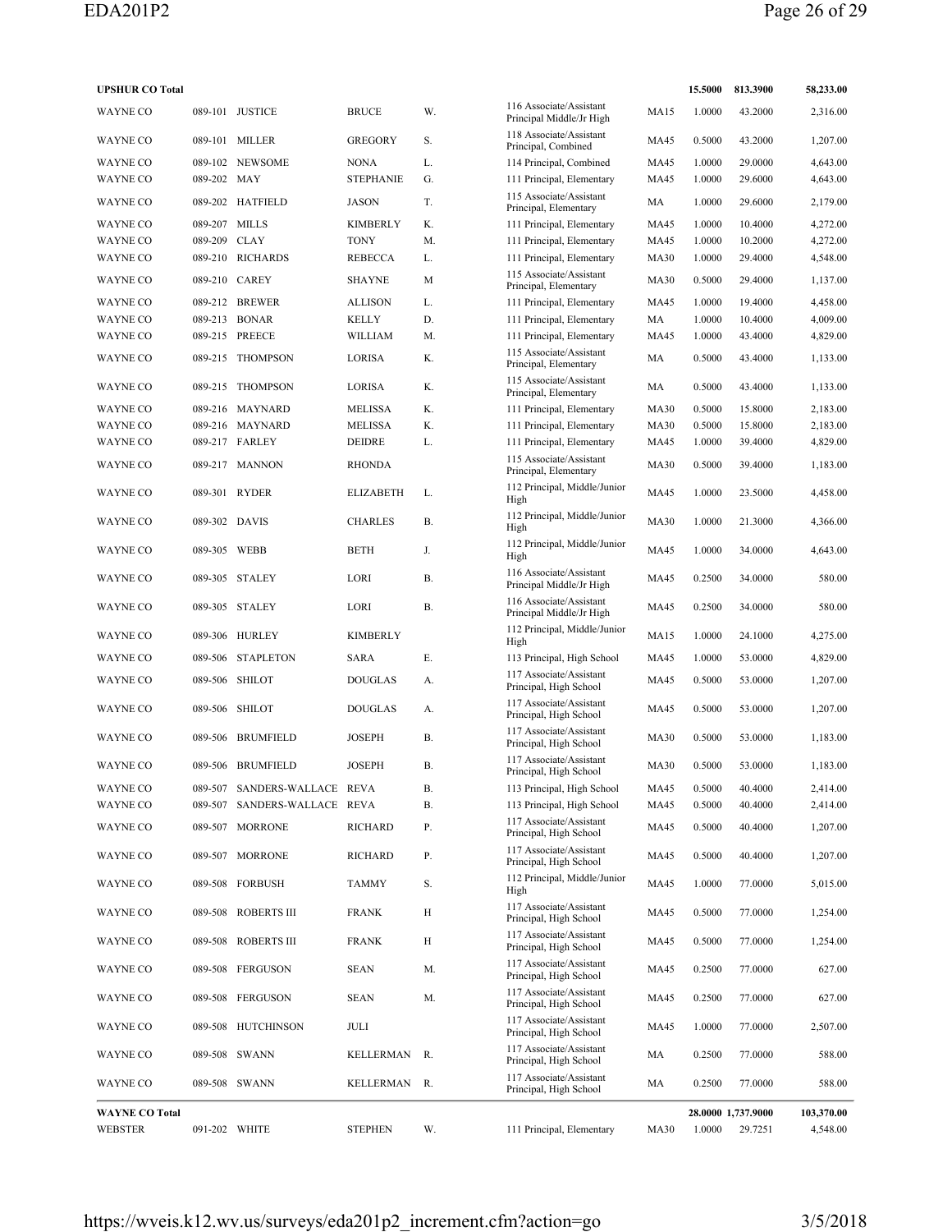| <b>UPSHUR CO Total</b> |               |                              |                  |           |                                                     |             | 15.5000 | 813.3900           | 58,233.00  |
|------------------------|---------------|------------------------------|------------------|-----------|-----------------------------------------------------|-------------|---------|--------------------|------------|
| <b>WAYNE CO</b>        |               | 089-101 JUSTICE              | <b>BRUCE</b>     | W.        | 116 Associate/Assistant<br>Principal Middle/Jr High | MA15        | 1.0000  | 43.2000            | 2,316.00   |
| WAYNE CO               |               | 089-101 MILLER               | <b>GREGORY</b>   | S.        | 118 Associate/Assistant<br>Principal, Combined      | <b>MA45</b> | 0.5000  | 43.2000            | 1,207.00   |
| <b>WAYNE CO</b>        |               | 089-102 NEWSOME              | <b>NONA</b>      | L.        | 114 Principal, Combined                             | <b>MA45</b> | 1.0000  | 29,0000            | 4,643.00   |
| WAYNE CO               | 089-202 MAY   |                              | <b>STEPHANIE</b> | G.        | 111 Principal, Elementary                           | <b>MA45</b> | 1.0000  | 29.6000            | 4,643.00   |
| WAYNE CO               |               | 089-202 HATFIELD             | <b>JASON</b>     | T.        | 115 Associate/Assistant<br>Principal, Elementary    | MA          | 1.0000  | 29.6000            | 2,179.00   |
| <b>WAYNE CO</b>        | 089-207 MILLS |                              | <b>KIMBERLY</b>  | Κ.        | 111 Principal, Elementary                           | <b>MA45</b> | 1.0000  | 10.4000            | 4,272.00   |
| <b>WAYNE CO</b>        | 089-209 CLAY  |                              | <b>TONY</b>      | M.        | 111 Principal, Elementary                           | <b>MA45</b> | 1.0000  | 10.2000            | 4,272.00   |
| WAYNE CO               |               | 089-210 RICHARDS             | <b>REBECCA</b>   | L.        | 111 Principal, Elementary                           | <b>MA30</b> | 1.0000  | 29.4000            | 4,548.00   |
| WAYNE CO               |               | 089-210 CAREY                | <b>SHAYNE</b>    | M         | 115 Associate/Assistant<br>Principal, Elementary    | <b>MA30</b> | 0.5000  | 29.4000            | 1,137.00   |
| <b>WAYNE CO</b>        |               | 089-212 BREWER               | <b>ALLISON</b>   | L.        | 111 Principal, Elementary                           | <b>MA45</b> | 1.0000  | 19.4000            | 4,458.00   |
| WAYNE CO               |               | 089-213 BONAR                | <b>KELLY</b>     | D.        | 111 Principal, Elementary                           | MA          | 1.0000  | 10.4000            | 4,009.00   |
| WAYNE CO               |               | 089-215 PREECE               | WILLIAM          | M.        | 111 Principal, Elementary                           | <b>MA45</b> | 1.0000  | 43.4000            | 4,829.00   |
| <b>WAYNE CO</b>        | 089-215       | <b>THOMPSON</b>              | LORISA           | K.        | 115 Associate/Assistant<br>Principal, Elementary    | MA          | 0.5000  | 43.4000            | 1,133.00   |
| WAYNE CO               | 089-215       | THOMPSON                     | <b>LORISA</b>    | K.        | 115 Associate/Assistant<br>Principal, Elementary    | MA          | 0.5000  | 43.4000            | 1,133.00   |
| <b>WAYNE CO</b>        |               | 089-216 MAYNARD              | <b>MELISSA</b>   | K.        | 111 Principal, Elementary                           | <b>MA30</b> | 0.5000  | 15.8000            | 2,183.00   |
| <b>WAYNE CO</b>        |               | 089-216 MAYNARD              | <b>MELISSA</b>   | K.        | 111 Principal, Elementary                           | <b>MA30</b> | 0.5000  | 15.8000            | 2,183.00   |
| <b>WAYNE CO</b>        |               | 089-217 FARLEY               | DEIDRE           | L.        | 111 Principal, Elementary                           | <b>MA45</b> | 1.0000  | 39.4000            | 4,829.00   |
| <b>WAYNE CO</b>        |               | 089-217 MANNON               | <b>RHONDA</b>    |           | 115 Associate/Assistant<br>Principal, Elementary    | <b>MA30</b> | 0.5000  | 39.4000            | 1,183.00   |
| <b>WAYNE CO</b>        |               | 089-301 RYDER                | <b>ELIZABETH</b> | L.        | 112 Principal, Middle/Junior<br>High                | <b>MA45</b> | 1.0000  | 23.5000            | 4,458.00   |
| <b>WAYNE CO</b>        |               | 089-302 DAVIS                | <b>CHARLES</b>   | В.        | 112 Principal, Middle/Junior<br>High                | <b>MA30</b> | 1.0000  | 21.3000            | 4,366.00   |
| <b>WAYNE CO</b>        | 089-305 WEBB  |                              | <b>BETH</b>      | J.        | 112 Principal, Middle/Junior<br>High                | <b>MA45</b> | 1.0000  | 34.0000            | 4,643.00   |
| WAYNE CO               |               | 089-305 STALEY               | LORI             | В.        | 116 Associate/Assistant<br>Principal Middle/Jr High | <b>MA45</b> | 0.2500  | 34.0000            | 580.00     |
| <b>WAYNE CO</b>        |               | 089-305 STALEY               | LORI             | <b>B.</b> | 116 Associate/Assistant<br>Principal Middle/Jr High | <b>MA45</b> | 0.2500  | 34.0000            | 580.00     |
| <b>WAYNE CO</b>        |               | 089-306 HURLEY               | <b>KIMBERLY</b>  |           | 112 Principal, Middle/Junior<br>High                | MA15        | 1.0000  | 24.1000            | 4,275.00   |
| WAYNE CO               | 089-506       | <b>STAPLETON</b>             | SARA             | Е.        | 113 Principal, High School                          | <b>MA45</b> | 1.0000  | 53.0000            | 4,829.00   |
| WAYNE CO               |               | 089-506 SHILOT               | <b>DOUGLAS</b>   | А.        | 117 Associate/Assistant<br>Principal, High School   | <b>MA45</b> | 0.5000  | 53.0000            | 1,207.00   |
| WAYNE CO               |               | 089-506 SHILOT               | <b>DOUGLAS</b>   | А.        | 117 Associate/Assistant<br>Principal, High School   | <b>MA45</b> | 0.5000  | 53.0000            | 1,207.00   |
| WAYNE CO               | 089-506       | BRUMFIELD                    | <b>JOSEPH</b>    | Β.        | 117 Associate/Assistant<br>Principal, High School   | <b>MA30</b> | 0.5000  | 53.0000            | 1,183.00   |
| <b>WAYNE CO</b>        |               | 089-506 BRUMFIELD            | <b>JOSEPH</b>    | Β.        | 117 Associate/Assistant<br>Principal, High School   | <b>MA30</b> | 0.5000  | 53.0000            | 1,183.00   |
| WAYNE CO               |               | 089-507 SANDERS-WALLACE REVA |                  | В.        | 113 Principal, High School                          | <b>MA45</b> | 0.5000  | 40.4000            | 2,414.00   |
| WAYNE CO               | 089-507       | SANDERS-WALLACE REVA         |                  | В.        | 113 Principal, High School                          | <b>MA45</b> | 0.5000  | 40.4000            | 2,414.00   |
| WAYNE CO               |               | 089-507 MORRONE              | RICHARD          | Ρ.        | 117 Associate/Assistant<br>Principal, High School   | MA45        | 0.5000  | 40.4000            | 1,207.00   |
| WAYNE CO               |               | 089-507 MORRONE              | RICHARD          | Р.        | 117 Associate/Assistant<br>Principal, High School   | MA45        | 0.5000  | 40.4000            | 1,207.00   |
| WAYNE CO               |               | 089-508 FORBUSH              | <b>TAMMY</b>     | S.        | 112 Principal, Middle/Junior<br>High                | <b>MA45</b> | 1.0000  | 77.0000            | 5,015.00   |
| WAYNE CO               |               | 089-508 ROBERTS III          | <b>FRANK</b>     | Н         | 117 Associate/Assistant<br>Principal, High School   | <b>MA45</b> | 0.5000  | 77.0000            | 1,254.00   |
| WAYNE CO               |               | 089-508 ROBERTS III          | <b>FRANK</b>     | H         | 117 Associate/Assistant<br>Principal, High School   | <b>MA45</b> | 0.5000  | 77.0000            | 1,254.00   |
| WAYNE CO               |               | 089-508 FERGUSON             | <b>SEAN</b>      | Μ.        | 117 Associate/Assistant<br>Principal, High School   | <b>MA45</b> | 0.2500  | 77.0000            | 627.00     |
| WAYNE CO               |               | 089-508 FERGUSON             | <b>SEAN</b>      | Μ.        | 117 Associate/Assistant<br>Principal, High School   | <b>MA45</b> | 0.2500  | 77.0000            | 627.00     |
| WAYNE CO               |               | 089-508 HUTCHINSON           | JULI             |           | 117 Associate/Assistant<br>Principal, High School   | <b>MA45</b> | 1.0000  | 77.0000            | 2,507.00   |
| WAYNE CO               |               | 089-508 SWANN                | KELLERMAN        | R.        | 117 Associate/Assistant<br>Principal, High School   | MA          | 0.2500  | 77.0000            | 588.00     |
| WAYNE CO               |               | 089-508 SWANN                | KELLERMAN        | R.        | 117 Associate/Assistant<br>Principal, High School   | MA          | 0.2500  | 77.0000            | 588.00     |
| <b>WAYNE CO Total</b>  |               |                              |                  |           |                                                     |             |         | 28.0000 1,737.9000 | 103,370.00 |
| WEBSTER                |               | 091-202 WHITE                | <b>STEPHEN</b>   | W.        | 111 Principal, Elementary                           | <b>MA30</b> | 1.0000  | 29.7251            | 4,548.00   |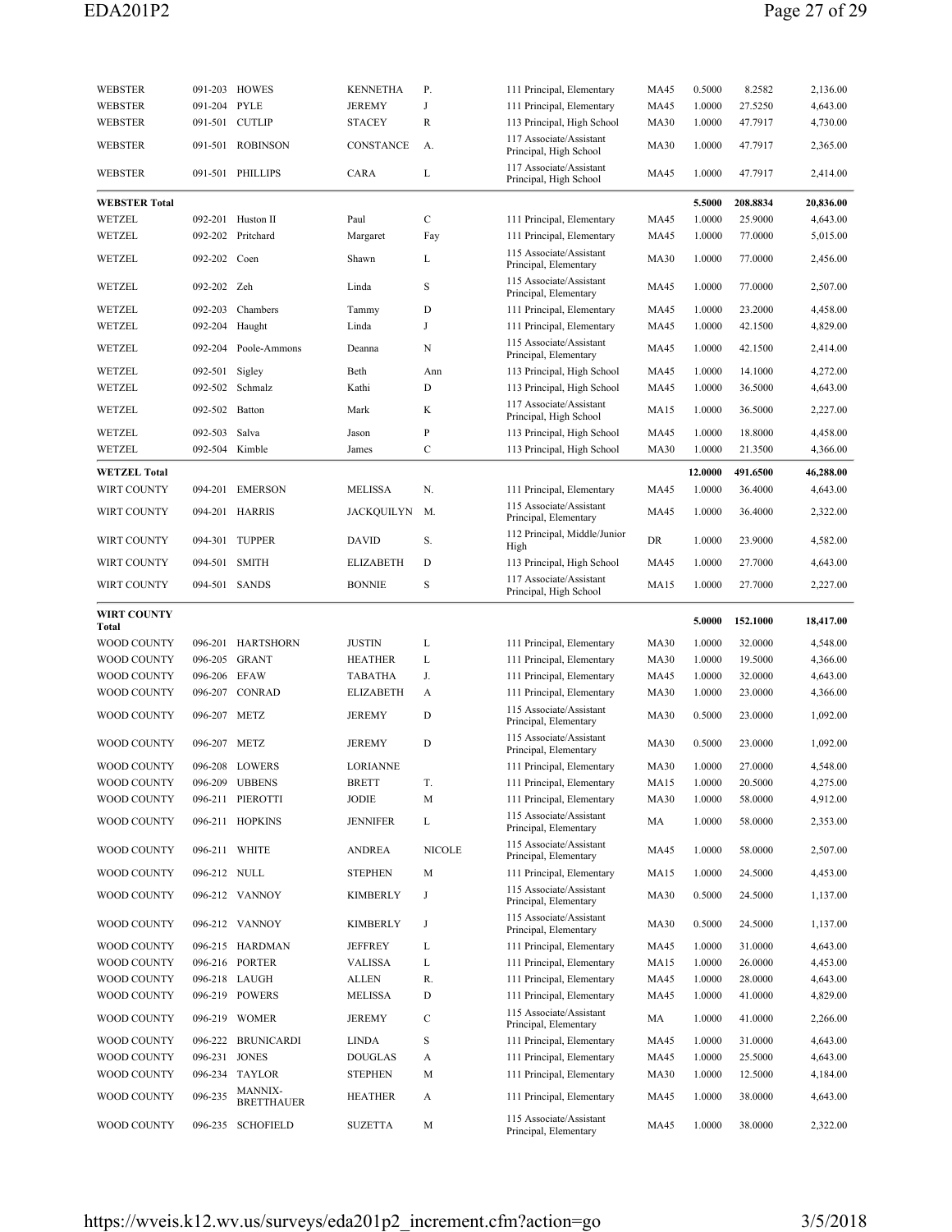| <b>WEBSTER</b>              |               | 091-203 HOWES                       | <b>KENNETHA</b>   | Ρ.            | 111 Principal, Elementary                          | MA45        | 0.5000  | 8.2582   | 2,136.00  |
|-----------------------------|---------------|-------------------------------------|-------------------|---------------|----------------------------------------------------|-------------|---------|----------|-----------|
| <b>WEBSTER</b>              | 091-204       | <b>PYLE</b>                         | <b>JEREMY</b>     | J             | 111 Principal, Elementary                          | MA45        | 1.0000  | 27.5250  | 4,643.00  |
| WEBSTER                     | 091-501       | <b>CUTLIP</b>                       | <b>STACEY</b>     | $\mathbb{R}$  | 113 Principal, High School                         | <b>MA30</b> | 1.0000  | 47.7917  | 4,730.00  |
| WEBSTER                     |               | 091-501 ROBINSON                    | CONSTANCE         | A.            | 117 Associate/Assistant<br>Principal, High School  | <b>MA30</b> | 1.0000  | 47.7917  | 2,365.00  |
| WEBSTER                     |               | 091-501 PHILLIPS                    | CARA              | L             | 117 Associate/Assistant<br>Principal, High School  | MA45        | 1.0000  | 47.7917  | 2,414.00  |
|                             |               |                                     |                   |               |                                                    |             |         |          | 20,836.00 |
| <b>WEBSTER Total</b>        |               |                                     |                   |               |                                                    |             | 5.5000  | 208.8834 |           |
| WETZEL                      |               | 092-201 Huston II                   | Paul              | C             | 111 Principal, Elementary                          | MA45        | 1.0000  | 25.9000  | 4,643.00  |
| WETZEL                      | 092-202       | Pritchard                           | Margaret          | Fay           | 111 Principal, Elementary                          | MA45        | 1.0000  | 77.0000  | 5,015.00  |
| WETZEL                      | 092-202 Coen  |                                     | Shawn             | L             | 115 Associate/Assistant<br>Principal, Elementary   | <b>MA30</b> | 1.0000  | 77.0000  | 2,456.00  |
| WETZEL                      | 092-202 Zeh   |                                     | Linda             | S             | 115 Associate/Assistant<br>Principal, Elementary   | MA45        | 1.0000  | 77.0000  | 2,507.00  |
| WETZEL                      | 092-203       | Chambers                            | Tammy             | D             | 111 Principal, Elementary                          | MA45        | 1.0000  | 23.2000  | 4,458.00  |
| WETZEL                      | 092-204       | Haught                              | Linda             | J             | 111 Principal, Elementary                          | MA45        | 1.0000  | 42.1500  | 4,829.00  |
| WETZEL                      | 092-204       | Poole-Ammons                        | Deanna            | N             | 115 Associate/Assistant<br>Principal, Elementary   | <b>MA45</b> | 1.0000  | 42.1500  | 2,414.00  |
| WETZEL                      | 092-501       | Sigley                              | Beth              | Ann           | 113 Principal, High School                         | <b>MA45</b> | 1.0000  | 14.1000  | 4,272.00  |
| WETZEL                      | 092-502       | Schmalz                             | Kathi             | D             | 113 Principal, High School                         | MA45        | 1.0000  | 36.5000  | 4,643.00  |
| WETZEL                      | 092-502       | Batton                              | Mark              | K             | 117 Associate/Assistant<br>Principal, High School  | MA15        | 1.0000  | 36.5000  | 2,227.00  |
| WETZEL                      | 092-503       | Salva                               | Jason             | P             | 113 Principal, High School                         | MA45        | 1.0000  | 18.8000  | 4,458.00  |
| WETZEL                      | 092-504       | Kimble                              | James             | C             | 113 Principal, High School                         | MA30        | 1.0000  | 21.3500  | 4,366.00  |
|                             |               |                                     |                   |               |                                                    |             |         |          |           |
| <b>WETZEL Total</b>         |               |                                     |                   |               |                                                    |             | 12.0000 | 491.6500 | 46,288.00 |
| WIRT COUNTY                 | 094-201       | <b>EMERSON</b>                      | <b>MELISSA</b>    | N.            | 111 Principal, Elementary                          | MA45        | 1.0000  | 36.4000  | 4,643.00  |
| WIRT COUNTY                 |               | 094-201 HARRIS                      | <b>JACKQUILYN</b> | M.            | 115 Associate/Assistant<br>Principal, Elementary   | MA45        | 1.0000  | 36.4000  | 2,322.00  |
| WIRT COUNTY                 |               | 094-301 TUPPER                      | <b>DAVID</b>      | S.            | 112 Principal, Middle/Junior<br>High               | DR          | 1.0000  | 23.9000  | 4,582.00  |
| WIRT COUNTY                 | 094-501 SMITH |                                     | <b>ELIZABETH</b>  | D             | 113 Principal, High School                         | MA45        | 1.0000  | 27.7000  | 4,643.00  |
|                             |               |                                     |                   |               | 117 Associate/Assistant                            |             |         |          |           |
| WIRT COUNTY                 |               | 094-501 SANDS                       | <b>BONNIE</b>     | S             | Principal, High School                             | MA15        | 1.0000  | 27.7000  | 2,227.00  |
|                             |               |                                     |                   |               |                                                    |             |         |          |           |
| <b>WIRT COUNTY</b><br>Total |               |                                     |                   |               |                                                    |             | 5.0000  | 152.1000 | 18,417.00 |
|                             |               |                                     |                   |               |                                                    |             |         |          |           |
| WOOD COUNTY                 | 096-201       | <b>HARTSHORN</b>                    | <b>JUSTIN</b>     | L             | 111 Principal, Elementary                          | <b>MA30</b> | 1.0000  | 32.0000  | 4,548.00  |
| WOOD COUNTY                 |               | 096-205 GRANT                       | <b>HEATHER</b>    | L             | 111 Principal, Elementary                          | <b>MA30</b> | 1.0000  | 19.5000  | 4,366.00  |
| WOOD COUNTY                 | 096-206 EFAW  |                                     | TABATHA           | J.            | 111 Principal, Elementary                          | MA45        | 1.0000  | 32.0000  | 4,643.00  |
| WOOD COUNTY                 | 096-207       | CONRAD                              | <b>ELIZABETH</b>  | A             | 111 Principal, Elementary                          | <b>MA30</b> | 1.0000  | 23.0000  | 4,366.00  |
| WOOD COUNTY                 | 096-207 METZ  |                                     | <b>JEREMY</b>     | D             | 115 Associate/Assistant<br>Principal, Elementary   | <b>MA30</b> | 0.5000  | 23.0000  | 1,092.00  |
| WOOD COUNTY                 | 096-207 METZ  |                                     | <b>JEREMY</b>     | D             | 115 Associate/Assistant<br>Principal, Elementary   | <b>MA30</b> | 0.5000  | 23.0000  | 1,092.00  |
| <b>WOOD COUNTY</b>          |               | 096-208 LOWERS                      | <b>LORIANNE</b>   |               | 111 Principal, Elementary                          | <b>MA30</b> | 1.0000  | 27.0000  | 4.548.00  |
| WOOD COUNTY                 |               | 096-209 UBBENS                      | <b>BRETT</b>      | T.            | 111 Principal, Elementary                          | MA15        | 1.0000  | 20.5000  | 4,275.00  |
| WOOD COUNTY                 |               | 096-211 PIEROTTI                    | JODIE             | M             | 111 Principal, Elementary                          | <b>MA30</b> | 1.0000  | 58.0000  | 4,912.00  |
| WOOD COUNTY                 |               | 096-211 HOPKINS                     | <b>JENNIFER</b>   | L             | 115 Associate/Assistant<br>Principal, Elementary   | MA          | 1.0000  | 58.0000  | 2,353.00  |
| WOOD COUNTY                 |               | 096-211 WHITE                       | <b>ANDREA</b>     | <b>NICOLE</b> | 115 Associate/Assistant                            | MA45        | 1.0000  | 58.0000  | 2,507.00  |
| WOOD COUNTY                 | 096-212 NULL  |                                     | <b>STEPHEN</b>    | M             | Principal, Elementary<br>111 Principal, Elementary | MA15        | 1.0000  | 24.5000  | 4,453.00  |
| WOOD COUNTY                 |               | 096-212 VANNOY                      | KIMBERLY          | J             | 115 Associate/Assistant                            | <b>MA30</b> | 0.5000  | 24.5000  | 1,137.00  |
| WOOD COUNTY                 |               | 096-212 VANNOY                      | <b>KIMBERLY</b>   | J             | Principal, Elementary<br>115 Associate/Assistant   | MA30        | 0.5000  | 24.5000  | 1,137.00  |
|                             |               |                                     |                   |               | Principal, Elementary                              |             |         |          |           |
| WOOD COUNTY                 |               | 096-215 HARDMAN                     | <b>JEFFREY</b>    | L             | 111 Principal, Elementary                          | MA45        | 1.0000  | 31.0000  | 4,643.00  |
| <b>WOOD COUNTY</b>          |               | 096-216 PORTER                      | <b>VALISSA</b>    | L             | 111 Principal, Elementary                          | MA15        | 1.0000  | 26.0000  | 4,453.00  |
| WOOD COUNTY                 |               | 096-218 LAUGH                       | ALLEN             | R.            | 111 Principal, Elementary                          | MA45        | 1.0000  | 28.0000  | 4,643.00  |
| WOOD COUNTY                 |               | 096-219 POWERS                      | MELISSA           | D             | 111 Principal, Elementary                          | MA45        | 1.0000  | 41.0000  | 4,829.00  |
| WOOD COUNTY                 |               | 096-219 WOMER                       | <b>JEREMY</b>     | C             | 115 Associate/Assistant<br>Principal, Elementary   | MA          | 1.0000  | 41.0000  | 2,266.00  |
| WOOD COUNTY                 | 096-222       | <b>BRUNICARDI</b>                   | <b>LINDA</b>      | S             | 111 Principal, Elementary                          | MA45        | 1.0000  | 31.0000  | 4,643.00  |
| WOOD COUNTY                 | 096-231 JONES |                                     | <b>DOUGLAS</b>    | A             | 111 Principal, Elementary                          | MA45        | 1.0000  | 25.5000  | 4,643.00  |
| WOOD COUNTY                 |               | 096-234 TAYLOR                      | <b>STEPHEN</b>    | M             | 111 Principal, Elementary                          | <b>MA30</b> | 1.0000  | 12.5000  | 4,184.00  |
| WOOD COUNTY                 | 096-235       | <b>MANNIX-</b><br><b>BRETTHAUER</b> | <b>HEATHER</b>    | A             | 111 Principal, Elementary                          | MA45        | 1.0000  | 38.0000  | 4,643.00  |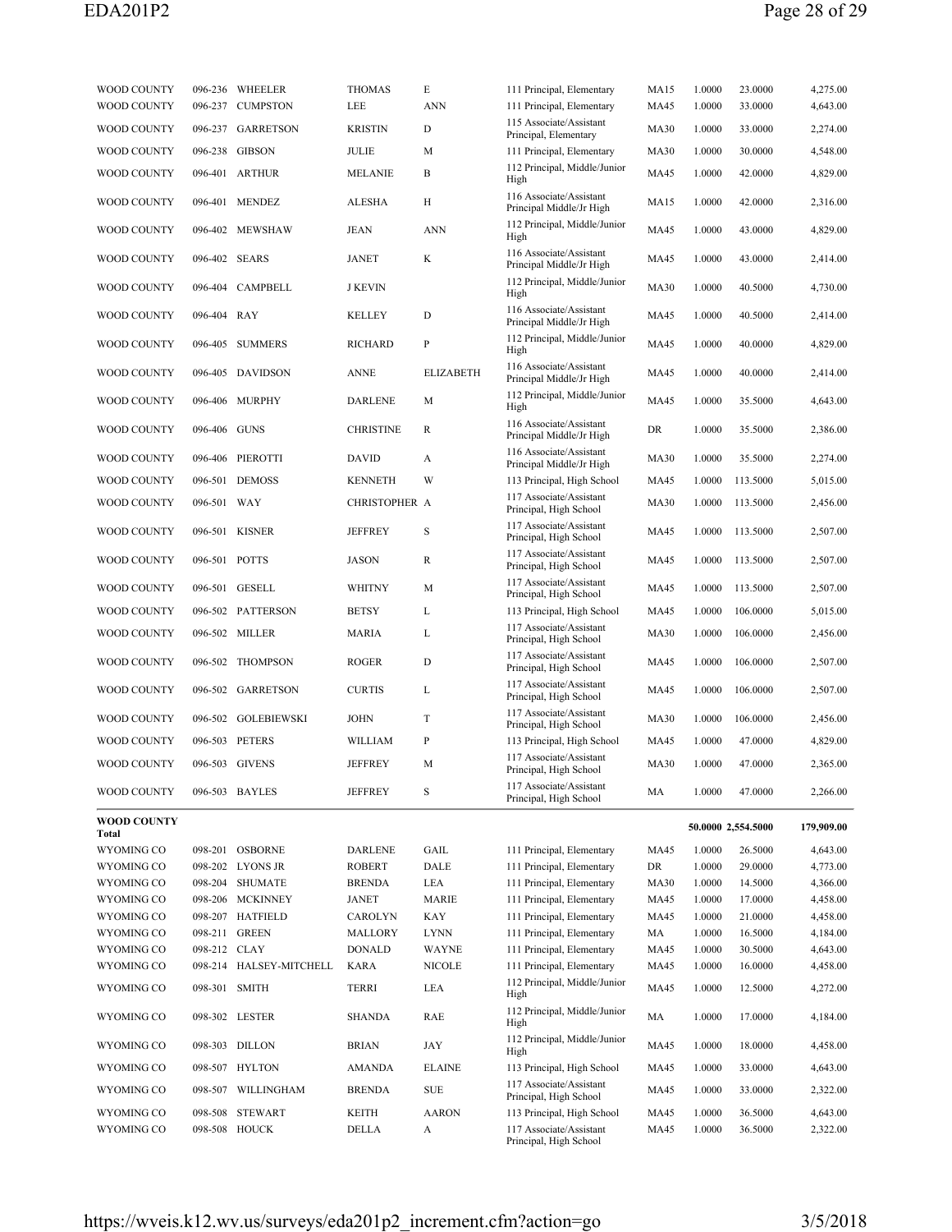| WOOD COUNTY                 |               | 096-236 WHEELER         | <b>THOMAS</b><br><b>LEE</b> | E<br><b>ANN</b>  | 111 Principal, Elementary                             | MA15        | 1.0000 | 23.0000<br>33.0000 | 4,275.00<br>4,643.00 |
|-----------------------------|---------------|-------------------------|-----------------------------|------------------|-------------------------------------------------------|-------------|--------|--------------------|----------------------|
| WOOD COUNTY                 |               | 096-237 CUMPSTON        |                             |                  | 111 Principal, Elementary<br>115 Associate/Assistant  | MA45        | 1.0000 |                    |                      |
| WOOD COUNTY                 |               | 096-237 GARRETSON       | <b>KRISTIN</b>              | D                | Principal, Elementary                                 | <b>MA30</b> | 1.0000 | 33.0000            | 2,274.00             |
| WOOD COUNTY                 |               | 096-238 GIBSON          | JULIE                       | М                | 111 Principal, Elementary                             | <b>MA30</b> | 1.0000 | 30.0000            | 4,548.00             |
| WOOD COUNTY                 |               | 096-401 ARTHUR          | <b>MELANIE</b>              | B                | 112 Principal, Middle/Junior<br>High                  | MA45        | 1.0000 | 42.0000            | 4,829.00             |
| WOOD COUNTY                 |               | 096-401 MENDEZ          | ALESHA                      | Н                | 116 Associate/Assistant<br>Principal Middle/Jr High   | MA15        | 1.0000 | 42.0000            | 2,316.00             |
| WOOD COUNTY                 |               | 096-402 MEWSHAW         | JEAN                        | ANN              | 112 Principal, Middle/Junior<br>High                  | MA45        | 1.0000 | 43.0000            | 4,829.00             |
| WOOD COUNTY                 | 096-402 SEARS |                         | <b>JANET</b>                | K                | 116 Associate/Assistant<br>Principal Middle/Jr High   | MA45        | 1.0000 | 43.0000            | 2,414.00             |
| WOOD COUNTY                 |               | 096-404 CAMPBELL        | <b>J KEVIN</b>              |                  | 112 Principal, Middle/Junior<br>High                  | <b>MA30</b> | 1.0000 | 40.5000            | 4,730.00             |
| WOOD COUNTY                 | 096-404 RAY   |                         | KELLEY                      | D                | 116 Associate/Assistant<br>Principal Middle/Jr High   | MA45        | 1.0000 | 40.5000            | 2,414.00             |
| WOOD COUNTY                 |               | 096-405 SUMMERS         | <b>RICHARD</b>              | P                | 112 Principal, Middle/Junior<br>High                  | <b>MA45</b> | 1.0000 | 40.0000            | 4,829.00             |
| WOOD COUNTY                 |               | 096-405 DAVIDSON        | <b>ANNE</b>                 | <b>ELIZABETH</b> | 116 Associate/Assistant<br>Principal Middle/Jr High   | MA45        | 1.0000 | 40.0000            | 2,414.00             |
| WOOD COUNTY                 |               | 096-406 MURPHY          | <b>DARLENE</b>              | M                | 112 Principal, Middle/Junior<br>High                  | MA45        | 1.0000 | 35.5000            | 4,643.00             |
| WOOD COUNTY                 | 096-406 GUNS  |                         | <b>CHRISTINE</b>            | R                | 116 Associate/Assistant<br>Principal Middle/Jr High   | DR          | 1.0000 | 35.5000            | 2,386.00             |
| WOOD COUNTY                 |               | 096-406 PIEROTTI        | <b>DAVID</b>                | A                | 116 Associate/Assistant                               | <b>MA30</b> | 1.0000 | 35.5000            | 2,274.00             |
|                             |               |                         |                             |                  | Principal Middle/Jr High                              |             |        |                    |                      |
| WOOD COUNTY                 |               | 096-501 DEMOSS          | <b>KENNETH</b>              | W                | 113 Principal, High School<br>117 Associate/Assistant | MA45        | 1.0000 | 113.5000           | 5,015.00             |
| WOOD COUNTY                 | 096-501 WAY   |                         | CHRISTOPHER A               |                  | Principal, High School                                | <b>MA30</b> | 1.0000 | 113.5000           | 2,456.00             |
| WOOD COUNTY                 |               | 096-501 KISNER          | <b>JEFFREY</b>              | S                | 117 Associate/Assistant<br>Principal, High School     | MA45        | 1.0000 | 113.5000           | 2,507.00             |
| WOOD COUNTY                 | 096-501 POTTS |                         | JASON                       | R                | 117 Associate/Assistant<br>Principal, High School     | MA45        | 1.0000 | 113.5000           | 2,507.00             |
| WOOD COUNTY                 |               | 096-501 GESELL          | <b>WHITNY</b>               | М                | 117 Associate/Assistant<br>Principal, High School     | <b>MA45</b> | 1.0000 | 113.5000           | 2,507.00             |
| WOOD COUNTY                 |               | 096-502 PATTERSON       | <b>BETSY</b>                | L                | 113 Principal, High School                            | MA45        | 1.0000 | 106.0000           | 5,015.00             |
| WOOD COUNTY                 |               | 096-502 MILLER          | MARIA                       | L                | 117 Associate/Assistant<br>Principal, High School     | <b>MA30</b> | 1.0000 | 106.0000           | 2,456.00             |
| WOOD COUNTY                 |               | 096-502 THOMPSON        | <b>ROGER</b>                | D                | 117 Associate/Assistant<br>Principal, High School     | MA45        | 1.0000 | 106.0000           | 2,507.00             |
| WOOD COUNTY                 |               | 096-502 GARRETSON       | <b>CURTIS</b>               | L                | 117 Associate/Assistant<br>Principal, High School     | MA45        | 1.0000 | 106.0000           | 2,507.00             |
| WOOD COUNTY                 |               | 096-502 GOLEBIEWSKI     | <b>JOHN</b>                 | T                | 117 Associate/Assistant<br>Principal, High School     | <b>MA30</b> | 1.0000 | 106.0000           | 2,456.00             |
| WOOD COUNTY                 |               | 096-503 PETERS          | WILLIAM                     | P                | 113 Principal, High School                            | <b>MA45</b> | 1.0000 | 47.0000            | 4,829.00             |
| WOOD COUNTY                 |               | 096-503 GIVENS          | <b>JEFFREY</b>              | М                | 117 Associate/Assistant<br>Principal, High School     | <b>MA30</b> | 1.0000 | 47.0000            | 2,365.00             |
| WOOD COUNTY                 |               | 096-503 BAYLES          | JEFFREY                     | S                | 117 Associate/Assistant<br>Principal, High School     | MA          | 1.0000 | 47.0000            | 2,266.00             |
| <b>WOOD COUNTY</b><br>Total |               |                         |                             |                  |                                                       |             |        | 50.0000 2,554.5000 | 179,909.00           |
| WYOMING CO                  |               | 098-201 OSBORNE         | <b>DARLENE</b>              | GAIL             | 111 Principal, Elementary                             | MA45        | 1.0000 | 26.5000            | 4,643.00             |
| WYOMING CO                  |               | 098-202 LYONS JR        | <b>ROBERT</b>               | DALE             | 111 Principal, Elementary                             | DR          | 1.0000 | 29.0000            | 4,773.00             |
| WYOMING CO                  |               | 098-204 SHUMATE         | <b>BRENDA</b>               | LEA              | 111 Principal, Elementary                             | <b>MA30</b> | 1.0000 | 14.5000            | 4,366.00             |
| WYOMING CO                  |               | 098-206 MCKINNEY        | JANET                       | MARIE            | 111 Principal, Elementary                             | MA45        | 1.0000 | 17.0000            | 4,458.00             |
| WYOMING CO                  |               | 098-207 HATFIELD        | CAROLYN                     | KAY              | 111 Principal, Elementary                             | MA45        | 1.0000 | 21.0000            | 4,458.00             |
| WYOMING CO                  |               | 098-211 GREEN           | MALLORY                     | <b>LYNN</b>      | 111 Principal, Elementary                             | MA          | 1.0000 | 16.5000            | 4,184.00             |
| WYOMING CO                  | 098-212 CLAY  |                         | DONALD                      | WAYNE            | 111 Principal, Elementary                             | MA45        | 1.0000 | 30.5000            | 4,643.00             |
| WYOMING CO                  |               | 098-214 HALSEY-MITCHELL | <b>KARA</b>                 | <b>NICOLE</b>    | 111 Principal, Elementary                             | MA45        | 1.0000 | 16.0000            | 4,458.00             |
| WYOMING CO                  | 098-301 SMITH |                         | TERRI                       | LEA              | 112 Principal, Middle/Junior<br>High                  | MA45        | 1.0000 | 12.5000            | 4,272.00             |
| WYOMING CO                  |               | 098-302 LESTER          | <b>SHANDA</b>               | RAE              | 112 Principal, Middle/Junior<br>High                  | MA          | 1.0000 | 17.0000            | 4,184.00             |
| WYOMING CO                  |               | 098-303 DILLON          | <b>BRIAN</b>                | JAY              | 112 Principal, Middle/Junior<br>High                  | <b>MA45</b> | 1.0000 | 18.0000            | 4,458.00             |
| WYOMING CO                  |               | 098-507 HYLTON          | AMANDA                      | <b>ELAINE</b>    | 113 Principal, High School                            | MA45        | 1.0000 | 33.0000            | 4,643.00             |
| WYOMING CO                  |               | 098-507 WILLINGHAM      | <b>BRENDA</b>               | <b>SUE</b>       | 117 Associate/Assistant<br>Principal, High School     | MA45        | 1.0000 | 33.0000            | 2,322.00             |
| WYOMING CO                  |               | 098-508 STEWART         | KEITH                       | AARON            | 113 Principal, High School                            | MA45        | 1.0000 | 36.5000            | 4,643.00             |
| WYOMING CO                  |               | 098-508 HOUCK           | DELLA                       | A                | 117 Associate/Assistant<br>Principal, High School     | MA45        | 1.0000 | 36.5000            | 2,322.00             |